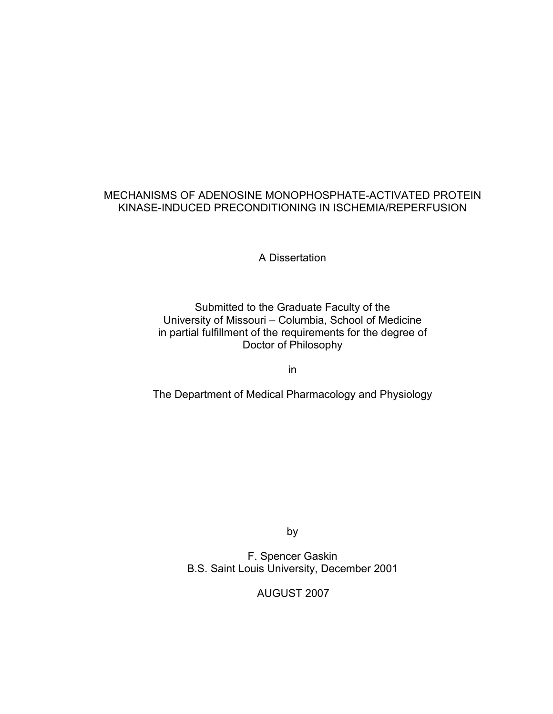# MECHANISMS OF ADENOSINE MONOPHOSPHATE-ACTIVATED PROTEIN KINASE-INDUCED PRECONDITIONING IN ISCHEMIA/REPERFUSION

A Dissertation

# Submitted to the Graduate Faculty of the University of Missouri – Columbia, School of Medicine in partial fulfillment of the requirements for the degree of Doctor of Philosophy

in

The Department of Medical Pharmacology and Physiology

by

F. Spencer Gaskin B.S. Saint Louis University, December 2001

AUGUST 2007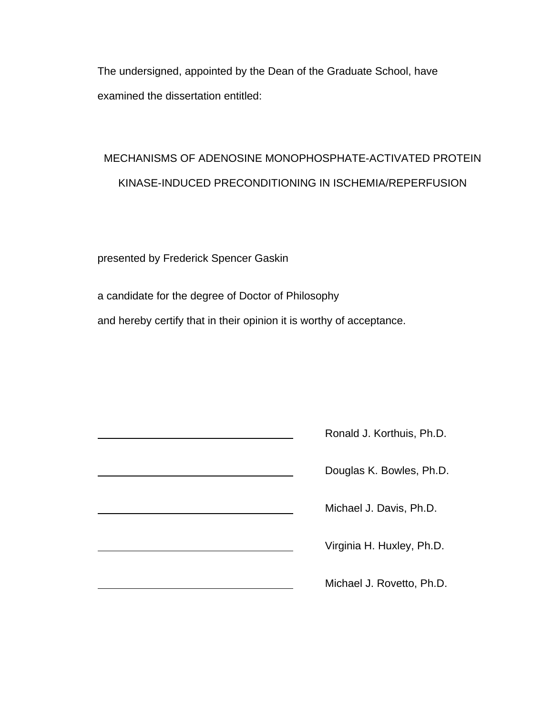The undersigned, appointed by the Dean of the Graduate School, have examined the dissertation entitled:

# MECHANISMS OF ADENOSINE MONOPHOSPHATE-ACTIVATED PROTEIN KINASE-INDUCED PRECONDITIONING IN ISCHEMIA/REPERFUSION

presented by Frederick Spencer Gaskin

a candidate for the degree of Doctor of Philosophy and hereby certify that in their opinion it is worthy of acceptance.

| Ronald J. Korthuis, Ph.D. |
|---------------------------|
| Douglas K. Bowles, Ph.D.  |
| Michael J. Davis, Ph.D.   |
| Virginia H. Huxley, Ph.D. |
| Michael J. Rovetto, Ph.D. |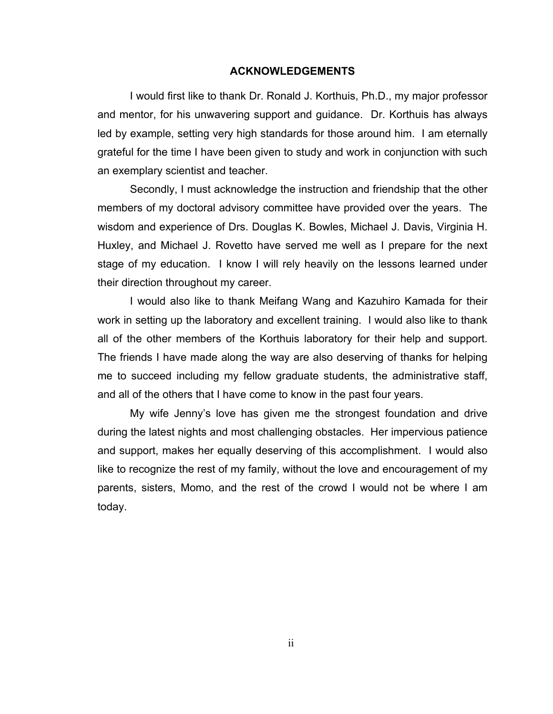#### **ACKNOWLEDGEMENTS**

 I would first like to thank Dr. Ronald J. Korthuis, Ph.D., my major professor and mentor, for his unwavering support and guidance. Dr. Korthuis has always led by example, setting very high standards for those around him. I am eternally grateful for the time I have been given to study and work in conjunction with such an exemplary scientist and teacher.

 Secondly, I must acknowledge the instruction and friendship that the other members of my doctoral advisory committee have provided over the years. The wisdom and experience of Drs. Douglas K. Bowles, Michael J. Davis, Virginia H. Huxley, and Michael J. Rovetto have served me well as I prepare for the next stage of my education. I know I will rely heavily on the lessons learned under their direction throughout my career.

 I would also like to thank Meifang Wang and Kazuhiro Kamada for their work in setting up the laboratory and excellent training. I would also like to thank all of the other members of the Korthuis laboratory for their help and support. The friends I have made along the way are also deserving of thanks for helping me to succeed including my fellow graduate students, the administrative staff, and all of the others that I have come to know in the past four years.

 My wife Jenny's love has given me the strongest foundation and drive during the latest nights and most challenging obstacles. Her impervious patience and support, makes her equally deserving of this accomplishment. I would also like to recognize the rest of my family, without the love and encouragement of my parents, sisters, Momo, and the rest of the crowd I would not be where I am today.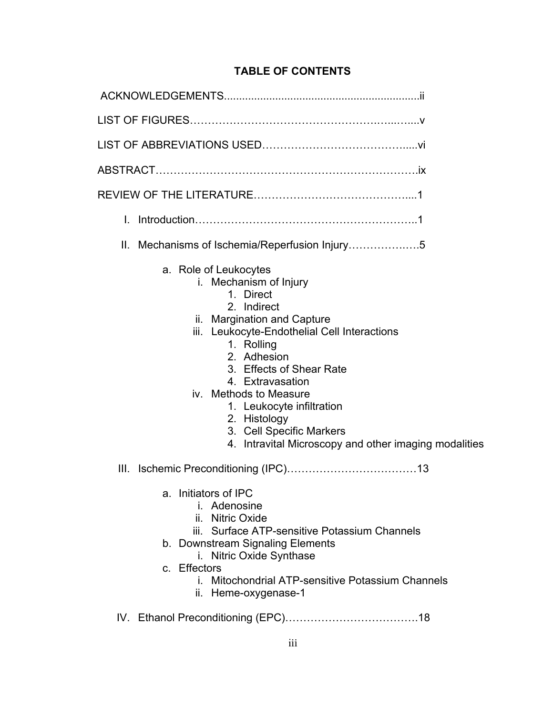# **TABLE OF CONTENTS**

| L.                                                                                                                                                                                                                                                                                                                                                                                                  |
|-----------------------------------------------------------------------------------------------------------------------------------------------------------------------------------------------------------------------------------------------------------------------------------------------------------------------------------------------------------------------------------------------------|
| Mechanisms of Ischemia/Reperfusion Injury5<br>Ⅱ.                                                                                                                                                                                                                                                                                                                                                    |
| a. Role of Leukocytes<br>i. Mechanism of Injury<br>1. Direct<br>2. Indirect<br>ii. Margination and Capture<br>iii. Leukocyte-Endothelial Cell Interactions<br>1. Rolling<br>2. Adhesion<br>3. Effects of Shear Rate<br>4. Extravasation<br>iv. Methods to Measure<br>1. Leukocyte infiltration<br>2. Histology<br>3. Cell Specific Markers<br>4. Intravital Microscopy and other imaging modalities |
|                                                                                                                                                                                                                                                                                                                                                                                                     |
| a. Initiators of IPC<br><i>i.</i> Adenosine<br>ii. Nitric Oxide<br>iii. Surface ATP-sensitive Potassium Channels<br>b. Downstream Signaling Elements<br><b>Nitric Oxide Synthase</b><br>İ.<br>c. Effectors<br>i. Mitochondrial ATP-sensitive Potassium Channels<br>ii. Heme-oxygenase-1                                                                                                             |

IV. Ethanol Preconditioning (EPC)……………………………….18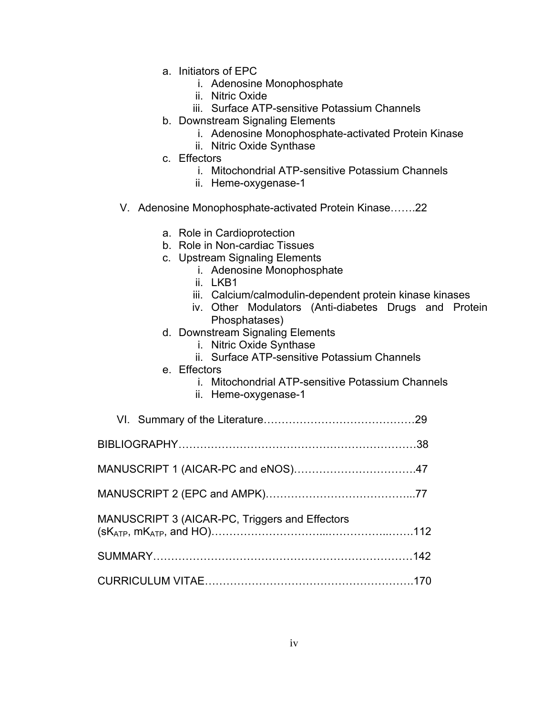- a. Initiators of EPC
	- i. Adenosine Monophosphate
	- ii. Nitric Oxide
	- iii. Surface ATP-sensitive Potassium Channels
- b. Downstream Signaling Elements
	- i. Adenosine Monophosphate-activated Protein Kinase
	- ii. Nitric Oxide Synthase
- c. Effectors
	- i. Mitochondrial ATP-sensitive Potassium Channels
	- ii. Heme-oxygenase-1
- V. Adenosine Monophosphate-activated Protein Kinase…….22
	- a. Role in Cardioprotection
	- b. Role in Non-cardiac Tissues
	- c. Upstream Signaling Elements
		- i. Adenosine Monophosphate
		- ii. LKB1
		- iii. Calcium/calmodulin-dependent protein kinase kinases
		- iv. Other Modulators (Anti-diabetes Drugs and Protein Phosphatases)
	- d. Downstream Signaling Elements
		- i. Nitric Oxide Synthase
		- ii. Surface ATP-sensitive Potassium Channels
	- e. Effectors
		- i. Mitochondrial ATP-sensitive Potassium Channels
		- ii. Heme-oxygenase-1

| MANUSCRIPT 3 (AICAR-PC, Triggers and Effectors |  |
|------------------------------------------------|--|
|                                                |  |
|                                                |  |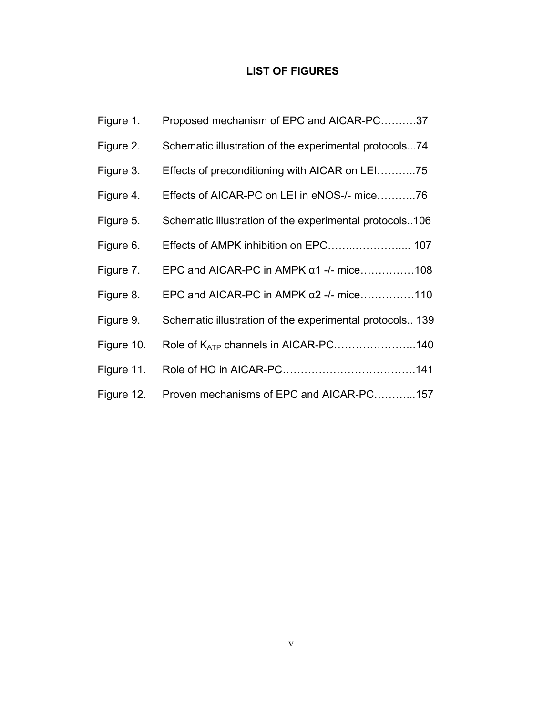# **LIST OF FIGURES**

| Figure 1.  | Proposed mechanism of EPC and AICAR-PC37                 |
|------------|----------------------------------------------------------|
| Figure 2.  | Schematic illustration of the experimental protocols74   |
| Figure 3.  | Effects of preconditioning with AICAR on LEI75           |
| Figure 4.  | Effects of AICAR-PC on LEI in eNOS-/- mice76             |
| Figure 5.  | Schematic illustration of the experimental protocols106  |
| Figure 6.  |                                                          |
| Figure 7.  | EPC and AICAR-PC in AMPK $\alpha$ 1 -/- mice108          |
| Figure 8.  | EPC and AICAR-PC in AMPK $\alpha$ 2 -/- mice110          |
| Figure 9.  | Schematic illustration of the experimental protocols 139 |
| Figure 10. | Role of K <sub>ATP</sub> channels in AICAR-PC140         |
| Figure 11. |                                                          |
| Figure 12. | Proven mechanisms of EPC and AICAR-PC157                 |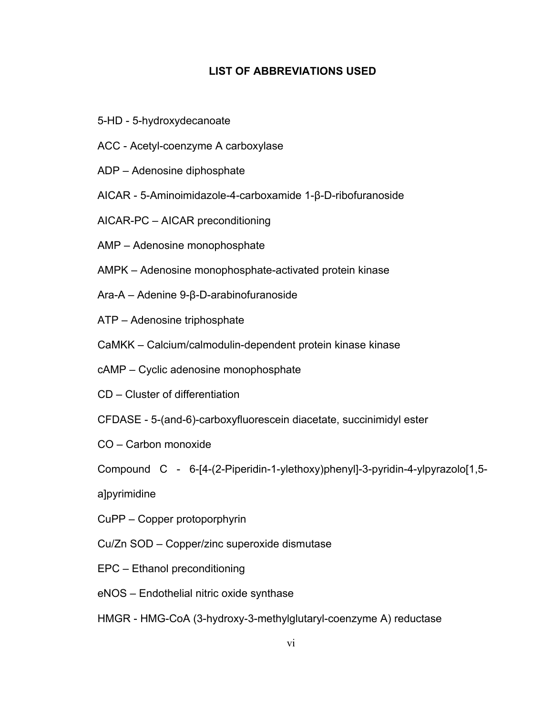# **LIST OF ABBREVIATIONS USED**

- 5-HD 5-hydroxydecanoate
- ACC Acetyl-coenzyme A carboxylase
- ADP Adenosine diphosphate
- AICAR 5-Aminoimidazole-4-carboxamide 1-β-D-ribofuranoside
- AICAR-PC AICAR preconditioning
- AMP Adenosine monophosphate
- AMPK Adenosine monophosphate-activated protein kinase
- Ara-A Adenine 9-β-D-arabinofuranoside
- ATP Adenosine triphosphate
- CaMKK Calcium/calmodulin-dependent protein kinase kinase
- cAMP Cyclic adenosine monophosphate
- CD Cluster of differentiation
- CFDASE 5-(and-6)-carboxyfluorescein diacetate, succinimidyl ester
- CO Carbon monoxide
- Compound C 6-[4-(2-Piperidin-1-ylethoxy)phenyl]-3-pyridin-4-ylpyrazolo[1,5-
- a]pyrimidine
- CuPP Copper protoporphyrin
- Cu/Zn SOD Copper/zinc superoxide dismutase
- EPC Ethanol preconditioning
- eNOS Endothelial nitric oxide synthase
- HMGR HMG-CoA (3-hydroxy-3-methylglutaryl-coenzyme A) reductase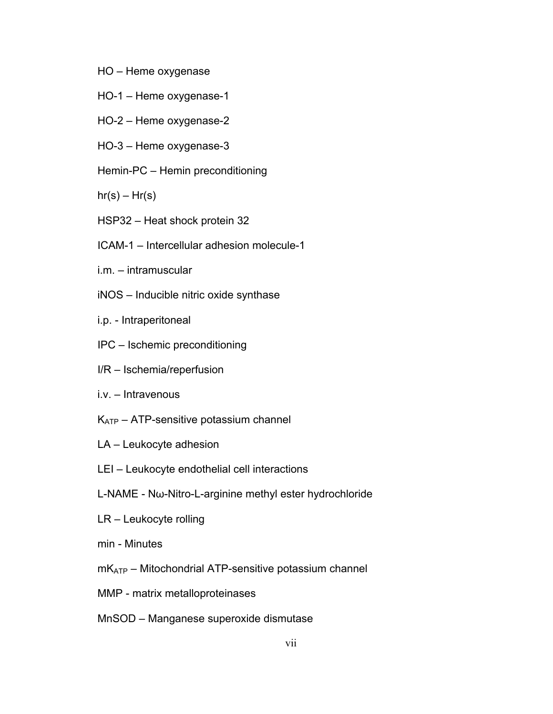- HO Heme oxygenase
- HO-1 Heme oxygenase-1
- HO-2 Heme oxygenase-2
- HO-3 Heme oxygenase-3
- Hemin-PC Hemin preconditioning

 $hr(s) - Hr(s)$ 

- HSP32 Heat shock protein 32
- ICAM-1 Intercellular adhesion molecule-1
- i.m. intramuscular
- iNOS Inducible nitric oxide synthase
- i.p. Intraperitoneal
- IPC Ischemic preconditioning
- I/R Ischemia/reperfusion
- i.v. Intravenous
- $K_{ATP}$  ATP-sensitive potassium channel
- LA Leukocyte adhesion
- LEI Leukocyte endothelial cell interactions
- L-NAME Nω-Nitro-L-arginine methyl ester hydrochloride
- LR Leukocyte rolling
- min Minutes
- $mK<sub>ATP</sub>$  Mitochondrial ATP-sensitive potassium channel
- MMP matrix metalloproteinases
- MnSOD Manganese superoxide dismutase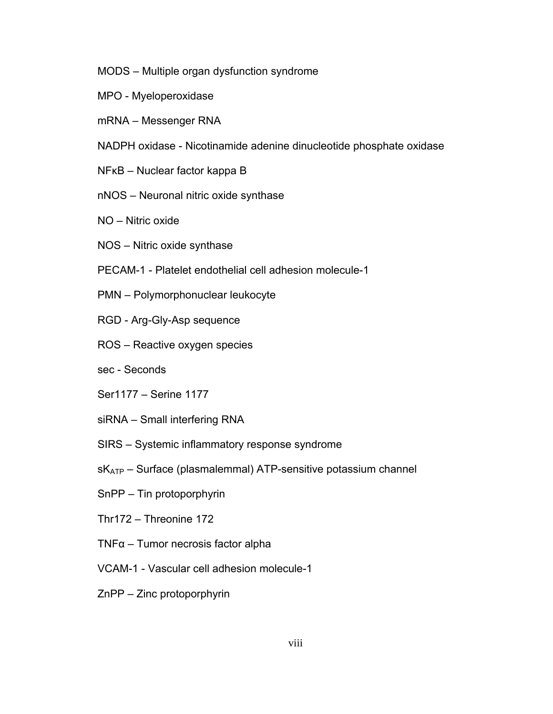- MODS Multiple organ dysfunction syndrome
- MPO Myeloperoxidase
- mRNA Messenger RNA
- NADPH oxidase Nicotinamide adenine dinucleotide phosphate oxidase
- NFκB Nuclear factor kappa B
- nNOS Neuronal nitric oxide synthase
- NO Nitric oxide
- NOS Nitric oxide synthase
- PECAM-1 Platelet endothelial cell adhesion molecule-1
- PMN Polymorphonuclear leukocyte
- RGD Arg-Gly-Asp sequence
- ROS Reactive oxygen species
- sec Seconds
- Ser1177 Serine 1177
- siRNA Small interfering RNA
- SIRS Systemic inflammatory response syndrome
- $sK<sub>ATP</sub>$  Surface (plasmalemmal) ATP-sensitive potassium channel
- SnPP Tin protoporphyrin
- Thr172 Threonine 172
- TNFα Tumor necrosis factor alpha
- VCAM-1 Vascular cell adhesion molecule-1
- ZnPP Zinc protoporphyrin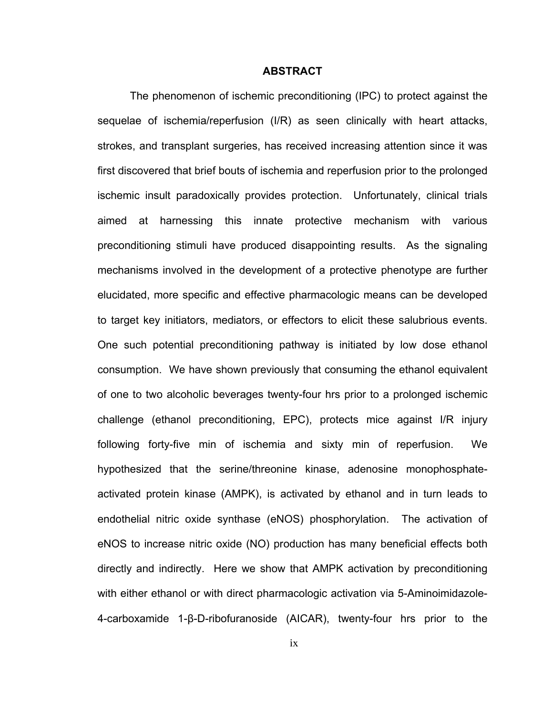#### **ABSTRACT**

 The phenomenon of ischemic preconditioning (IPC) to protect against the sequelae of ischemia/reperfusion (I/R) as seen clinically with heart attacks, strokes, and transplant surgeries, has received increasing attention since it was first discovered that brief bouts of ischemia and reperfusion prior to the prolonged ischemic insult paradoxically provides protection. Unfortunately, clinical trials aimed at harnessing this innate protective mechanism with various preconditioning stimuli have produced disappointing results. As the signaling mechanisms involved in the development of a protective phenotype are further elucidated, more specific and effective pharmacologic means can be developed to target key initiators, mediators, or effectors to elicit these salubrious events. One such potential preconditioning pathway is initiated by low dose ethanol consumption. We have shown previously that consuming the ethanol equivalent of one to two alcoholic beverages twenty-four hrs prior to a prolonged ischemic challenge (ethanol preconditioning, EPC), protects mice against I/R injury following forty-five min of ischemia and sixty min of reperfusion. We hypothesized that the serine/threonine kinase, adenosine monophosphateactivated protein kinase (AMPK), is activated by ethanol and in turn leads to endothelial nitric oxide synthase (eNOS) phosphorylation. The activation of eNOS to increase nitric oxide (NO) production has many beneficial effects both directly and indirectly. Here we show that AMPK activation by preconditioning with either ethanol or with direct pharmacologic activation via 5-Aminoimidazole-4-carboxamide 1-β-D-ribofuranoside (AICAR), twenty-four hrs prior to the

ix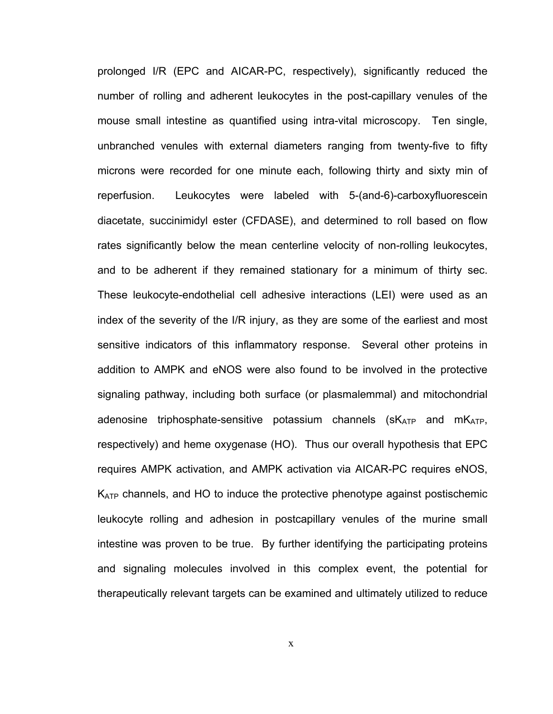prolonged I/R (EPC and AICAR-PC, respectively), significantly reduced the number of rolling and adherent leukocytes in the post-capillary venules of the mouse small intestine as quantified using intra-vital microscopy. Ten single, unbranched venules with external diameters ranging from twenty-five to fifty microns were recorded for one minute each, following thirty and sixty min of reperfusion. Leukocytes were labeled with 5-(and-6)-carboxyfluorescein diacetate, succinimidyl ester (CFDASE), and determined to roll based on flow rates significantly below the mean centerline velocity of non-rolling leukocytes, and to be adherent if they remained stationary for a minimum of thirty sec. These leukocyte-endothelial cell adhesive interactions (LEI) were used as an index of the severity of the I/R injury, as they are some of the earliest and most sensitive indicators of this inflammatory response. Several other proteins in addition to AMPK and eNOS were also found to be involved in the protective signaling pathway, including both surface (or plasmalemmal) and mitochondrial adenosine triphosphate-sensitive potassium channels  $(SK_{ATP}$  and  $mK_{ATP}$ , respectively) and heme oxygenase (HO). Thus our overall hypothesis that EPC requires AMPK activation, and AMPK activation via AICAR-PC requires eNOS, K<sub>ATP</sub> channels, and HO to induce the protective phenotype against postischemic leukocyte rolling and adhesion in postcapillary venules of the murine small intestine was proven to be true. By further identifying the participating proteins and signaling molecules involved in this complex event, the potential for therapeutically relevant targets can be examined and ultimately utilized to reduce

x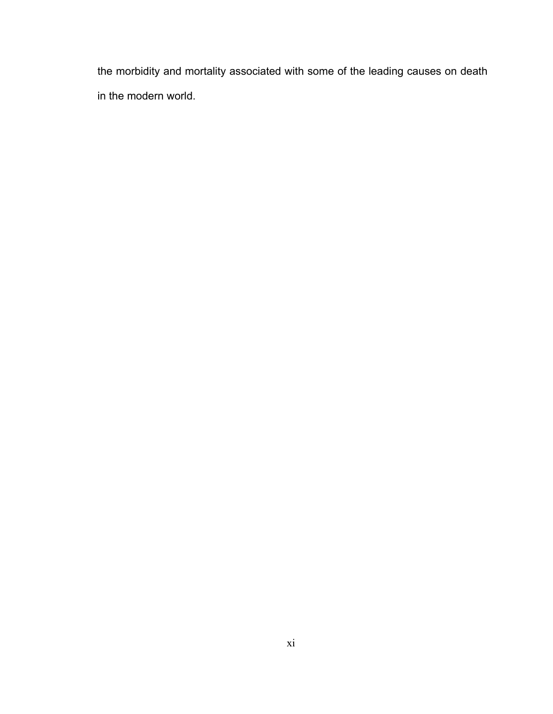the morbidity and mortality associated with some of the leading causes on death in the modern world.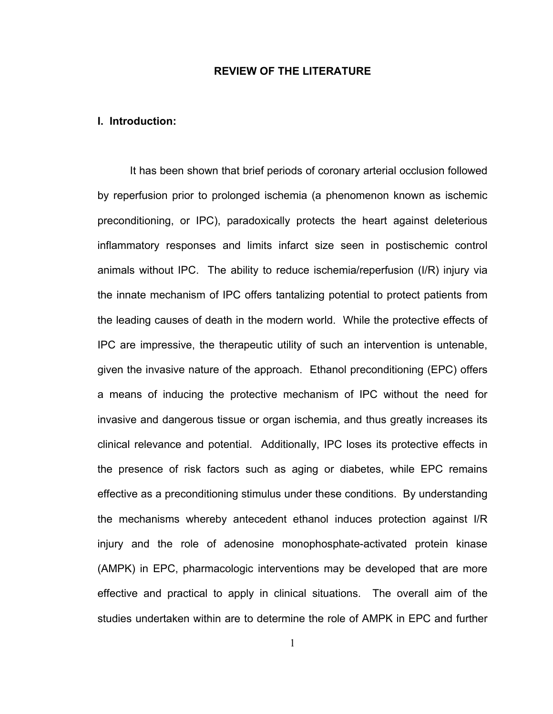# **REVIEW OF THE LITERATURE**

# **I. Introduction:**

It has been shown that brief periods of coronary arterial occlusion followed by reperfusion prior to prolonged ischemia (a phenomenon known as ischemic preconditioning, or IPC), paradoxically protects the heart against deleterious inflammatory responses and limits infarct size seen in postischemic control animals without IPC. The ability to reduce ischemia/reperfusion (I/R) injury via the innate mechanism of IPC offers tantalizing potential to protect patients from the leading causes of death in the modern world. While the protective effects of IPC are impressive, the therapeutic utility of such an intervention is untenable, given the invasive nature of the approach. Ethanol preconditioning (EPC) offers a means of inducing the protective mechanism of IPC without the need for invasive and dangerous tissue or organ ischemia, and thus greatly increases its clinical relevance and potential. Additionally, IPC loses its protective effects in the presence of risk factors such as aging or diabetes, while EPC remains effective as a preconditioning stimulus under these conditions. By understanding the mechanisms whereby antecedent ethanol induces protection against I/R injury and the role of adenosine monophosphate-activated protein kinase (AMPK) in EPC, pharmacologic interventions may be developed that are more effective and practical to apply in clinical situations. The overall aim of the studies undertaken within are to determine the role of AMPK in EPC and further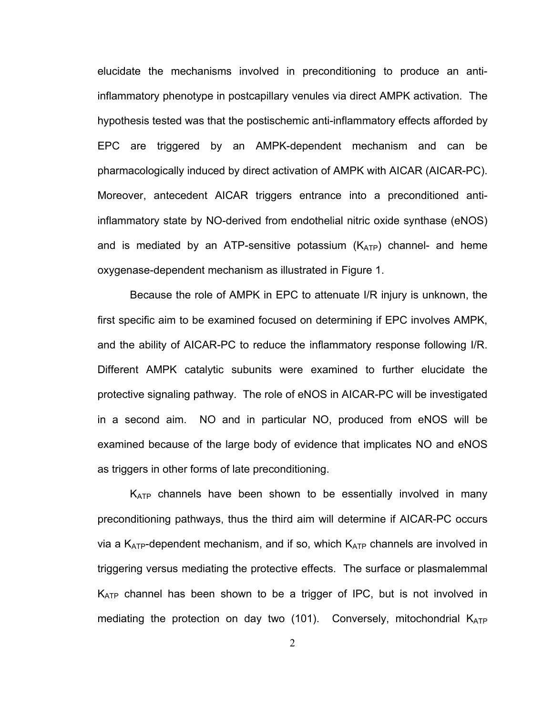elucidate the mechanisms involved in preconditioning to produce an antiinflammatory phenotype in postcapillary venules via direct AMPK activation. The hypothesis tested was that the postischemic anti-inflammatory effects afforded by EPC are triggered by an AMPK-dependent mechanism and can be pharmacologically induced by direct activation of AMPK with AICAR (AICAR-PC). Moreover, antecedent AICAR triggers entrance into a preconditioned antiinflammatory state by NO-derived from endothelial nitric oxide synthase (eNOS) and is mediated by an ATP-sensitive potassium  $(K_{ATP})$  channel- and heme oxygenase-dependent mechanism as illustrated in Figure 1.

Because the role of AMPK in EPC to attenuate I/R injury is unknown, the first specific aim to be examined focused on determining if EPC involves AMPK, and the ability of AICAR-PC to reduce the inflammatory response following I/R. Different AMPK catalytic subunits were examined to further elucidate the protective signaling pathway. The role of eNOS in AICAR-PC will be investigated in a second aim. NO and in particular NO, produced from eNOS will be examined because of the large body of evidence that implicates NO and eNOS as triggers in other forms of late preconditioning.

K<sub>ATP</sub> channels have been shown to be essentially involved in many preconditioning pathways, thus the third aim will determine if AICAR-PC occurs via a  $K_{ATP}$ -dependent mechanism, and if so, which  $K_{ATP}$  channels are involved in triggering versus mediating the protective effects. The surface or plasmalemmal  $K_{ATP}$  channel has been shown to be a trigger of IPC, but is not involved in mediating the protection on day two  $(101)$ . Conversely, mitochondrial  $K_{ATP}$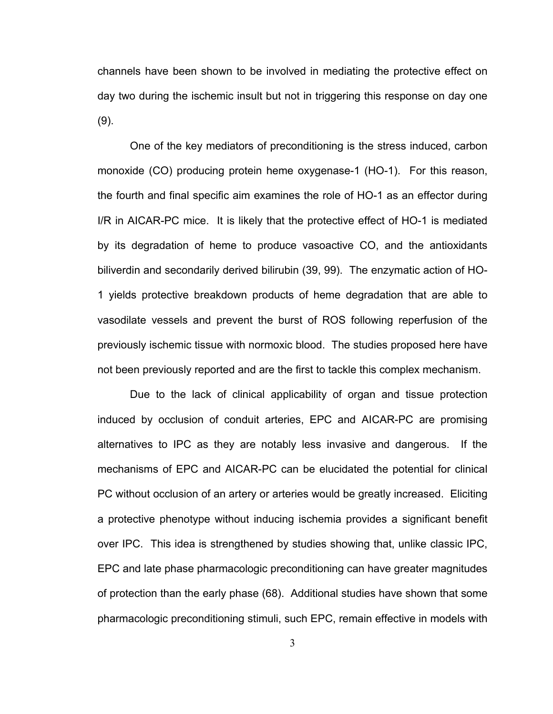channels have been shown to be involved in mediating the protective effect on day two during the ischemic insult but not in triggering this response on day one (9).

One of the key mediators of preconditioning is the stress induced, carbon monoxide (CO) producing protein heme oxygenase-1 (HO-1). For this reason, the fourth and final specific aim examines the role of HO-1 as an effector during I/R in AICAR-PC mice. It is likely that the protective effect of HO-1 is mediated by its degradation of heme to produce vasoactive CO, and the antioxidants biliverdin and secondarily derived bilirubin (39, 99). The enzymatic action of HO-1 yields protective breakdown products of heme degradation that are able to vasodilate vessels and prevent the burst of ROS following reperfusion of the previously ischemic tissue with normoxic blood. The studies proposed here have not been previously reported and are the first to tackle this complex mechanism.

Due to the lack of clinical applicability of organ and tissue protection induced by occlusion of conduit arteries, EPC and AICAR-PC are promising alternatives to IPC as they are notably less invasive and dangerous. If the mechanisms of EPC and AICAR-PC can be elucidated the potential for clinical PC without occlusion of an artery or arteries would be greatly increased. Eliciting a protective phenotype without inducing ischemia provides a significant benefit over IPC. This idea is strengthened by studies showing that, unlike classic IPC, EPC and late phase pharmacologic preconditioning can have greater magnitudes of protection than the early phase (68). Additional studies have shown that some pharmacologic preconditioning stimuli, such EPC, remain effective in models with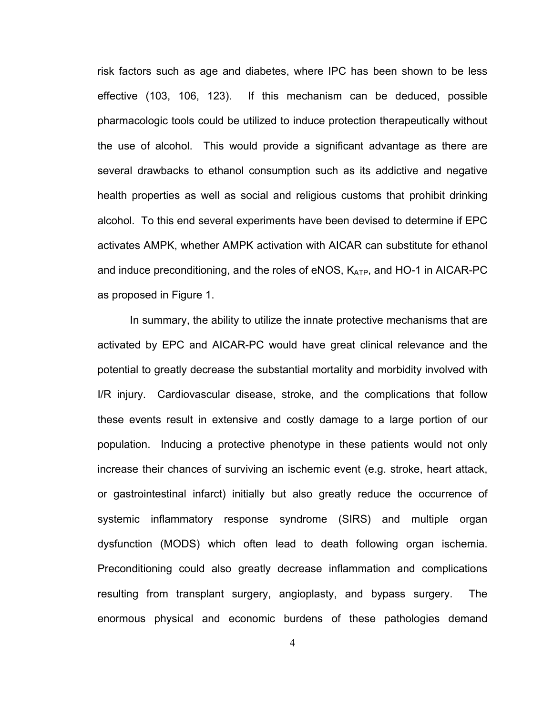risk factors such as age and diabetes, where IPC has been shown to be less effective (103, 106, 123). If this mechanism can be deduced, possible pharmacologic tools could be utilized to induce protection therapeutically without the use of alcohol. This would provide a significant advantage as there are several drawbacks to ethanol consumption such as its addictive and negative health properties as well as social and religious customs that prohibit drinking alcohol. To this end several experiments have been devised to determine if EPC activates AMPK, whether AMPK activation with AICAR can substitute for ethanol and induce preconditioning, and the roles of eNOS,  $K_{ATP}$ , and HO-1 in AICAR-PC as proposed in Figure 1.

In summary, the ability to utilize the innate protective mechanisms that are activated by EPC and AICAR-PC would have great clinical relevance and the potential to greatly decrease the substantial mortality and morbidity involved with I/R injury. Cardiovascular disease, stroke, and the complications that follow these events result in extensive and costly damage to a large portion of our population. Inducing a protective phenotype in these patients would not only increase their chances of surviving an ischemic event (e.g. stroke, heart attack, or gastrointestinal infarct) initially but also greatly reduce the occurrence of systemic inflammatory response syndrome (SIRS) and multiple organ dysfunction (MODS) which often lead to death following organ ischemia. Preconditioning could also greatly decrease inflammation and complications resulting from transplant surgery, angioplasty, and bypass surgery. The enormous physical and economic burdens of these pathologies demand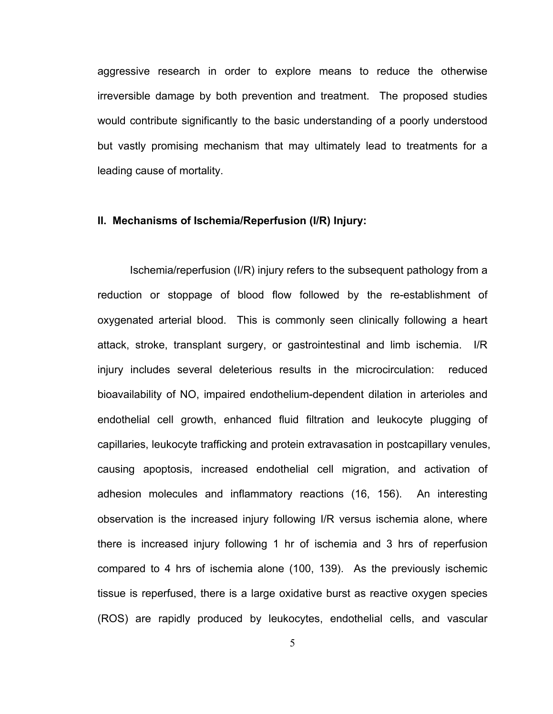aggressive research in order to explore means to reduce the otherwise irreversible damage by both prevention and treatment. The proposed studies would contribute significantly to the basic understanding of a poorly understood but vastly promising mechanism that may ultimately lead to treatments for a leading cause of mortality.

#### **II. Mechanisms of Ischemia/Reperfusion (I/R) Injury:**

Ischemia/reperfusion (I/R) injury refers to the subsequent pathology from a reduction or stoppage of blood flow followed by the re-establishment of oxygenated arterial blood. This is commonly seen clinically following a heart attack, stroke, transplant surgery, or gastrointestinal and limb ischemia. I/R injury includes several deleterious results in the microcirculation: reduced bioavailability of NO, impaired endothelium-dependent dilation in arterioles and endothelial cell growth, enhanced fluid filtration and leukocyte plugging of capillaries, leukocyte trafficking and protein extravasation in postcapillary venules, causing apoptosis, increased endothelial cell migration, and activation of adhesion molecules and inflammatory reactions (16, 156). An interesting observation is the increased injury following I/R versus ischemia alone, where there is increased injury following 1 hr of ischemia and 3 hrs of reperfusion compared to 4 hrs of ischemia alone (100, 139). As the previously ischemic tissue is reperfused, there is a large oxidative burst as reactive oxygen species (ROS) are rapidly produced by leukocytes, endothelial cells, and vascular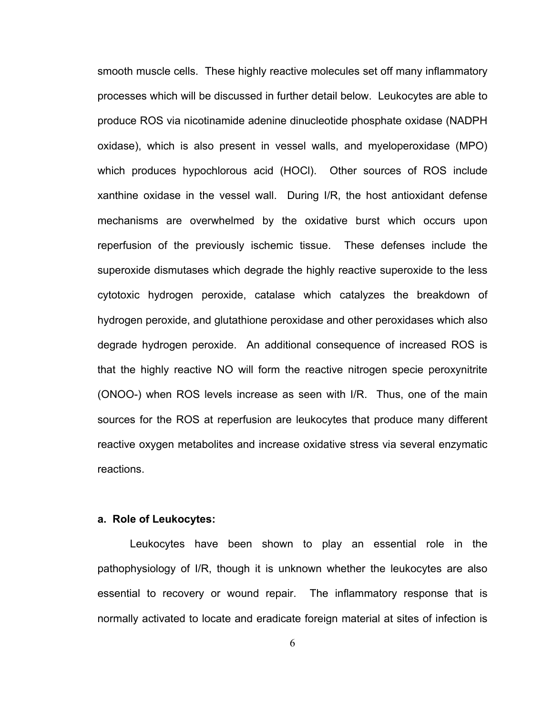smooth muscle cells. These highly reactive molecules set off many inflammatory processes which will be discussed in further detail below. Leukocytes are able to produce ROS via nicotinamide adenine dinucleotide phosphate oxidase (NADPH oxidase), which is also present in vessel walls, and myeloperoxidase (MPO) which produces hypochlorous acid (HOCl). Other sources of ROS include xanthine oxidase in the vessel wall. During I/R, the host antioxidant defense mechanisms are overwhelmed by the oxidative burst which occurs upon reperfusion of the previously ischemic tissue. These defenses include the superoxide dismutases which degrade the highly reactive superoxide to the less cytotoxic hydrogen peroxide, catalase which catalyzes the breakdown of hydrogen peroxide, and glutathione peroxidase and other peroxidases which also degrade hydrogen peroxide. An additional consequence of increased ROS is that the highly reactive NO will form the reactive nitrogen specie peroxynitrite (ONOO-) when ROS levels increase as seen with I/R. Thus, one of the main sources for the ROS at reperfusion are leukocytes that produce many different reactive oxygen metabolites and increase oxidative stress via several enzymatic reactions.

# **a. Role of Leukocytes:**

Leukocytes have been shown to play an essential role in the pathophysiology of I/R, though it is unknown whether the leukocytes are also essential to recovery or wound repair. The inflammatory response that is normally activated to locate and eradicate foreign material at sites of infection is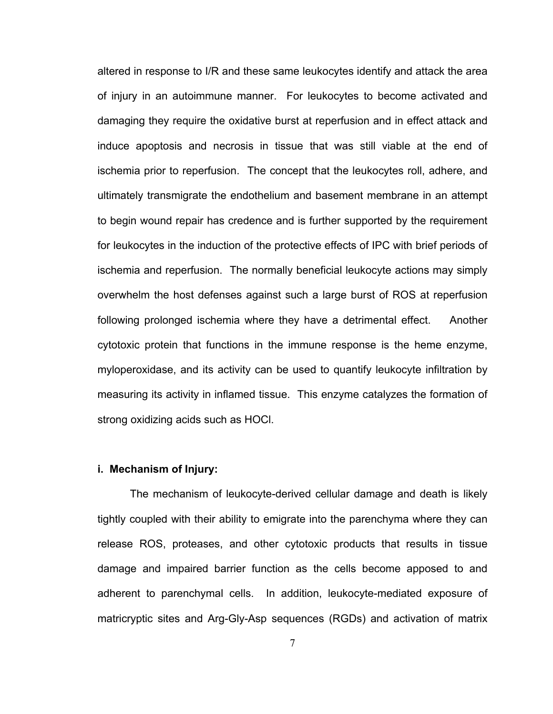altered in response to I/R and these same leukocytes identify and attack the area of injury in an autoimmune manner. For leukocytes to become activated and damaging they require the oxidative burst at reperfusion and in effect attack and induce apoptosis and necrosis in tissue that was still viable at the end of ischemia prior to reperfusion. The concept that the leukocytes roll, adhere, and ultimately transmigrate the endothelium and basement membrane in an attempt to begin wound repair has credence and is further supported by the requirement for leukocytes in the induction of the protective effects of IPC with brief periods of ischemia and reperfusion. The normally beneficial leukocyte actions may simply overwhelm the host defenses against such a large burst of ROS at reperfusion following prolonged ischemia where they have a detrimental effect. Another cytotoxic protein that functions in the immune response is the heme enzyme, myloperoxidase, and its activity can be used to quantify leukocyte infiltration by measuring its activity in inflamed tissue. This enzyme catalyzes the formation of strong oxidizing acids such as HOCl.

## **i. Mechanism of Injury:**

The mechanism of leukocyte-derived cellular damage and death is likely tightly coupled with their ability to emigrate into the parenchyma where they can release ROS, proteases, and other cytotoxic products that results in tissue damage and impaired barrier function as the cells become apposed to and adherent to parenchymal cells. In addition, leukocyte-mediated exposure of matricryptic sites and Arg-Gly-Asp sequences (RGDs) and activation of matrix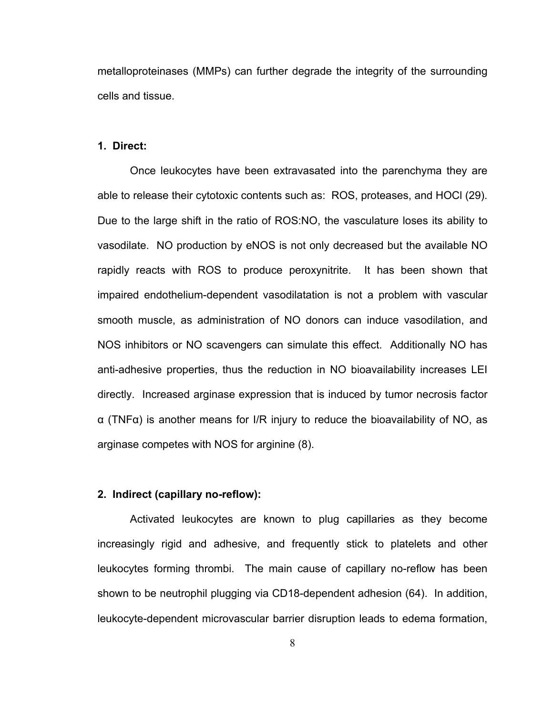metalloproteinases (MMPs) can further degrade the integrity of the surrounding cells and tissue.

# **1. Direct:**

Once leukocytes have been extravasated into the parenchyma they are able to release their cytotoxic contents such as: ROS, proteases, and HOCl (29). Due to the large shift in the ratio of ROS:NO, the vasculature loses its ability to vasodilate. NO production by eNOS is not only decreased but the available NO rapidly reacts with ROS to produce peroxynitrite. It has been shown that impaired endothelium-dependent vasodilatation is not a problem with vascular smooth muscle, as administration of NO donors can induce vasodilation, and NOS inhibitors or NO scavengers can simulate this effect. Additionally NO has anti-adhesive properties, thus the reduction in NO bioavailability increases LEI directly. Increased arginase expression that is induced by tumor necrosis factor α (TNFα) is another means for I/R injury to reduce the bioavailability of NO, as arginase competes with NOS for arginine (8).

# **2. Indirect (capillary no-reflow):**

Activated leukocytes are known to plug capillaries as they become increasingly rigid and adhesive, and frequently stick to platelets and other leukocytes forming thrombi. The main cause of capillary no-reflow has been shown to be neutrophil plugging via CD18-dependent adhesion (64). In addition, leukocyte-dependent microvascular barrier disruption leads to edema formation,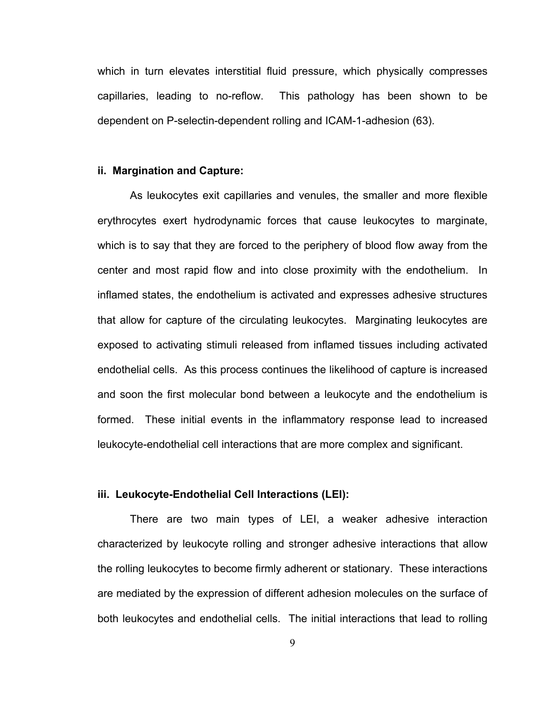which in turn elevates interstitial fluid pressure, which physically compresses capillaries, leading to no-reflow. This pathology has been shown to be dependent on P-selectin-dependent rolling and ICAM-1-adhesion (63).

#### **ii. Margination and Capture:**

As leukocytes exit capillaries and venules, the smaller and more flexible erythrocytes exert hydrodynamic forces that cause leukocytes to marginate, which is to say that they are forced to the periphery of blood flow away from the center and most rapid flow and into close proximity with the endothelium. In inflamed states, the endothelium is activated and expresses adhesive structures that allow for capture of the circulating leukocytes. Marginating leukocytes are exposed to activating stimuli released from inflamed tissues including activated endothelial cells. As this process continues the likelihood of capture is increased and soon the first molecular bond between a leukocyte and the endothelium is formed. These initial events in the inflammatory response lead to increased leukocyte-endothelial cell interactions that are more complex and significant.

# **iii. Leukocyte-Endothelial Cell Interactions (LEI):**

There are two main types of LEI, a weaker adhesive interaction characterized by leukocyte rolling and stronger adhesive interactions that allow the rolling leukocytes to become firmly adherent or stationary. These interactions are mediated by the expression of different adhesion molecules on the surface of both leukocytes and endothelial cells. The initial interactions that lead to rolling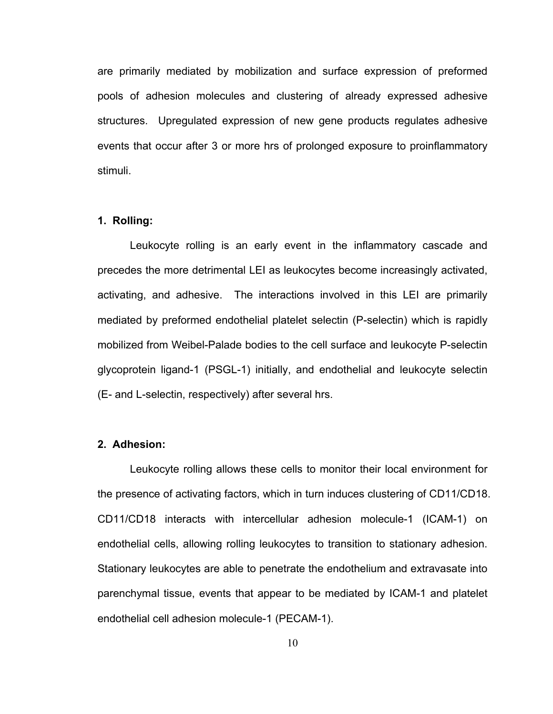are primarily mediated by mobilization and surface expression of preformed pools of adhesion molecules and clustering of already expressed adhesive structures. Upregulated expression of new gene products regulates adhesive events that occur after 3 or more hrs of prolonged exposure to proinflammatory stimuli.

# **1. Rolling:**

Leukocyte rolling is an early event in the inflammatory cascade and precedes the more detrimental LEI as leukocytes become increasingly activated, activating, and adhesive. The interactions involved in this LEI are primarily mediated by preformed endothelial platelet selectin (P-selectin) which is rapidly mobilized from Weibel-Palade bodies to the cell surface and leukocyte P-selectin glycoprotein ligand-1 (PSGL-1) initially, and endothelial and leukocyte selectin (E- and L-selectin, respectively) after several hrs.

# **2. Adhesion:**

Leukocyte rolling allows these cells to monitor their local environment for the presence of activating factors, which in turn induces clustering of CD11/CD18. CD11/CD18 interacts with intercellular adhesion molecule-1 (ICAM-1) on endothelial cells, allowing rolling leukocytes to transition to stationary adhesion. Stationary leukocytes are able to penetrate the endothelium and extravasate into parenchymal tissue, events that appear to be mediated by ICAM-1 and platelet endothelial cell adhesion molecule-1 (PECAM-1).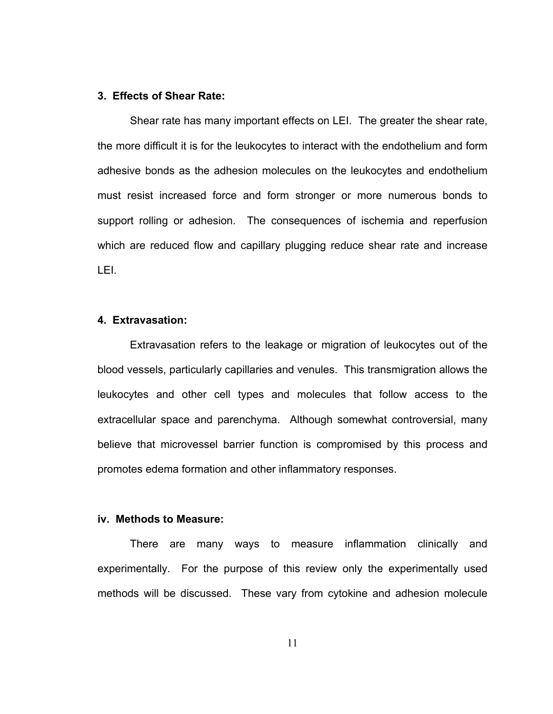# **3. Effects of Shear Rate:**

Shear rate has many important effects on LEI. The greater the shear rate, the more difficult it is for the leukocytes to interact with the endothelium and form adhesive bonds as the adhesion molecules on the leukocytes and endothelium must resist increased force and form stronger or more numerous bonds to support rolling or adhesion. The consequences of ischemia and reperfusion which are reduced flow and capillary plugging reduce shear rate and increase LEI.

# **4. Extravasation:**

Extravasation refers to the leakage or migration of leukocytes out of the blood vessels, particularly capillaries and venules. This transmigration allows the leukocytes and other cell types and molecules that follow access to the extracellular space and parenchyma. Although somewhat controversial, many believe that microvessel barrier function is compromised by this process and promotes edema formation and other inflammatory responses.

# **iv. Methods to Measure:**

There are many ways to measure inflammation clinically and experimentally. For the purpose of this review only the experimentally used methods will be discussed. These vary from cytokine and adhesion molecule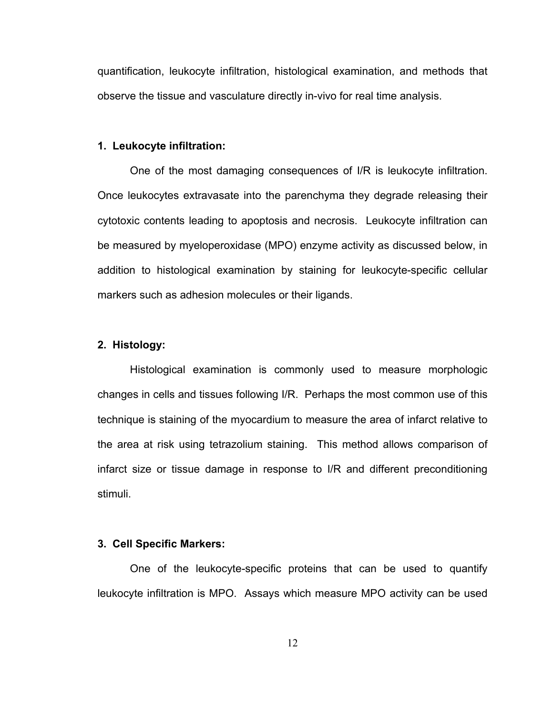quantification, leukocyte infiltration, histological examination, and methods that observe the tissue and vasculature directly in-vivo for real time analysis.

#### **1. Leukocyte infiltration:**

One of the most damaging consequences of I/R is leukocyte infiltration. Once leukocytes extravasate into the parenchyma they degrade releasing their cytotoxic contents leading to apoptosis and necrosis. Leukocyte infiltration can be measured by myeloperoxidase (MPO) enzyme activity as discussed below, in addition to histological examination by staining for leukocyte-specific cellular markers such as adhesion molecules or their ligands.

# **2. Histology:**

Histological examination is commonly used to measure morphologic changes in cells and tissues following I/R. Perhaps the most common use of this technique is staining of the myocardium to measure the area of infarct relative to the area at risk using tetrazolium staining. This method allows comparison of infarct size or tissue damage in response to I/R and different preconditioning stimuli.

# **3. Cell Specific Markers:**

One of the leukocyte-specific proteins that can be used to quantify leukocyte infiltration is MPO. Assays which measure MPO activity can be used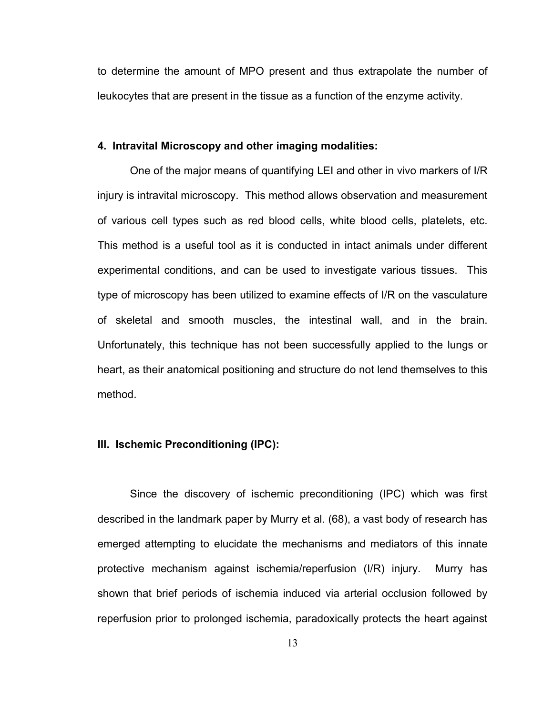to determine the amount of MPO present and thus extrapolate the number of leukocytes that are present in the tissue as a function of the enzyme activity.

# **4. Intravital Microscopy and other imaging modalities:**

One of the major means of quantifying LEI and other in vivo markers of I/R injury is intravital microscopy. This method allows observation and measurement of various cell types such as red blood cells, white blood cells, platelets, etc. This method is a useful tool as it is conducted in intact animals under different experimental conditions, and can be used to investigate various tissues. This type of microscopy has been utilized to examine effects of I/R on the vasculature of skeletal and smooth muscles, the intestinal wall, and in the brain. Unfortunately, this technique has not been successfully applied to the lungs or heart, as their anatomical positioning and structure do not lend themselves to this method.

# **III. Ischemic Preconditioning (IPC):**

Since the discovery of ischemic preconditioning (IPC) which was first described in the landmark paper by Murry et al. (68), a vast body of research has emerged attempting to elucidate the mechanisms and mediators of this innate protective mechanism against ischemia/reperfusion (I/R) injury. Murry has shown that brief periods of ischemia induced via arterial occlusion followed by reperfusion prior to prolonged ischemia, paradoxically protects the heart against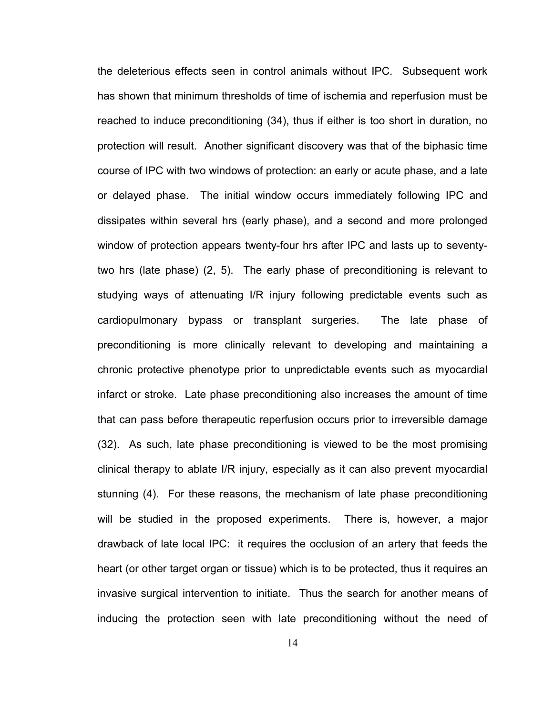the deleterious effects seen in control animals without IPC. Subsequent work has shown that minimum thresholds of time of ischemia and reperfusion must be reached to induce preconditioning (34), thus if either is too short in duration, no protection will result. Another significant discovery was that of the biphasic time course of IPC with two windows of protection: an early or acute phase, and a late or delayed phase. The initial window occurs immediately following IPC and dissipates within several hrs (early phase), and a second and more prolonged window of protection appears twenty-four hrs after IPC and lasts up to seventytwo hrs (late phase) (2, 5). The early phase of preconditioning is relevant to studying ways of attenuating I/R injury following predictable events such as cardiopulmonary bypass or transplant surgeries. The late phase of preconditioning is more clinically relevant to developing and maintaining a chronic protective phenotype prior to unpredictable events such as myocardial infarct or stroke. Late phase preconditioning also increases the amount of time that can pass before therapeutic reperfusion occurs prior to irreversible damage (32). As such, late phase preconditioning is viewed to be the most promising clinical therapy to ablate I/R injury, especially as it can also prevent myocardial stunning (4). For these reasons, the mechanism of late phase preconditioning will be studied in the proposed experiments. There is, however, a major drawback of late local IPC: it requires the occlusion of an artery that feeds the heart (or other target organ or tissue) which is to be protected, thus it requires an invasive surgical intervention to initiate. Thus the search for another means of inducing the protection seen with late preconditioning without the need of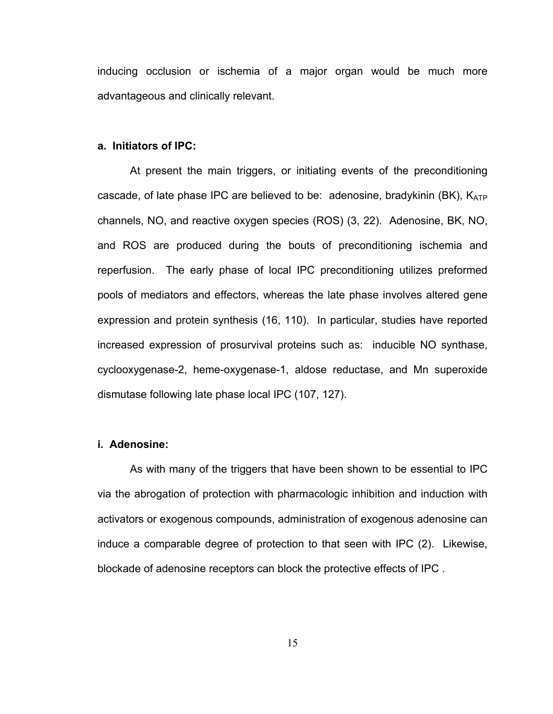inducing occlusion or ischemia of a major organ would be much more advantageous and clinically relevant.

#### **a. Initiators of IPC:**

At present the main triggers, or initiating events of the preconditioning cascade, of late phase IPC are believed to be: adenosine, bradykinin (BK),  $K_{ATP}$ channels, NO, and reactive oxygen species (ROS) (3, 22). Adenosine, BK, NO, and ROS are produced during the bouts of preconditioning ischemia and reperfusion. The early phase of local IPC preconditioning utilizes preformed pools of mediators and effectors, whereas the late phase involves altered gene expression and protein synthesis (16, 110). In particular, studies have reported increased expression of prosurvival proteins such as: inducible NO synthase, cyclooxygenase-2, heme-oxygenase-1, aldose reductase, and Mn superoxide dismutase following late phase local IPC (107, 127).

# **i. Adenosine:**

 As with many of the triggers that have been shown to be essential to IPC via the abrogation of protection with pharmacologic inhibition and induction with activators or exogenous compounds, administration of exogenous adenosine can induce a comparable degree of protection to that seen with IPC (2). Likewise, blockade of adenosine receptors can block the protective effects of IPC .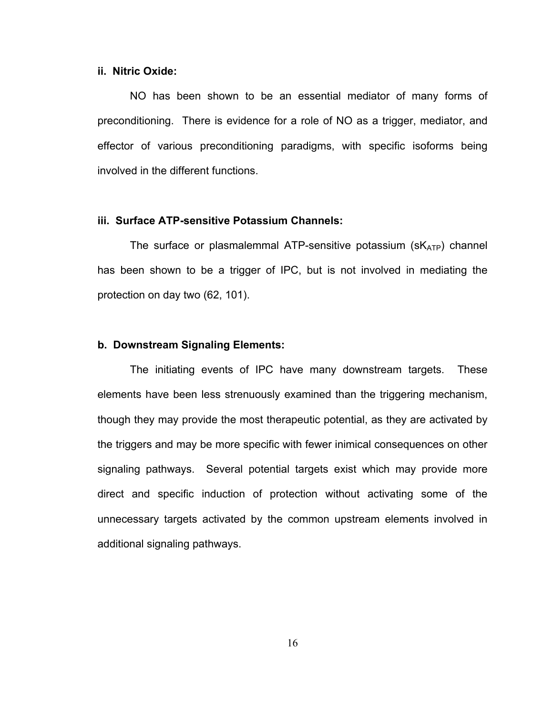# **ii. Nitric Oxide:**

 NO has been shown to be an essential mediator of many forms of preconditioning. There is evidence for a role of NO as a trigger, mediator, and effector of various preconditioning paradigms, with specific isoforms being involved in the different functions.

# **iii. Surface ATP-sensitive Potassium Channels:**

The surface or plasmalemmal ATP-sensitive potassium  $(SK_{ATP})$  channel has been shown to be a trigger of IPC, but is not involved in mediating the protection on day two (62, 101).

#### **b. Downstream Signaling Elements:**

The initiating events of IPC have many downstream targets. These elements have been less strenuously examined than the triggering mechanism, though they may provide the most therapeutic potential, as they are activated by the triggers and may be more specific with fewer inimical consequences on other signaling pathways. Several potential targets exist which may provide more direct and specific induction of protection without activating some of the unnecessary targets activated by the common upstream elements involved in additional signaling pathways.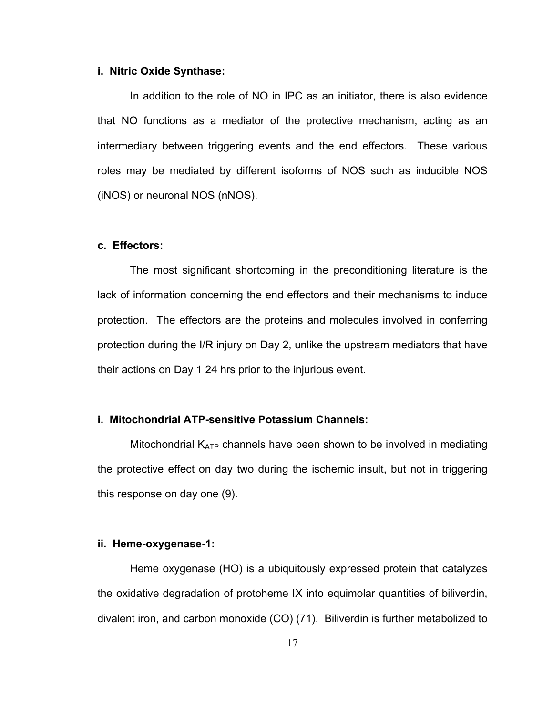## **i. Nitric Oxide Synthase:**

In addition to the role of NO in IPC as an initiator, there is also evidence that NO functions as a mediator of the protective mechanism, acting as an intermediary between triggering events and the end effectors. These various roles may be mediated by different isoforms of NOS such as inducible NOS (iNOS) or neuronal NOS (nNOS).

# **c. Effectors:**

The most significant shortcoming in the preconditioning literature is the lack of information concerning the end effectors and their mechanisms to induce protection. The effectors are the proteins and molecules involved in conferring protection during the I/R injury on Day 2, unlike the upstream mediators that have their actions on Day 1 24 hrs prior to the injurious event.

#### **i. Mitochondrial ATP-sensitive Potassium Channels:**

Mitochondrial  $K_{ATP}$  channels have been shown to be involved in mediating the protective effect on day two during the ischemic insult, but not in triggering this response on day one (9).

#### **ii. Heme-oxygenase-1:**

Heme oxygenase (HO) is a ubiquitously expressed protein that catalyzes the oxidative degradation of protoheme IX into equimolar quantities of biliverdin, divalent iron, and carbon monoxide (CO) (71). Biliverdin is further metabolized to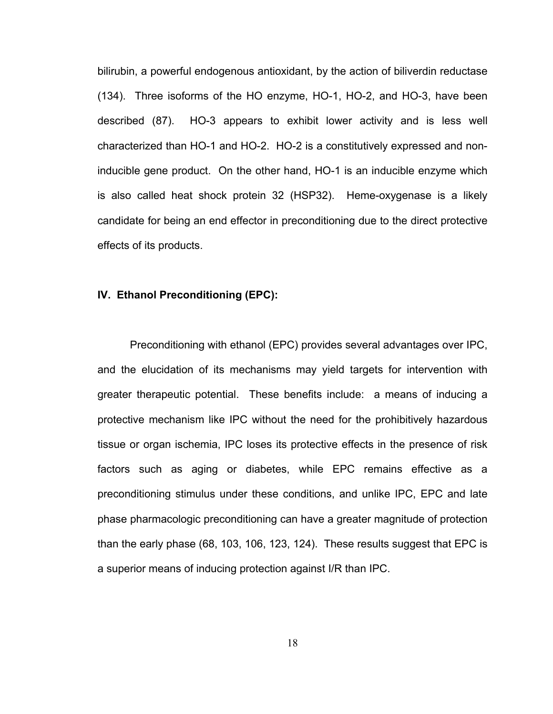bilirubin, a powerful endogenous antioxidant, by the action of biliverdin reductase (134). Three isoforms of the HO enzyme, HO-1, HO-2, and HO-3, have been described (87). HO-3 appears to exhibit lower activity and is less well characterized than HO-1 and HO-2. HO-2 is a constitutively expressed and noninducible gene product. On the other hand, HO-1 is an inducible enzyme which is also called heat shock protein 32 (HSP32). Heme-oxygenase is a likely candidate for being an end effector in preconditioning due to the direct protective effects of its products.

# **IV. Ethanol Preconditioning (EPC):**

Preconditioning with ethanol (EPC) provides several advantages over IPC, and the elucidation of its mechanisms may yield targets for intervention with greater therapeutic potential. These benefits include: a means of inducing a protective mechanism like IPC without the need for the prohibitively hazardous tissue or organ ischemia, IPC loses its protective effects in the presence of risk factors such as aging or diabetes, while EPC remains effective as a preconditioning stimulus under these conditions, and unlike IPC, EPC and late phase pharmacologic preconditioning can have a greater magnitude of protection than the early phase (68, 103, 106, 123, 124). These results suggest that EPC is a superior means of inducing protection against I/R than IPC.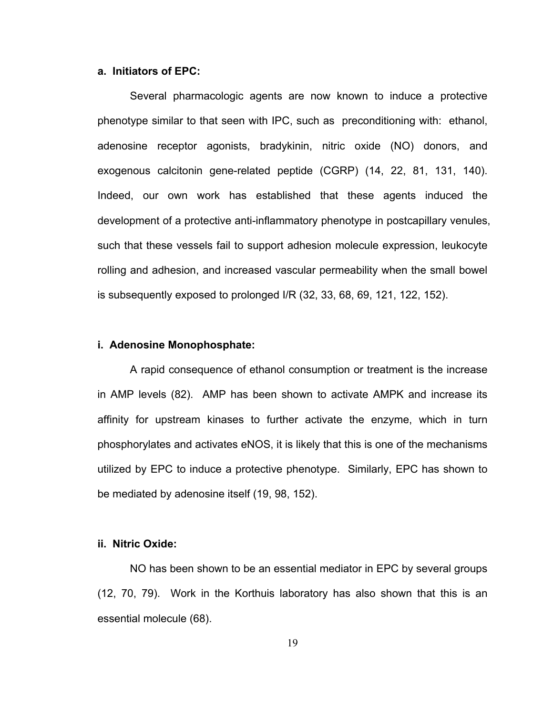#### **a. Initiators of EPC:**

Several pharmacologic agents are now known to induce a protective phenotype similar to that seen with IPC, such as preconditioning with: ethanol, adenosine receptor agonists, bradykinin, nitric oxide (NO) donors, and exogenous calcitonin gene-related peptide (CGRP) (14, 22, 81, 131, 140). Indeed, our own work has established that these agents induced the development of a protective anti-inflammatory phenotype in postcapillary venules, such that these vessels fail to support adhesion molecule expression, leukocyte rolling and adhesion, and increased vascular permeability when the small bowel is subsequently exposed to prolonged I/R (32, 33, 68, 69, 121, 122, 152).

#### **i. Adenosine Monophosphate:**

A rapid consequence of ethanol consumption or treatment is the increase in AMP levels (82). AMP has been shown to activate AMPK and increase its affinity for upstream kinases to further activate the enzyme, which in turn phosphorylates and activates eNOS, it is likely that this is one of the mechanisms utilized by EPC to induce a protective phenotype. Similarly, EPC has shown to be mediated by adenosine itself (19, 98, 152).

#### **ii. Nitric Oxide:**

 NO has been shown to be an essential mediator in EPC by several groups (12, 70, 79). Work in the Korthuis laboratory has also shown that this is an essential molecule (68).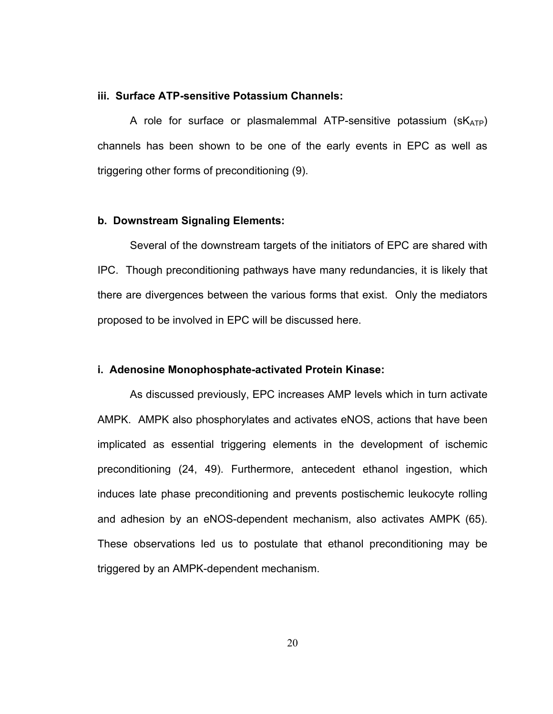# **iii. Surface ATP-sensitive Potassium Channels:**

A role for surface or plasmalemmal ATP-sensitive potassium  $(SK_{ATP})$ channels has been shown to be one of the early events in EPC as well as triggering other forms of preconditioning (9).

#### **b. Downstream Signaling Elements:**

Several of the downstream targets of the initiators of EPC are shared with IPC. Though preconditioning pathways have many redundancies, it is likely that there are divergences between the various forms that exist. Only the mediators proposed to be involved in EPC will be discussed here.

## **i. Adenosine Monophosphate-activated Protein Kinase:**

 As discussed previously, EPC increases AMP levels which in turn activate AMPK. AMPK also phosphorylates and activates eNOS, actions that have been implicated as essential triggering elements in the development of ischemic preconditioning (24, 49). Furthermore, antecedent ethanol ingestion, which induces late phase preconditioning and prevents postischemic leukocyte rolling and adhesion by an eNOS-dependent mechanism, also activates AMPK (65). These observations led us to postulate that ethanol preconditioning may be triggered by an AMPK-dependent mechanism.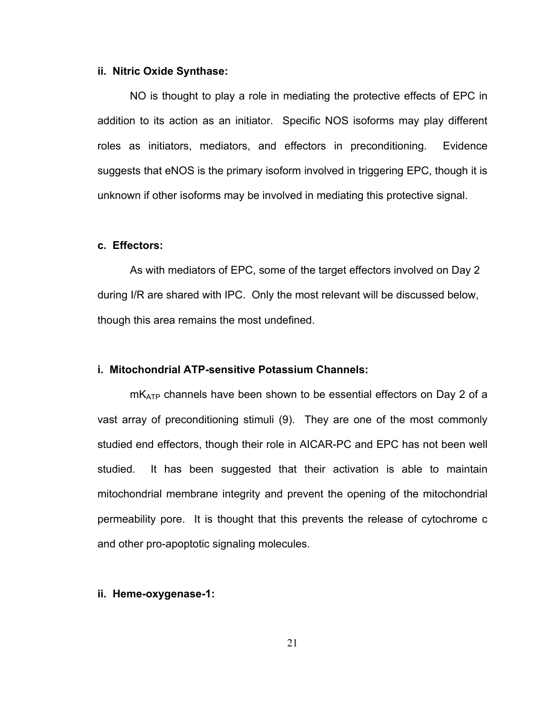## **ii. Nitric Oxide Synthase:**

 NO is thought to play a role in mediating the protective effects of EPC in addition to its action as an initiator. Specific NOS isoforms may play different roles as initiators, mediators, and effectors in preconditioning. Evidence suggests that eNOS is the primary isoform involved in triggering EPC, though it is unknown if other isoforms may be involved in mediating this protective signal.

# **c. Effectors:**

 As with mediators of EPC, some of the target effectors involved on Day 2 during I/R are shared with IPC. Only the most relevant will be discussed below, though this area remains the most undefined.

## **i. Mitochondrial ATP-sensitive Potassium Channels:**

 $mK_{ATP}$  channels have been shown to be essential effectors on Day 2 of a vast array of preconditioning stimuli (9). They are one of the most commonly studied end effectors, though their role in AICAR-PC and EPC has not been well studied. It has been suggested that their activation is able to maintain mitochondrial membrane integrity and prevent the opening of the mitochondrial permeability pore. It is thought that this prevents the release of cytochrome c and other pro-apoptotic signaling molecules.

#### **ii. Heme-oxygenase-1:**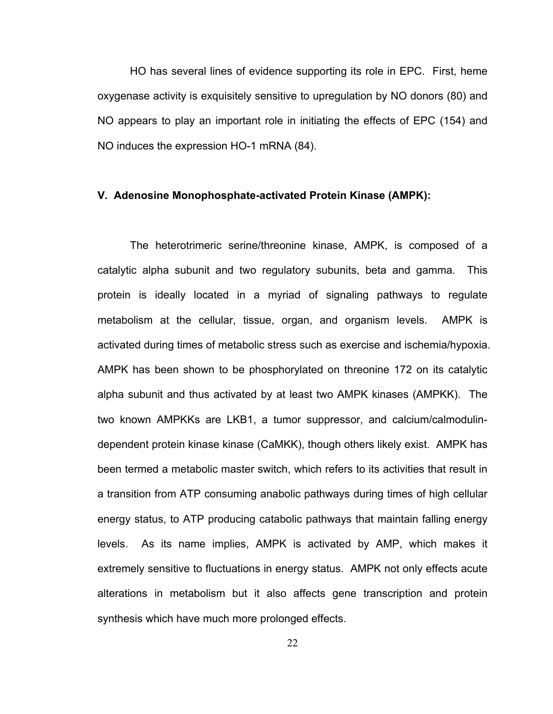HO has several lines of evidence supporting its role in EPC. First, heme oxygenase activity is exquisitely sensitive to upregulation by NO donors (80) and NO appears to play an important role in initiating the effects of EPC (154) and NO induces the expression HO-1 mRNA (84).

# **V. Adenosine Monophosphate-activated Protein Kinase (AMPK):**

 The heterotrimeric serine/threonine kinase, AMPK, is composed of a catalytic alpha subunit and two regulatory subunits, beta and gamma. This protein is ideally located in a myriad of signaling pathways to regulate metabolism at the cellular, tissue, organ, and organism levels. AMPK is activated during times of metabolic stress such as exercise and ischemia/hypoxia. AMPK has been shown to be phosphorylated on threonine 172 on its catalytic alpha subunit and thus activated by at least two AMPK kinases (AMPKK). The two known AMPKKs are LKB1, a tumor suppressor, and calcium/calmodulindependent protein kinase kinase (CaMKK), though others likely exist. AMPK has been termed a metabolic master switch, which refers to its activities that result in a transition from ATP consuming anabolic pathways during times of high cellular energy status, to ATP producing catabolic pathways that maintain falling energy levels. As its name implies, AMPK is activated by AMP, which makes it extremely sensitive to fluctuations in energy status. AMPK not only effects acute alterations in metabolism but it also affects gene transcription and protein synthesis which have much more prolonged effects.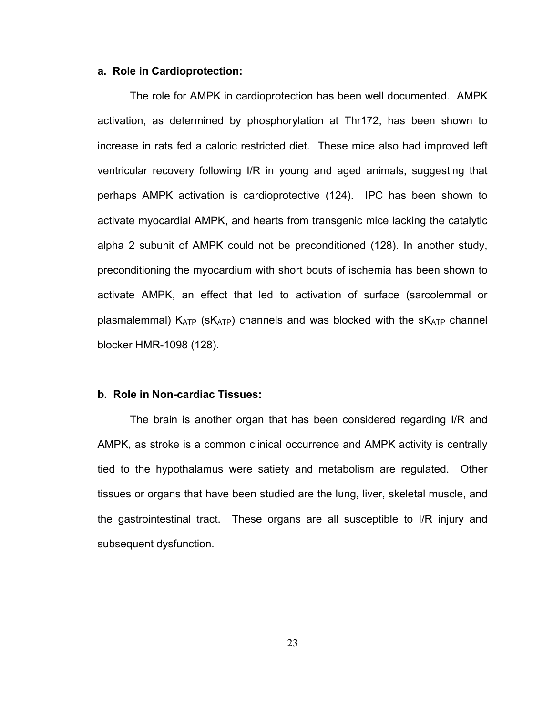## **a. Role in Cardioprotection:**

The role for AMPK in cardioprotection has been well documented. AMPK activation, as determined by phosphorylation at Thr172, has been shown to increase in rats fed a caloric restricted diet. These mice also had improved left ventricular recovery following I/R in young and aged animals, suggesting that perhaps AMPK activation is cardioprotective (124). IPC has been shown to activate myocardial AMPK, and hearts from transgenic mice lacking the catalytic alpha 2 subunit of AMPK could not be preconditioned (128). In another study, preconditioning the myocardium with short bouts of ischemia has been shown to activate AMPK, an effect that led to activation of surface (sarcolemmal or plasmalemmal)  $K_{ATP}$  (s $K_{ATP}$ ) channels and was blocked with the s $K_{ATP}$  channel blocker HMR-1098 (128).

#### **b. Role in Non-cardiac Tissues:**

The brain is another organ that has been considered regarding I/R and AMPK, as stroke is a common clinical occurrence and AMPK activity is centrally tied to the hypothalamus were satiety and metabolism are regulated. Other tissues or organs that have been studied are the lung, liver, skeletal muscle, and the gastrointestinal tract. These organs are all susceptible to I/R injury and subsequent dysfunction.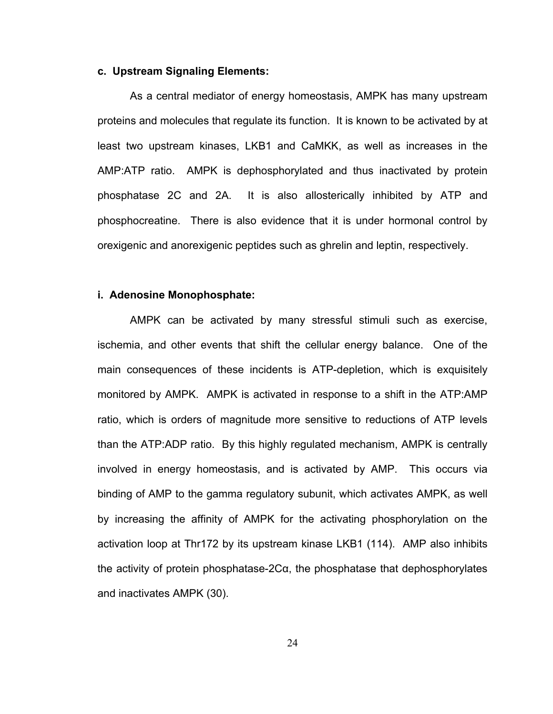#### **c. Upstream Signaling Elements:**

As a central mediator of energy homeostasis, AMPK has many upstream proteins and molecules that regulate its function. It is known to be activated by at least two upstream kinases, LKB1 and CaMKK, as well as increases in the AMP:ATP ratio. AMPK is dephosphorylated and thus inactivated by protein phosphatase 2C and 2A. It is also allosterically inhibited by ATP and phosphocreatine. There is also evidence that it is under hormonal control by orexigenic and anorexigenic peptides such as ghrelin and leptin, respectively.

## **i. Adenosine Monophosphate:**

AMPK can be activated by many stressful stimuli such as exercise, ischemia, and other events that shift the cellular energy balance. One of the main consequences of these incidents is ATP-depletion, which is exquisitely monitored by AMPK. AMPK is activated in response to a shift in the ATP:AMP ratio, which is orders of magnitude more sensitive to reductions of ATP levels than the ATP:ADP ratio. By this highly regulated mechanism, AMPK is centrally involved in energy homeostasis, and is activated by AMP. This occurs via binding of AMP to the gamma regulatory subunit, which activates AMPK, as well by increasing the affinity of AMPK for the activating phosphorylation on the activation loop at Thr172 by its upstream kinase LKB1 (114). AMP also inhibits the activity of protein phosphatase-2Cα, the phosphatase that dephosphorylates and inactivates AMPK (30).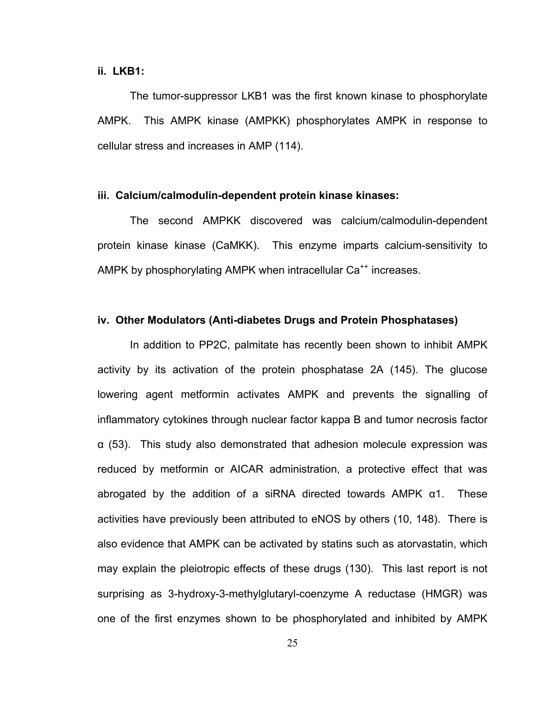# **ii. LKB1:**

The tumor-suppressor LKB1 was the first known kinase to phosphorylate AMPK. This AMPK kinase (AMPKK) phosphorylates AMPK in response to cellular stress and increases in AMP (114).

# **iii. Calcium/calmodulin-dependent protein kinase kinases:**

 The second AMPKK discovered was calcium/calmodulin-dependent protein kinase kinase (CaMKK). This enzyme imparts calcium-sensitivity to AMPK by phosphorylating AMPK when intracellular Ca<sup>++</sup> increases.

# **iv. Other Modulators (Anti-diabetes Drugs and Protein Phosphatases)**

In addition to PP2C, palmitate has recently been shown to inhibit AMPK activity by its activation of the protein phosphatase 2A (145). The glucose lowering agent metformin activates AMPK and prevents the signalling of inflammatory cytokines through nuclear factor kappa B and tumor necrosis factor α (53). This study also demonstrated that adhesion molecule expression was reduced by metformin or AICAR administration, a protective effect that was abrogated by the addition of a siRNA directed towards AMPK α1. These activities have previously been attributed to eNOS by others (10, 148). There is also evidence that AMPK can be activated by statins such as atorvastatin, which may explain the pleiotropic effects of these drugs (130). This last report is not surprising as 3-hydroxy-3-methylglutaryl-coenzyme A reductase (HMGR) was one of the first enzymes shown to be phosphorylated and inhibited by AMPK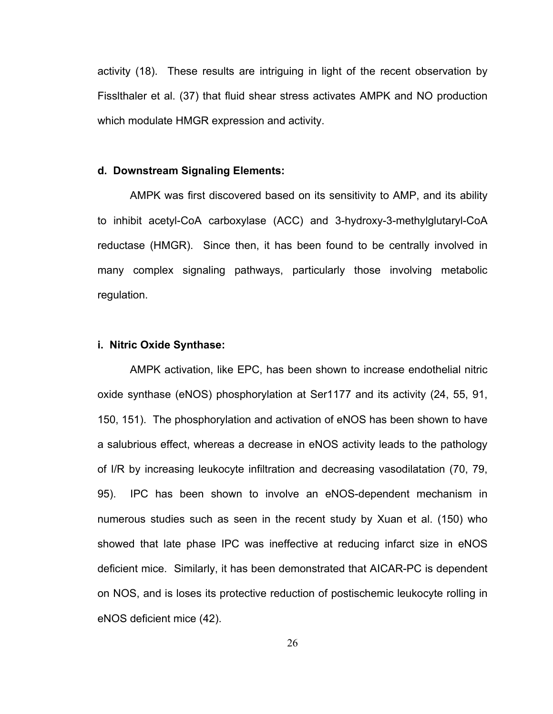activity (18). These results are intriguing in light of the recent observation by Fisslthaler et al. (37) that fluid shear stress activates AMPK and NO production which modulate HMGR expression and activity.

# **d. Downstream Signaling Elements:**

AMPK was first discovered based on its sensitivity to AMP, and its ability to inhibit acetyl-CoA carboxylase (ACC) and 3-hydroxy-3-methylglutaryl-CoA reductase (HMGR). Since then, it has been found to be centrally involved in many complex signaling pathways, particularly those involving metabolic regulation.

# **i. Nitric Oxide Synthase:**

AMPK activation, like EPC, has been shown to increase endothelial nitric oxide synthase (eNOS) phosphorylation at Ser1177 and its activity (24, 55, 91, 150, 151). The phosphorylation and activation of eNOS has been shown to have a salubrious effect, whereas a decrease in eNOS activity leads to the pathology of I/R by increasing leukocyte infiltration and decreasing vasodilatation (70, 79, 95). IPC has been shown to involve an eNOS-dependent mechanism in numerous studies such as seen in the recent study by Xuan et al. (150) who showed that late phase IPC was ineffective at reducing infarct size in eNOS deficient mice. Similarly, it has been demonstrated that AICAR-PC is dependent on NOS, and is loses its protective reduction of postischemic leukocyte rolling in eNOS deficient mice (42).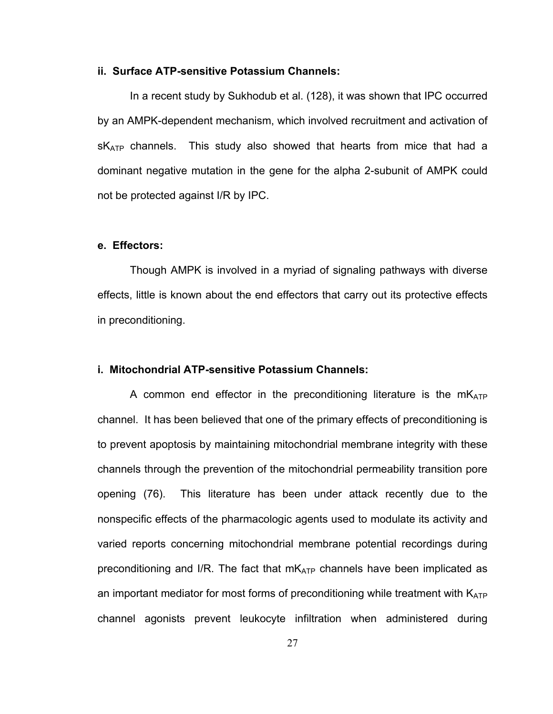#### **ii. Surface ATP-sensitive Potassium Channels:**

 In a recent study by Sukhodub et al. (128), it was shown that IPC occurred by an AMPK-dependent mechanism, which involved recruitment and activation of  $sK<sub>ATP</sub>$  channels. This study also showed that hearts from mice that had a dominant negative mutation in the gene for the alpha 2-subunit of AMPK could not be protected against I/R by IPC.

# **e. Effectors:**

Though AMPK is involved in a myriad of signaling pathways with diverse effects, little is known about the end effectors that carry out its protective effects in preconditioning.

# **i. Mitochondrial ATP-sensitive Potassium Channels:**

A common end effector in the preconditioning literature is the  $mK_{ATP}$ channel. It has been believed that one of the primary effects of preconditioning is to prevent apoptosis by maintaining mitochondrial membrane integrity with these channels through the prevention of the mitochondrial permeability transition pore opening (76). This literature has been under attack recently due to the nonspecific effects of the pharmacologic agents used to modulate its activity and varied reports concerning mitochondrial membrane potential recordings during preconditioning and I/R. The fact that  $mK_{ATP}$  channels have been implicated as an important mediator for most forms of preconditioning while treatment with  $K_{ATP}$ channel agonists prevent leukocyte infiltration when administered during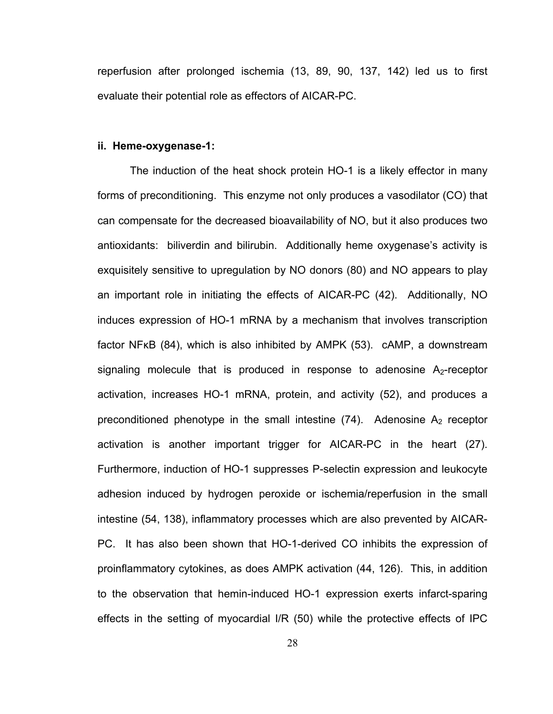reperfusion after prolonged ischemia (13, 89, 90, 137, 142) led us to first evaluate their potential role as effectors of AICAR-PC.

#### **ii. Heme-oxygenase-1:**

The induction of the heat shock protein HO-1 is a likely effector in many forms of preconditioning. This enzyme not only produces a vasodilator (CO) that can compensate for the decreased bioavailability of NO, but it also produces two antioxidants: biliverdin and bilirubin. Additionally heme oxygenase's activity is exquisitely sensitive to upregulation by NO donors (80) and NO appears to play an important role in initiating the effects of AICAR-PC (42). Additionally, NO induces expression of HO-1 mRNA by a mechanism that involves transcription factor NFκB (84), which is also inhibited by AMPK (53). cAMP, a downstream signaling molecule that is produced in response to adenosine  $A_2$ -receptor activation, increases HO-1 mRNA, protein, and activity (52), and produces a preconditioned phenotype in the small intestine  $(74)$ . Adenosine  $A_2$  receptor activation is another important trigger for AICAR-PC in the heart (27). Furthermore, induction of HO-1 suppresses P-selectin expression and leukocyte adhesion induced by hydrogen peroxide or ischemia/reperfusion in the small intestine (54, 138), inflammatory processes which are also prevented by AICAR-PC. It has also been shown that HO-1-derived CO inhibits the expression of proinflammatory cytokines, as does AMPK activation (44, 126). This, in addition to the observation that hemin-induced HO-1 expression exerts infarct-sparing effects in the setting of myocardial I/R (50) while the protective effects of IPC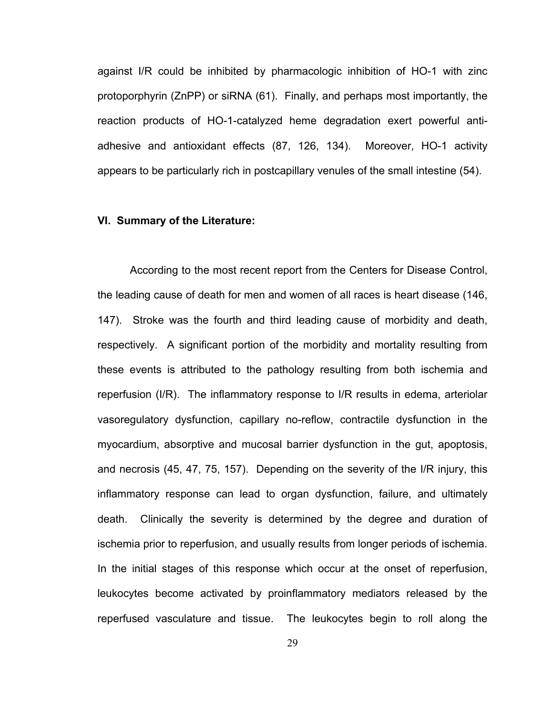against I/R could be inhibited by pharmacologic inhibition of HO-1 with zinc protoporphyrin (ZnPP) or siRNA (61). Finally, and perhaps most importantly, the reaction products of HO-1-catalyzed heme degradation exert powerful antiadhesive and antioxidant effects (87, 126, 134). Moreover, HO-1 activity appears to be particularly rich in postcapillary venules of the small intestine (54).

### **VI. Summary of the Literature:**

According to the most recent report from the Centers for Disease Control, the leading cause of death for men and women of all races is heart disease (146, 147). Stroke was the fourth and third leading cause of morbidity and death, respectively. A significant portion of the morbidity and mortality resulting from these events is attributed to the pathology resulting from both ischemia and reperfusion (I/R). The inflammatory response to I/R results in edema, arteriolar vasoregulatory dysfunction, capillary no-reflow, contractile dysfunction in the myocardium, absorptive and mucosal barrier dysfunction in the gut, apoptosis, and necrosis (45, 47, 75, 157). Depending on the severity of the I/R injury, this inflammatory response can lead to organ dysfunction, failure, and ultimately death. Clinically the severity is determined by the degree and duration of ischemia prior to reperfusion, and usually results from longer periods of ischemia. In the initial stages of this response which occur at the onset of reperfusion, leukocytes become activated by proinflammatory mediators released by the reperfused vasculature and tissue. The leukocytes begin to roll along the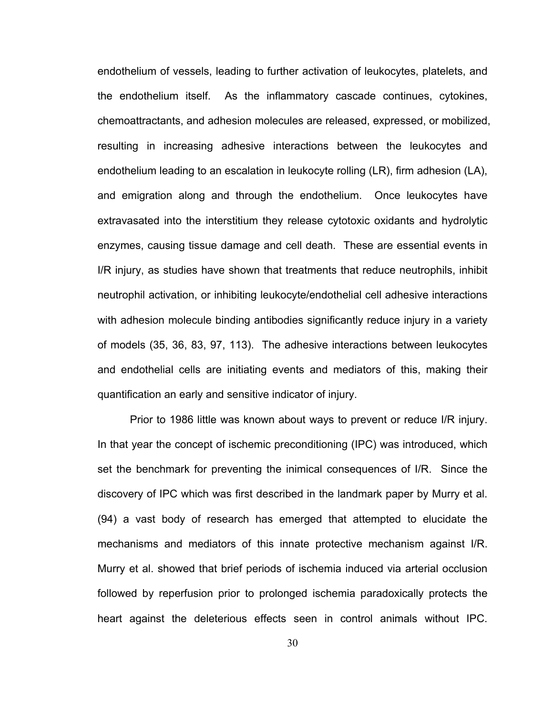endothelium of vessels, leading to further activation of leukocytes, platelets, and the endothelium itself. As the inflammatory cascade continues, cytokines, chemoattractants, and adhesion molecules are released, expressed, or mobilized, resulting in increasing adhesive interactions between the leukocytes and endothelium leading to an escalation in leukocyte rolling (LR), firm adhesion (LA), and emigration along and through the endothelium. Once leukocytes have extravasated into the interstitium they release cytotoxic oxidants and hydrolytic enzymes, causing tissue damage and cell death. These are essential events in I/R injury, as studies have shown that treatments that reduce neutrophils, inhibit neutrophil activation, or inhibiting leukocyte/endothelial cell adhesive interactions with adhesion molecule binding antibodies significantly reduce injury in a variety of models (35, 36, 83, 97, 113). The adhesive interactions between leukocytes and endothelial cells are initiating events and mediators of this, making their quantification an early and sensitive indicator of injury.

Prior to 1986 little was known about ways to prevent or reduce I/R injury. In that year the concept of ischemic preconditioning (IPC) was introduced, which set the benchmark for preventing the inimical consequences of I/R. Since the discovery of IPC which was first described in the landmark paper by Murry et al. (94) a vast body of research has emerged that attempted to elucidate the mechanisms and mediators of this innate protective mechanism against I/R. Murry et al. showed that brief periods of ischemia induced via arterial occlusion followed by reperfusion prior to prolonged ischemia paradoxically protects the heart against the deleterious effects seen in control animals without IPC.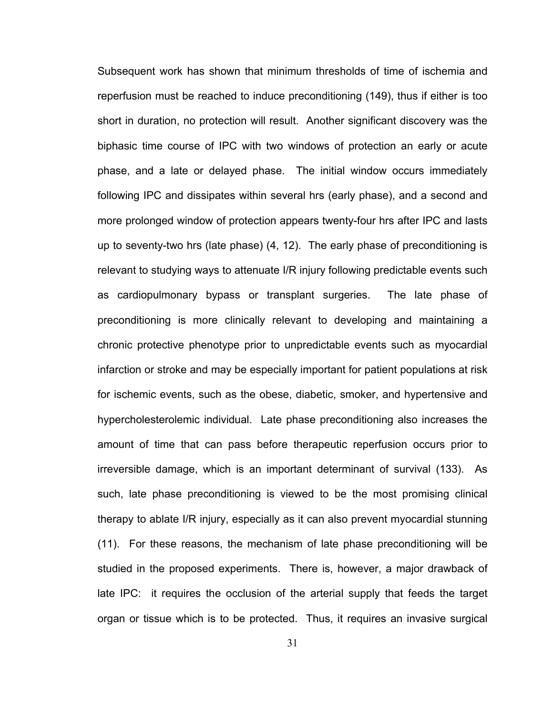Subsequent work has shown that minimum thresholds of time of ischemia and reperfusion must be reached to induce preconditioning (149), thus if either is too short in duration, no protection will result. Another significant discovery was the biphasic time course of IPC with two windows of protection an early or acute phase, and a late or delayed phase. The initial window occurs immediately following IPC and dissipates within several hrs (early phase), and a second and more prolonged window of protection appears twenty-four hrs after IPC and lasts up to seventy-two hrs (late phase) (4, 12). The early phase of preconditioning is relevant to studying ways to attenuate I/R injury following predictable events such as cardiopulmonary bypass or transplant surgeries. The late phase of preconditioning is more clinically relevant to developing and maintaining a chronic protective phenotype prior to unpredictable events such as myocardial infarction or stroke and may be especially important for patient populations at risk for ischemic events, such as the obese, diabetic, smoker, and hypertensive and hypercholesterolemic individual. Late phase preconditioning also increases the amount of time that can pass before therapeutic reperfusion occurs prior to irreversible damage, which is an important determinant of survival (133). As such, late phase preconditioning is viewed to be the most promising clinical therapy to ablate I/R injury, especially as it can also prevent myocardial stunning (11). For these reasons, the mechanism of late phase preconditioning will be studied in the proposed experiments. There is, however, a major drawback of late IPC: it requires the occlusion of the arterial supply that feeds the target organ or tissue which is to be protected. Thus, it requires an invasive surgical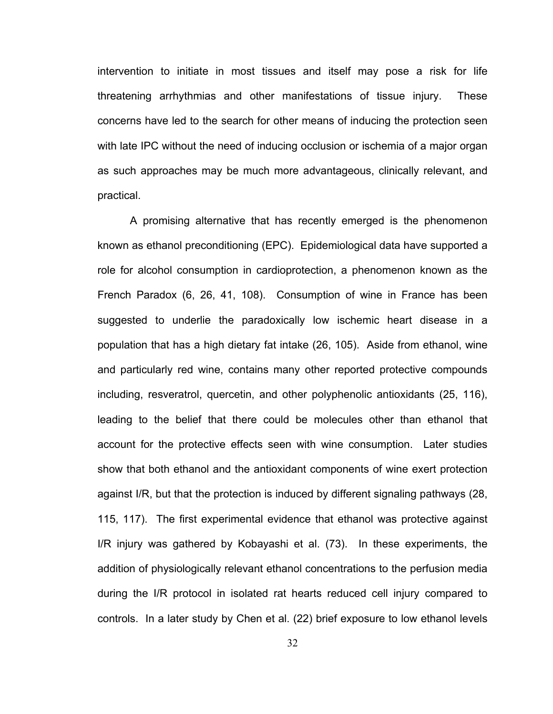intervention to initiate in most tissues and itself may pose a risk for life threatening arrhythmias and other manifestations of tissue injury. These concerns have led to the search for other means of inducing the protection seen with late IPC without the need of inducing occlusion or ischemia of a major organ as such approaches may be much more advantageous, clinically relevant, and practical.

A promising alternative that has recently emerged is the phenomenon known as ethanol preconditioning (EPC). Epidemiological data have supported a role for alcohol consumption in cardioprotection, a phenomenon known as the French Paradox (6, 26, 41, 108). Consumption of wine in France has been suggested to underlie the paradoxically low ischemic heart disease in a population that has a high dietary fat intake (26, 105). Aside from ethanol, wine and particularly red wine, contains many other reported protective compounds including, resveratrol, quercetin, and other polyphenolic antioxidants (25, 116), leading to the belief that there could be molecules other than ethanol that account for the protective effects seen with wine consumption. Later studies show that both ethanol and the antioxidant components of wine exert protection against I/R, but that the protection is induced by different signaling pathways (28, 115, 117). The first experimental evidence that ethanol was protective against I/R injury was gathered by Kobayashi et al. (73). In these experiments, the addition of physiologically relevant ethanol concentrations to the perfusion media during the I/R protocol in isolated rat hearts reduced cell injury compared to controls. In a later study by Chen et al. (22) brief exposure to low ethanol levels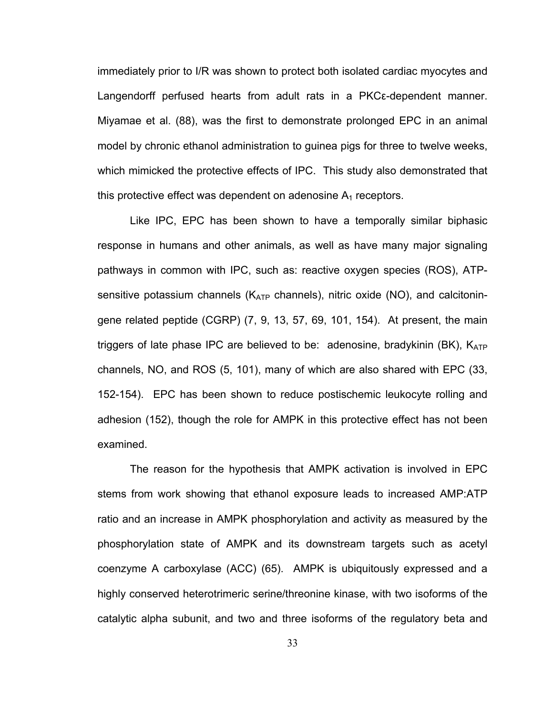immediately prior to I/R was shown to protect both isolated cardiac myocytes and Langendorff perfused hearts from adult rats in a PKCε-dependent manner. Miyamae et al. (88), was the first to demonstrate prolonged EPC in an animal model by chronic ethanol administration to guinea pigs for three to twelve weeks, which mimicked the protective effects of IPC. This study also demonstrated that this protective effect was dependent on adenosine  $A_1$  receptors.

Like IPC, EPC has been shown to have a temporally similar biphasic response in humans and other animals, as well as have many major signaling pathways in common with IPC, such as: reactive oxygen species (ROS), ATPsensitive potassium channels ( $K_{ATP}$  channels), nitric oxide (NO), and calcitoningene related peptide (CGRP) (7, 9, 13, 57, 69, 101, 154). At present, the main triggers of late phase IPC are believed to be: adenosine, bradykinin (BK),  $K_{ATP}$ channels, NO, and ROS (5, 101), many of which are also shared with EPC (33, 152-154). EPC has been shown to reduce postischemic leukocyte rolling and adhesion (152), though the role for AMPK in this protective effect has not been examined.

The reason for the hypothesis that AMPK activation is involved in EPC stems from work showing that ethanol exposure leads to increased AMP:ATP ratio and an increase in AMPK phosphorylation and activity as measured by the phosphorylation state of AMPK and its downstream targets such as acetyl coenzyme A carboxylase (ACC) (65). AMPK is ubiquitously expressed and a highly conserved heterotrimeric serine/threonine kinase, with two isoforms of the catalytic alpha subunit, and two and three isoforms of the regulatory beta and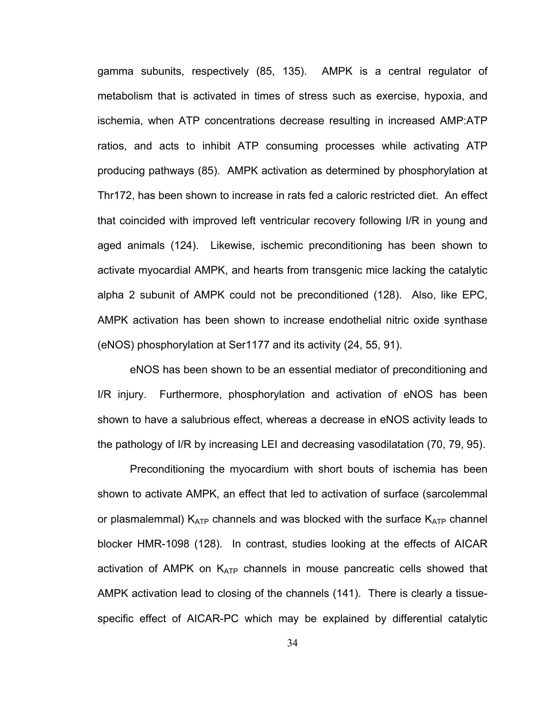gamma subunits, respectively (85, 135). AMPK is a central regulator of metabolism that is activated in times of stress such as exercise, hypoxia, and ischemia, when ATP concentrations decrease resulting in increased AMP:ATP ratios, and acts to inhibit ATP consuming processes while activating ATP producing pathways (85). AMPK activation as determined by phosphorylation at Thr172, has been shown to increase in rats fed a caloric restricted diet. An effect that coincided with improved left ventricular recovery following I/R in young and aged animals (124). Likewise, ischemic preconditioning has been shown to activate myocardial AMPK, and hearts from transgenic mice lacking the catalytic alpha 2 subunit of AMPK could not be preconditioned (128). Also, like EPC, AMPK activation has been shown to increase endothelial nitric oxide synthase (eNOS) phosphorylation at Ser1177 and its activity (24, 55, 91).

eNOS has been shown to be an essential mediator of preconditioning and I/R injury. Furthermore, phosphorylation and activation of eNOS has been shown to have a salubrious effect, whereas a decrease in eNOS activity leads to the pathology of I/R by increasing LEI and decreasing vasodilatation (70, 79, 95).

Preconditioning the myocardium with short bouts of ischemia has been shown to activate AMPK, an effect that led to activation of surface (sarcolemmal or plasmalemmal)  $K_{ATP}$  channels and was blocked with the surface  $K_{ATP}$  channel blocker HMR-1098 (128). In contrast, studies looking at the effects of AICAR activation of AMPK on  $K_{ATP}$  channels in mouse pancreatic cells showed that AMPK activation lead to closing of the channels (141). There is clearly a tissuespecific effect of AICAR-PC which may be explained by differential catalytic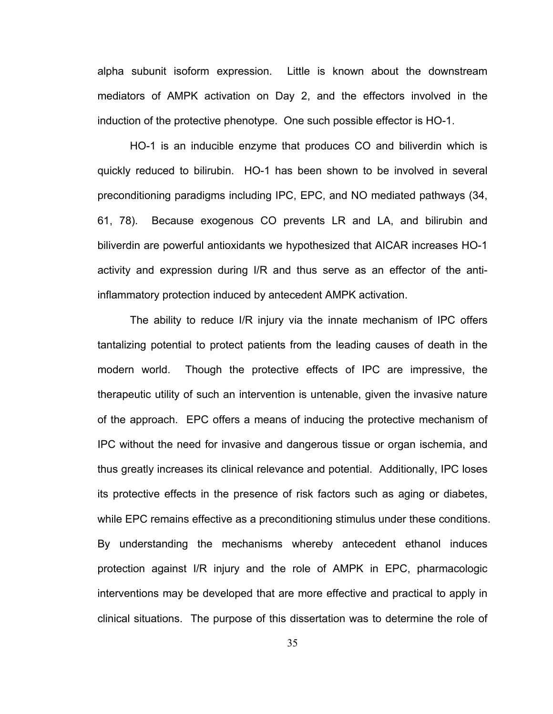alpha subunit isoform expression. Little is known about the downstream mediators of AMPK activation on Day 2, and the effectors involved in the induction of the protective phenotype. One such possible effector is HO-1.

HO-1 is an inducible enzyme that produces CO and biliverdin which is quickly reduced to bilirubin. HO-1 has been shown to be involved in several preconditioning paradigms including IPC, EPC, and NO mediated pathways (34, 61, 78). Because exogenous CO prevents LR and LA, and bilirubin and biliverdin are powerful antioxidants we hypothesized that AICAR increases HO-1 activity and expression during I/R and thus serve as an effector of the antiinflammatory protection induced by antecedent AMPK activation.

The ability to reduce I/R injury via the innate mechanism of IPC offers tantalizing potential to protect patients from the leading causes of death in the modern world. Though the protective effects of IPC are impressive, the therapeutic utility of such an intervention is untenable, given the invasive nature of the approach. EPC offers a means of inducing the protective mechanism of IPC without the need for invasive and dangerous tissue or organ ischemia, and thus greatly increases its clinical relevance and potential. Additionally, IPC loses its protective effects in the presence of risk factors such as aging or diabetes, while EPC remains effective as a preconditioning stimulus under these conditions. By understanding the mechanisms whereby antecedent ethanol induces protection against I/R injury and the role of AMPK in EPC, pharmacologic interventions may be developed that are more effective and practical to apply in clinical situations. The purpose of this dissertation was to determine the role of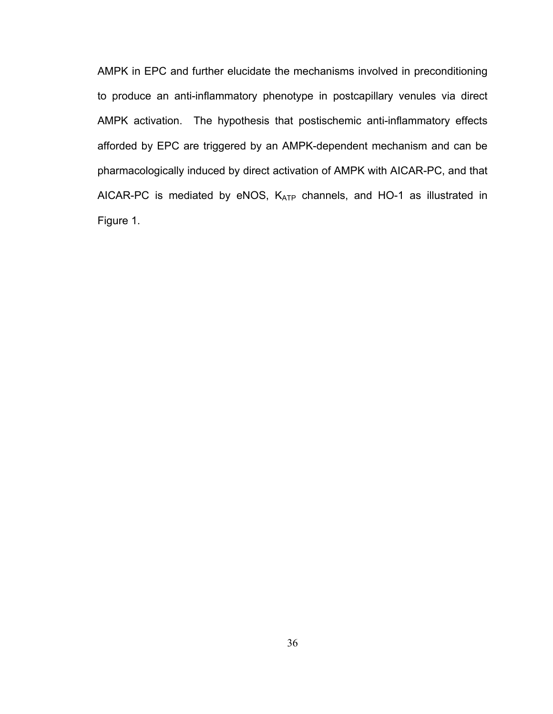AMPK in EPC and further elucidate the mechanisms involved in preconditioning to produce an anti-inflammatory phenotype in postcapillary venules via direct AMPK activation. The hypothesis that postischemic anti-inflammatory effects afforded by EPC are triggered by an AMPK-dependent mechanism and can be pharmacologically induced by direct activation of AMPK with AICAR-PC, and that AICAR-PC is mediated by eNOS, KATP channels, and HO-1 as illustrated in Figure 1.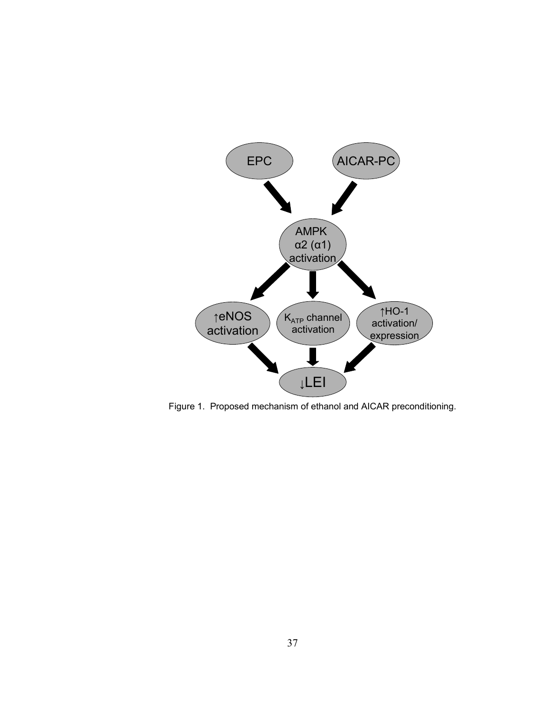

Figure 1. Proposed mechanism of ethanol and AICAR preconditioning.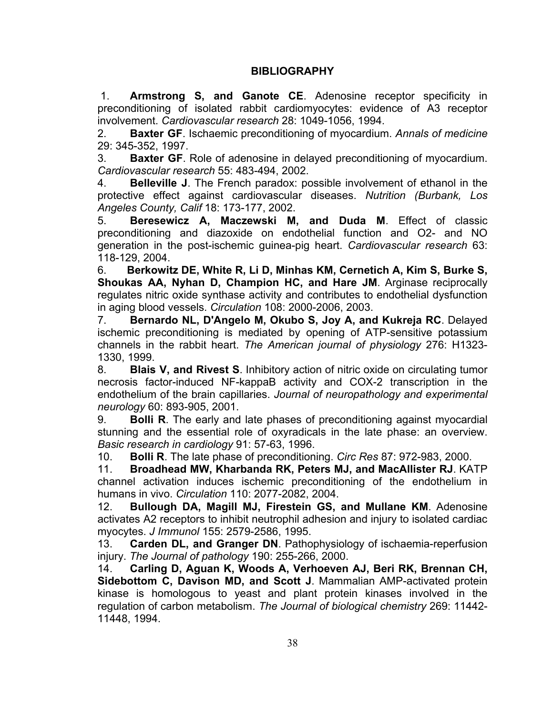# **BIBLIOGRAPHY**

 1. **Armstrong S, and Ganote CE**. Adenosine receptor specificity in preconditioning of isolated rabbit cardiomyocytes: evidence of A3 receptor involvement. *Cardiovascular research* 28: 1049-1056, 1994.

2. **Baxter GF**. Ischaemic preconditioning of myocardium. *Annals of medicine*  29: 345-352, 1997.

3. **Baxter GF**. Role of adenosine in delayed preconditioning of myocardium. *Cardiovascular research* 55: 483-494, 2002.

4. **Belleville J**. The French paradox: possible involvement of ethanol in the protective effect against cardiovascular diseases. *Nutrition (Burbank, Los Angeles County, Calif* 18: 173-177, 2002.

5. **Beresewicz A, Maczewski M, and Duda M**. Effect of classic preconditioning and diazoxide on endothelial function and O2- and NO generation in the post-ischemic guinea-pig heart. *Cardiovascular research* 63: 118-129, 2004.

6. **Berkowitz DE, White R, Li D, Minhas KM, Cernetich A, Kim S, Burke S, Shoukas AA, Nyhan D, Champion HC, and Hare JM**. Arginase reciprocally regulates nitric oxide synthase activity and contributes to endothelial dysfunction in aging blood vessels. *Circulation* 108: 2000-2006, 2003.

7. **Bernardo NL, D'Angelo M, Okubo S, Joy A, and Kukreja RC**. Delayed ischemic preconditioning is mediated by opening of ATP-sensitive potassium channels in the rabbit heart. *The American journal of physiology* 276: H1323- 1330, 1999.

8. **Blais V, and Rivest S**. Inhibitory action of nitric oxide on circulating tumor necrosis factor-induced NF-kappaB activity and COX-2 transcription in the endothelium of the brain capillaries. *Journal of neuropathology and experimental neurology* 60: 893-905, 2001.

9. **Bolli R**. The early and late phases of preconditioning against myocardial stunning and the essential role of oxyradicals in the late phase: an overview. *Basic research in cardiology* 91: 57-63, 1996.

10. **Bolli R**. The late phase of preconditioning. *Circ Res* 87: 972-983, 2000.

11. **Broadhead MW, Kharbanda RK, Peters MJ, and MacAllister RJ**. KATP channel activation induces ischemic preconditioning of the endothelium in humans in vivo. *Circulation* 110: 2077-2082, 2004.

12. **Bullough DA, Magill MJ, Firestein GS, and Mullane KM**. Adenosine activates A2 receptors to inhibit neutrophil adhesion and injury to isolated cardiac myocytes. *J Immunol* 155: 2579-2586, 1995.

13. **Carden DL, and Granger DN**. Pathophysiology of ischaemia-reperfusion injury. *The Journal of pathology* 190: 255-266, 2000.

14. **Carling D, Aguan K, Woods A, Verhoeven AJ, Beri RK, Brennan CH, Sidebottom C, Davison MD, and Scott J**. Mammalian AMP-activated protein kinase is homologous to yeast and plant protein kinases involved in the regulation of carbon metabolism. *The Journal of biological chemistry* 269: 11442- 11448, 1994.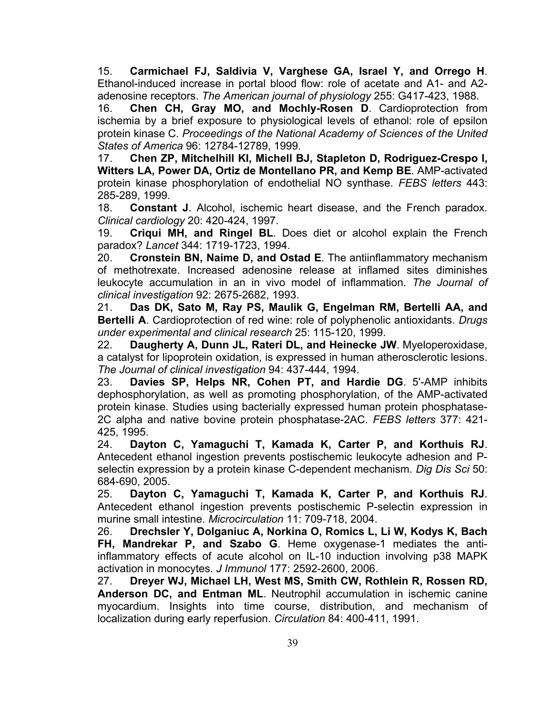15. **Carmichael FJ, Saldivia V, Varghese GA, Israel Y, and Orrego H**. Ethanol-induced increase in portal blood flow: role of acetate and A1- and A2 adenosine receptors. *The American journal of physiology* 255: G417-423, 1988.

16. **Chen CH, Gray MO, and Mochly-Rosen D**. Cardioprotection from ischemia by a brief exposure to physiological levels of ethanol: role of epsilon protein kinase C. *Proceedings of the National Academy of Sciences of the United States of America* 96: 12784-12789, 1999.

17. **Chen ZP, Mitchelhill KI, Michell BJ, Stapleton D, Rodriguez-Crespo I, Witters LA, Power DA, Ortiz de Montellano PR, and Kemp BE**. AMP-activated protein kinase phosphorylation of endothelial NO synthase. *FEBS letters* 443: 285-289, 1999.

18. **Constant J**. Alcohol, ischemic heart disease, and the French paradox. *Clinical cardiology* 20: 420-424, 1997.

19. **Criqui MH, and Ringel BL**. Does diet or alcohol explain the French paradox? *Lancet* 344: 1719-1723, 1994.

20. **Cronstein BN, Naime D, and Ostad E**. The antiinflammatory mechanism of methotrexate. Increased adenosine release at inflamed sites diminishes leukocyte accumulation in an in vivo model of inflammation. *The Journal of clinical investigation* 92: 2675-2682, 1993.

21. **Das DK, Sato M, Ray PS, Maulik G, Engelman RM, Bertelli AA, and Bertelli A**. Cardioprotection of red wine: role of polyphenolic antioxidants. *Drugs under experimental and clinical research* 25: 115-120, 1999.

22. **Daugherty A, Dunn JL, Rateri DL, and Heinecke JW**. Myeloperoxidase, a catalyst for lipoprotein oxidation, is expressed in human atherosclerotic lesions. *The Journal of clinical investigation* 94: 437-444, 1994.

23. **Davies SP, Helps NR, Cohen PT, and Hardie DG**. 5'-AMP inhibits dephosphorylation, as well as promoting phosphorylation, of the AMP-activated protein kinase. Studies using bacterially expressed human protein phosphatase-2C alpha and native bovine protein phosphatase-2AC. *FEBS letters* 377: 421- 425, 1995.

24. **Dayton C, Yamaguchi T, Kamada K, Carter P, and Korthuis RJ**. Antecedent ethanol ingestion prevents postischemic leukocyte adhesion and Pselectin expression by a protein kinase C-dependent mechanism. *Dig Dis Sci* 50: 684-690, 2005.

25. **Dayton C, Yamaguchi T, Kamada K, Carter P, and Korthuis RJ**. Antecedent ethanol ingestion prevents postischemic P-selectin expression in murine small intestine. *Microcirculation* 11: 709-718, 2004.

26. **Drechsler Y, Dolganiuc A, Norkina O, Romics L, Li W, Kodys K, Bach FH, Mandrekar P, and Szabo G**. Heme oxygenase-1 mediates the antiinflammatory effects of acute alcohol on IL-10 induction involving p38 MAPK activation in monocytes. *J Immunol* 177: 2592-2600, 2006.

27. **Dreyer WJ, Michael LH, West MS, Smith CW, Rothlein R, Rossen RD, Anderson DC, and Entman ML**. Neutrophil accumulation in ischemic canine myocardium. Insights into time course, distribution, and mechanism of localization during early reperfusion. *Circulation* 84: 400-411, 1991.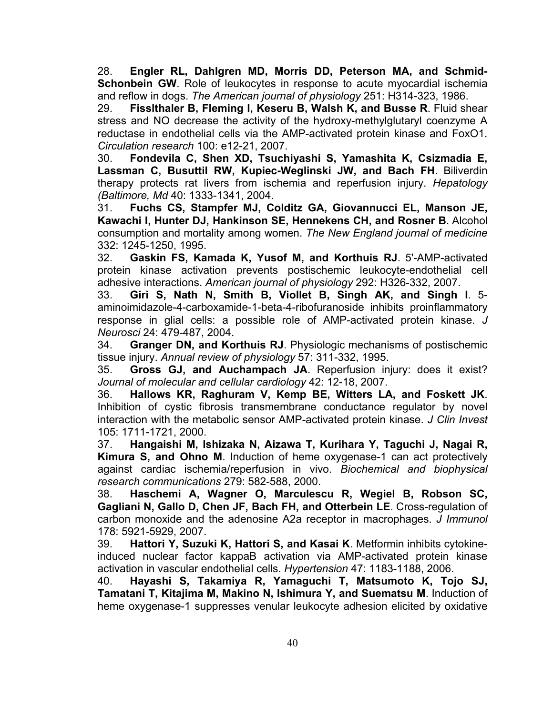28. **Engler RL, Dahlgren MD, Morris DD, Peterson MA, and Schmid-Schonbein GW.** Role of leukocytes in response to acute myocardial ischemia and reflow in dogs. *The American journal of physiology* 251: H314-323, 1986.

29. **Fisslthaler B, Fleming I, Keseru B, Walsh K, and Busse R**. Fluid shear stress and NO decrease the activity of the hydroxy-methylglutaryl coenzyme A reductase in endothelial cells via the AMP-activated protein kinase and FoxO1. *Circulation research* 100: e12-21, 2007.

30. **Fondevila C, Shen XD, Tsuchiyashi S, Yamashita K, Csizmadia E, Lassman C, Busuttil RW, Kupiec-Weglinski JW, and Bach FH**. Biliverdin therapy protects rat livers from ischemia and reperfusion injury. *Hepatology (Baltimore, Md* 40: 1333-1341, 2004.

31. **Fuchs CS, Stampfer MJ, Colditz GA, Giovannucci EL, Manson JE, Kawachi I, Hunter DJ, Hankinson SE, Hennekens CH, and Rosner B**. Alcohol consumption and mortality among women. *The New England journal of medicine*  332: 1245-1250, 1995.

32. **Gaskin FS, Kamada K, Yusof M, and Korthuis RJ**. 5'-AMP-activated protein kinase activation prevents postischemic leukocyte-endothelial cell adhesive interactions. *American journal of physiology* 292: H326-332, 2007.

33. **Giri S, Nath N, Smith B, Viollet B, Singh AK, and Singh I**. 5 aminoimidazole-4-carboxamide-1-beta-4-ribofuranoside inhibits proinflammatory response in glial cells: a possible role of AMP-activated protein kinase. *J Neurosci* 24: 479-487, 2004.

34. **Granger DN, and Korthuis RJ**. Physiologic mechanisms of postischemic tissue injury. *Annual review of physiology* 57: 311-332, 1995.

35. **Gross GJ, and Auchampach JA**. Reperfusion injury: does it exist? *Journal of molecular and cellular cardiology* 42: 12-18, 2007.

36. **Hallows KR, Raghuram V, Kemp BE, Witters LA, and Foskett JK**. Inhibition of cystic fibrosis transmembrane conductance regulator by novel interaction with the metabolic sensor AMP-activated protein kinase. *J Clin Invest*  105: 1711-1721, 2000.

37. **Hangaishi M, Ishizaka N, Aizawa T, Kurihara Y, Taguchi J, Nagai R, Kimura S, and Ohno M**. Induction of heme oxygenase-1 can act protectively against cardiac ischemia/reperfusion in vivo. *Biochemical and biophysical research communications* 279: 582-588, 2000.

38. **Haschemi A, Wagner O, Marculescu R, Wegiel B, Robson SC, Gagliani N, Gallo D, Chen JF, Bach FH, and Otterbein LE**. Cross-regulation of carbon monoxide and the adenosine A2a receptor in macrophages. *J Immunol*  178: 5921-5929, 2007.

39. **Hattori Y, Suzuki K, Hattori S, and Kasai K**. Metformin inhibits cytokineinduced nuclear factor kappaB activation via AMP-activated protein kinase activation in vascular endothelial cells. *Hypertension* 47: 1183-1188, 2006.

40. **Hayashi S, Takamiya R, Yamaguchi T, Matsumoto K, Tojo SJ, Tamatani T, Kitajima M, Makino N, Ishimura Y, and Suematsu M**. Induction of heme oxygenase-1 suppresses venular leukocyte adhesion elicited by oxidative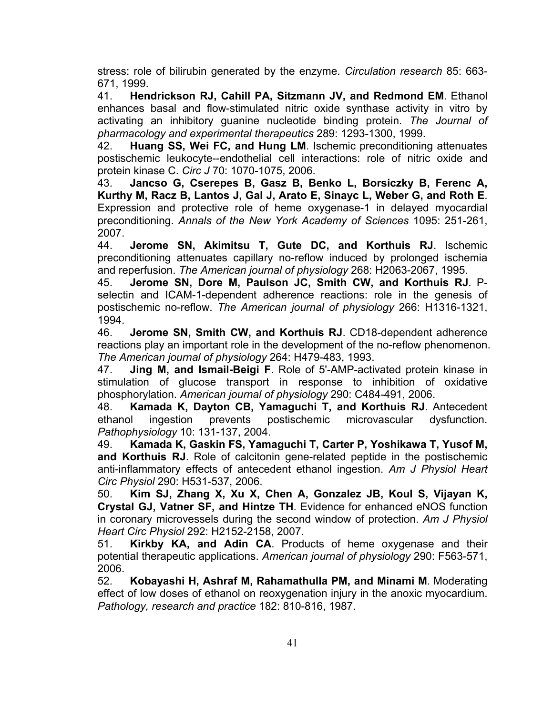stress: role of bilirubin generated by the enzyme. *Circulation research* 85: 663- 671, 1999.

41. **Hendrickson RJ, Cahill PA, Sitzmann JV, and Redmond EM**. Ethanol enhances basal and flow-stimulated nitric oxide synthase activity in vitro by activating an inhibitory guanine nucleotide binding protein. *The Journal of pharmacology and experimental therapeutics* 289: 1293-1300, 1999.

42. **Huang SS, Wei FC, and Hung LM**. Ischemic preconditioning attenuates postischemic leukocyte--endothelial cell interactions: role of nitric oxide and protein kinase C. *Circ J* 70: 1070-1075, 2006.

43. **Jancso G, Cserepes B, Gasz B, Benko L, Borsiczky B, Ferenc A, Kurthy M, Racz B, Lantos J, Gal J, Arato E, Sinayc L, Weber G, and Roth E**. Expression and protective role of heme oxygenase-1 in delayed myocardial preconditioning. *Annals of the New York Academy of Sciences* 1095: 251-261, 2007.

44. **Jerome SN, Akimitsu T, Gute DC, and Korthuis RJ**. Ischemic preconditioning attenuates capillary no-reflow induced by prolonged ischemia and reperfusion. *The American journal of physiology* 268: H2063-2067, 1995.

45. **Jerome SN, Dore M, Paulson JC, Smith CW, and Korthuis RJ**. Pselectin and ICAM-1-dependent adherence reactions: role in the genesis of postischemic no-reflow. *The American journal of physiology* 266: H1316-1321, 1994.

46. **Jerome SN, Smith CW, and Korthuis RJ**. CD18-dependent adherence reactions play an important role in the development of the no-reflow phenomenon. *The American journal of physiology* 264: H479-483, 1993.

47. **Jing M, and Ismail-Beigi F**. Role of 5'-AMP-activated protein kinase in stimulation of glucose transport in response to inhibition of oxidative phosphorylation. *American journal of physiology* 290: C484-491, 2006.

48. **Kamada K, Dayton CB, Yamaguchi T, and Korthuis RJ**. Antecedent ethanol ingestion prevents postischemic microvascular dysfunction. *Pathophysiology* 10: 131-137, 2004.

49. **Kamada K, Gaskin FS, Yamaguchi T, Carter P, Yoshikawa T, Yusof M, and Korthuis RJ**. Role of calcitonin gene-related peptide in the postischemic anti-inflammatory effects of antecedent ethanol ingestion. *Am J Physiol Heart Circ Physiol* 290: H531-537, 2006.

50. **Kim SJ, Zhang X, Xu X, Chen A, Gonzalez JB, Koul S, Vijayan K, Crystal GJ, Vatner SF, and Hintze TH**. Evidence for enhanced eNOS function in coronary microvessels during the second window of protection. *Am J Physiol Heart Circ Physiol* 292: H2152-2158, 2007.

51. **Kirkby KA, and Adin CA**. Products of heme oxygenase and their potential therapeutic applications. *American journal of physiology* 290: F563-571, 2006.

52. **Kobayashi H, Ashraf M, Rahamathulla PM, and Minami M**. Moderating effect of low doses of ethanol on reoxygenation injury in the anoxic myocardium. *Pathology, research and practice* 182: 810-816, 1987.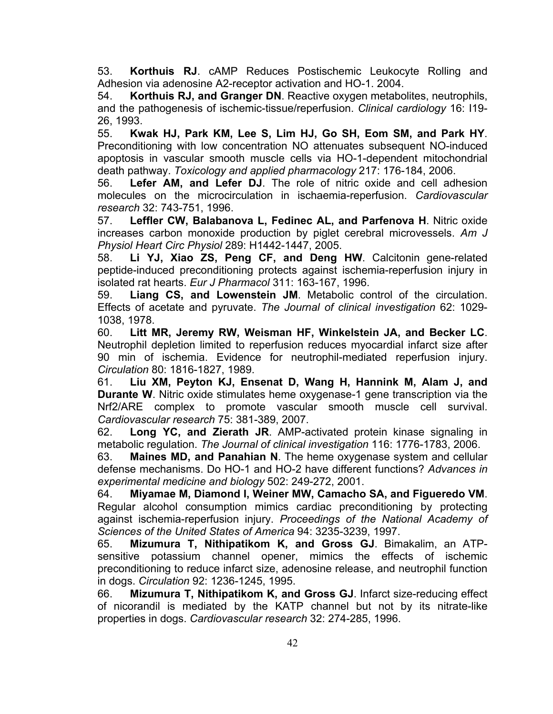53. **Korthuis RJ**. cAMP Reduces Postischemic Leukocyte Rolling and Adhesion via adenosine A2-receptor activation and HO-1. 2004.

54. **Korthuis RJ, and Granger DN**. Reactive oxygen metabolites, neutrophils, and the pathogenesis of ischemic-tissue/reperfusion. *Clinical cardiology* 16: I19- 26, 1993.

55. **Kwak HJ, Park KM, Lee S, Lim HJ, Go SH, Eom SM, and Park HY**. Preconditioning with low concentration NO attenuates subsequent NO-induced apoptosis in vascular smooth muscle cells via HO-1-dependent mitochondrial death pathway. *Toxicology and applied pharmacology* 217: 176-184, 2006.

56. **Lefer AM, and Lefer DJ**. The role of nitric oxide and cell adhesion molecules on the microcirculation in ischaemia-reperfusion. *Cardiovascular research* 32: 743-751, 1996.

57. **Leffler CW, Balabanova L, Fedinec AL, and Parfenova H**. Nitric oxide increases carbon monoxide production by piglet cerebral microvessels. *Am J Physiol Heart Circ Physiol* 289: H1442-1447, 2005.

58. **Li YJ, Xiao ZS, Peng CF, and Deng HW**. Calcitonin gene-related peptide-induced preconditioning protects against ischemia-reperfusion injury in isolated rat hearts. *Eur J Pharmacol* 311: 163-167, 1996.

59. **Liang CS, and Lowenstein JM**. Metabolic control of the circulation. Effects of acetate and pyruvate. *The Journal of clinical investigation* 62: 1029- 1038, 1978.

60. **Litt MR, Jeremy RW, Weisman HF, Winkelstein JA, and Becker LC**. Neutrophil depletion limited to reperfusion reduces myocardial infarct size after 90 min of ischemia. Evidence for neutrophil-mediated reperfusion injury. *Circulation* 80: 1816-1827, 1989.

61. **Liu XM, Peyton KJ, Ensenat D, Wang H, Hannink M, Alam J, and Durante W**. Nitric oxide stimulates heme oxygenase-1 gene transcription via the Nrf2/ARE complex to promote vascular smooth muscle cell survival. *Cardiovascular research* 75: 381-389, 2007.

62. **Long YC, and Zierath JR**. AMP-activated protein kinase signaling in metabolic regulation. *The Journal of clinical investigation* 116: 1776-1783, 2006.

63. **Maines MD, and Panahian N**. The heme oxygenase system and cellular defense mechanisms. Do HO-1 and HO-2 have different functions? *Advances in experimental medicine and biology* 502: 249-272, 2001.

64. **Miyamae M, Diamond I, Weiner MW, Camacho SA, and Figueredo VM**. Regular alcohol consumption mimics cardiac preconditioning by protecting against ischemia-reperfusion injury. *Proceedings of the National Academy of Sciences of the United States of America* 94: 3235-3239, 1997.

65. **Mizumura T, Nithipatikom K, and Gross GJ**. Bimakalim, an ATPsensitive potassium channel opener, mimics the effects of ischemic preconditioning to reduce infarct size, adenosine release, and neutrophil function in dogs. *Circulation* 92: 1236-1245, 1995.

66. **Mizumura T, Nithipatikom K, and Gross GJ**. Infarct size-reducing effect of nicorandil is mediated by the KATP channel but not by its nitrate-like properties in dogs. *Cardiovascular research* 32: 274-285, 1996.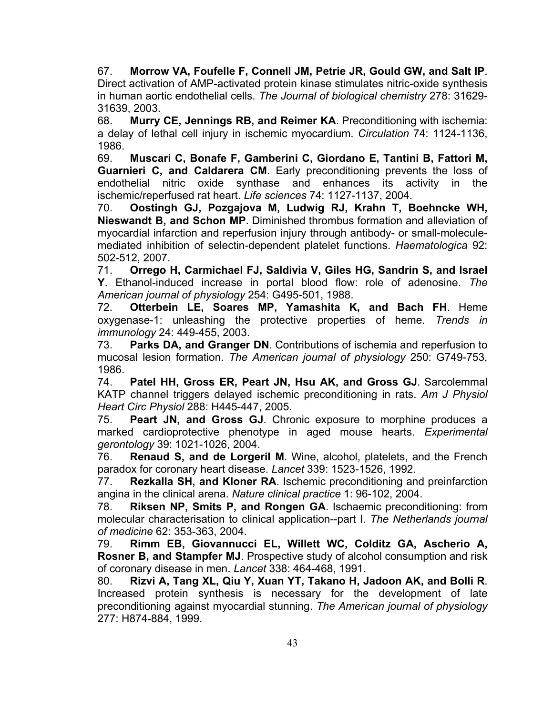67. **Morrow VA, Foufelle F, Connell JM, Petrie JR, Gould GW, and Salt IP**. Direct activation of AMP-activated protein kinase stimulates nitric-oxide synthesis in human aortic endothelial cells. *The Journal of biological chemistry* 278: 31629- 31639, 2003.

68. **Murry CE, Jennings RB, and Reimer KA**. Preconditioning with ischemia: a delay of lethal cell injury in ischemic myocardium. *Circulation* 74: 1124-1136, 1986.

69. **Muscari C, Bonafe F, Gamberini C, Giordano E, Tantini B, Fattori M, Guarnieri C, and Caldarera CM**. Early preconditioning prevents the loss of endothelial nitric oxide synthase and enhances its activity in the ischemic/reperfused rat heart. *Life sciences* 74: 1127-1137, 2004.

70. **Oostingh GJ, Pozgajova M, Ludwig RJ, Krahn T, Boehncke WH, Nieswandt B, and Schon MP**. Diminished thrombus formation and alleviation of myocardial infarction and reperfusion injury through antibody- or small-moleculemediated inhibition of selectin-dependent platelet functions. *Haematologica* 92: 502-512, 2007.

71. **Orrego H, Carmichael FJ, Saldivia V, Giles HG, Sandrin S, and Israel Y**. Ethanol-induced increase in portal blood flow: role of adenosine. *The American journal of physiology* 254: G495-501, 1988.

72. **Otterbein LE, Soares MP, Yamashita K, and Bach FH**. Heme oxygenase-1: unleashing the protective properties of heme. *Trends in immunology* 24: 449-455, 2003.

73. **Parks DA, and Granger DN**. Contributions of ischemia and reperfusion to mucosal lesion formation. *The American journal of physiology* 250: G749-753, 1986.

74. **Patel HH, Gross ER, Peart JN, Hsu AK, and Gross GJ**. Sarcolemmal KATP channel triggers delayed ischemic preconditioning in rats. *Am J Physiol Heart Circ Physiol* 288: H445-447, 2005.

75. **Peart JN, and Gross GJ**. Chronic exposure to morphine produces a marked cardioprotective phenotype in aged mouse hearts. *Experimental gerontology* 39: 1021-1026, 2004.

76. **Renaud S, and de Lorgeril M**. Wine, alcohol, platelets, and the French paradox for coronary heart disease. *Lancet* 339: 1523-1526, 1992.

77. **Rezkalla SH, and Kloner RA**. Ischemic preconditioning and preinfarction angina in the clinical arena. *Nature clinical practice* 1: 96-102, 2004.

78. **Riksen NP, Smits P, and Rongen GA**. Ischaemic preconditioning: from molecular characterisation to clinical application--part I. *The Netherlands journal of medicine* 62: 353-363, 2004.

79. **Rimm EB, Giovannucci EL, Willett WC, Colditz GA, Ascherio A, Rosner B, and Stampfer MJ**. Prospective study of alcohol consumption and risk of coronary disease in men. *Lancet* 338: 464-468, 1991.

80. **Rizvi A, Tang XL, Qiu Y, Xuan YT, Takano H, Jadoon AK, and Bolli R**. Increased protein synthesis is necessary for the development of late preconditioning against myocardial stunning. *The American journal of physiology*  277: H874-884, 1999.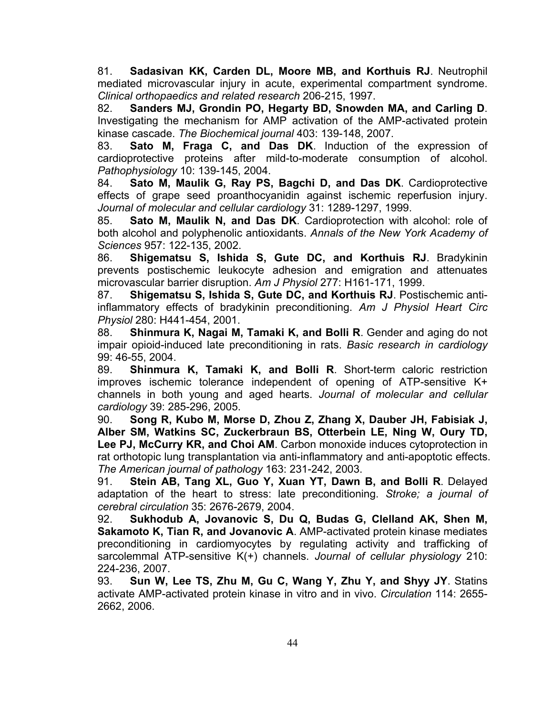81. **Sadasivan KK, Carden DL, Moore MB, and Korthuis RJ**. Neutrophil mediated microvascular injury in acute, experimental compartment syndrome. *Clinical orthopaedics and related research* 206-215, 1997.

82. **Sanders MJ, Grondin PO, Hegarty BD, Snowden MA, and Carling D**. Investigating the mechanism for AMP activation of the AMP-activated protein kinase cascade. *The Biochemical journal* 403: 139-148, 2007.

83. **Sato M, Fraga C, and Das DK**. Induction of the expression of cardioprotective proteins after mild-to-moderate consumption of alcohol. *Pathophysiology* 10: 139-145, 2004.

84. **Sato M, Maulik G, Ray PS, Bagchi D, and Das DK**. Cardioprotective effects of grape seed proanthocyanidin against ischemic reperfusion injury. *Journal of molecular and cellular cardiology* 31: 1289-1297, 1999.

85. **Sato M, Maulik N, and Das DK**. Cardioprotection with alcohol: role of both alcohol and polyphenolic antioxidants. *Annals of the New York Academy of Sciences* 957: 122-135, 2002.

86. **Shigematsu S, Ishida S, Gute DC, and Korthuis RJ**. Bradykinin prevents postischemic leukocyte adhesion and emigration and attenuates microvascular barrier disruption. *Am J Physiol* 277: H161-171, 1999.

87. **Shigematsu S, Ishida S, Gute DC, and Korthuis RJ**. Postischemic antiinflammatory effects of bradykinin preconditioning. *Am J Physiol Heart Circ Physiol* 280: H441-454, 2001.

88. **Shinmura K, Nagai M, Tamaki K, and Bolli R**. Gender and aging do not impair opioid-induced late preconditioning in rats. *Basic research in cardiology*  99: 46-55, 2004.

89. **Shinmura K, Tamaki K, and Bolli R**. Short-term caloric restriction improves ischemic tolerance independent of opening of ATP-sensitive K+ channels in both young and aged hearts. *Journal of molecular and cellular cardiology* 39: 285-296, 2005.

90. **Song R, Kubo M, Morse D, Zhou Z, Zhang X, Dauber JH, Fabisiak J, Alber SM, Watkins SC, Zuckerbraun BS, Otterbein LE, Ning W, Oury TD, Lee PJ, McCurry KR, and Choi AM**. Carbon monoxide induces cytoprotection in rat orthotopic lung transplantation via anti-inflammatory and anti-apoptotic effects. *The American journal of pathology* 163: 231-242, 2003.

91. **Stein AB, Tang XL, Guo Y, Xuan YT, Dawn B, and Bolli R**. Delayed adaptation of the heart to stress: late preconditioning. *Stroke; a journal of cerebral circulation* 35: 2676-2679, 2004.

92. **Sukhodub A, Jovanovic S, Du Q, Budas G, Clelland AK, Shen M, Sakamoto K, Tian R, and Jovanovic A**. AMP-activated protein kinase mediates preconditioning in cardiomyocytes by regulating activity and trafficking of sarcolemmal ATP-sensitive K(+) channels. *Journal of cellular physiology* 210: 224-236, 2007.

93. **Sun W, Lee TS, Zhu M, Gu C, Wang Y, Zhu Y, and Shyy JY**. Statins activate AMP-activated protein kinase in vitro and in vivo. *Circulation* 114: 2655- 2662, 2006.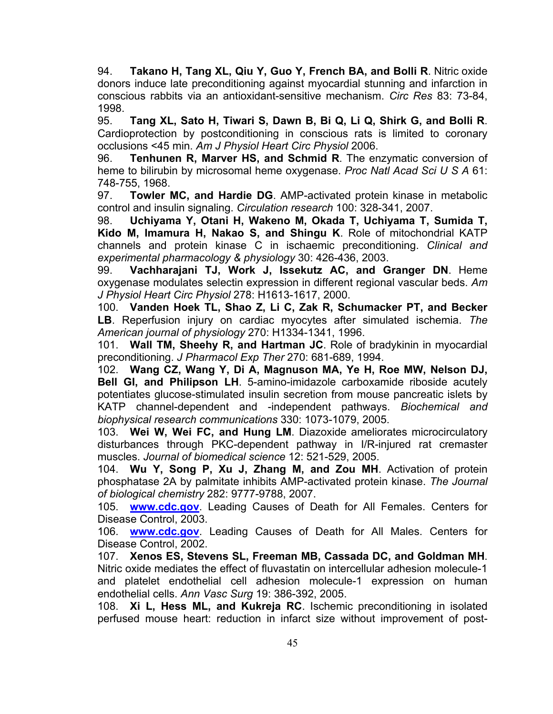94. **Takano H, Tang XL, Qiu Y, Guo Y, French BA, and Bolli R**. Nitric oxide donors induce late preconditioning against myocardial stunning and infarction in conscious rabbits via an antioxidant-sensitive mechanism. *Circ Res* 83: 73-84, 1998.

95. **Tang XL, Sato H, Tiwari S, Dawn B, Bi Q, Li Q, Shirk G, and Bolli R**. Cardioprotection by postconditioning in conscious rats is limited to coronary occlusions <45 min. *Am J Physiol Heart Circ Physiol* 2006.

96. **Tenhunen R, Marver HS, and Schmid R**. The enzymatic conversion of heme to bilirubin by microsomal heme oxygenase. *Proc Natl Acad Sci U S A* 61: 748-755, 1968.

97. **Towler MC, and Hardie DG**. AMP-activated protein kinase in metabolic control and insulin signaling. *Circulation research* 100: 328-341, 2007.

98. **Uchiyama Y, Otani H, Wakeno M, Okada T, Uchiyama T, Sumida T, Kido M, Imamura H, Nakao S, and Shingu K**. Role of mitochondrial KATP channels and protein kinase C in ischaemic preconditioning. *Clinical and experimental pharmacology & physiology* 30: 426-436, 2003.

99. **Vachharajani TJ, Work J, Issekutz AC, and Granger DN**. Heme oxygenase modulates selectin expression in different regional vascular beds. *Am J Physiol Heart Circ Physiol* 278: H1613-1617, 2000.

100. **Vanden Hoek TL, Shao Z, Li C, Zak R, Schumacker PT, and Becker LB**. Reperfusion injury on cardiac myocytes after simulated ischemia. *The American journal of physiology* 270: H1334-1341, 1996.

101. **Wall TM, Sheehy R, and Hartman JC**. Role of bradykinin in myocardial preconditioning. *J Pharmacol Exp Ther* 270: 681-689, 1994.

102. **Wang CZ, Wang Y, Di A, Magnuson MA, Ye H, Roe MW, Nelson DJ, Bell GI, and Philipson LH**. 5-amino-imidazole carboxamide riboside acutely potentiates glucose-stimulated insulin secretion from mouse pancreatic islets by KATP channel-dependent and -independent pathways. *Biochemical and biophysical research communications* 330: 1073-1079, 2005.

103. **Wei W, Wei FC, and Hung LM**. Diazoxide ameliorates microcirculatory disturbances through PKC-dependent pathway in I/R-injured rat cremaster muscles. *Journal of biomedical science* 12: 521-529, 2005.

104. **Wu Y, Song P, Xu J, Zhang M, and Zou MH**. Activation of protein phosphatase 2A by palmitate inhibits AMP-activated protein kinase. *The Journal of biological chemistry* 282: 9777-9788, 2007.

105. **www.cdc.gov**. Leading Causes of Death for All Females. Centers for Disease Control, 2003.

106. **www.cdc.gov**. Leading Causes of Death for All Males. Centers for Disease Control, 2002.

107. **Xenos ES, Stevens SL, Freeman MB, Cassada DC, and Goldman MH**. Nitric oxide mediates the effect of fluvastatin on intercellular adhesion molecule-1 and platelet endothelial cell adhesion molecule-1 expression on human endothelial cells. *Ann Vasc Surg* 19: 386-392, 2005.

108. **Xi L, Hess ML, and Kukreja RC**. Ischemic preconditioning in isolated perfused mouse heart: reduction in infarct size without improvement of post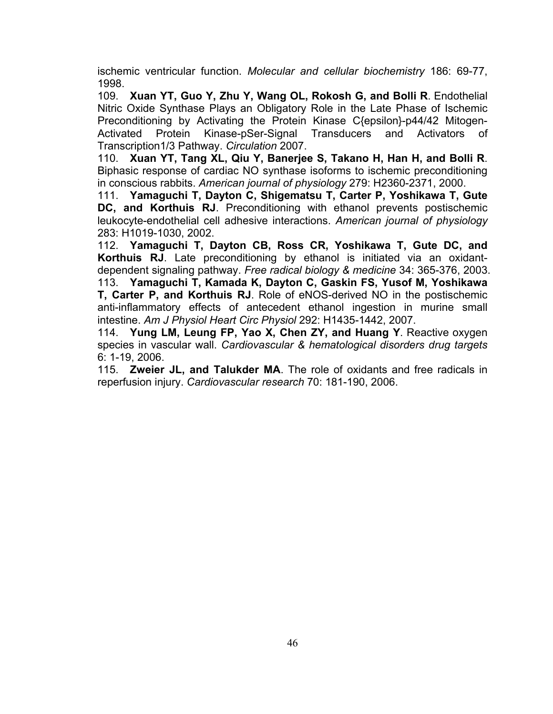ischemic ventricular function. *Molecular and cellular biochemistry* 186: 69-77, 1998.

109. **Xuan YT, Guo Y, Zhu Y, Wang OL, Rokosh G, and Bolli R**. Endothelial Nitric Oxide Synthase Plays an Obligatory Role in the Late Phase of Ischemic Preconditioning by Activating the Protein Kinase C{epsilon}-p44/42 Mitogen-Activated Protein Kinase-pSer-Signal Transducers and Activators of Transcription1/3 Pathway. *Circulation* 2007.

110. **Xuan YT, Tang XL, Qiu Y, Banerjee S, Takano H, Han H, and Bolli R**. Biphasic response of cardiac NO synthase isoforms to ischemic preconditioning in conscious rabbits. *American journal of physiology* 279: H2360-2371, 2000.

111. **Yamaguchi T, Dayton C, Shigematsu T, Carter P, Yoshikawa T, Gute DC, and Korthuis RJ**. Preconditioning with ethanol prevents postischemic leukocyte-endothelial cell adhesive interactions. *American journal of physiology*  283: H1019-1030, 2002.

112. **Yamaguchi T, Dayton CB, Ross CR, Yoshikawa T, Gute DC, and Korthuis RJ**. Late preconditioning by ethanol is initiated via an oxidantdependent signaling pathway. *Free radical biology & medicine* 34: 365-376, 2003. 113. **Yamaguchi T, Kamada K, Dayton C, Gaskin FS, Yusof M, Yoshikawa T, Carter P, and Korthuis RJ**. Role of eNOS-derived NO in the postischemic anti-inflammatory effects of antecedent ethanol ingestion in murine small intestine. *Am J Physiol Heart Circ Physiol* 292: H1435-1442, 2007.

114. **Yung LM, Leung FP, Yao X, Chen ZY, and Huang Y**. Reactive oxygen species in vascular wall. *Cardiovascular & hematological disorders drug targets*  6: 1-19, 2006.

115. **Zweier JL, and Talukder MA**. The role of oxidants and free radicals in reperfusion injury. *Cardiovascular research* 70: 181-190, 2006.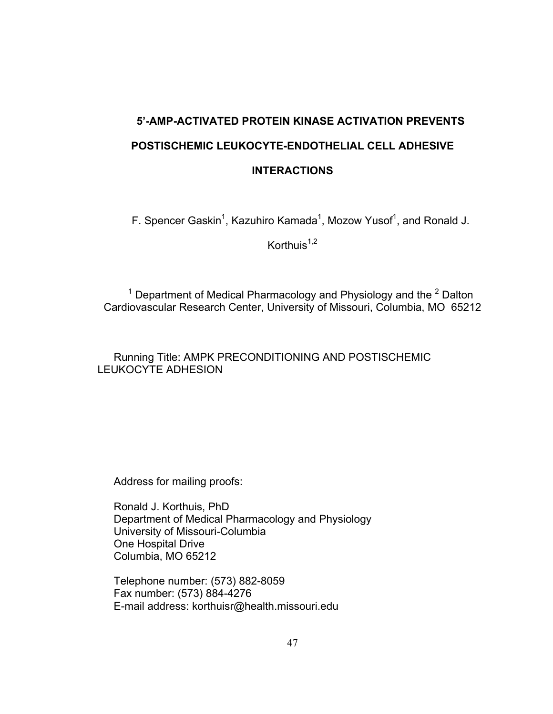# **5'-AMP-ACTIVATED PROTEIN KINASE ACTIVATION PREVENTS POSTISCHEMIC LEUKOCYTE-ENDOTHELIAL CELL ADHESIVE INTERACTIONS**

F. Spencer Gaskin<sup>1</sup>, Kazuhiro Kamada<sup>1</sup>, Mozow Yusof<sup>1</sup>, and Ronald J.

Korthuis $1,2$ 

<sup>1</sup> Department of Medical Pharmacology and Physiology and the  $2$  Dalton Cardiovascular Research Center, University of Missouri, Columbia, MO 65212

Running Title: AMPK PRECONDITIONING AND POSTISCHEMIC LEUKOCYTE ADHESION

Address for mailing proofs:

Ronald J. Korthuis, PhD Department of Medical Pharmacology and Physiology University of Missouri-Columbia One Hospital Drive Columbia, MO 65212

Telephone number: (573) 882-8059 Fax number: (573) 884-4276 E-mail address: korthuisr@health.missouri.edu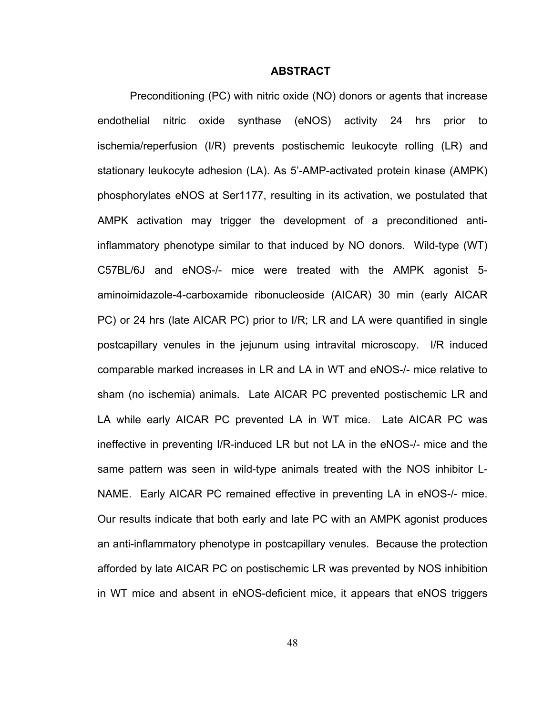#### **ABSTRACT**

Preconditioning (PC) with nitric oxide (NO) donors or agents that increase endothelial nitric oxide synthase (eNOS) activity 24 hrs prior to ischemia/reperfusion (I/R) prevents postischemic leukocyte rolling (LR) and stationary leukocyte adhesion (LA). As 5'-AMP-activated protein kinase (AMPK) phosphorylates eNOS at Ser1177, resulting in its activation, we postulated that AMPK activation may trigger the development of a preconditioned antiinflammatory phenotype similar to that induced by NO donors. Wild-type (WT) C57BL/6J and eNOS-/- mice were treated with the AMPK agonist 5 aminoimidazole-4-carboxamide ribonucleoside (AICAR) 30 min (early AICAR PC) or 24 hrs (late AICAR PC) prior to I/R; LR and LA were quantified in single postcapillary venules in the jejunum using intravital microscopy. I/R induced comparable marked increases in LR and LA in WT and eNOS-/- mice relative to sham (no ischemia) animals. Late AICAR PC prevented postischemic LR and LA while early AICAR PC prevented LA in WT mice. Late AICAR PC was ineffective in preventing I/R-induced LR but not LA in the eNOS-/- mice and the same pattern was seen in wild-type animals treated with the NOS inhibitor L-NAME. Early AICAR PC remained effective in preventing LA in eNOS-/- mice. Our results indicate that both early and late PC with an AMPK agonist produces an anti-inflammatory phenotype in postcapillary venules. Because the protection afforded by late AICAR PC on postischemic LR was prevented by NOS inhibition in WT mice and absent in eNOS-deficient mice, it appears that eNOS triggers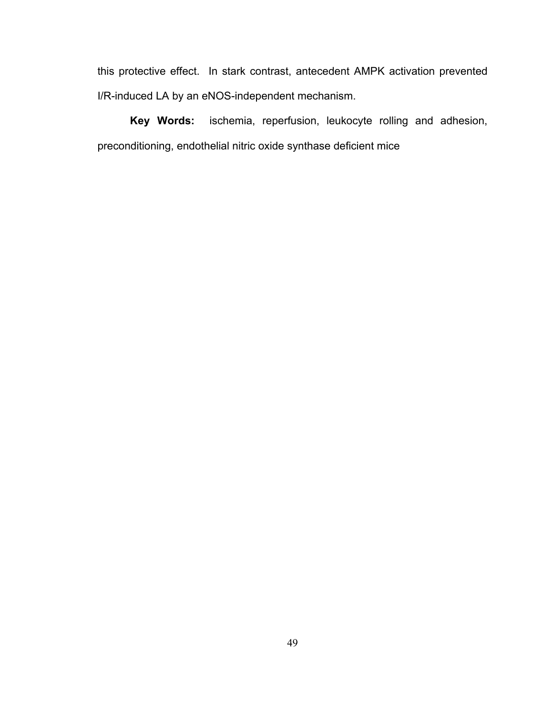this protective effect. In stark contrast, antecedent AMPK activation prevented I/R-induced LA by an eNOS-independent mechanism.

**Key Words:** ischemia, reperfusion, leukocyte rolling and adhesion, preconditioning, endothelial nitric oxide synthase deficient mice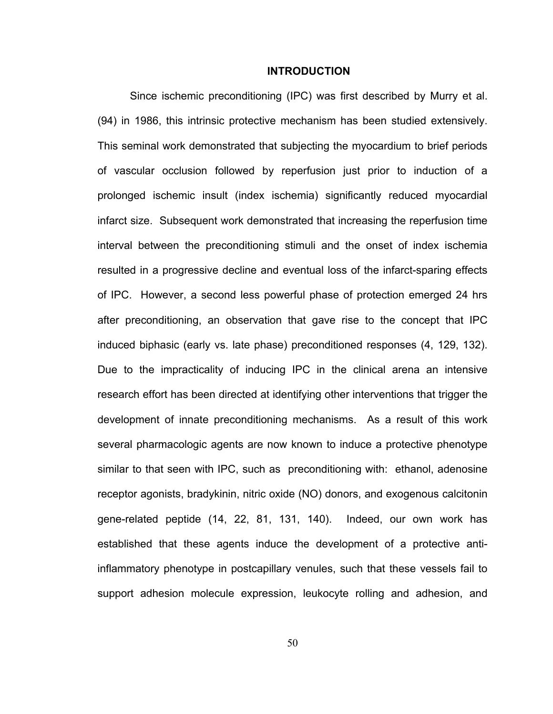#### **INTRODUCTION**

Since ischemic preconditioning (IPC) was first described by Murry et al. (94) in 1986, this intrinsic protective mechanism has been studied extensively. This seminal work demonstrated that subjecting the myocardium to brief periods of vascular occlusion followed by reperfusion just prior to induction of a prolonged ischemic insult (index ischemia) significantly reduced myocardial infarct size. Subsequent work demonstrated that increasing the reperfusion time interval between the preconditioning stimuli and the onset of index ischemia resulted in a progressive decline and eventual loss of the infarct-sparing effects of IPC. However, a second less powerful phase of protection emerged 24 hrs after preconditioning, an observation that gave rise to the concept that IPC induced biphasic (early vs. late phase) preconditioned responses (4, 129, 132). Due to the impracticality of inducing IPC in the clinical arena an intensive research effort has been directed at identifying other interventions that trigger the development of innate preconditioning mechanisms. As a result of this work several pharmacologic agents are now known to induce a protective phenotype similar to that seen with IPC, such as preconditioning with: ethanol, adenosine receptor agonists, bradykinin, nitric oxide (NO) donors, and exogenous calcitonin gene-related peptide (14, 22, 81, 131, 140). Indeed, our own work has established that these agents induce the development of a protective antiinflammatory phenotype in postcapillary venules, such that these vessels fail to support adhesion molecule expression, leukocyte rolling and adhesion, and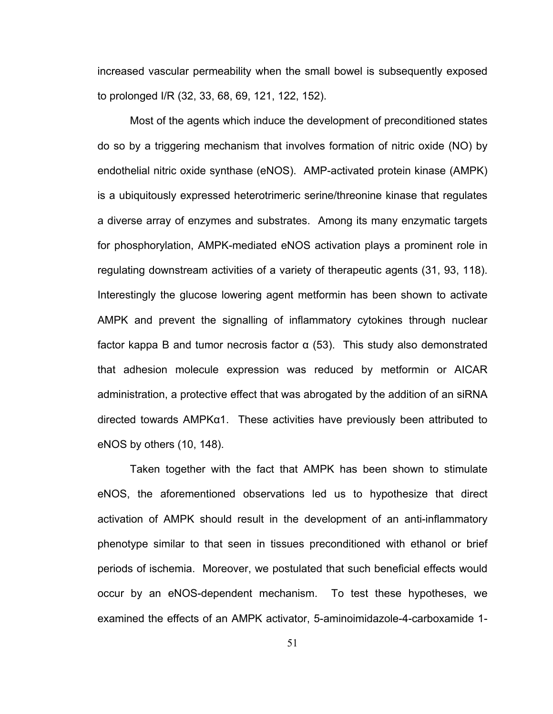increased vascular permeability when the small bowel is subsequently exposed to prolonged I/R (32, 33, 68, 69, 121, 122, 152).

Most of the agents which induce the development of preconditioned states do so by a triggering mechanism that involves formation of nitric oxide (NO) by endothelial nitric oxide synthase (eNOS). AMP-activated protein kinase (AMPK) is a ubiquitously expressed heterotrimeric serine/threonine kinase that regulates a diverse array of enzymes and substrates. Among its many enzymatic targets for phosphorylation, AMPK-mediated eNOS activation plays a prominent role in regulating downstream activities of a variety of therapeutic agents (31, 93, 118). Interestingly the glucose lowering agent metformin has been shown to activate AMPK and prevent the signalling of inflammatory cytokines through nuclear factor kappa B and tumor necrosis factor  $\alpha$  (53). This study also demonstrated that adhesion molecule expression was reduced by metformin or AICAR administration, a protective effect that was abrogated by the addition of an siRNA directed towards AMPKα1. These activities have previously been attributed to eNOS by others (10, 148).

Taken together with the fact that AMPK has been shown to stimulate eNOS, the aforementioned observations led us to hypothesize that direct activation of AMPK should result in the development of an anti-inflammatory phenotype similar to that seen in tissues preconditioned with ethanol or brief periods of ischemia. Moreover, we postulated that such beneficial effects would occur by an eNOS-dependent mechanism. To test these hypotheses, we examined the effects of an AMPK activator, 5-aminoimidazole-4-carboxamide 1-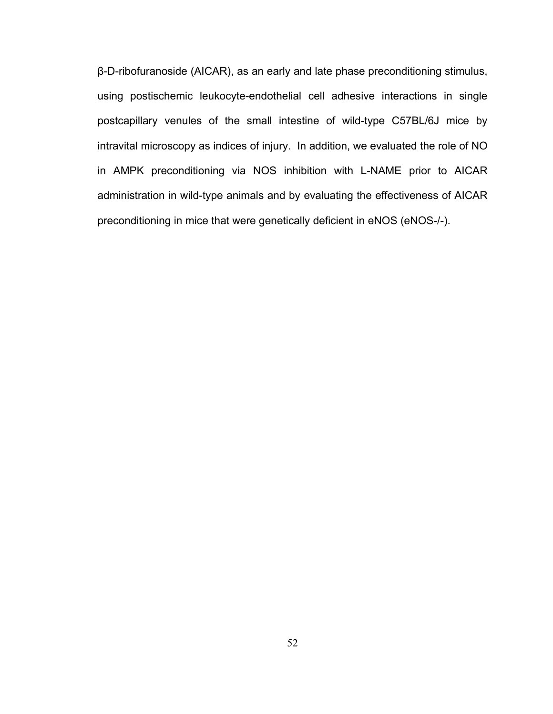β-D-ribofuranoside (AICAR), as an early and late phase preconditioning stimulus, using postischemic leukocyte-endothelial cell adhesive interactions in single postcapillary venules of the small intestine of wild-type C57BL/6J mice by intravital microscopy as indices of injury. In addition, we evaluated the role of NO in AMPK preconditioning via NOS inhibition with L-NAME prior to AICAR administration in wild-type animals and by evaluating the effectiveness of AICAR preconditioning in mice that were genetically deficient in eNOS (eNOS-/-).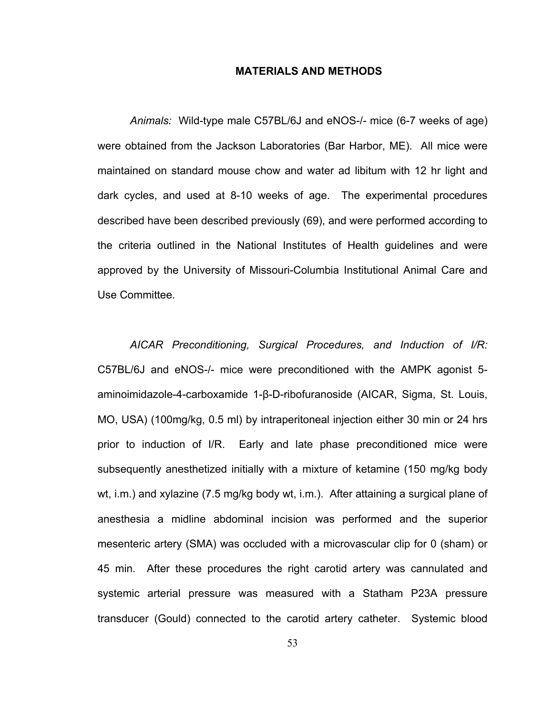# **MATERIALS AND METHODS**

*Animals:* Wild-type male C57BL/6J and eNOS-/- mice (6-7 weeks of age) were obtained from the Jackson Laboratories (Bar Harbor, ME). All mice were maintained on standard mouse chow and water ad libitum with 12 hr light and dark cycles, and used at 8-10 weeks of age. The experimental procedures described have been described previously (69), and were performed according to the criteria outlined in the National Institutes of Health guidelines and were approved by the University of Missouri-Columbia Institutional Animal Care and Use Committee.

*AICAR Preconditioning, Surgical Procedures, and Induction of I/R:*  C57BL/6J and eNOS-/- mice were preconditioned with the AMPK agonist 5 aminoimidazole-4-carboxamide 1-β-D-ribofuranoside (AICAR, Sigma, St. Louis, MO, USA) (100mg/kg, 0.5 ml) by intraperitoneal injection either 30 min or 24 hrs prior to induction of I/R. Early and late phase preconditioned mice were subsequently anesthetized initially with a mixture of ketamine (150 mg/kg body wt, i.m.) and xylazine (7.5 mg/kg body wt, i.m.). After attaining a surgical plane of anesthesia a midline abdominal incision was performed and the superior mesenteric artery (SMA) was occluded with a microvascular clip for 0 (sham) or 45 min. After these procedures the right carotid artery was cannulated and systemic arterial pressure was measured with a Statham P23A pressure transducer (Gould) connected to the carotid artery catheter. Systemic blood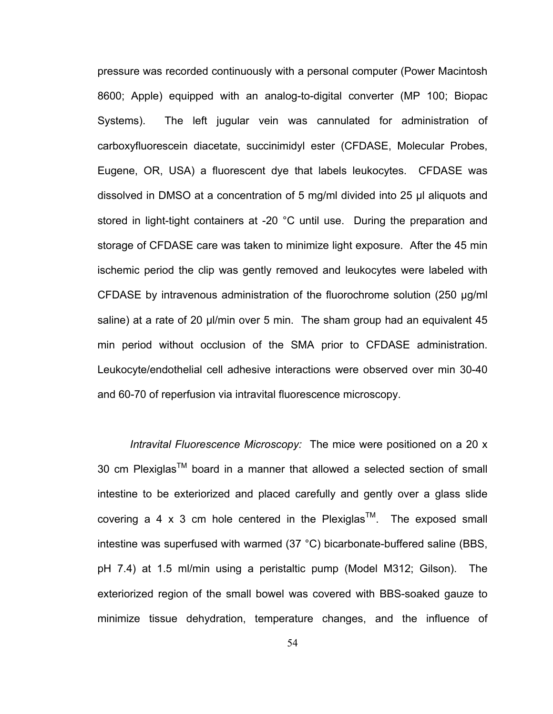pressure was recorded continuously with a personal computer (Power Macintosh 8600; Apple) equipped with an analog-to-digital converter (MP 100; Biopac Systems). The left jugular vein was cannulated for administration of carboxyfluorescein diacetate, succinimidyl ester (CFDASE, Molecular Probes, Eugene, OR, USA) a fluorescent dye that labels leukocytes. CFDASE was dissolved in DMSO at a concentration of 5 mg/ml divided into 25 μl aliquots and stored in light-tight containers at -20 °C until use. During the preparation and storage of CFDASE care was taken to minimize light exposure. After the 45 min ischemic period the clip was gently removed and leukocytes were labeled with CFDASE by intravenous administration of the fluorochrome solution (250 μg/ml saline) at a rate of 20 μl/min over 5 min. The sham group had an equivalent 45 min period without occlusion of the SMA prior to CFDASE administration. Leukocyte/endothelial cell adhesive interactions were observed over min 30-40 and 60-70 of reperfusion via intravital fluorescence microscopy.

*Intravital Fluorescence Microscopy:* The mice were positioned on a 20 x 30 cm Plexiglas<sup>TM</sup> board in a manner that allowed a selected section of small intestine to be exteriorized and placed carefully and gently over a glass slide covering a 4 x 3 cm hole centered in the Plexiglas<sup>TM</sup>. The exposed small intestine was superfused with warmed (37 °C) bicarbonate-buffered saline (BBS, pH 7.4) at 1.5 ml/min using a peristaltic pump (Model M312; Gilson). The exteriorized region of the small bowel was covered with BBS-soaked gauze to minimize tissue dehydration, temperature changes, and the influence of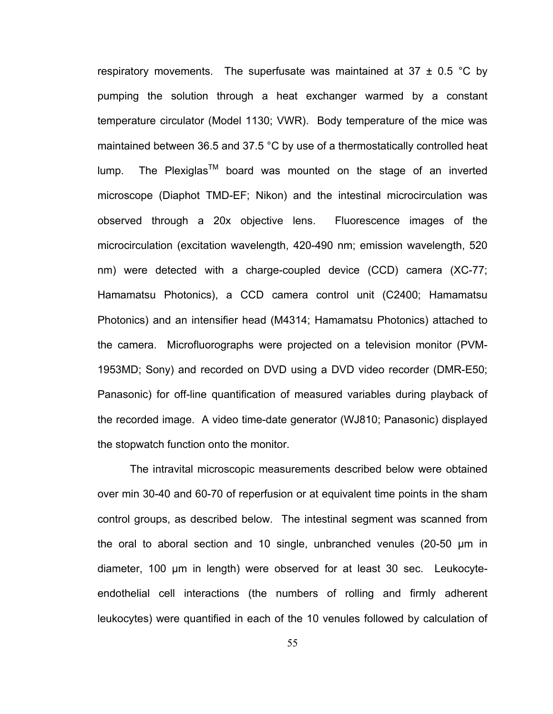respiratory movements. The superfusate was maintained at  $37 \pm 0.5$  °C by pumping the solution through a heat exchanger warmed by a constant temperature circulator (Model 1130; VWR). Body temperature of the mice was maintained between 36.5 and 37.5 °C by use of a thermostatically controlled heat lump. The Plexiglas<sup>TM</sup> board was mounted on the stage of an inverted microscope (Diaphot TMD-EF; Nikon) and the intestinal microcirculation was observed through a 20x objective lens. Fluorescence images of the microcirculation (excitation wavelength, 420-490 nm; emission wavelength, 520 nm) were detected with a charge-coupled device (CCD) camera (XC-77; Hamamatsu Photonics), a CCD camera control unit (C2400; Hamamatsu Photonics) and an intensifier head (M4314; Hamamatsu Photonics) attached to the camera. Microfluorographs were projected on a television monitor (PVM-1953MD; Sony) and recorded on DVD using a DVD video recorder (DMR-E50; Panasonic) for off-line quantification of measured variables during playback of the recorded image. A video time-date generator (WJ810; Panasonic) displayed the stopwatch function onto the monitor.

The intravital microscopic measurements described below were obtained over min 30-40 and 60-70 of reperfusion or at equivalent time points in the sham control groups, as described below. The intestinal segment was scanned from the oral to aboral section and 10 single, unbranched venules (20-50 μm in diameter, 100 μm in length) were observed for at least 30 sec. Leukocyteendothelial cell interactions (the numbers of rolling and firmly adherent leukocytes) were quantified in each of the 10 venules followed by calculation of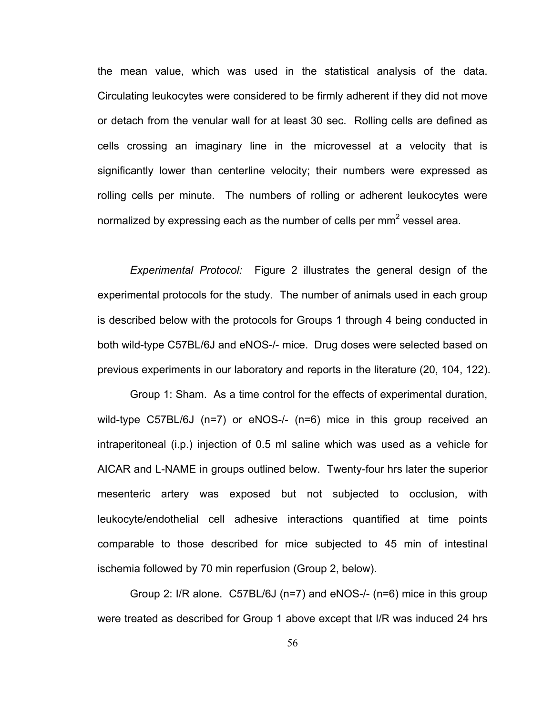the mean value, which was used in the statistical analysis of the data. Circulating leukocytes were considered to be firmly adherent if they did not move or detach from the venular wall for at least 30 sec. Rolling cells are defined as cells crossing an imaginary line in the microvessel at a velocity that is significantly lower than centerline velocity; their numbers were expressed as rolling cells per minute. The numbers of rolling or adherent leukocytes were normalized by expressing each as the number of cells per mm<sup>2</sup> vessel area.

*Experimental Protocol:* Figure 2 illustrates the general design of the experimental protocols for the study. The number of animals used in each group is described below with the protocols for Groups 1 through 4 being conducted in both wild-type C57BL/6J and eNOS-/- mice. Drug doses were selected based on previous experiments in our laboratory and reports in the literature (20, 104, 122).

Group 1: Sham. As a time control for the effects of experimental duration, wild-type C57BL/6J (n=7) or eNOS-/- (n=6) mice in this group received an intraperitoneal (i.p.) injection of 0.5 ml saline which was used as a vehicle for AICAR and L-NAME in groups outlined below. Twenty-four hrs later the superior mesenteric artery was exposed but not subjected to occlusion, with leukocyte/endothelial cell adhesive interactions quantified at time points comparable to those described for mice subjected to 45 min of intestinal ischemia followed by 70 min reperfusion (Group 2, below).

Group 2: I/R alone. C57BL/6J (n=7) and eNOS-/- (n=6) mice in this group were treated as described for Group 1 above except that I/R was induced 24 hrs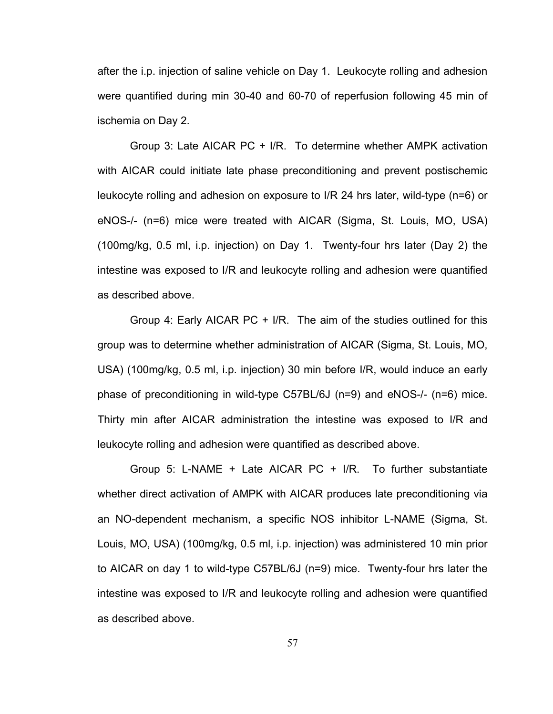after the i.p. injection of saline vehicle on Day 1. Leukocyte rolling and adhesion were quantified during min 30-40 and 60-70 of reperfusion following 45 min of ischemia on Day 2.

Group 3: Late AICAR PC + I/R. To determine whether AMPK activation with AICAR could initiate late phase preconditioning and prevent postischemic leukocyte rolling and adhesion on exposure to I/R 24 hrs later, wild-type (n=6) or eNOS-/- (n=6) mice were treated with AICAR (Sigma, St. Louis, MO, USA) (100mg/kg, 0.5 ml, i.p. injection) on Day 1. Twenty-four hrs later (Day 2) the intestine was exposed to I/R and leukocyte rolling and adhesion were quantified as described above.

Group 4: Early AICAR PC + I/R. The aim of the studies outlined for this group was to determine whether administration of AICAR (Sigma, St. Louis, MO, USA) (100mg/kg, 0.5 ml, i.p. injection) 30 min before I/R, would induce an early phase of preconditioning in wild-type C57BL/6J (n=9) and eNOS-/- (n=6) mice. Thirty min after AICAR administration the intestine was exposed to I/R and leukocyte rolling and adhesion were quantified as described above.

Group 5: L-NAME + Late AICAR PC + I/R. To further substantiate whether direct activation of AMPK with AICAR produces late preconditioning via an NO-dependent mechanism, a specific NOS inhibitor L-NAME (Sigma, St. Louis, MO, USA) (100mg/kg, 0.5 ml, i.p. injection) was administered 10 min prior to AICAR on day 1 to wild-type C57BL/6J (n=9) mice. Twenty-four hrs later the intestine was exposed to I/R and leukocyte rolling and adhesion were quantified as described above.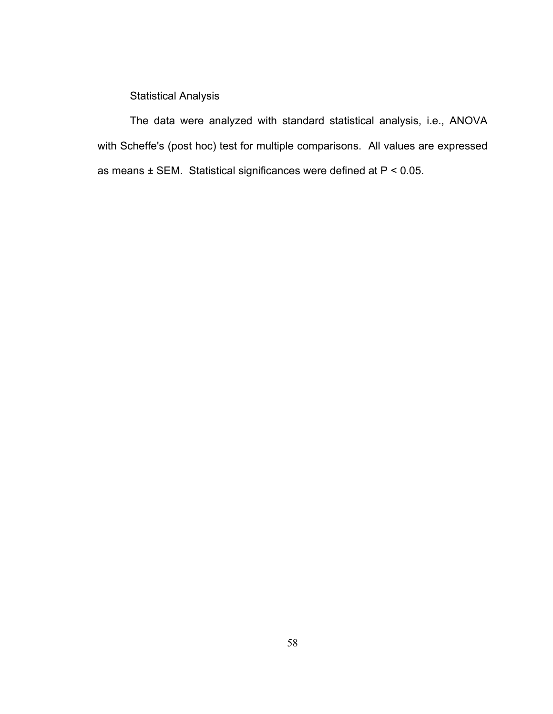Statistical Analysis

The data were analyzed with standard statistical analysis, i.e., ANOVA with Scheffe's (post hoc) test for multiple comparisons. All values are expressed as means ± SEM. Statistical significances were defined at P < 0.05.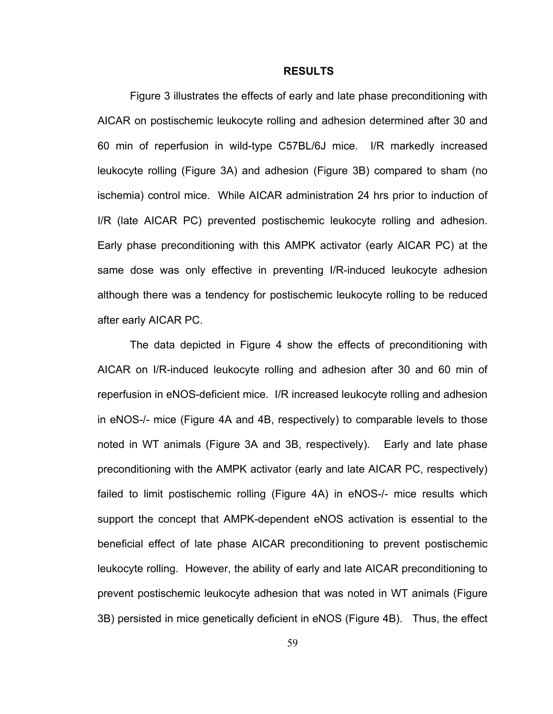#### **RESULTS**

Figure 3 illustrates the effects of early and late phase preconditioning with AICAR on postischemic leukocyte rolling and adhesion determined after 30 and 60 min of reperfusion in wild-type C57BL/6J mice. I/R markedly increased leukocyte rolling (Figure 3A) and adhesion (Figure 3B) compared to sham (no ischemia) control mice. While AICAR administration 24 hrs prior to induction of I/R (late AICAR PC) prevented postischemic leukocyte rolling and adhesion. Early phase preconditioning with this AMPK activator (early AICAR PC) at the same dose was only effective in preventing I/R-induced leukocyte adhesion although there was a tendency for postischemic leukocyte rolling to be reduced after early AICAR PC.

The data depicted in Figure 4 show the effects of preconditioning with AICAR on I/R-induced leukocyte rolling and adhesion after 30 and 60 min of reperfusion in eNOS-deficient mice. I/R increased leukocyte rolling and adhesion in eNOS-/- mice (Figure 4A and 4B, respectively) to comparable levels to those noted in WT animals (Figure 3A and 3B, respectively). Early and late phase preconditioning with the AMPK activator (early and late AICAR PC, respectively) failed to limit postischemic rolling (Figure 4A) in eNOS-/- mice results which support the concept that AMPK-dependent eNOS activation is essential to the beneficial effect of late phase AICAR preconditioning to prevent postischemic leukocyte rolling. However, the ability of early and late AICAR preconditioning to prevent postischemic leukocyte adhesion that was noted in WT animals (Figure 3B) persisted in mice genetically deficient in eNOS (Figure 4B). Thus, the effect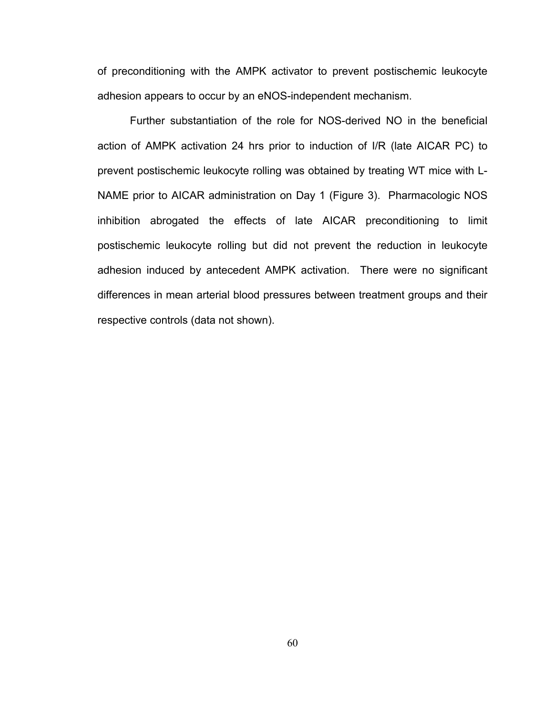of preconditioning with the AMPK activator to prevent postischemic leukocyte adhesion appears to occur by an eNOS-independent mechanism.

Further substantiation of the role for NOS-derived NO in the beneficial action of AMPK activation 24 hrs prior to induction of I/R (late AICAR PC) to prevent postischemic leukocyte rolling was obtained by treating WT mice with L-NAME prior to AICAR administration on Day 1 (Figure 3). Pharmacologic NOS inhibition abrogated the effects of late AICAR preconditioning to limit postischemic leukocyte rolling but did not prevent the reduction in leukocyte adhesion induced by antecedent AMPK activation. There were no significant differences in mean arterial blood pressures between treatment groups and their respective controls (data not shown).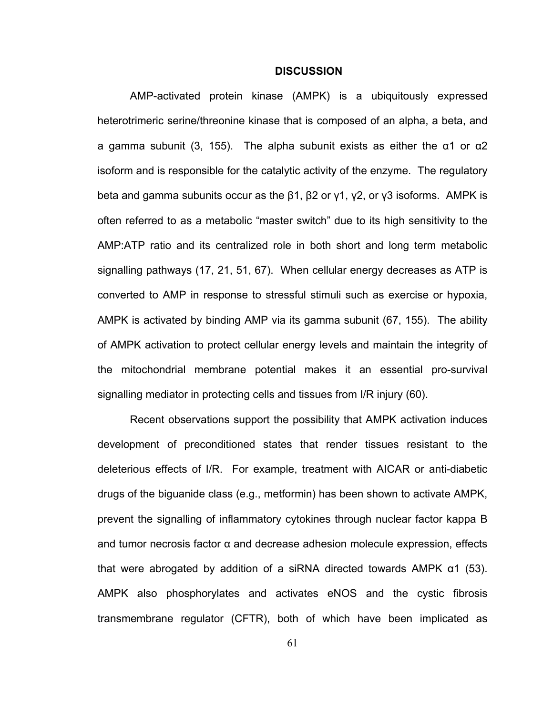## **DISCUSSION**

AMP-activated protein kinase (AMPK) is a ubiquitously expressed heterotrimeric serine/threonine kinase that is composed of an alpha, a beta, and a gamma subunit (3, 155). The alpha subunit exists as either the  $α1$  or  $α2$ isoform and is responsible for the catalytic activity of the enzyme. The regulatory beta and gamma subunits occur as the β1, β2 or γ1, γ2, or γ3 isoforms. AMPK is often referred to as a metabolic "master switch" due to its high sensitivity to the AMP:ATP ratio and its centralized role in both short and long term metabolic signalling pathways (17, 21, 51, 67). When cellular energy decreases as ATP is converted to AMP in response to stressful stimuli such as exercise or hypoxia, AMPK is activated by binding AMP via its gamma subunit (67, 155). The ability of AMPK activation to protect cellular energy levels and maintain the integrity of the mitochondrial membrane potential makes it an essential pro-survival signalling mediator in protecting cells and tissues from I/R injury (60).

Recent observations support the possibility that AMPK activation induces development of preconditioned states that render tissues resistant to the deleterious effects of I/R. For example, treatment with AICAR or anti-diabetic drugs of the biguanide class (e.g., metformin) has been shown to activate AMPK, prevent the signalling of inflammatory cytokines through nuclear factor kappa B and tumor necrosis factor α and decrease adhesion molecule expression, effects that were abrogated by addition of a siRNA directed towards AMPK α1 (53). AMPK also phosphorylates and activates eNOS and the cystic fibrosis transmembrane regulator (CFTR), both of which have been implicated as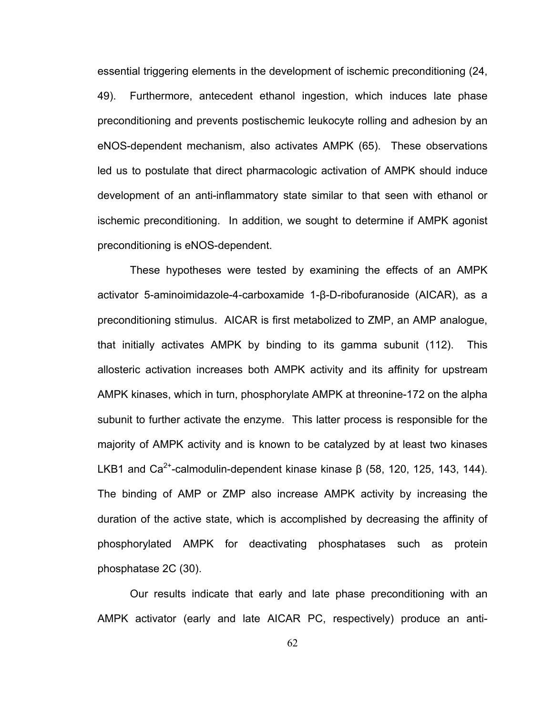essential triggering elements in the development of ischemic preconditioning (24, 49). Furthermore, antecedent ethanol ingestion, which induces late phase preconditioning and prevents postischemic leukocyte rolling and adhesion by an eNOS-dependent mechanism, also activates AMPK (65). These observations led us to postulate that direct pharmacologic activation of AMPK should induce development of an anti-inflammatory state similar to that seen with ethanol or ischemic preconditioning. In addition, we sought to determine if AMPK agonist preconditioning is eNOS-dependent.

These hypotheses were tested by examining the effects of an AMPK activator 5-aminoimidazole-4-carboxamide 1-β-D-ribofuranoside (AICAR), as a preconditioning stimulus. AICAR is first metabolized to ZMP, an AMP analogue, that initially activates AMPK by binding to its gamma subunit (112). This allosteric activation increases both AMPK activity and its affinity for upstream AMPK kinases, which in turn, phosphorylate AMPK at threonine-172 on the alpha subunit to further activate the enzyme. This latter process is responsible for the majority of AMPK activity and is known to be catalyzed by at least two kinases LKB1 and Ca<sup>2+</sup>-calmodulin-dependent kinase kinase  $β$  (58, 120, 125, 143, 144). The binding of AMP or ZMP also increase AMPK activity by increasing the duration of the active state, which is accomplished by decreasing the affinity of phosphorylated AMPK for deactivating phosphatases such as protein phosphatase 2C (30).

Our results indicate that early and late phase preconditioning with an AMPK activator (early and late AICAR PC, respectively) produce an anti-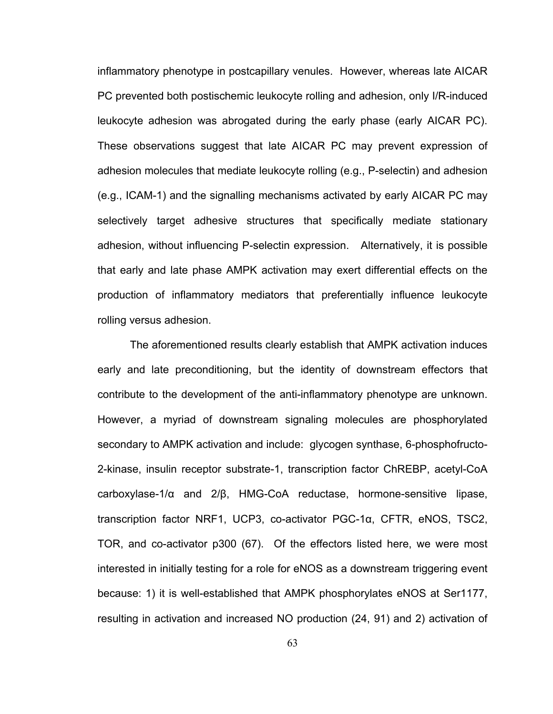inflammatory phenotype in postcapillary venules. However, whereas late AICAR PC prevented both postischemic leukocyte rolling and adhesion, only I/R-induced leukocyte adhesion was abrogated during the early phase (early AICAR PC). These observations suggest that late AICAR PC may prevent expression of adhesion molecules that mediate leukocyte rolling (e.g., P-selectin) and adhesion (e.g., ICAM-1) and the signalling mechanisms activated by early AICAR PC may selectively target adhesive structures that specifically mediate stationary adhesion, without influencing P-selectin expression. Alternatively, it is possible that early and late phase AMPK activation may exert differential effects on the production of inflammatory mediators that preferentially influence leukocyte rolling versus adhesion.

The aforementioned results clearly establish that AMPK activation induces early and late preconditioning, but the identity of downstream effectors that contribute to the development of the anti-inflammatory phenotype are unknown. However, a myriad of downstream signaling molecules are phosphorylated secondary to AMPK activation and include: glycogen synthase, 6-phosphofructo-2-kinase, insulin receptor substrate-1, transcription factor ChREBP, acetyl-CoA carboxylase-1/α and 2/β, HMG-CoA reductase, hormone-sensitive lipase, transcription factor NRF1, UCP3, co-activator PGC-1α, CFTR, eNOS, TSC2, TOR, and co-activator p300 (67). Of the effectors listed here, we were most interested in initially testing for a role for eNOS as a downstream triggering event because: 1) it is well-established that AMPK phosphorylates eNOS at Ser1177, resulting in activation and increased NO production (24, 91) and 2) activation of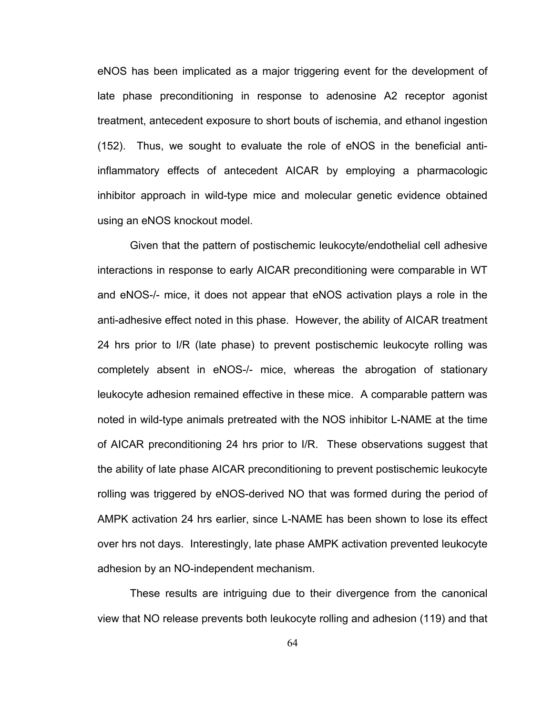eNOS has been implicated as a major triggering event for the development of late phase preconditioning in response to adenosine A2 receptor agonist treatment, antecedent exposure to short bouts of ischemia, and ethanol ingestion (152). Thus, we sought to evaluate the role of eNOS in the beneficial antiinflammatory effects of antecedent AICAR by employing a pharmacologic inhibitor approach in wild-type mice and molecular genetic evidence obtained using an eNOS knockout model.

Given that the pattern of postischemic leukocyte/endothelial cell adhesive interactions in response to early AICAR preconditioning were comparable in WT and eNOS-/- mice, it does not appear that eNOS activation plays a role in the anti-adhesive effect noted in this phase. However, the ability of AICAR treatment 24 hrs prior to I/R (late phase) to prevent postischemic leukocyte rolling was completely absent in eNOS-/- mice, whereas the abrogation of stationary leukocyte adhesion remained effective in these mice. A comparable pattern was noted in wild-type animals pretreated with the NOS inhibitor L-NAME at the time of AICAR preconditioning 24 hrs prior to I/R. These observations suggest that the ability of late phase AICAR preconditioning to prevent postischemic leukocyte rolling was triggered by eNOS-derived NO that was formed during the period of AMPK activation 24 hrs earlier, since L-NAME has been shown to lose its effect over hrs not days. Interestingly, late phase AMPK activation prevented leukocyte adhesion by an NO-independent mechanism.

These results are intriguing due to their divergence from the canonical view that NO release prevents both leukocyte rolling and adhesion (119) and that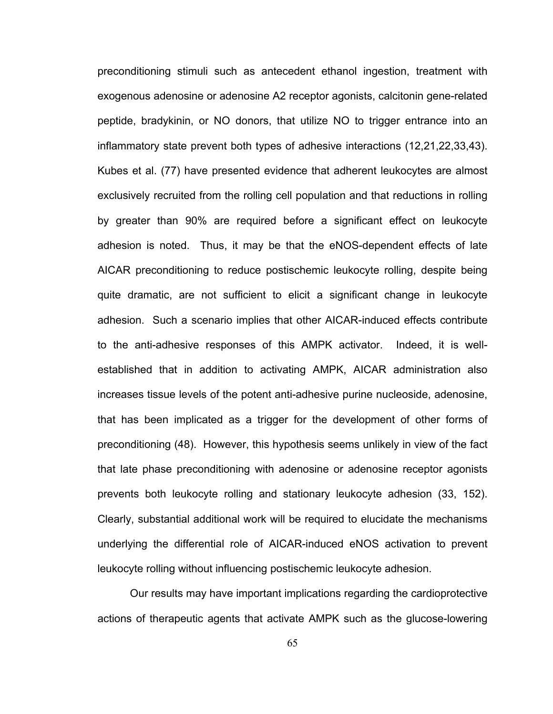preconditioning stimuli such as antecedent ethanol ingestion, treatment with exogenous adenosine or adenosine A2 receptor agonists, calcitonin gene-related peptide, bradykinin, or NO donors, that utilize NO to trigger entrance into an inflammatory state prevent both types of adhesive interactions (12,21,22,33,43). Kubes et al. (77) have presented evidence that adherent leukocytes are almost exclusively recruited from the rolling cell population and that reductions in rolling by greater than 90% are required before a significant effect on leukocyte adhesion is noted. Thus, it may be that the eNOS-dependent effects of late AICAR preconditioning to reduce postischemic leukocyte rolling, despite being quite dramatic, are not sufficient to elicit a significant change in leukocyte adhesion. Such a scenario implies that other AICAR-induced effects contribute to the anti-adhesive responses of this AMPK activator. Indeed, it is wellestablished that in addition to activating AMPK, AICAR administration also increases tissue levels of the potent anti-adhesive purine nucleoside, adenosine, that has been implicated as a trigger for the development of other forms of preconditioning (48). However, this hypothesis seems unlikely in view of the fact that late phase preconditioning with adenosine or adenosine receptor agonists prevents both leukocyte rolling and stationary leukocyte adhesion (33, 152). Clearly, substantial additional work will be required to elucidate the mechanisms underlying the differential role of AICAR-induced eNOS activation to prevent leukocyte rolling without influencing postischemic leukocyte adhesion.

Our results may have important implications regarding the cardioprotective actions of therapeutic agents that activate AMPK such as the glucose-lowering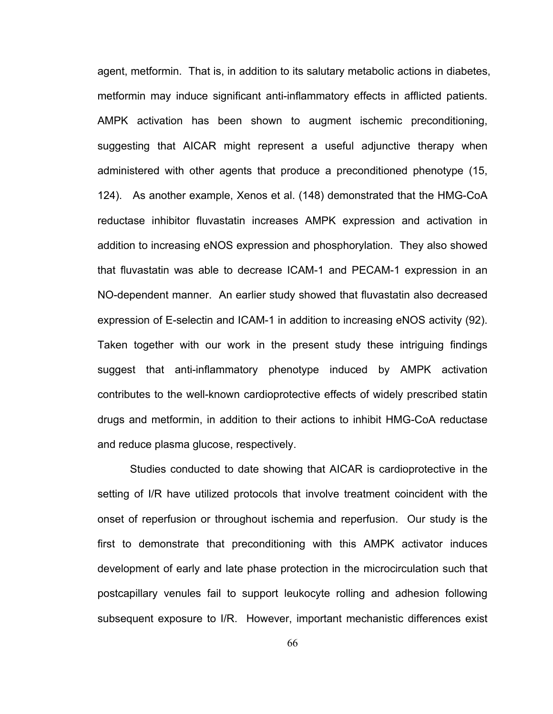agent, metformin. That is, in addition to its salutary metabolic actions in diabetes, metformin may induce significant anti-inflammatory effects in afflicted patients. AMPK activation has been shown to augment ischemic preconditioning, suggesting that AICAR might represent a useful adjunctive therapy when administered with other agents that produce a preconditioned phenotype (15, 124). As another example, Xenos et al. (148) demonstrated that the HMG-CoA reductase inhibitor fluvastatin increases AMPK expression and activation in addition to increasing eNOS expression and phosphorylation. They also showed that fluvastatin was able to decrease ICAM-1 and PECAM-1 expression in an NO-dependent manner. An earlier study showed that fluvastatin also decreased expression of E-selectin and ICAM-1 in addition to increasing eNOS activity (92). Taken together with our work in the present study these intriguing findings suggest that anti-inflammatory phenotype induced by AMPK activation contributes to the well-known cardioprotective effects of widely prescribed statin drugs and metformin, in addition to their actions to inhibit HMG-CoA reductase and reduce plasma glucose, respectively.

Studies conducted to date showing that AICAR is cardioprotective in the setting of I/R have utilized protocols that involve treatment coincident with the onset of reperfusion or throughout ischemia and reperfusion. Our study is the first to demonstrate that preconditioning with this AMPK activator induces development of early and late phase protection in the microcirculation such that postcapillary venules fail to support leukocyte rolling and adhesion following subsequent exposure to I/R. However, important mechanistic differences exist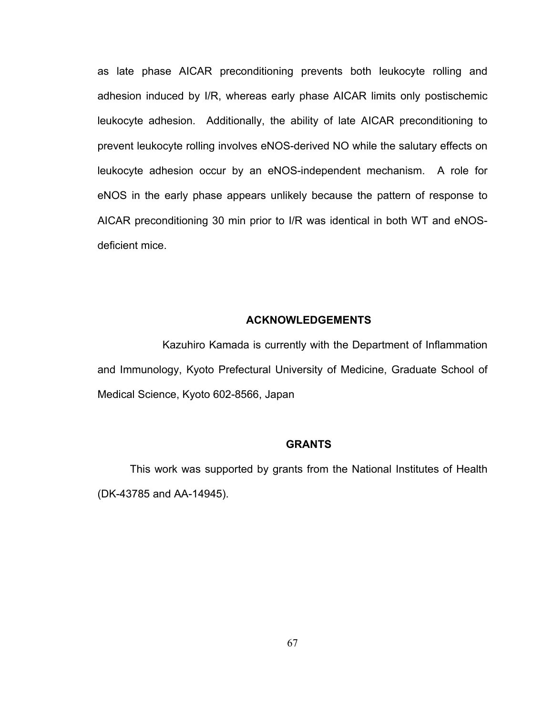as late phase AICAR preconditioning prevents both leukocyte rolling and adhesion induced by I/R, whereas early phase AICAR limits only postischemic leukocyte adhesion. Additionally, the ability of late AICAR preconditioning to prevent leukocyte rolling involves eNOS-derived NO while the salutary effects on leukocyte adhesion occur by an eNOS-independent mechanism. A role for eNOS in the early phase appears unlikely because the pattern of response to AICAR preconditioning 30 min prior to I/R was identical in both WT and eNOSdeficient mice.

# **ACKNOWLEDGEMENTS**

 Kazuhiro Kamada is currently with the Department of Inflammation and Immunology, Kyoto Prefectural University of Medicine, Graduate School of Medical Science, Kyoto 602-8566, Japan

# **GRANTS**

This work was supported by grants from the National Institutes of Health (DK-43785 and AA-14945).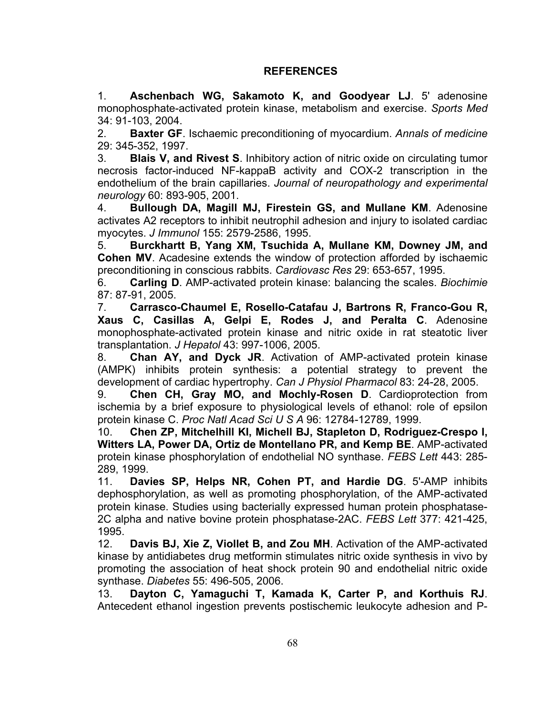# **REFERENCES**

1. **Aschenbach WG, Sakamoto K, and Goodyear LJ**. 5' adenosine monophosphate-activated protein kinase, metabolism and exercise. *Sports Med*  34: 91-103, 2004.

2. **Baxter GF**. Ischaemic preconditioning of myocardium. *Annals of medicine*  29: 345-352, 1997.

3. **Blais V, and Rivest S**. Inhibitory action of nitric oxide on circulating tumor necrosis factor-induced NF-kappaB activity and COX-2 transcription in the endothelium of the brain capillaries. *Journal of neuropathology and experimental neurology* 60: 893-905, 2001.

4. **Bullough DA, Magill MJ, Firestein GS, and Mullane KM**. Adenosine activates A2 receptors to inhibit neutrophil adhesion and injury to isolated cardiac myocytes. *J Immunol* 155: 2579-2586, 1995.

5. **Burckhartt B, Yang XM, Tsuchida A, Mullane KM, Downey JM, and Cohen MV**. Acadesine extends the window of protection afforded by ischaemic preconditioning in conscious rabbits. *Cardiovasc Res* 29: 653-657, 1995.

6. **Carling D**. AMP-activated protein kinase: balancing the scales. *Biochimie*  87: 87-91, 2005.

7. **Carrasco-Chaumel E, Rosello-Catafau J, Bartrons R, Franco-Gou R, Xaus C, Casillas A, Gelpi E, Rodes J, and Peralta C**. Adenosine monophosphate-activated protein kinase and nitric oxide in rat steatotic liver transplantation. *J Hepatol* 43: 997-1006, 2005.

8. **Chan AY, and Dyck JR**. Activation of AMP-activated protein kinase (AMPK) inhibits protein synthesis: a potential strategy to prevent the development of cardiac hypertrophy. *Can J Physiol Pharmacol* 83: 24-28, 2005.

9. **Chen CH, Gray MO, and Mochly-Rosen D**. Cardioprotection from ischemia by a brief exposure to physiological levels of ethanol: role of epsilon protein kinase C. *Proc Natl Acad Sci U S A* 96: 12784-12789, 1999.

10. **Chen ZP, Mitchelhill KI, Michell BJ, Stapleton D, Rodriguez-Crespo I, Witters LA, Power DA, Ortiz de Montellano PR, and Kemp BE**. AMP-activated protein kinase phosphorylation of endothelial NO synthase. *FEBS Lett* 443: 285- 289, 1999.

11. **Davies SP, Helps NR, Cohen PT, and Hardie DG**. 5'-AMP inhibits dephosphorylation, as well as promoting phosphorylation, of the AMP-activated protein kinase. Studies using bacterially expressed human protein phosphatase-2C alpha and native bovine protein phosphatase-2AC. *FEBS Lett* 377: 421-425, 1995.

12. **Davis BJ, Xie Z, Viollet B, and Zou MH**. Activation of the AMP-activated kinase by antidiabetes drug metformin stimulates nitric oxide synthesis in vivo by promoting the association of heat shock protein 90 and endothelial nitric oxide synthase. *Diabetes* 55: 496-505, 2006.

13. **Dayton C, Yamaguchi T, Kamada K, Carter P, and Korthuis RJ**. Antecedent ethanol ingestion prevents postischemic leukocyte adhesion and P-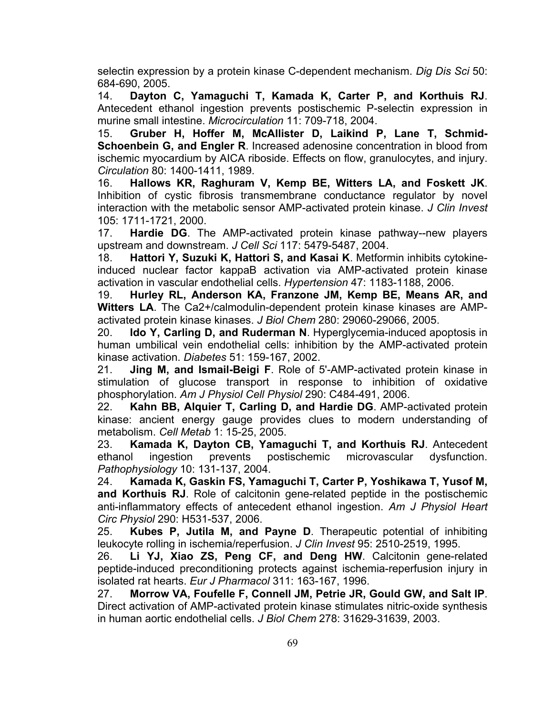selectin expression by a protein kinase C-dependent mechanism. *Dig Dis Sci* 50: 684-690, 2005.

14. **Dayton C, Yamaguchi T, Kamada K, Carter P, and Korthuis RJ**. Antecedent ethanol ingestion prevents postischemic P-selectin expression in murine small intestine. *Microcirculation* 11: 709-718, 2004.

15. **Gruber H, Hoffer M, McAllister D, Laikind P, Lane T, Schmid-Schoenbein G, and Engler R**. Increased adenosine concentration in blood from ischemic myocardium by AICA riboside. Effects on flow, granulocytes, and injury. *Circulation* 80: 1400-1411, 1989.

16. **Hallows KR, Raghuram V, Kemp BE, Witters LA, and Foskett JK**. Inhibition of cystic fibrosis transmembrane conductance regulator by novel interaction with the metabolic sensor AMP-activated protein kinase. *J Clin Invest*  105: 1711-1721, 2000.

17. **Hardie DG**. The AMP-activated protein kinase pathway--new players upstream and downstream. *J Cell Sci* 117: 5479-5487, 2004.

18. **Hattori Y, Suzuki K, Hattori S, and Kasai K**. Metformin inhibits cytokineinduced nuclear factor kappaB activation via AMP-activated protein kinase activation in vascular endothelial cells. *Hypertension* 47: 1183-1188, 2006.

19. **Hurley RL, Anderson KA, Franzone JM, Kemp BE, Means AR, and Witters LA**. The Ca2+/calmodulin-dependent protein kinase kinases are AMPactivated protein kinase kinases. *J Biol Chem* 280: 29060-29066, 2005.

20. **Ido Y, Carling D, and Ruderman N**. Hyperglycemia-induced apoptosis in human umbilical vein endothelial cells: inhibition by the AMP-activated protein kinase activation. *Diabetes* 51: 159-167, 2002.

21. **Jing M, and Ismail-Beigi F**. Role of 5'-AMP-activated protein kinase in stimulation of glucose transport in response to inhibition of oxidative phosphorylation. *Am J Physiol Cell Physiol* 290: C484-491, 2006.

22. **Kahn BB, Alquier T, Carling D, and Hardie DG**. AMP-activated protein kinase: ancient energy gauge provides clues to modern understanding of metabolism. *Cell Metab* 1: 15-25, 2005.

23. **Kamada K, Dayton CB, Yamaguchi T, and Korthuis RJ**. Antecedent ethanol ingestion prevents postischemic microvascular dysfunction. *Pathophysiology* 10: 131-137, 2004.

24. **Kamada K, Gaskin FS, Yamaguchi T, Carter P, Yoshikawa T, Yusof M, and Korthuis RJ**. Role of calcitonin gene-related peptide in the postischemic anti-inflammatory effects of antecedent ethanol ingestion. *Am J Physiol Heart Circ Physiol* 290: H531-537, 2006.

25. **Kubes P, Jutila M, and Payne D**. Therapeutic potential of inhibiting leukocyte rolling in ischemia/reperfusion. *J Clin Invest* 95: 2510-2519, 1995.

26. **Li YJ, Xiao ZS, Peng CF, and Deng HW**. Calcitonin gene-related peptide-induced preconditioning protects against ischemia-reperfusion injury in isolated rat hearts. *Eur J Pharmacol* 311: 163-167, 1996.

27. **Morrow VA, Foufelle F, Connell JM, Petrie JR, Gould GW, and Salt IP**. Direct activation of AMP-activated protein kinase stimulates nitric-oxide synthesis in human aortic endothelial cells. *J Biol Chem* 278: 31629-31639, 2003.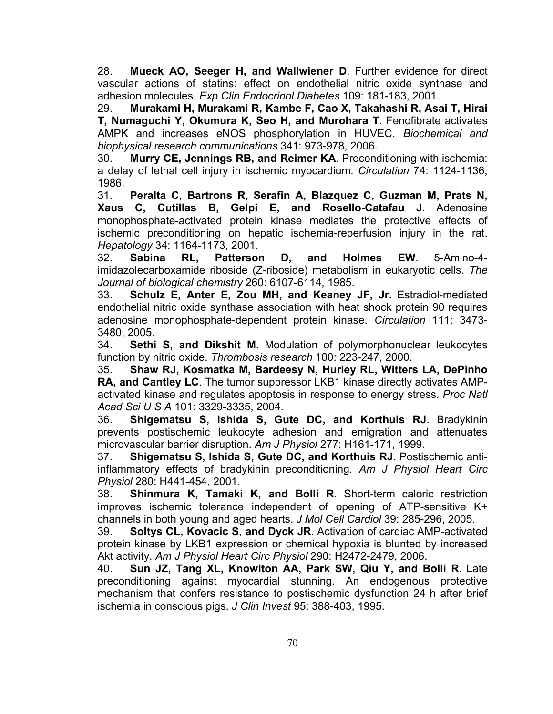28. **Mueck AO, Seeger H, and Wallwiener D**. Further evidence for direct vascular actions of statins: effect on endothelial nitric oxide synthase and adhesion molecules. *Exp Clin Endocrinol Diabetes* 109: 181-183, 2001.

29. **Murakami H, Murakami R, Kambe F, Cao X, Takahashi R, Asai T, Hirai T, Numaguchi Y, Okumura K, Seo H, and Murohara T**. Fenofibrate activates AMPK and increases eNOS phosphorylation in HUVEC. *Biochemical and biophysical research communications* 341: 973-978, 2006.

30. **Murry CE, Jennings RB, and Reimer KA**. Preconditioning with ischemia: a delay of lethal cell injury in ischemic myocardium. *Circulation* 74: 1124-1136, 1986.

31. **Peralta C, Bartrons R, Serafin A, Blazquez C, Guzman M, Prats N, Xaus C, Cutillas B, Gelpi E, and Rosello-Catafau J**. Adenosine monophosphate-activated protein kinase mediates the protective effects of ischemic preconditioning on hepatic ischemia-reperfusion injury in the rat. *Hepatology* 34: 1164-1173, 2001.

32. **Sabina RL, Patterson D, and Holmes EW**. 5-Amino-4 imidazolecarboxamide riboside (Z-riboside) metabolism in eukaryotic cells. *The Journal of biological chemistry* 260: 6107-6114, 1985.

33. **Schulz E, Anter E, Zou MH, and Keaney JF, Jr.** Estradiol-mediated endothelial nitric oxide synthase association with heat shock protein 90 requires adenosine monophosphate-dependent protein kinase. *Circulation* 111: 3473- 3480, 2005.

34. **Sethi S, and Dikshit M**. Modulation of polymorphonuclear leukocytes function by nitric oxide. *Thrombosis research* 100: 223-247, 2000.

35. **Shaw RJ, Kosmatka M, Bardeesy N, Hurley RL, Witters LA, DePinho RA, and Cantley LC**. The tumor suppressor LKB1 kinase directly activates AMPactivated kinase and regulates apoptosis in response to energy stress. *Proc Natl Acad Sci U S A* 101: 3329-3335, 2004.

36. **Shigematsu S, Ishida S, Gute DC, and Korthuis RJ**. Bradykinin prevents postischemic leukocyte adhesion and emigration and attenuates microvascular barrier disruption. *Am J Physiol* 277: H161-171, 1999.

37. **Shigematsu S, Ishida S, Gute DC, and Korthuis RJ**. Postischemic antiinflammatory effects of bradykinin preconditioning. *Am J Physiol Heart Circ Physiol* 280: H441-454, 2001.

38. **Shinmura K, Tamaki K, and Bolli R**. Short-term caloric restriction improves ischemic tolerance independent of opening of ATP-sensitive K+ channels in both young and aged hearts. *J Mol Cell Cardiol* 39: 285-296, 2005.

39. **Soltys CL, Kovacic S, and Dyck JR**. Activation of cardiac AMP-activated protein kinase by LKB1 expression or chemical hypoxia is blunted by increased Akt activity. *Am J Physiol Heart Circ Physiol* 290: H2472-2479, 2006.

40. **Sun JZ, Tang XL, Knowlton AA, Park SW, Qiu Y, and Bolli R**. Late preconditioning against myocardial stunning. An endogenous protective mechanism that confers resistance to postischemic dysfunction 24 h after brief ischemia in conscious pigs. *J Clin Invest* 95: 388-403, 1995.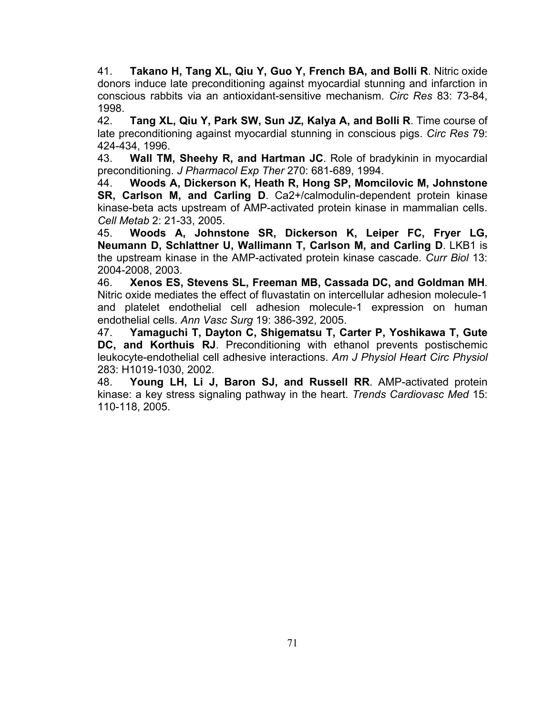41. **Takano H, Tang XL, Qiu Y, Guo Y, French BA, and Bolli R**. Nitric oxide donors induce late preconditioning against myocardial stunning and infarction in conscious rabbits via an antioxidant-sensitive mechanism. *Circ Res* 83: 73-84, 1998.

42. **Tang XL, Qiu Y, Park SW, Sun JZ, Kalya A, and Bolli R**. Time course of late preconditioning against myocardial stunning in conscious pigs. *Circ Res* 79: 424-434, 1996.

43. **Wall TM, Sheehy R, and Hartman JC**. Role of bradykinin in myocardial preconditioning. *J Pharmacol Exp Ther* 270: 681-689, 1994.

44. **Woods A, Dickerson K, Heath R, Hong SP, Momcilovic M, Johnstone SR, Carlson M, and Carling D**. Ca2+/calmodulin-dependent protein kinase kinase-beta acts upstream of AMP-activated protein kinase in mammalian cells. *Cell Metab* 2: 21-33, 2005.

45. **Woods A, Johnstone SR, Dickerson K, Leiper FC, Fryer LG, Neumann D, Schlattner U, Wallimann T, Carlson M, and Carling D**. LKB1 is the upstream kinase in the AMP-activated protein kinase cascade. *Curr Biol* 13: 2004-2008, 2003.

46. **Xenos ES, Stevens SL, Freeman MB, Cassada DC, and Goldman MH**. Nitric oxide mediates the effect of fluvastatin on intercellular adhesion molecule-1 and platelet endothelial cell adhesion molecule-1 expression on human endothelial cells. *Ann Vasc Surg* 19: 386-392, 2005.

47. **Yamaguchi T, Dayton C, Shigematsu T, Carter P, Yoshikawa T, Gute DC, and Korthuis RJ**. Preconditioning with ethanol prevents postischemic leukocyte-endothelial cell adhesive interactions. *Am J Physiol Heart Circ Physiol*  283: H1019-1030, 2002.

48. **Young LH, Li J, Baron SJ, and Russell RR**. AMP-activated protein kinase: a key stress signaling pathway in the heart. *Trends Cardiovasc Med* 15: 110-118, 2005.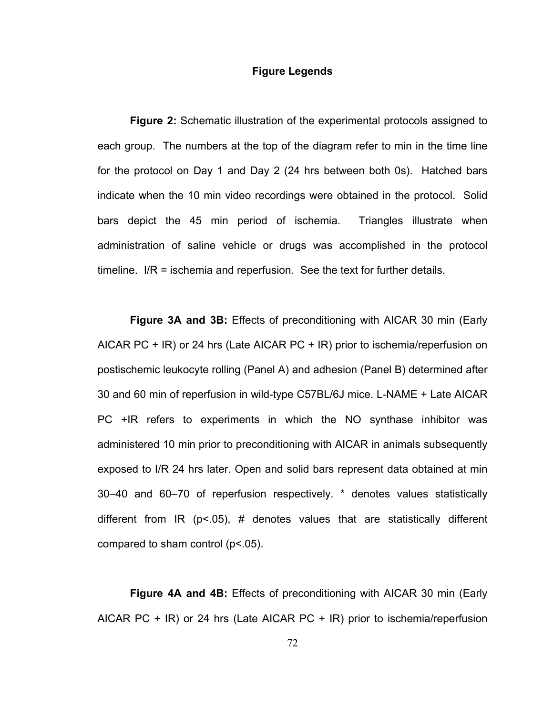## **Figure Legends**

**Figure 2:** Schematic illustration of the experimental protocols assigned to each group. The numbers at the top of the diagram refer to min in the time line for the protocol on Day 1 and Day 2 (24 hrs between both 0s). Hatched bars indicate when the 10 min video recordings were obtained in the protocol. Solid bars depict the 45 min period of ischemia. Triangles illustrate when administration of saline vehicle or drugs was accomplished in the protocol timeline. I/R = ischemia and reperfusion. See the text for further details.

**Figure 3A and 3B:** Effects of preconditioning with AICAR 30 min (Early AICAR PC + IR) or 24 hrs (Late AICAR PC + IR) prior to ischemia/reperfusion on postischemic leukocyte rolling (Panel A) and adhesion (Panel B) determined after 30 and 60 min of reperfusion in wild-type C57BL/6J mice. L-NAME + Late AICAR PC +IR refers to experiments in which the NO synthase inhibitor was administered 10 min prior to preconditioning with AICAR in animals subsequently exposed to I/R 24 hrs later. Open and solid bars represent data obtained at min 30–40 and 60–70 of reperfusion respectively. \* denotes values statistically different from IR ( $p$ <.05), # denotes values that are statistically different compared to sham control (p<.05).

**Figure 4A and 4B:** Effects of preconditioning with AICAR 30 min (Early AICAR PC  $+$  IR) or 24 hrs (Late AICAR PC  $+$  IR) prior to ischemia/reperfusion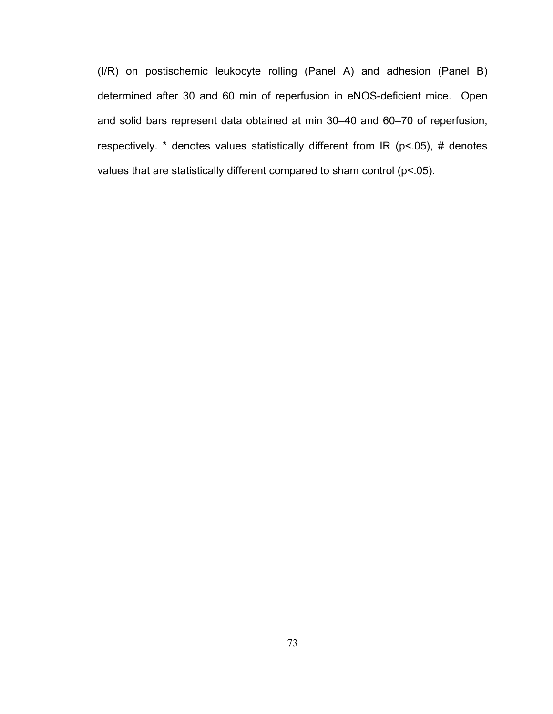(I/R) on postischemic leukocyte rolling (Panel A) and adhesion (Panel B) determined after 30 and 60 min of reperfusion in eNOS-deficient mice. Open and solid bars represent data obtained at min 30–40 and 60–70 of reperfusion, respectively.  $*$  denotes values statistically different from IR ( $p$ <.05), # denotes values that are statistically different compared to sham control (p<.05).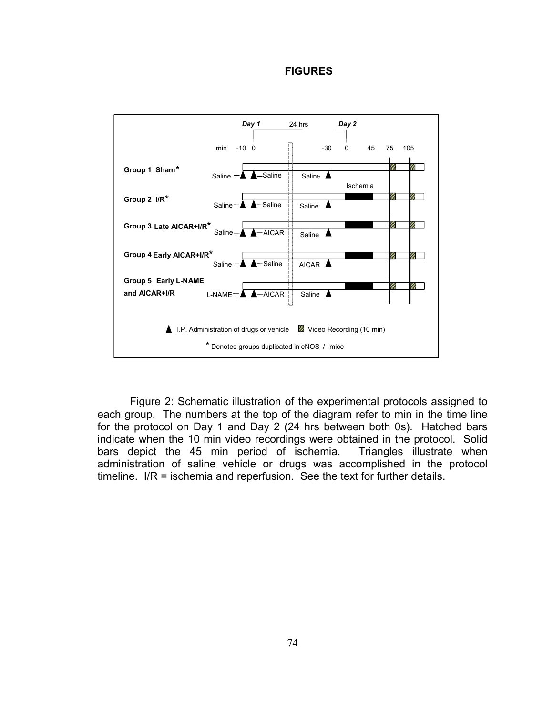## **FIGURES**



Figure 2: Schematic illustration of the experimental protocols assigned to each group. The numbers at the top of the diagram refer to min in the time line for the protocol on Day 1 and Day 2 (24 hrs between both 0s). Hatched bars indicate when the 10 min video recordings were obtained in the protocol. Solid bars depict the 45 min period of ischemia. Triangles illustrate when administration of saline vehicle or drugs was accomplished in the protocol timeline. I/R = ischemia and reperfusion. See the text for further details.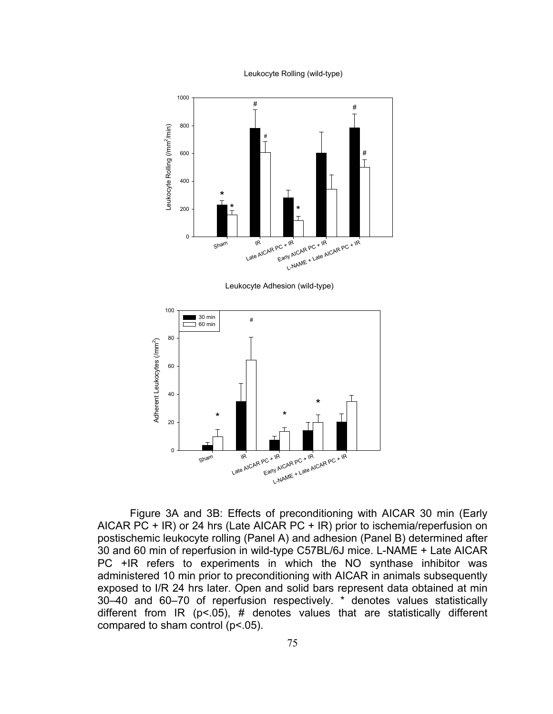Leukocyte Rolling (wild-type)



Leukocyte Adhesion (wild-type)



Figure 3A and 3B: Effects of preconditioning with AICAR 30 min (Early AICAR PC + IR) or 24 hrs (Late AICAR PC + IR) prior to ischemia/reperfusion on postischemic leukocyte rolling (Panel A) and adhesion (Panel B) determined after 30 and 60 min of reperfusion in wild-type C57BL/6J mice. L-NAME + Late AICAR PC +IR refers to experiments in which the NO synthase inhibitor was administered 10 min prior to preconditioning with AICAR in animals subsequently exposed to I/R 24 hrs later. Open and solid bars represent data obtained at min 30–40 and 60–70 of reperfusion respectively. \* denotes values statistically different from IR ( $p$ <.05), # denotes values that are statistically different compared to sham control (p<.05).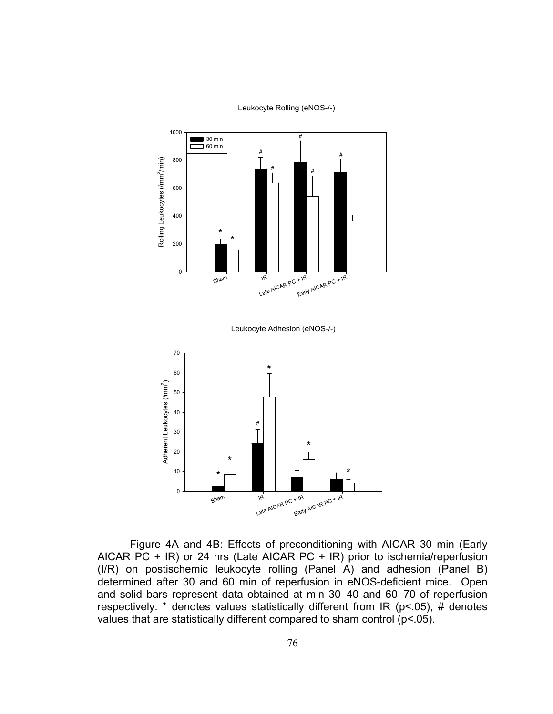

Leukocyte Rolling (eNOS-/-)

Figure 4A and 4B: Effects of preconditioning with AICAR 30 min (Early AICAR PC + IR) or 24 hrs (Late AICAR PC + IR) prior to ischemia/reperfusion (I/R) on postischemic leukocyte rolling (Panel A) and adhesion (Panel B) determined after 30 and 60 min of reperfusion in eNOS-deficient mice. Open and solid bars represent data obtained at min 30–40 and 60–70 of reperfusion respectively. \* denotes values statistically different from IR ( $p$ < 05), # denotes values that are statistically different compared to sham control  $(p< 05)$ .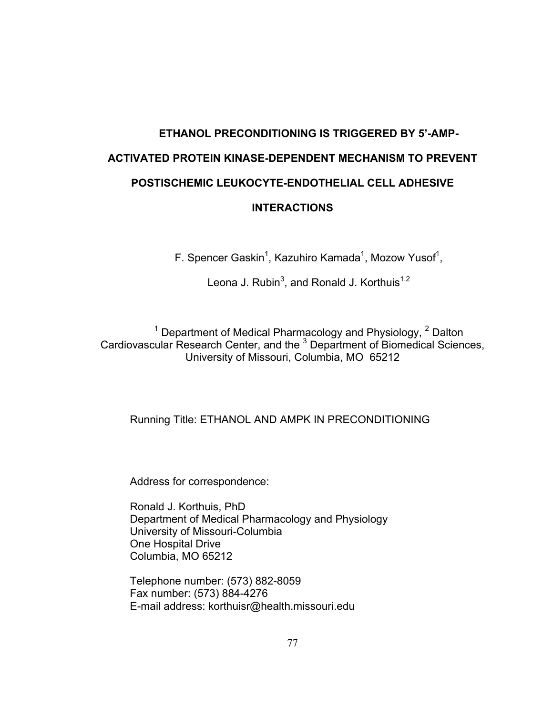# **ETHANOL PRECONDITIONING IS TRIGGERED BY 5'-AMP-ACTIVATED PROTEIN KINASE-DEPENDENT MECHANISM TO PREVENT POSTISCHEMIC LEUKOCYTE-ENDOTHELIAL CELL ADHESIVE INTERACTIONS**

F. Spencer Gaskin<sup>1</sup>, Kazuhiro Kamada<sup>1</sup>, Mozow Yusof<sup>1</sup>,

Leona J. Rubin<sup>3</sup>, and Ronald J. Korthuis<sup>1,2</sup>

<sup>1</sup> Department of Medical Pharmacology and Physiology,  $2$  Dalton Cardiovascular Research Center, and the <sup>3</sup> Department of Biomedical Sciences, University of Missouri, Columbia, MO 65212

# Running Title: ETHANOL AND AMPK IN PRECONDITIONING

Address for correspondence:

Ronald J. Korthuis, PhD Department of Medical Pharmacology and Physiology University of Missouri-Columbia One Hospital Drive Columbia, MO 65212

Telephone number: (573) 882-8059 Fax number: (573) 884-4276 E-mail address: korthuisr@health.missouri.edu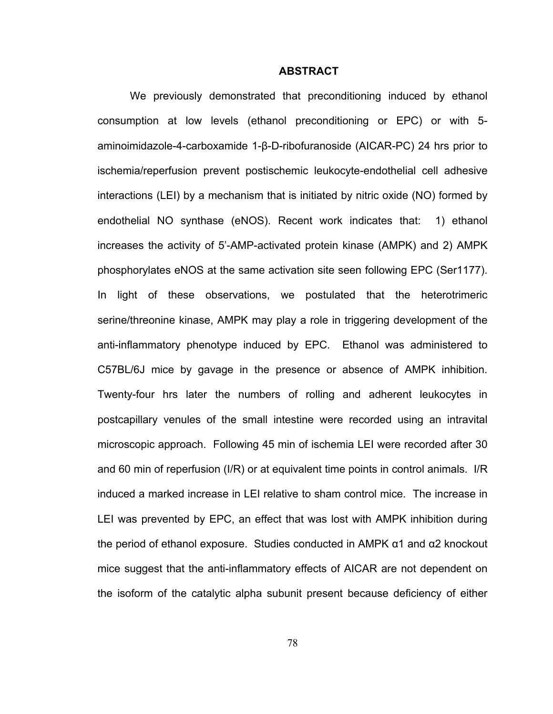## **ABSTRACT**

We previously demonstrated that preconditioning induced by ethanol consumption at low levels (ethanol preconditioning or EPC) or with 5 aminoimidazole-4-carboxamide 1-β-D-ribofuranoside (AICAR-PC) 24 hrs prior to ischemia/reperfusion prevent postischemic leukocyte-endothelial cell adhesive interactions (LEI) by a mechanism that is initiated by nitric oxide (NO) formed by endothelial NO synthase (eNOS). Recent work indicates that: 1) ethanol increases the activity of 5'-AMP-activated protein kinase (AMPK) and 2) AMPK phosphorylates eNOS at the same activation site seen following EPC (Ser1177). In light of these observations, we postulated that the heterotrimeric serine/threonine kinase, AMPK may play a role in triggering development of the anti-inflammatory phenotype induced by EPC. Ethanol was administered to C57BL/6J mice by gavage in the presence or absence of AMPK inhibition. Twenty-four hrs later the numbers of rolling and adherent leukocytes in postcapillary venules of the small intestine were recorded using an intravital microscopic approach. Following 45 min of ischemia LEI were recorded after 30 and 60 min of reperfusion (I/R) or at equivalent time points in control animals. I/R induced a marked increase in LEI relative to sham control mice. The increase in LEI was prevented by EPC, an effect that was lost with AMPK inhibition during the period of ethanol exposure. Studies conducted in AMPK α1 and α2 knockout mice suggest that the anti-inflammatory effects of AICAR are not dependent on the isoform of the catalytic alpha subunit present because deficiency of either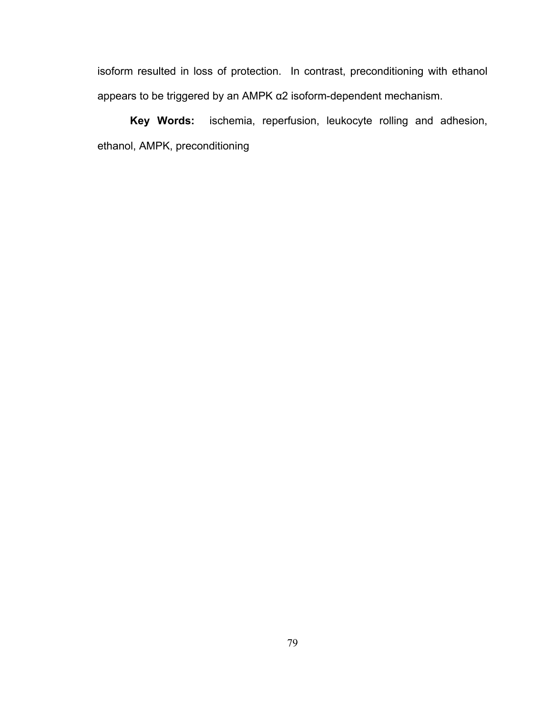isoform resulted in loss of protection. In contrast, preconditioning with ethanol appears to be triggered by an AMPK α2 isoform-dependent mechanism.

**Key Words:** ischemia, reperfusion, leukocyte rolling and adhesion, ethanol, AMPK, preconditioning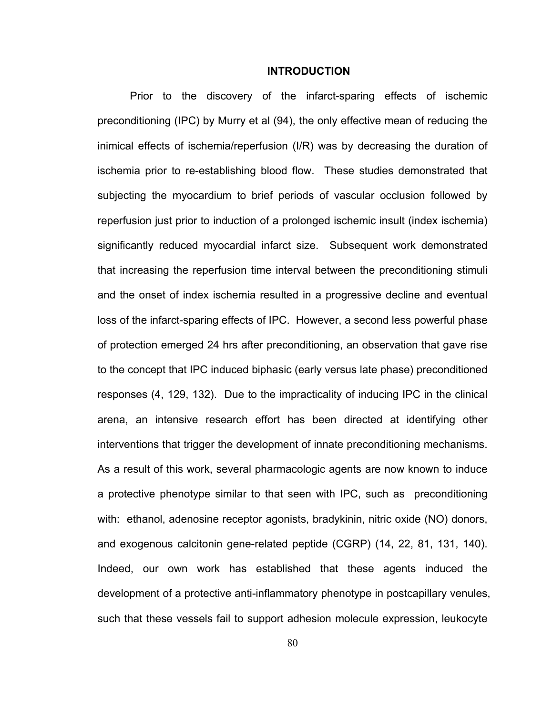## **INTRODUCTION**

Prior to the discovery of the infarct-sparing effects of ischemic preconditioning (IPC) by Murry et al (94), the only effective mean of reducing the inimical effects of ischemia/reperfusion (I/R) was by decreasing the duration of ischemia prior to re-establishing blood flow. These studies demonstrated that subjecting the myocardium to brief periods of vascular occlusion followed by reperfusion just prior to induction of a prolonged ischemic insult (index ischemia) significantly reduced myocardial infarct size. Subsequent work demonstrated that increasing the reperfusion time interval between the preconditioning stimuli and the onset of index ischemia resulted in a progressive decline and eventual loss of the infarct-sparing effects of IPC. However, a second less powerful phase of protection emerged 24 hrs after preconditioning, an observation that gave rise to the concept that IPC induced biphasic (early versus late phase) preconditioned responses (4, 129, 132). Due to the impracticality of inducing IPC in the clinical arena, an intensive research effort has been directed at identifying other interventions that trigger the development of innate preconditioning mechanisms. As a result of this work, several pharmacologic agents are now known to induce a protective phenotype similar to that seen with IPC, such as preconditioning with: ethanol, adenosine receptor agonists, bradykinin, nitric oxide (NO) donors, and exogenous calcitonin gene-related peptide (CGRP) (14, 22, 81, 131, 140). Indeed, our own work has established that these agents induced the development of a protective anti-inflammatory phenotype in postcapillary venules, such that these vessels fail to support adhesion molecule expression, leukocyte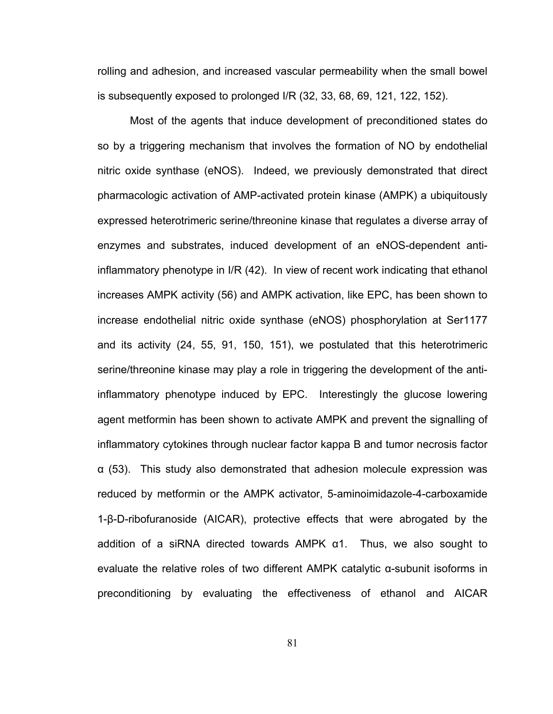rolling and adhesion, and increased vascular permeability when the small bowel is subsequently exposed to prolonged I/R (32, 33, 68, 69, 121, 122, 152).

Most of the agents that induce development of preconditioned states do so by a triggering mechanism that involves the formation of NO by endothelial nitric oxide synthase (eNOS). Indeed, we previously demonstrated that direct pharmacologic activation of AMP-activated protein kinase (AMPK) a ubiquitously expressed heterotrimeric serine/threonine kinase that regulates a diverse array of enzymes and substrates, induced development of an eNOS-dependent antiinflammatory phenotype in I/R (42). In view of recent work indicating that ethanol increases AMPK activity (56) and AMPK activation, like EPC, has been shown to increase endothelial nitric oxide synthase (eNOS) phosphorylation at Ser1177 and its activity (24, 55, 91, 150, 151), we postulated that this heterotrimeric serine/threonine kinase may play a role in triggering the development of the antiinflammatory phenotype induced by EPC. Interestingly the glucose lowering agent metformin has been shown to activate AMPK and prevent the signalling of inflammatory cytokines through nuclear factor kappa B and tumor necrosis factor α (53). This study also demonstrated that adhesion molecule expression was reduced by metformin or the AMPK activator, 5-aminoimidazole-4-carboxamide 1-β-D-ribofuranoside (AICAR), protective effects that were abrogated by the addition of a siRNA directed towards AMPK α1. Thus, we also sought to evaluate the relative roles of two different AMPK catalytic α-subunit isoforms in preconditioning by evaluating the effectiveness of ethanol and AICAR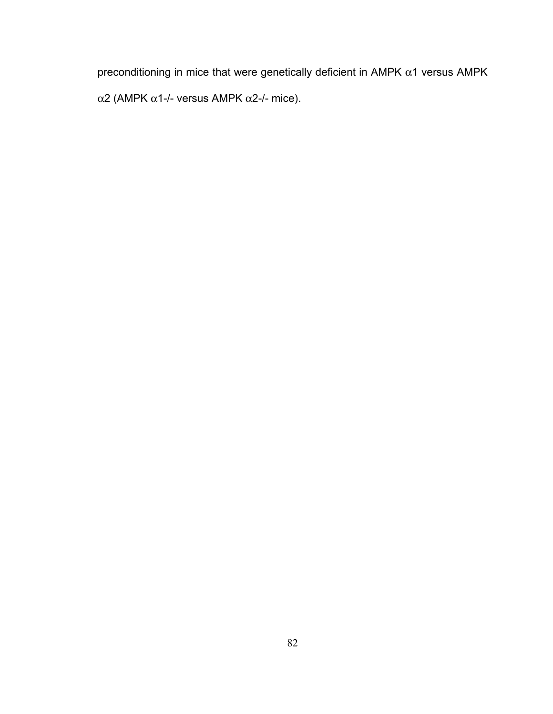preconditioning in mice that were genetically deficient in AMPK  $\alpha$ 1 versus AMPK α2 (AMPK α1-/- versus AMPK α2-/- mice).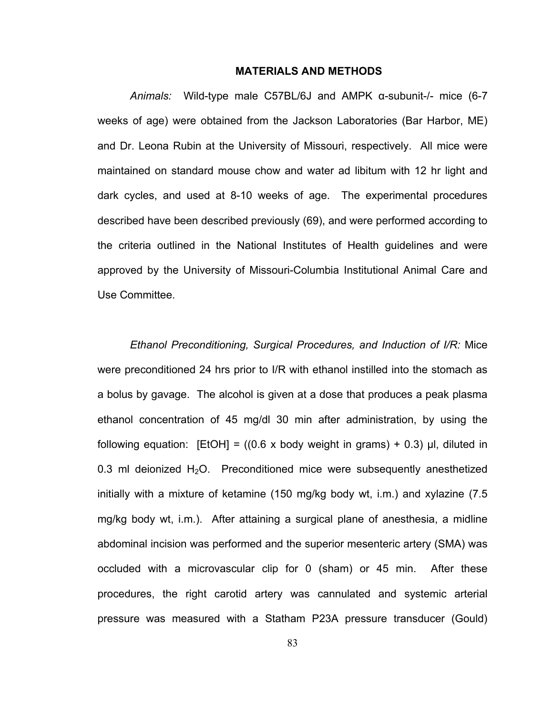# **MATERIALS AND METHODS**

*Animals:* Wild-type male C57BL/6J and AMPK α-subunit-/- mice (6-7 weeks of age) were obtained from the Jackson Laboratories (Bar Harbor, ME) and Dr. Leona Rubin at the University of Missouri, respectively. All mice were maintained on standard mouse chow and water ad libitum with 12 hr light and dark cycles, and used at 8-10 weeks of age. The experimental procedures described have been described previously (69), and were performed according to the criteria outlined in the National Institutes of Health guidelines and were approved by the University of Missouri-Columbia Institutional Animal Care and Use Committee.

*Ethanol Preconditioning, Surgical Procedures, and Induction of I/R:* Mice were preconditioned 24 hrs prior to I/R with ethanol instilled into the stomach as a bolus by gavage. The alcohol is given at a dose that produces a peak plasma ethanol concentration of 45 mg/dl 30 min after administration, by using the following equation:  $[EtOH] = (0.6 \times body weight in grams) + 0.3) \mu l$ , diluted in 0.3 ml deionized  $H_2O$ . Preconditioned mice were subsequently anesthetized initially with a mixture of ketamine (150 mg/kg body wt, i.m.) and xylazine (7.5 mg/kg body wt, i.m.). After attaining a surgical plane of anesthesia, a midline abdominal incision was performed and the superior mesenteric artery (SMA) was occluded with a microvascular clip for 0 (sham) or 45 min. After these procedures, the right carotid artery was cannulated and systemic arterial pressure was measured with a Statham P23A pressure transducer (Gould)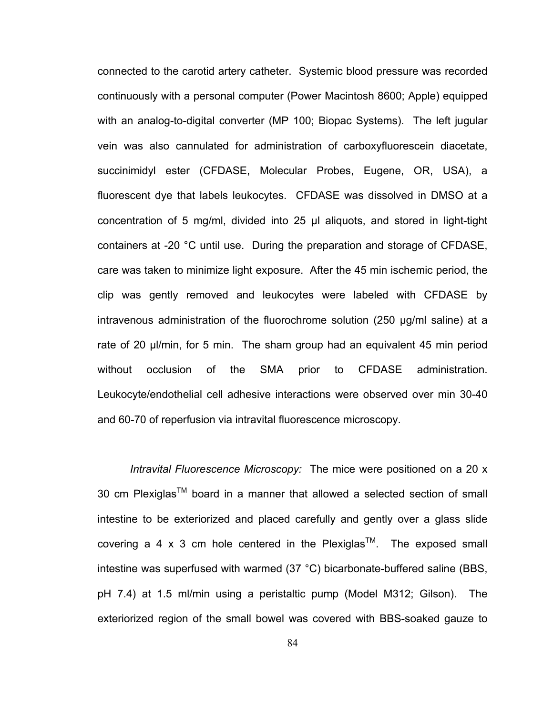connected to the carotid artery catheter. Systemic blood pressure was recorded continuously with a personal computer (Power Macintosh 8600; Apple) equipped with an analog-to-digital converter (MP 100; Biopac Systems). The left jugular vein was also cannulated for administration of carboxyfluorescein diacetate, succinimidyl ester (CFDASE, Molecular Probes, Eugene, OR, USA), a fluorescent dye that labels leukocytes. CFDASE was dissolved in DMSO at a concentration of 5 mg/ml, divided into 25 μl aliquots, and stored in light-tight containers at -20 °C until use. During the preparation and storage of CFDASE, care was taken to minimize light exposure. After the 45 min ischemic period, the clip was gently removed and leukocytes were labeled with CFDASE by intravenous administration of the fluorochrome solution (250 μg/ml saline) at a rate of 20 μl/min, for 5 min. The sham group had an equivalent 45 min period without occlusion of the SMA prior to CFDASE administration. Leukocyte/endothelial cell adhesive interactions were observed over min 30-40 and 60-70 of reperfusion via intravital fluorescence microscopy.

*Intravital Fluorescence Microscopy:* The mice were positioned on a 20 x 30 cm Plexiglas<sup>TM</sup> board in a manner that allowed a selected section of small intestine to be exteriorized and placed carefully and gently over a glass slide covering a 4 x 3 cm hole centered in the Plexiglas<sup>TM</sup>. The exposed small intestine was superfused with warmed (37 °C) bicarbonate-buffered saline (BBS, pH 7.4) at 1.5 ml/min using a peristaltic pump (Model M312; Gilson). The exteriorized region of the small bowel was covered with BBS-soaked gauze to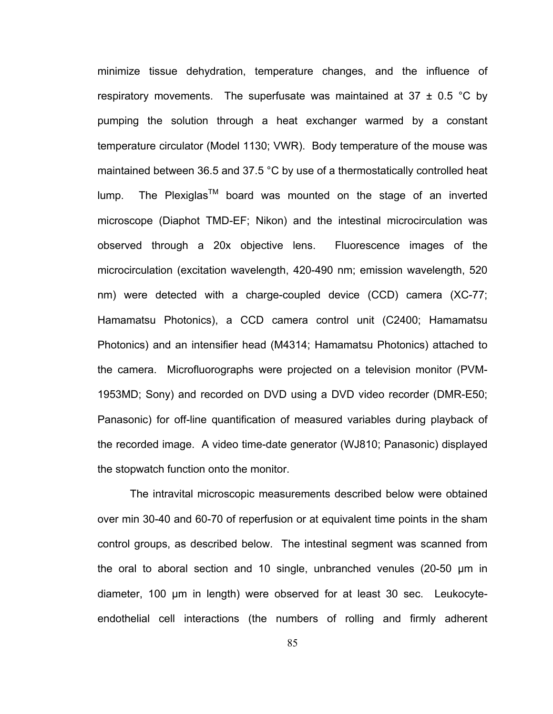minimize tissue dehydration, temperature changes, and the influence of respiratory movements. The superfusate was maintained at 37  $\pm$  0.5 °C by pumping the solution through a heat exchanger warmed by a constant temperature circulator (Model 1130; VWR). Body temperature of the mouse was maintained between 36.5 and 37.5 °C by use of a thermostatically controlled heat lump. The Plexiglas<sup>TM</sup> board was mounted on the stage of an inverted microscope (Diaphot TMD-EF; Nikon) and the intestinal microcirculation was observed through a 20x objective lens. Fluorescence images of the microcirculation (excitation wavelength, 420-490 nm; emission wavelength, 520 nm) were detected with a charge-coupled device (CCD) camera (XC-77; Hamamatsu Photonics), a CCD camera control unit (C2400; Hamamatsu Photonics) and an intensifier head (M4314; Hamamatsu Photonics) attached to the camera. Microfluorographs were projected on a television monitor (PVM-1953MD; Sony) and recorded on DVD using a DVD video recorder (DMR-E50; Panasonic) for off-line quantification of measured variables during playback of the recorded image. A video time-date generator (WJ810; Panasonic) displayed the stopwatch function onto the monitor.

The intravital microscopic measurements described below were obtained over min 30-40 and 60-70 of reperfusion or at equivalent time points in the sham control groups, as described below. The intestinal segment was scanned from the oral to aboral section and 10 single, unbranched venules (20-50 μm in diameter, 100 μm in length) were observed for at least 30 sec. Leukocyteendothelial cell interactions (the numbers of rolling and firmly adherent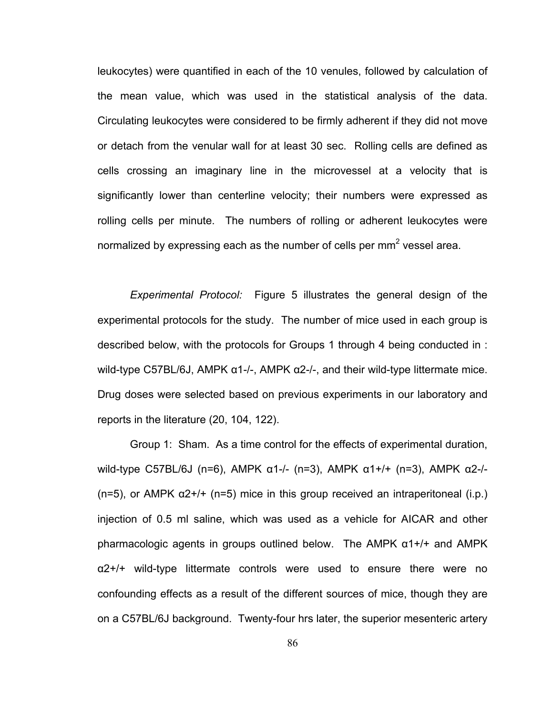leukocytes) were quantified in each of the 10 venules, followed by calculation of the mean value, which was used in the statistical analysis of the data. Circulating leukocytes were considered to be firmly adherent if they did not move or detach from the venular wall for at least 30 sec. Rolling cells are defined as cells crossing an imaginary line in the microvessel at a velocity that is significantly lower than centerline velocity; their numbers were expressed as rolling cells per minute. The numbers of rolling or adherent leukocytes were normalized by expressing each as the number of cells per mm<sup>2</sup> vessel area.

*Experimental Protocol:* Figure 5 illustrates the general design of the experimental protocols for the study. The number of mice used in each group is described below, with the protocols for Groups 1 through 4 being conducted in : wild-type C57BL/6J, AMPK  $\alpha$ 1-/-, AMPK  $\alpha$ 2-/-, and their wild-type littermate mice. Drug doses were selected based on previous experiments in our laboratory and reports in the literature (20, 104, 122).

Group 1: Sham. As a time control for the effects of experimental duration, wild-type C57BL/6J (n=6), AMPK α1-/- (n=3), AMPK α1+/+ (n=3), AMPK α2-/- (n=5), or AMPK  $\alpha$ 2+/+ (n=5) mice in this group received an intraperitoneal (i.p.) injection of 0.5 ml saline, which was used as a vehicle for AICAR and other pharmacologic agents in groups outlined below. The AMPK α1+/+ and AMPK α2+/+ wild-type littermate controls were used to ensure there were no confounding effects as a result of the different sources of mice, though they are on a C57BL/6J background. Twenty-four hrs later, the superior mesenteric artery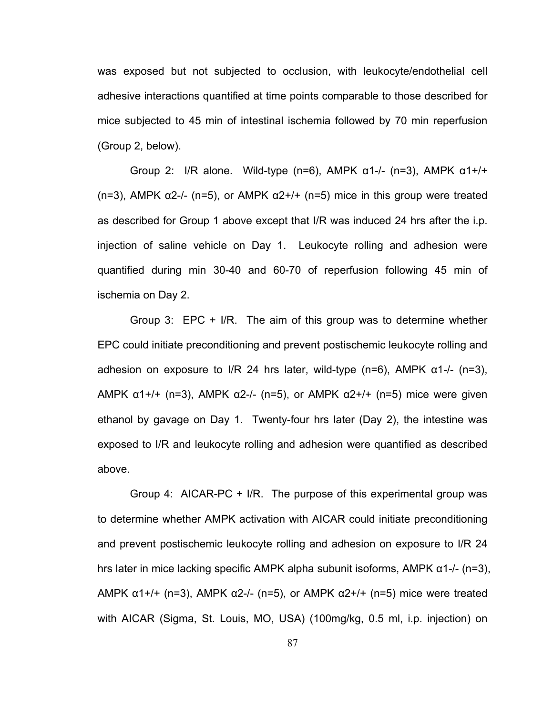was exposed but not subjected to occlusion, with leukocyte/endothelial cell adhesive interactions quantified at time points comparable to those described for mice subjected to 45 min of intestinal ischemia followed by 70 min reperfusion (Group 2, below).

Group 2: I/R alone. Wild-type (n=6), AMPK  $\alpha$ 1-/- (n=3), AMPK  $\alpha$ 1+/+ (n=3), AMPK  $\alpha$ 2-/- (n=5), or AMPK  $\alpha$ 2+/+ (n=5) mice in this group were treated as described for Group 1 above except that I/R was induced 24 hrs after the i.p. injection of saline vehicle on Day 1. Leukocyte rolling and adhesion were quantified during min 30-40 and 60-70 of reperfusion following 45 min of ischemia on Day 2.

Group 3: EPC + I/R. The aim of this group was to determine whether EPC could initiate preconditioning and prevent postischemic leukocyte rolling and adhesion on exposure to I/R 24 hrs later, wild-type (n=6), AMPK  $\alpha$ 1-/- (n=3), AMPK  $α1+/+ (n=3)$ , AMPK  $α2-/- (n=5)$ , or AMPK  $α2+/+ (n=5)$  mice were given ethanol by gavage on Day 1. Twenty-four hrs later (Day 2), the intestine was exposed to I/R and leukocyte rolling and adhesion were quantified as described above.

Group 4: AICAR-PC + I/R. The purpose of this experimental group was to determine whether AMPK activation with AICAR could initiate preconditioning and prevent postischemic leukocyte rolling and adhesion on exposure to I/R 24 hrs later in mice lacking specific AMPK alpha subunit isoforms, AMPK α1-/- (n=3), AMPK  $α1+/+ (n=3)$ , AMPK  $α2-/- (n=5)$ , or AMPK  $α2+/+ (n=5)$  mice were treated with AICAR (Sigma, St. Louis, MO, USA) (100mg/kg, 0.5 ml, i.p. injection) on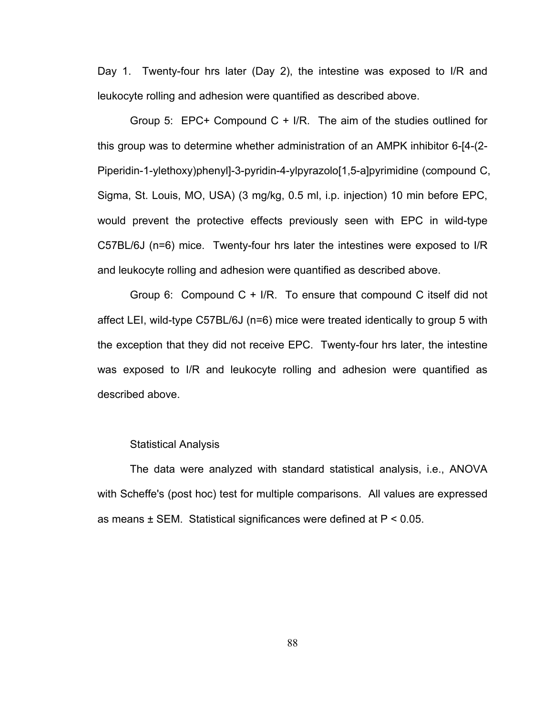Day 1. Twenty-four hrs later (Day 2), the intestine was exposed to I/R and leukocyte rolling and adhesion were quantified as described above.

Group 5: EPC+ Compound C + I/R. The aim of the studies outlined for this group was to determine whether administration of an AMPK inhibitor 6-[4-(2- Piperidin-1-ylethoxy)phenyl]-3-pyridin-4-ylpyrazolo[1,5-a]pyrimidine (compound C, Sigma, St. Louis, MO, USA) (3 mg/kg, 0.5 ml, i.p. injection) 10 min before EPC, would prevent the protective effects previously seen with EPC in wild-type C57BL/6J (n=6) mice. Twenty-four hrs later the intestines were exposed to I/R and leukocyte rolling and adhesion were quantified as described above.

Group 6: Compound  $C + I/R$ . To ensure that compound C itself did not affect LEI, wild-type C57BL/6J (n=6) mice were treated identically to group 5 with the exception that they did not receive EPC. Twenty-four hrs later, the intestine was exposed to I/R and leukocyte rolling and adhesion were quantified as described above.

## Statistical Analysis

The data were analyzed with standard statistical analysis, i.e., ANOVA with Scheffe's (post hoc) test for multiple comparisons. All values are expressed as means ± SEM. Statistical significances were defined at P < 0.05.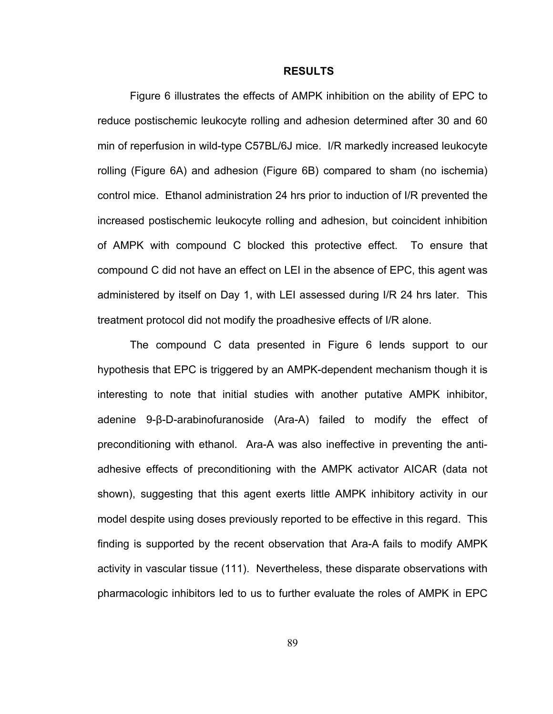## **RESULTS**

Figure 6 illustrates the effects of AMPK inhibition on the ability of EPC to reduce postischemic leukocyte rolling and adhesion determined after 30 and 60 min of reperfusion in wild-type C57BL/6J mice. I/R markedly increased leukocyte rolling (Figure 6A) and adhesion (Figure 6B) compared to sham (no ischemia) control mice. Ethanol administration 24 hrs prior to induction of I/R prevented the increased postischemic leukocyte rolling and adhesion, but coincident inhibition of AMPK with compound C blocked this protective effect. To ensure that compound C did not have an effect on LEI in the absence of EPC, this agent was administered by itself on Day 1, with LEI assessed during I/R 24 hrs later. This treatment protocol did not modify the proadhesive effects of I/R alone.

The compound C data presented in Figure 6 lends support to our hypothesis that EPC is triggered by an AMPK-dependent mechanism though it is interesting to note that initial studies with another putative AMPK inhibitor, adenine 9-β-D-arabinofuranoside (Ara-A) failed to modify the effect of preconditioning with ethanol. Ara-A was also ineffective in preventing the antiadhesive effects of preconditioning with the AMPK activator AICAR (data not shown), suggesting that this agent exerts little AMPK inhibitory activity in our model despite using doses previously reported to be effective in this regard. This finding is supported by the recent observation that Ara-A fails to modify AMPK activity in vascular tissue (111). Nevertheless, these disparate observations with pharmacologic inhibitors led to us to further evaluate the roles of AMPK in EPC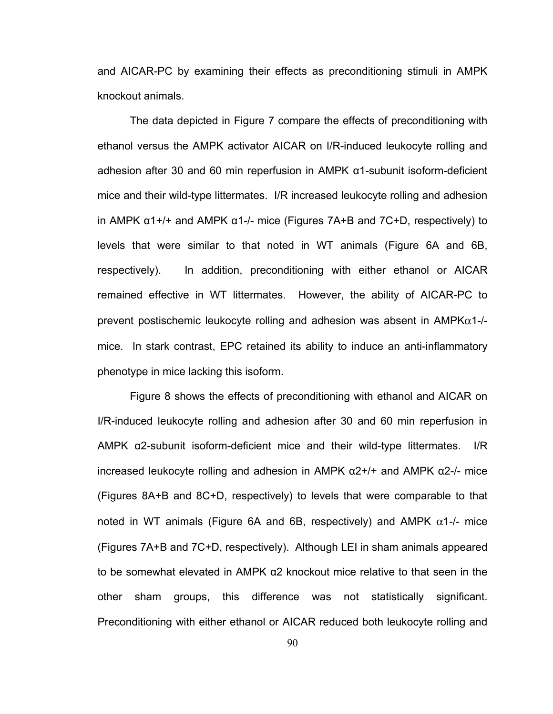and AICAR-PC by examining their effects as preconditioning stimuli in AMPK knockout animals.

The data depicted in Figure 7 compare the effects of preconditioning with ethanol versus the AMPK activator AICAR on I/R-induced leukocyte rolling and adhesion after 30 and 60 min reperfusion in AMPK α1-subunit isoform-deficient mice and their wild-type littermates. I/R increased leukocyte rolling and adhesion in AMPK  $α1+/+$  and AMPK  $α1-/-$  mice (Figures 7A+B and 7C+D, respectively) to levels that were similar to that noted in WT animals (Figure 6A and 6B, respectively). In addition, preconditioning with either ethanol or AICAR remained effective in WT littermates. However, the ability of AICAR-PC to prevent postischemic leukocyte rolling and adhesion was absent in  $AMPK\alpha$ 1-/mice. In stark contrast, EPC retained its ability to induce an anti-inflammatory phenotype in mice lacking this isoform.

Figure 8 shows the effects of preconditioning with ethanol and AICAR on I/R-induced leukocyte rolling and adhesion after 30 and 60 min reperfusion in AMPK α2-subunit isoform-deficient mice and their wild-type littermates. I/R increased leukocyte rolling and adhesion in AMPK α2+/+ and AMPK α2-/- mice (Figures 8A+B and 8C+D, respectively) to levels that were comparable to that noted in WT animals (Figure 6A and 6B, respectively) and AMPK  $\alpha$ 1-/- mice (Figures 7A+B and 7C+D, respectively). Although LEI in sham animals appeared to be somewhat elevated in AMPK α2 knockout mice relative to that seen in the other sham groups, this difference was not statistically significant. Preconditioning with either ethanol or AICAR reduced both leukocyte rolling and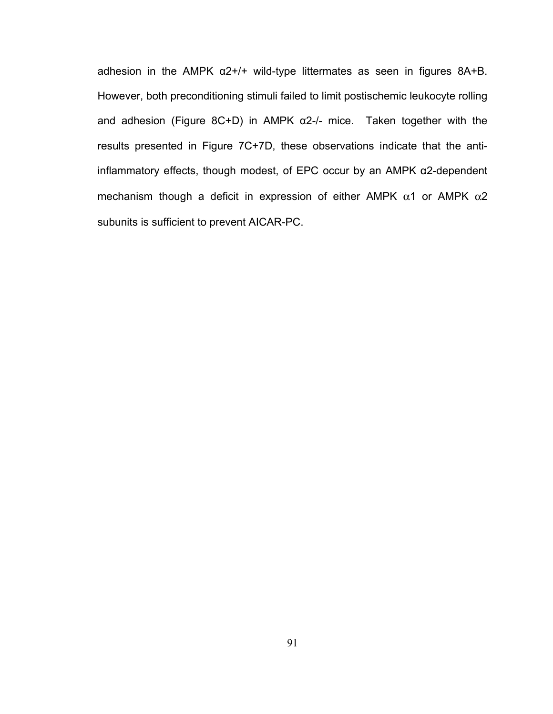adhesion in the AMPK  $\alpha$ 2+/+ wild-type littermates as seen in figures 8A+B. However, both preconditioning stimuli failed to limit postischemic leukocyte rolling and adhesion (Figure 8C+D) in AMPK  $\alpha$ 2-/- mice. Taken together with the results presented in Figure 7C+7D, these observations indicate that the antiinflammatory effects, though modest, of EPC occur by an AMPK α2-dependent mechanism though a deficit in expression of either AMPK  $\alpha$ 1 or AMPK  $\alpha$ 2 subunits is sufficient to prevent AICAR-PC.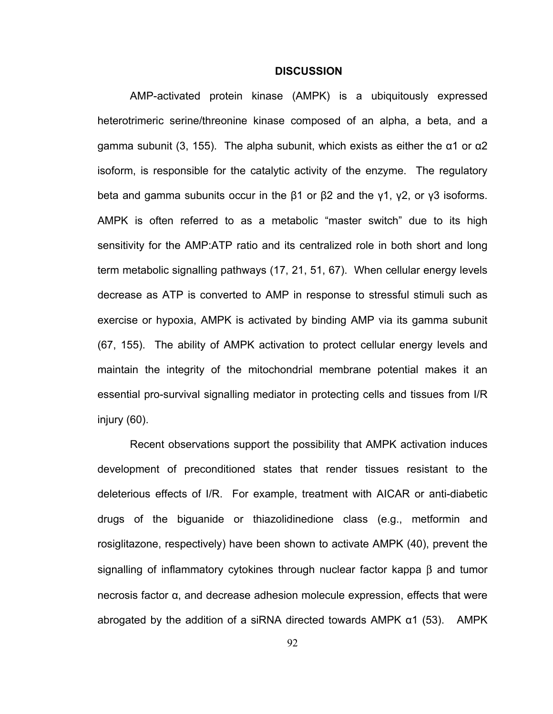## **DISCUSSION**

AMP-activated protein kinase (AMPK) is a ubiquitously expressed heterotrimeric serine/threonine kinase composed of an alpha, a beta, and a gamma subunit (3, 155). The alpha subunit, which exists as either the  $\alpha$ 1 or  $\alpha$ 2 isoform, is responsible for the catalytic activity of the enzyme. The regulatory beta and gamma subunits occur in the β1 or β2 and the γ1, γ2, or γ3 isoforms. AMPK is often referred to as a metabolic "master switch" due to its high sensitivity for the AMP:ATP ratio and its centralized role in both short and long term metabolic signalling pathways (17, 21, 51, 67). When cellular energy levels decrease as ATP is converted to AMP in response to stressful stimuli such as exercise or hypoxia, AMPK is activated by binding AMP via its gamma subunit (67, 155). The ability of AMPK activation to protect cellular energy levels and maintain the integrity of the mitochondrial membrane potential makes it an essential pro-survival signalling mediator in protecting cells and tissues from I/R injury (60).

Recent observations support the possibility that AMPK activation induces development of preconditioned states that render tissues resistant to the deleterious effects of I/R. For example, treatment with AICAR or anti-diabetic drugs of the biguanide or thiazolidinedione class (e.g., metformin and rosiglitazone, respectively) have been shown to activate AMPK (40), prevent the signalling of inflammatory cytokines through nuclear factor kappa β and tumor necrosis factor α, and decrease adhesion molecule expression, effects that were abrogated by the addition of a siRNA directed towards AMPK α1 (53). AMPK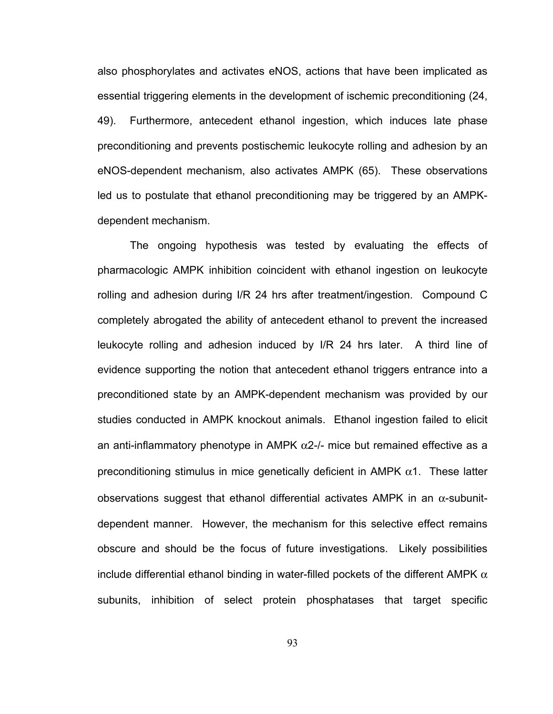also phosphorylates and activates eNOS, actions that have been implicated as essential triggering elements in the development of ischemic preconditioning (24, 49). Furthermore, antecedent ethanol ingestion, which induces late phase preconditioning and prevents postischemic leukocyte rolling and adhesion by an eNOS-dependent mechanism, also activates AMPK (65). These observations led us to postulate that ethanol preconditioning may be triggered by an AMPKdependent mechanism.

The ongoing hypothesis was tested by evaluating the effects of pharmacologic AMPK inhibition coincident with ethanol ingestion on leukocyte rolling and adhesion during I/R 24 hrs after treatment/ingestion. Compound C completely abrogated the ability of antecedent ethanol to prevent the increased leukocyte rolling and adhesion induced by I/R 24 hrs later. A third line of evidence supporting the notion that antecedent ethanol triggers entrance into a preconditioned state by an AMPK-dependent mechanism was provided by our studies conducted in AMPK knockout animals. Ethanol ingestion failed to elicit an anti-inflammatory phenotype in AMPK  $\alpha$ 2-/- mice but remained effective as a preconditioning stimulus in mice genetically deficient in AMPK  $\alpha$ 1. These latter observations suggest that ethanol differential activates AMPK in an  $\alpha$ -subunitdependent manner. However, the mechanism for this selective effect remains obscure and should be the focus of future investigations. Likely possibilities include differential ethanol binding in water-filled pockets of the different AMPK  $\alpha$ subunits, inhibition of select protein phosphatases that target specific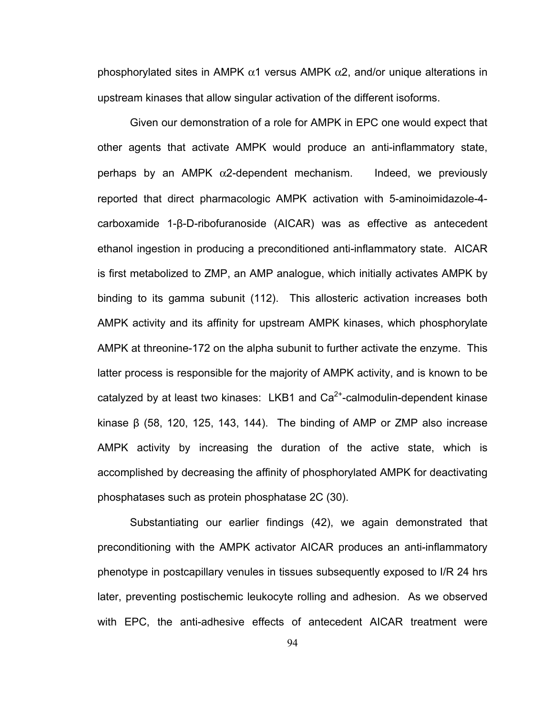phosphorylated sites in AMPK  $\alpha$ 1 versus AMPK  $\alpha$ 2, and/or unique alterations in upstream kinases that allow singular activation of the different isoforms.

Given our demonstration of a role for AMPK in EPC one would expect that other agents that activate AMPK would produce an anti-inflammatory state, perhaps by an AMPK  $\alpha$ 2-dependent mechanism. Indeed, we previously reported that direct pharmacologic AMPK activation with 5-aminoimidazole-4 carboxamide 1-β-D-ribofuranoside (AICAR) was as effective as antecedent ethanol ingestion in producing a preconditioned anti-inflammatory state. AICAR is first metabolized to ZMP, an AMP analogue, which initially activates AMPK by binding to its gamma subunit (112). This allosteric activation increases both AMPK activity and its affinity for upstream AMPK kinases, which phosphorylate AMPK at threonine-172 on the alpha subunit to further activate the enzyme. This latter process is responsible for the majority of AMPK activity, and is known to be catalyzed by at least two kinases: LKB1 and  $Ca<sup>2+</sup>$ -calmodulin-dependent kinase kinase  $β$  (58, 120, 125, 143, 144). The binding of AMP or ZMP also increase AMPK activity by increasing the duration of the active state, which is accomplished by decreasing the affinity of phosphorylated AMPK for deactivating phosphatases such as protein phosphatase 2C (30).

Substantiating our earlier findings (42), we again demonstrated that preconditioning with the AMPK activator AICAR produces an anti-inflammatory phenotype in postcapillary venules in tissues subsequently exposed to I/R 24 hrs later, preventing postischemic leukocyte rolling and adhesion. As we observed with EPC, the anti-adhesive effects of antecedent AICAR treatment were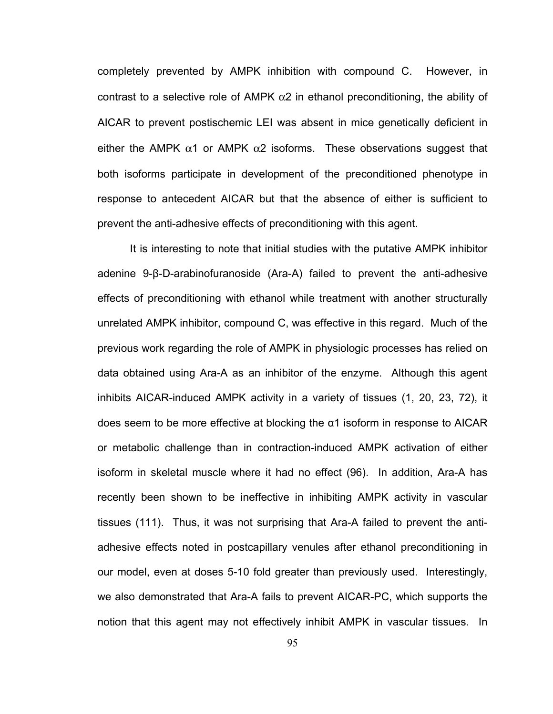completely prevented by AMPK inhibition with compound C. However, in contrast to a selective role of AMPK  $\alpha$ 2 in ethanol preconditioning, the ability of AICAR to prevent postischemic LEI was absent in mice genetically deficient in either the AMPK  $\alpha$ 1 or AMPK  $\alpha$ 2 isoforms. These observations suggest that both isoforms participate in development of the preconditioned phenotype in response to antecedent AICAR but that the absence of either is sufficient to prevent the anti-adhesive effects of preconditioning with this agent.

It is interesting to note that initial studies with the putative AMPK inhibitor adenine 9-β-D-arabinofuranoside (Ara-A) failed to prevent the anti-adhesive effects of preconditioning with ethanol while treatment with another structurally unrelated AMPK inhibitor, compound C, was effective in this regard. Much of the previous work regarding the role of AMPK in physiologic processes has relied on data obtained using Ara-A as an inhibitor of the enzyme. Although this agent inhibits AICAR-induced AMPK activity in a variety of tissues (1, 20, 23, 72), it does seem to be more effective at blocking the  $α1$  isoform in response to AICAR or metabolic challenge than in contraction-induced AMPK activation of either isoform in skeletal muscle where it had no effect (96). In addition, Ara-A has recently been shown to be ineffective in inhibiting AMPK activity in vascular tissues (111). Thus, it was not surprising that Ara-A failed to prevent the antiadhesive effects noted in postcapillary venules after ethanol preconditioning in our model, even at doses 5-10 fold greater than previously used. Interestingly, we also demonstrated that Ara-A fails to prevent AICAR-PC, which supports the notion that this agent may not effectively inhibit AMPK in vascular tissues. In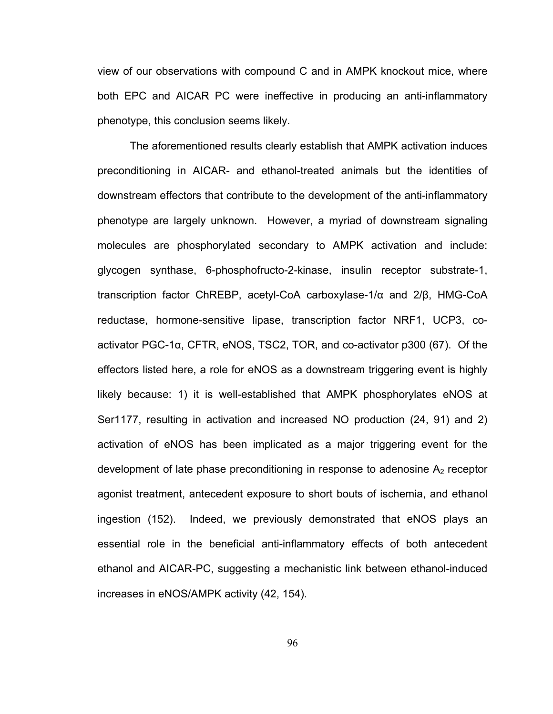view of our observations with compound C and in AMPK knockout mice, where both EPC and AICAR PC were ineffective in producing an anti-inflammatory phenotype, this conclusion seems likely.

The aforementioned results clearly establish that AMPK activation induces preconditioning in AICAR- and ethanol-treated animals but the identities of downstream effectors that contribute to the development of the anti-inflammatory phenotype are largely unknown. However, a myriad of downstream signaling molecules are phosphorylated secondary to AMPK activation and include: glycogen synthase, 6-phosphofructo-2-kinase, insulin receptor substrate-1, transcription factor ChREBP, acetyl-CoA carboxylase-1/α and 2/β, HMG-CoA reductase, hormone-sensitive lipase, transcription factor NRF1, UCP3, coactivator PGC-1α, CFTR, eNOS, TSC2, TOR, and co-activator p300 (67). Of the effectors listed here, a role for eNOS as a downstream triggering event is highly likely because: 1) it is well-established that AMPK phosphorylates eNOS at Ser1177, resulting in activation and increased NO production (24, 91) and 2) activation of eNOS has been implicated as a major triggering event for the development of late phase preconditioning in response to adenosine  $A_2$  receptor agonist treatment, antecedent exposure to short bouts of ischemia, and ethanol ingestion (152). Indeed, we previously demonstrated that eNOS plays an essential role in the beneficial anti-inflammatory effects of both antecedent ethanol and AICAR-PC, suggesting a mechanistic link between ethanol-induced increases in eNOS/AMPK activity (42, 154).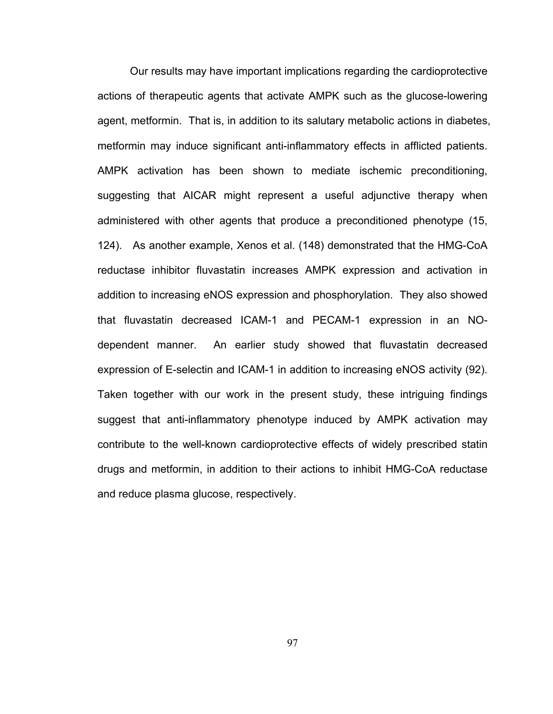Our results may have important implications regarding the cardioprotective actions of therapeutic agents that activate AMPK such as the glucose-lowering agent, metformin. That is, in addition to its salutary metabolic actions in diabetes, metformin may induce significant anti-inflammatory effects in afflicted patients. AMPK activation has been shown to mediate ischemic preconditioning, suggesting that AICAR might represent a useful adjunctive therapy when administered with other agents that produce a preconditioned phenotype (15, 124). As another example, Xenos et al. (148) demonstrated that the HMG-CoA reductase inhibitor fluvastatin increases AMPK expression and activation in addition to increasing eNOS expression and phosphorylation. They also showed that fluvastatin decreased ICAM-1 and PECAM-1 expression in an NOdependent manner. An earlier study showed that fluvastatin decreased expression of E-selectin and ICAM-1 in addition to increasing eNOS activity (92). Taken together with our work in the present study, these intriguing findings suggest that anti-inflammatory phenotype induced by AMPK activation may contribute to the well-known cardioprotective effects of widely prescribed statin drugs and metformin, in addition to their actions to inhibit HMG-CoA reductase and reduce plasma glucose, respectively.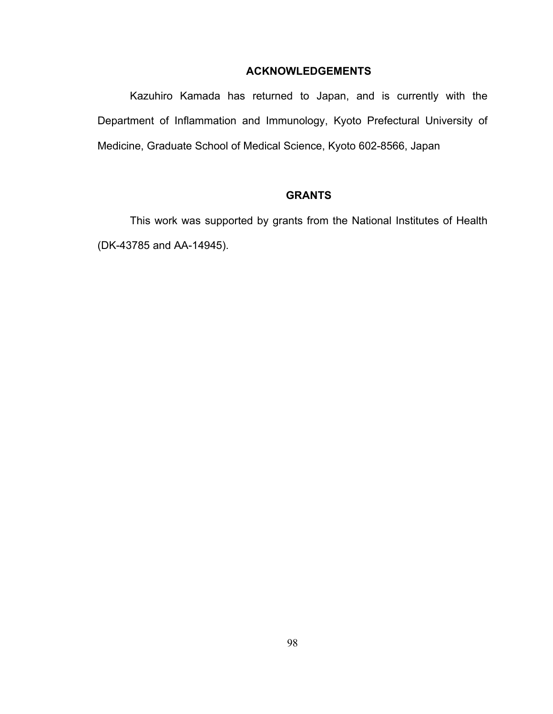### **ACKNOWLEDGEMENTS**

Kazuhiro Kamada has returned to Japan, and is currently with the Department of Inflammation and Immunology, Kyoto Prefectural University of Medicine, Graduate School of Medical Science, Kyoto 602-8566, Japan

## **GRANTS**

This work was supported by grants from the National Institutes of Health (DK-43785 and AA-14945).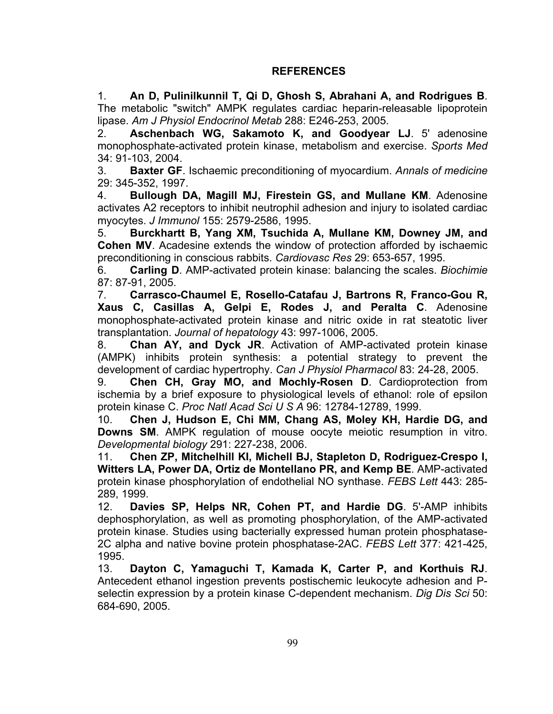## **REFERENCES**

1. **An D, Pulinilkunnil T, Qi D, Ghosh S, Abrahani A, and Rodrigues B**. The metabolic "switch" AMPK regulates cardiac heparin-releasable lipoprotein lipase. *Am J Physiol Endocrinol Metab* 288: E246-253, 2005.

2. **Aschenbach WG, Sakamoto K, and Goodyear LJ**. 5' adenosine monophosphate-activated protein kinase, metabolism and exercise. *Sports Med*  34: 91-103, 2004.

3. **Baxter GF**. Ischaemic preconditioning of myocardium. *Annals of medicine*  29: 345-352, 1997.

4. **Bullough DA, Magill MJ, Firestein GS, and Mullane KM**. Adenosine activates A2 receptors to inhibit neutrophil adhesion and injury to isolated cardiac myocytes. *J Immunol* 155: 2579-2586, 1995.

5. **Burckhartt B, Yang XM, Tsuchida A, Mullane KM, Downey JM, and Cohen MV**. Acadesine extends the window of protection afforded by ischaemic preconditioning in conscious rabbits. *Cardiovasc Res* 29: 653-657, 1995.

6. **Carling D**. AMP-activated protein kinase: balancing the scales. *Biochimie*  87: 87-91, 2005.

7. **Carrasco-Chaumel E, Rosello-Catafau J, Bartrons R, Franco-Gou R, Xaus C, Casillas A, Gelpi E, Rodes J, and Peralta C**. Adenosine monophosphate-activated protein kinase and nitric oxide in rat steatotic liver transplantation. *Journal of hepatology* 43: 997-1006, 2005.

8. **Chan AY, and Dyck JR**. Activation of AMP-activated protein kinase (AMPK) inhibits protein synthesis: a potential strategy to prevent the development of cardiac hypertrophy. *Can J Physiol Pharmacol* 83: 24-28, 2005.

9. **Chen CH, Gray MO, and Mochly-Rosen D**. Cardioprotection from ischemia by a brief exposure to physiological levels of ethanol: role of epsilon protein kinase C. *Proc Natl Acad Sci U S A* 96: 12784-12789, 1999.

10. **Chen J, Hudson E, Chi MM, Chang AS, Moley KH, Hardie DG, and Downs SM**. AMPK regulation of mouse oocyte meiotic resumption in vitro. *Developmental biology* 291: 227-238, 2006.

11. **Chen ZP, Mitchelhill KI, Michell BJ, Stapleton D, Rodriguez-Crespo I, Witters LA, Power DA, Ortiz de Montellano PR, and Kemp BE**. AMP-activated protein kinase phosphorylation of endothelial NO synthase. *FEBS Lett* 443: 285- 289, 1999.

12. **Davies SP, Helps NR, Cohen PT, and Hardie DG**. 5'-AMP inhibits dephosphorylation, as well as promoting phosphorylation, of the AMP-activated protein kinase. Studies using bacterially expressed human protein phosphatase-2C alpha and native bovine protein phosphatase-2AC. *FEBS Lett* 377: 421-425, 1995.

13. **Dayton C, Yamaguchi T, Kamada K, Carter P, and Korthuis RJ**. Antecedent ethanol ingestion prevents postischemic leukocyte adhesion and Pselectin expression by a protein kinase C-dependent mechanism. *Dig Dis Sci* 50: 684-690, 2005.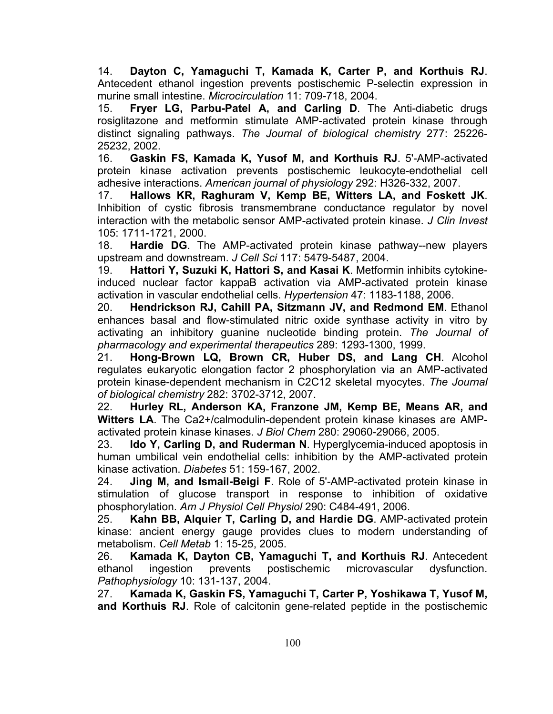14. **Dayton C, Yamaguchi T, Kamada K, Carter P, and Korthuis RJ**. Antecedent ethanol ingestion prevents postischemic P-selectin expression in murine small intestine. *Microcirculation* 11: 709-718, 2004.

15. **Fryer LG, Parbu-Patel A, and Carling D**. The Anti-diabetic drugs rosiglitazone and metformin stimulate AMP-activated protein kinase through distinct signaling pathways. *The Journal of biological chemistry* 277: 25226- 25232, 2002.

16. **Gaskin FS, Kamada K, Yusof M, and Korthuis RJ**. 5'-AMP-activated protein kinase activation prevents postischemic leukocyte-endothelial cell adhesive interactions. *American journal of physiology* 292: H326-332, 2007.

17. **Hallows KR, Raghuram V, Kemp BE, Witters LA, and Foskett JK**. Inhibition of cystic fibrosis transmembrane conductance regulator by novel interaction with the metabolic sensor AMP-activated protein kinase. *J Clin Invest*  105: 1711-1721, 2000.

18. **Hardie DG**. The AMP-activated protein kinase pathway--new players upstream and downstream. *J Cell Sci* 117: 5479-5487, 2004.

19. **Hattori Y, Suzuki K, Hattori S, and Kasai K**. Metformin inhibits cytokineinduced nuclear factor kappaB activation via AMP-activated protein kinase activation in vascular endothelial cells. *Hypertension* 47: 1183-1188, 2006.

20. **Hendrickson RJ, Cahill PA, Sitzmann JV, and Redmond EM**. Ethanol enhances basal and flow-stimulated nitric oxide synthase activity in vitro by activating an inhibitory guanine nucleotide binding protein. *The Journal of pharmacology and experimental therapeutics* 289: 1293-1300, 1999.

21. **Hong-Brown LQ, Brown CR, Huber DS, and Lang CH**. Alcohol regulates eukaryotic elongation factor 2 phosphorylation via an AMP-activated protein kinase-dependent mechanism in C2C12 skeletal myocytes. *The Journal of biological chemistry* 282: 3702-3712, 2007.

22. **Hurley RL, Anderson KA, Franzone JM, Kemp BE, Means AR, and Witters LA**. The Ca2+/calmodulin-dependent protein kinase kinases are AMPactivated protein kinase kinases. *J Biol Chem* 280: 29060-29066, 2005.

23. **Ido Y, Carling D, and Ruderman N**. Hyperglycemia-induced apoptosis in human umbilical vein endothelial cells: inhibition by the AMP-activated protein kinase activation. *Diabetes* 51: 159-167, 2002.

24. **Jing M, and Ismail-Beigi F**. Role of 5'-AMP-activated protein kinase in stimulation of glucose transport in response to inhibition of oxidative phosphorylation. *Am J Physiol Cell Physiol* 290: C484-491, 2006.

25. **Kahn BB, Alquier T, Carling D, and Hardie DG**. AMP-activated protein kinase: ancient energy gauge provides clues to modern understanding of metabolism. *Cell Metab* 1: 15-25, 2005.

26. **Kamada K, Dayton CB, Yamaguchi T, and Korthuis RJ**. Antecedent ethanol ingestion prevents postischemic microvascular dysfunction. *Pathophysiology* 10: 131-137, 2004.

27. **Kamada K, Gaskin FS, Yamaguchi T, Carter P, Yoshikawa T, Yusof M, and Korthuis RJ**. Role of calcitonin gene-related peptide in the postischemic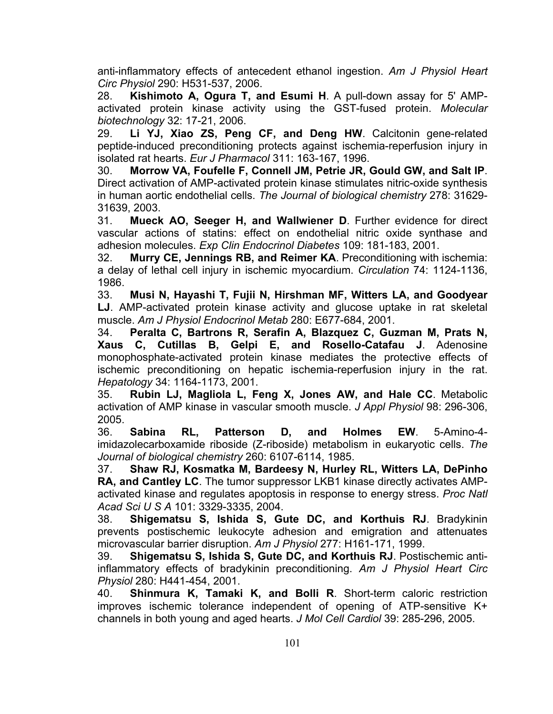anti-inflammatory effects of antecedent ethanol ingestion. *Am J Physiol Heart Circ Physiol* 290: H531-537, 2006.

28. **Kishimoto A, Ogura T, and Esumi H**. A pull-down assay for 5' AMPactivated protein kinase activity using the GST-fused protein. *Molecular biotechnology* 32: 17-21, 2006.

29. **Li YJ, Xiao ZS, Peng CF, and Deng HW**. Calcitonin gene-related peptide-induced preconditioning protects against ischemia-reperfusion injury in isolated rat hearts. *Eur J Pharmacol* 311: 163-167, 1996.

30. **Morrow VA, Foufelle F, Connell JM, Petrie JR, Gould GW, and Salt IP**. Direct activation of AMP-activated protein kinase stimulates nitric-oxide synthesis in human aortic endothelial cells. *The Journal of biological chemistry* 278: 31629- 31639, 2003.

31. **Mueck AO, Seeger H, and Wallwiener D**. Further evidence for direct vascular actions of statins: effect on endothelial nitric oxide synthase and adhesion molecules. *Exp Clin Endocrinol Diabetes* 109: 181-183, 2001.

32. **Murry CE, Jennings RB, and Reimer KA**. Preconditioning with ischemia: a delay of lethal cell injury in ischemic myocardium. *Circulation* 74: 1124-1136, 1986.

33. **Musi N, Hayashi T, Fujii N, Hirshman MF, Witters LA, and Goodyear LJ**. AMP-activated protein kinase activity and glucose uptake in rat skeletal muscle. *Am J Physiol Endocrinol Metab* 280: E677-684, 2001.

34. **Peralta C, Bartrons R, Serafin A, Blazquez C, Guzman M, Prats N, Xaus C, Cutillas B, Gelpi E, and Rosello-Catafau J**. Adenosine monophosphate-activated protein kinase mediates the protective effects of ischemic preconditioning on hepatic ischemia-reperfusion injury in the rat. *Hepatology* 34: 1164-1173, 2001.

35. **Rubin LJ, Magliola L, Feng X, Jones AW, and Hale CC**. Metabolic activation of AMP kinase in vascular smooth muscle. *J Appl Physiol* 98: 296-306, 2005.

36. **Sabina RL, Patterson D, and Holmes EW**. 5-Amino-4 imidazolecarboxamide riboside (Z-riboside) metabolism in eukaryotic cells. *The Journal of biological chemistry* 260: 6107-6114, 1985.

37. **Shaw RJ, Kosmatka M, Bardeesy N, Hurley RL, Witters LA, DePinho RA, and Cantley LC**. The tumor suppressor LKB1 kinase directly activates AMPactivated kinase and regulates apoptosis in response to energy stress. *Proc Natl Acad Sci U S A* 101: 3329-3335, 2004.

38. **Shigematsu S, Ishida S, Gute DC, and Korthuis RJ**. Bradykinin prevents postischemic leukocyte adhesion and emigration and attenuates microvascular barrier disruption. *Am J Physiol* 277: H161-171, 1999.

39. **Shigematsu S, Ishida S, Gute DC, and Korthuis RJ**. Postischemic antiinflammatory effects of bradykinin preconditioning. *Am J Physiol Heart Circ Physiol* 280: H441-454, 2001.

40. **Shinmura K, Tamaki K, and Bolli R**. Short-term caloric restriction improves ischemic tolerance independent of opening of ATP-sensitive K+ channels in both young and aged hearts. *J Mol Cell Cardiol* 39: 285-296, 2005.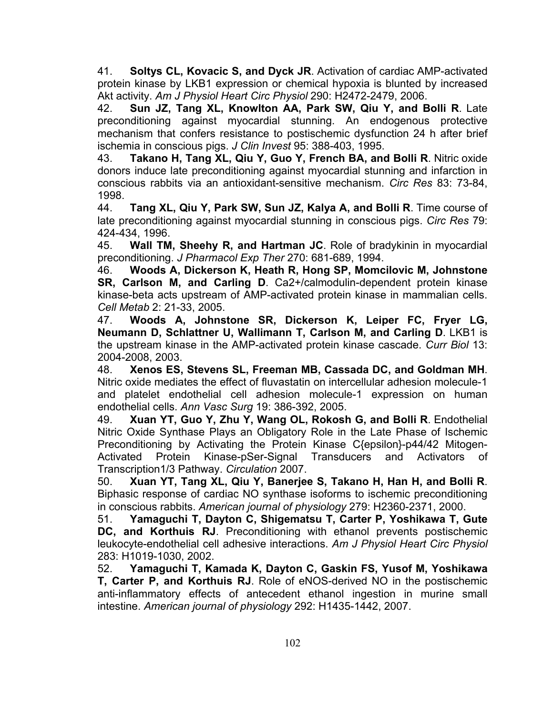41. **Soltys CL, Kovacic S, and Dyck JR**. Activation of cardiac AMP-activated protein kinase by LKB1 expression or chemical hypoxia is blunted by increased Akt activity. *Am J Physiol Heart Circ Physiol* 290: H2472-2479, 2006.

42. **Sun JZ, Tang XL, Knowlton AA, Park SW, Qiu Y, and Bolli R**. Late preconditioning against myocardial stunning. An endogenous protective mechanism that confers resistance to postischemic dysfunction 24 h after brief ischemia in conscious pigs. *J Clin Invest* 95: 388-403, 1995.

43. **Takano H, Tang XL, Qiu Y, Guo Y, French BA, and Bolli R**. Nitric oxide donors induce late preconditioning against myocardial stunning and infarction in conscious rabbits via an antioxidant-sensitive mechanism. *Circ Res* 83: 73-84, 1998.

44. **Tang XL, Qiu Y, Park SW, Sun JZ, Kalya A, and Bolli R**. Time course of late preconditioning against myocardial stunning in conscious pigs. *Circ Res* 79: 424-434, 1996.

45. **Wall TM, Sheehy R, and Hartman JC**. Role of bradykinin in myocardial preconditioning. *J Pharmacol Exp Ther* 270: 681-689, 1994.

46. **Woods A, Dickerson K, Heath R, Hong SP, Momcilovic M, Johnstone SR, Carlson M, and Carling D**. Ca2+/calmodulin-dependent protein kinase kinase-beta acts upstream of AMP-activated protein kinase in mammalian cells. *Cell Metab* 2: 21-33, 2005.

47. **Woods A, Johnstone SR, Dickerson K, Leiper FC, Fryer LG, Neumann D, Schlattner U, Wallimann T, Carlson M, and Carling D**. LKB1 is the upstream kinase in the AMP-activated protein kinase cascade. *Curr Biol* 13: 2004-2008, 2003.

48. **Xenos ES, Stevens SL, Freeman MB, Cassada DC, and Goldman MH**. Nitric oxide mediates the effect of fluvastatin on intercellular adhesion molecule-1 and platelet endothelial cell adhesion molecule-1 expression on human endothelial cells. *Ann Vasc Surg* 19: 386-392, 2005.

49. **Xuan YT, Guo Y, Zhu Y, Wang OL, Rokosh G, and Bolli R**. Endothelial Nitric Oxide Synthase Plays an Obligatory Role in the Late Phase of Ischemic Preconditioning by Activating the Protein Kinase C{epsilon}-p44/42 Mitogen-Activated Protein Kinase-pSer-Signal Transducers and Activators of Transcription1/3 Pathway. *Circulation* 2007.

50. **Xuan YT, Tang XL, Qiu Y, Banerjee S, Takano H, Han H, and Bolli R**. Biphasic response of cardiac NO synthase isoforms to ischemic preconditioning in conscious rabbits. *American journal of physiology* 279: H2360-2371, 2000.

51. **Yamaguchi T, Dayton C, Shigematsu T, Carter P, Yoshikawa T, Gute DC, and Korthuis RJ**. Preconditioning with ethanol prevents postischemic leukocyte-endothelial cell adhesive interactions. *Am J Physiol Heart Circ Physiol*  283: H1019-1030, 2002.

52. **Yamaguchi T, Kamada K, Dayton C, Gaskin FS, Yusof M, Yoshikawa T, Carter P, and Korthuis RJ**. Role of eNOS-derived NO in the postischemic anti-inflammatory effects of antecedent ethanol ingestion in murine small intestine. *American journal of physiology* 292: H1435-1442, 2007.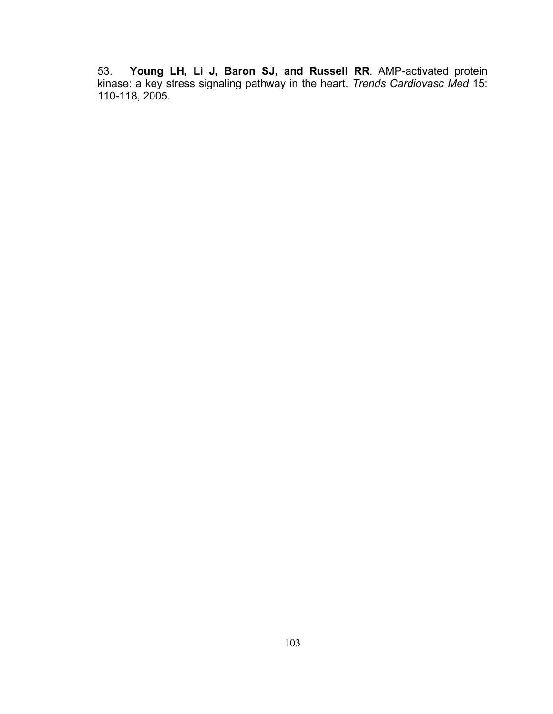53. **Young LH, Li J, Baron SJ, and Russell RR**. AMP-activated protein kinase: a key stress signaling pathway in the heart. *Trends Cardiovasc Med* 15: 110-118, 2005.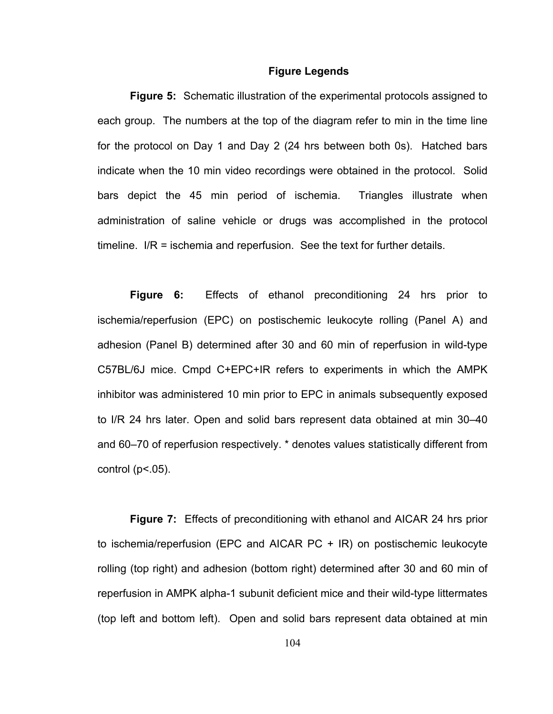#### **Figure Legends**

**Figure 5:** Schematic illustration of the experimental protocols assigned to each group. The numbers at the top of the diagram refer to min in the time line for the protocol on Day 1 and Day 2 (24 hrs between both 0s). Hatched bars indicate when the 10 min video recordings were obtained in the protocol. Solid bars depict the 45 min period of ischemia. Triangles illustrate when administration of saline vehicle or drugs was accomplished in the protocol timeline. I/R = ischemia and reperfusion. See the text for further details.

**Figure 6:** Effects of ethanol preconditioning 24 hrs prior to ischemia/reperfusion (EPC) on postischemic leukocyte rolling (Panel A) and adhesion (Panel B) determined after 30 and 60 min of reperfusion in wild-type C57BL/6J mice. Cmpd C+EPC+IR refers to experiments in which the AMPK inhibitor was administered 10 min prior to EPC in animals subsequently exposed to I/R 24 hrs later. Open and solid bars represent data obtained at min 30–40 and 60–70 of reperfusion respectively. \* denotes values statistically different from control ( $p$ <.05).

**Figure 7:** Effects of preconditioning with ethanol and AICAR 24 hrs prior to ischemia/reperfusion (EPC and AICAR PC + IR) on postischemic leukocyte rolling (top right) and adhesion (bottom right) determined after 30 and 60 min of reperfusion in AMPK alpha-1 subunit deficient mice and their wild-type littermates (top left and bottom left). Open and solid bars represent data obtained at min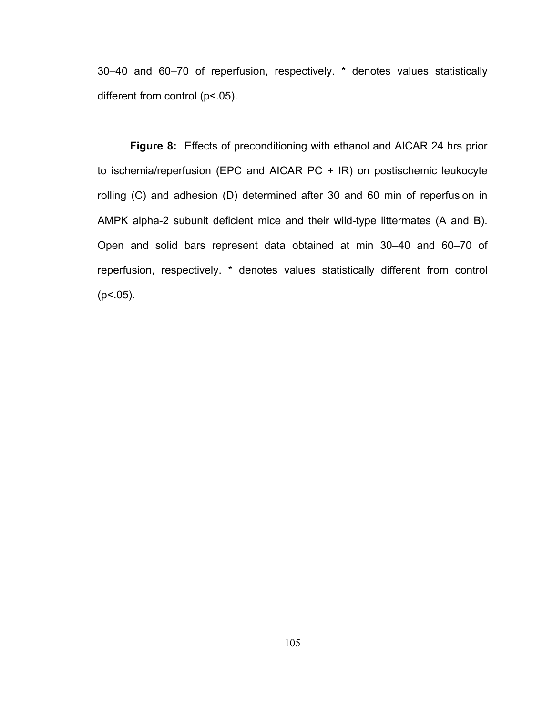30–40 and 60–70 of reperfusion, respectively. \* denotes values statistically different from control (p<.05).

**Figure 8:** Effects of preconditioning with ethanol and AICAR 24 hrs prior to ischemia/reperfusion (EPC and AICAR PC + IR) on postischemic leukocyte rolling (C) and adhesion (D) determined after 30 and 60 min of reperfusion in AMPK alpha-2 subunit deficient mice and their wild-type littermates (A and B). Open and solid bars represent data obtained at min 30–40 and 60–70 of reperfusion, respectively. \* denotes values statistically different from control  $(p<.05)$ .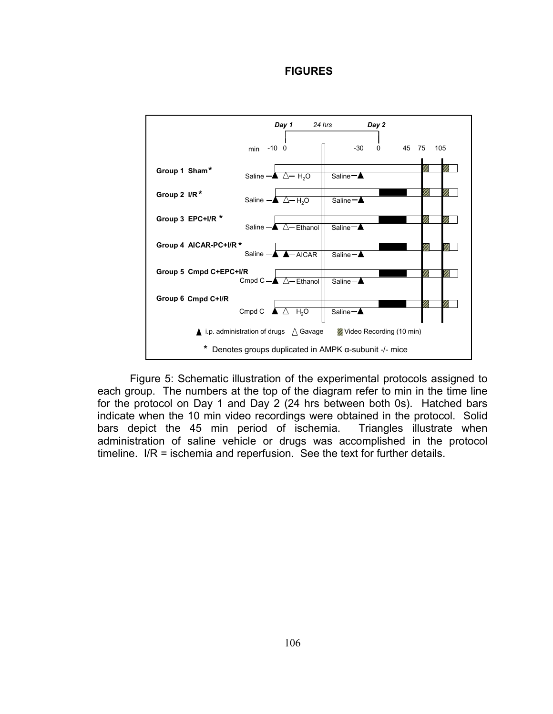**FIGURES**



Figure 5: Schematic illustration of the experimental protocols assigned to each group. The numbers at the top of the diagram refer to min in the time line for the protocol on Day 1 and Day 2 (24 hrs between both 0s). Hatched bars indicate when the 10 min video recordings were obtained in the protocol. Solid bars depict the 45 min period of ischemia. Triangles illustrate when administration of saline vehicle or drugs was accomplished in the protocol timeline. I/R = ischemia and reperfusion. See the text for further details.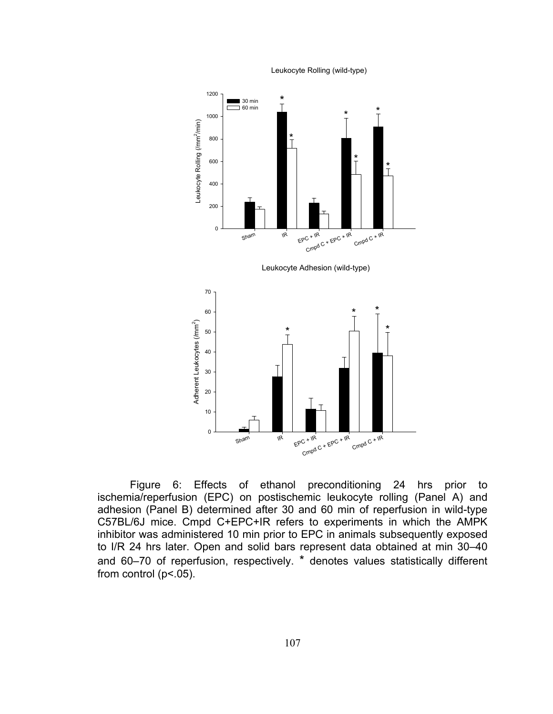Leukocyte Rolling (wild-type)



Figure 6: Effects of ethanol preconditioning 24 hrs prior to ischemia/reperfusion (EPC) on postischemic leukocyte rolling (Panel A) and adhesion (Panel B) determined after 30 and 60 min of reperfusion in wild-type C57BL/6J mice. Cmpd C+EPC+IR refers to experiments in which the AMPK inhibitor was administered 10 min prior to EPC in animals subsequently exposed to I/R 24 hrs later. Open and solid bars represent data obtained at min 30–40 and 60–70 of reperfusion, respectively. \* denotes values statistically different from control ( $p$ <.05).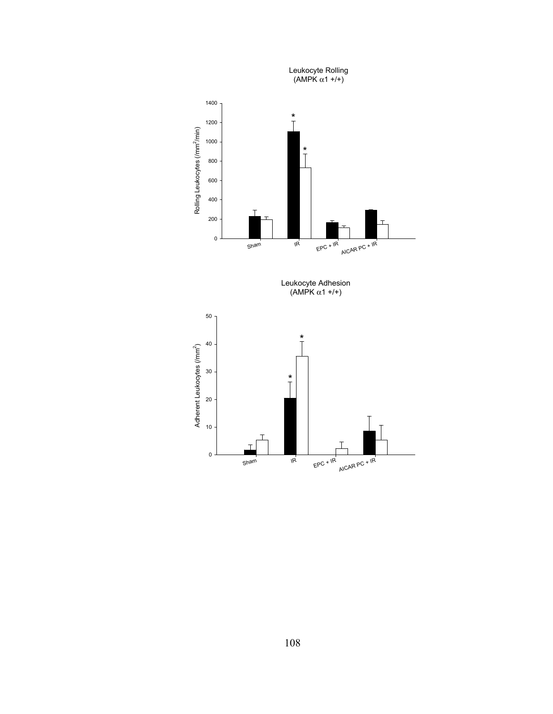

108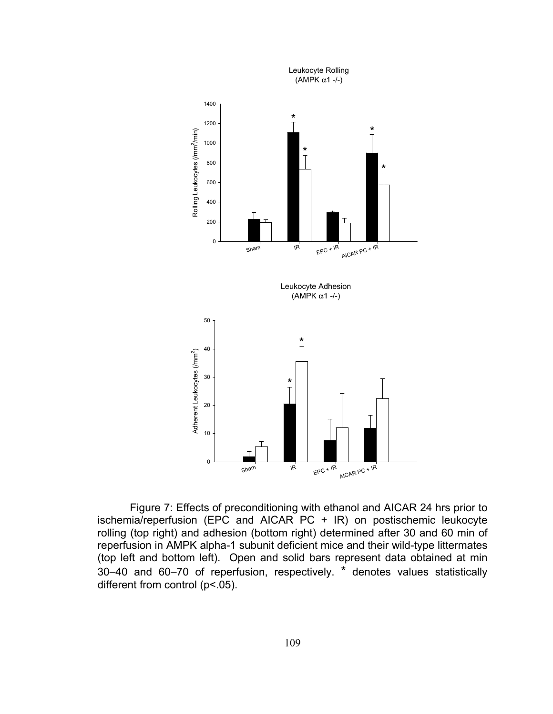

Figure 7: Effects of preconditioning with ethanol and AICAR 24 hrs prior to ischemia/reperfusion (EPC and AICAR PC + IR) on postischemic leukocyte rolling (top right) and adhesion (bottom right) determined after 30 and 60 min of reperfusion in AMPK alpha-1 subunit deficient mice and their wild-type littermates (top left and bottom left). Open and solid bars represent data obtained at min 30–40 and 60–70 of reperfusion, respectively. \* denotes values statistically different from control (p<.05).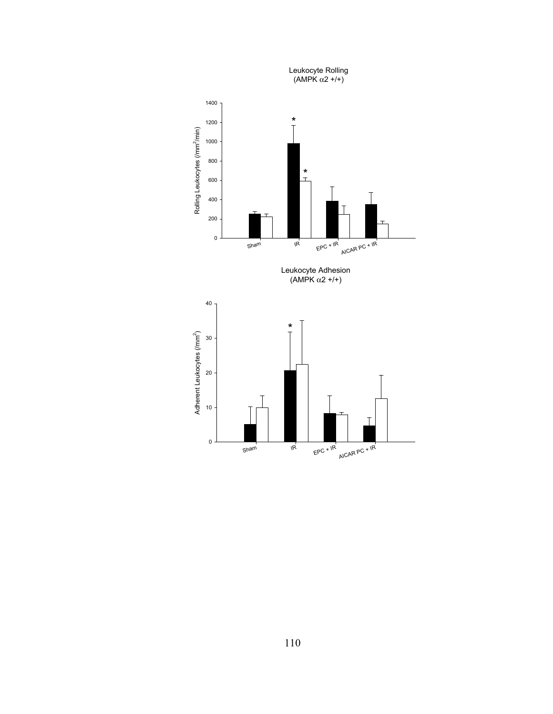

110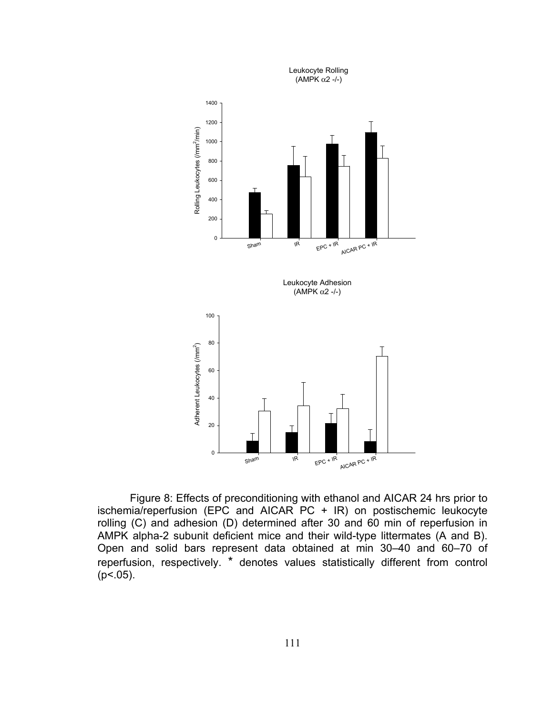

Figure 8: Effects of preconditioning with ethanol and AICAR 24 hrs prior to ischemia/reperfusion (EPC and AICAR PC + IR) on postischemic leukocyte rolling (C) and adhesion (D) determined after 30 and 60 min of reperfusion in AMPK alpha-2 subunit deficient mice and their wild-type littermates (A and B). Open and solid bars represent data obtained at min 30–40 and 60–70 of reperfusion, respectively. \* denotes values statistically different from control  $(p<.05)$ .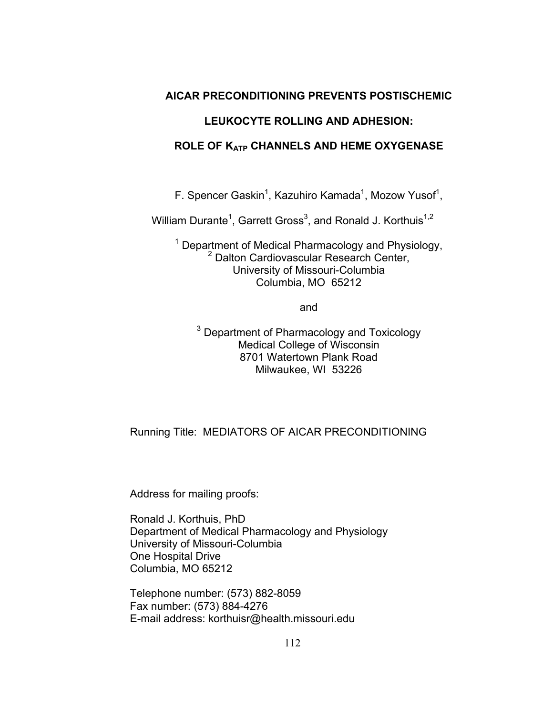## **AICAR PRECONDITIONING PREVENTS POSTISCHEMIC**

# **LEUKOCYTE ROLLING AND ADHESION:**

## **ROLE OF KATP CHANNELS AND HEME OXYGENASE**

F. Spencer Gaskin<sup>1</sup>, Kazuhiro Kamada<sup>1</sup>, Mozow Yusof<sup>1</sup>,

William Durante<sup>1</sup>, Garrett Gross<sup>3</sup>, and Ronald J. Korthuis<sup>1,2</sup>

<sup>1</sup> Department of Medical Pharmacology and Physiology, 2 Dalton Cardiovascular Research Center, University of Missouri-Columbia Columbia, MO 65212

and

<sup>3</sup> Department of Pharmacology and Toxicology Medical College of Wisconsin 8701 Watertown Plank Road Milwaukee, WI 53226

# Running Title: MEDIATORS OF AICAR PRECONDITIONING

Address for mailing proofs:

Ronald J. Korthuis, PhD Department of Medical Pharmacology and Physiology University of Missouri-Columbia One Hospital Drive Columbia, MO 65212

Telephone number: (573) 882-8059 Fax number: (573) 884-4276 E-mail address: korthuisr@health.missouri.edu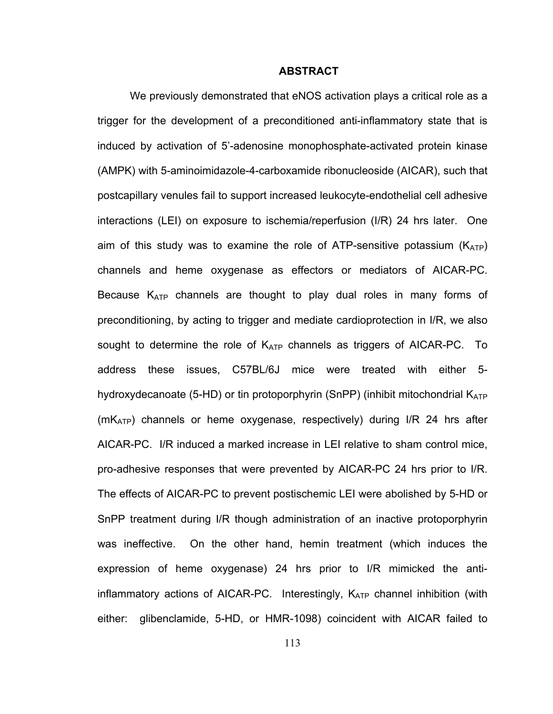#### **ABSTRACT**

We previously demonstrated that eNOS activation plays a critical role as a trigger for the development of a preconditioned anti-inflammatory state that is induced by activation of 5'-adenosine monophosphate-activated protein kinase (AMPK) with 5-aminoimidazole-4-carboxamide ribonucleoside (AICAR), such that postcapillary venules fail to support increased leukocyte-endothelial cell adhesive interactions (LEI) on exposure to ischemia/reperfusion (I/R) 24 hrs later. One aim of this study was to examine the role of ATP-sensitive potassium ( $K_{ATP}$ ) channels and heme oxygenase as effectors or mediators of AICAR-PC. Because  $K_{ATP}$  channels are thought to play dual roles in many forms of preconditioning, by acting to trigger and mediate cardioprotection in I/R, we also sought to determine the role of  $K_{ATP}$  channels as triggers of AICAR-PC. To address these issues, C57BL/6J mice were treated with either 5 hydroxydecanoate (5-HD) or tin protoporphyrin (SnPP) (inhibit mitochondrial  $K_{ATP}$  $(mK_{ATP})$  channels or heme oxygenase, respectively) during I/R 24 hrs after AICAR-PC. I/R induced a marked increase in LEI relative to sham control mice, pro-adhesive responses that were prevented by AICAR-PC 24 hrs prior to I/R. The effects of AICAR-PC to prevent postischemic LEI were abolished by 5-HD or SnPP treatment during I/R though administration of an inactive protoporphyrin was ineffective. On the other hand, hemin treatment (which induces the expression of heme oxygenase) 24 hrs prior to I/R mimicked the antiinflammatory actions of AICAR-PC. Interestingly,  $K_{ATP}$  channel inhibition (with either: glibenclamide, 5-HD, or HMR-1098) coincident with AICAR failed to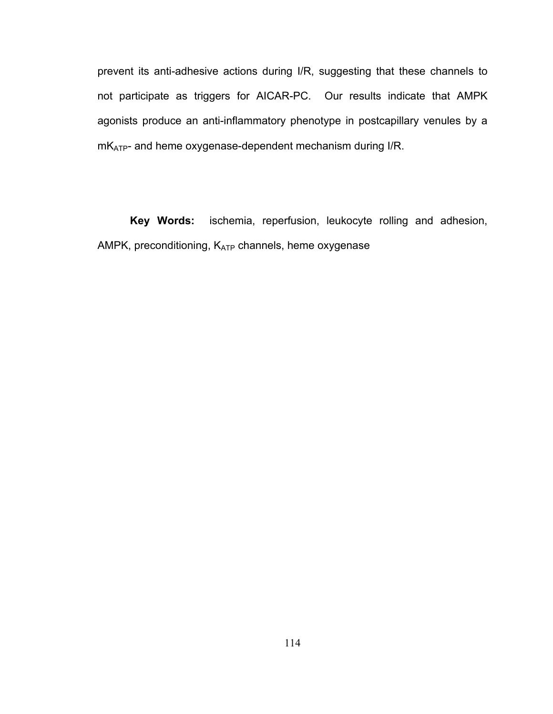prevent its anti-adhesive actions during I/R, suggesting that these channels to not participate as triggers for AICAR-PC. Our results indicate that AMPK agonists produce an anti-inflammatory phenotype in postcapillary venules by a mKATP- and heme oxygenase-dependent mechanism during I/R.

**Key Words:** ischemia, reperfusion, leukocyte rolling and adhesion, AMPK, preconditioning, KATP channels, heme oxygenase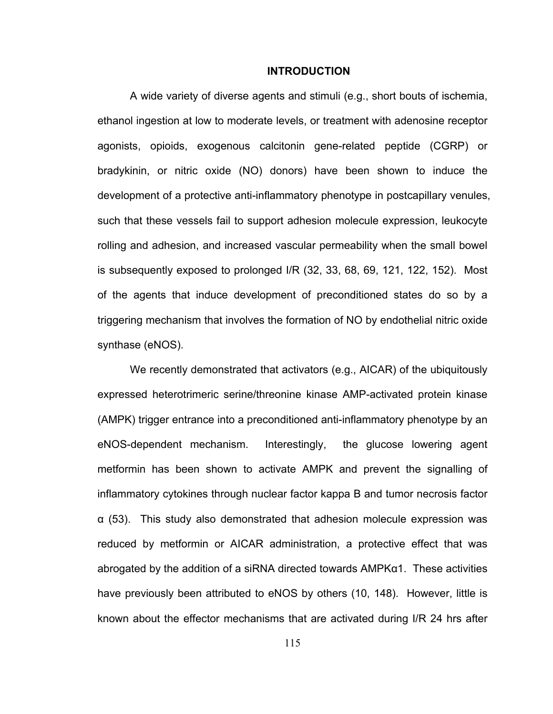#### **INTRODUCTION**

A wide variety of diverse agents and stimuli (e.g., short bouts of ischemia, ethanol ingestion at low to moderate levels, or treatment with adenosine receptor agonists, opioids, exogenous calcitonin gene-related peptide (CGRP) or bradykinin, or nitric oxide (NO) donors) have been shown to induce the development of a protective anti-inflammatory phenotype in postcapillary venules, such that these vessels fail to support adhesion molecule expression, leukocyte rolling and adhesion, and increased vascular permeability when the small bowel is subsequently exposed to prolonged I/R (32, 33, 68, 69, 121, 122, 152). Most of the agents that induce development of preconditioned states do so by a triggering mechanism that involves the formation of NO by endothelial nitric oxide synthase (eNOS).

We recently demonstrated that activators (e.g., AICAR) of the ubiquitously expressed heterotrimeric serine/threonine kinase AMP-activated protein kinase (AMPK) trigger entrance into a preconditioned anti-inflammatory phenotype by an eNOS-dependent mechanism. Interestingly, the glucose lowering agent metformin has been shown to activate AMPK and prevent the signalling of inflammatory cytokines through nuclear factor kappa B and tumor necrosis factor α (53). This study also demonstrated that adhesion molecule expression was reduced by metformin or AICAR administration, a protective effect that was abrogated by the addition of a siRNA directed towards AMPKα1. These activities have previously been attributed to eNOS by others (10, 148). However, little is known about the effector mechanisms that are activated during I/R 24 hrs after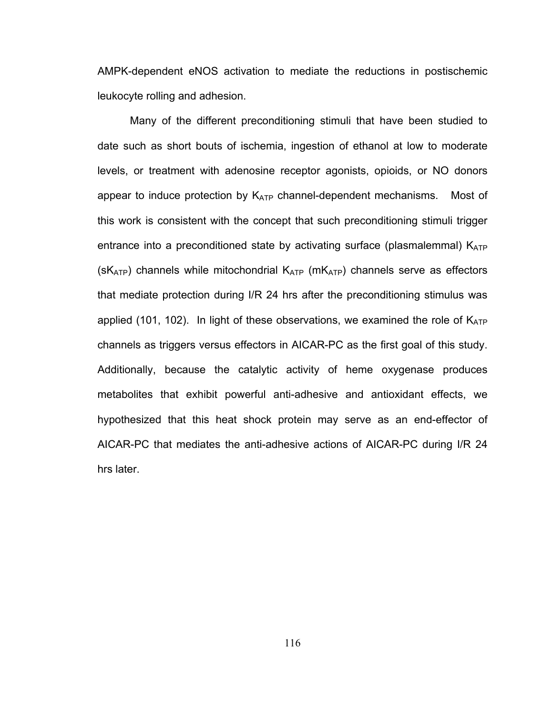AMPK-dependent eNOS activation to mediate the reductions in postischemic leukocyte rolling and adhesion.

Many of the different preconditioning stimuli that have been studied to date such as short bouts of ischemia, ingestion of ethanol at low to moderate levels, or treatment with adenosine receptor agonists, opioids, or NO donors appear to induce protection by  $K_{ATP}$  channel-dependent mechanisms. Most of this work is consistent with the concept that such preconditioning stimuli trigger entrance into a preconditioned state by activating surface (plasmalemmal)  $K_{ATP}$  $(SK_{ATP})$  channels while mitochondrial  $K_{ATP}$  (m $K_{ATP}$ ) channels serve as effectors that mediate protection during I/R 24 hrs after the preconditioning stimulus was applied (101, 102). In light of these observations, we examined the role of  $K_{ATP}$ channels as triggers versus effectors in AICAR-PC as the first goal of this study. Additionally, because the catalytic activity of heme oxygenase produces metabolites that exhibit powerful anti-adhesive and antioxidant effects, we hypothesized that this heat shock protein may serve as an end-effector of AICAR-PC that mediates the anti-adhesive actions of AICAR-PC during I/R 24 hrs later.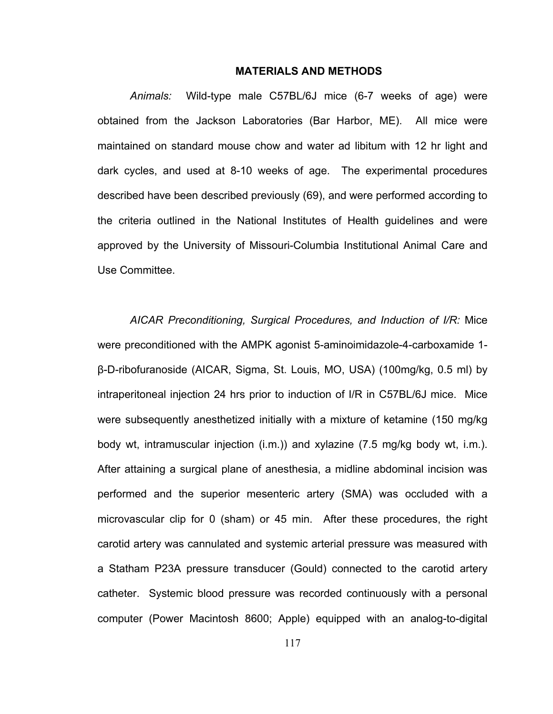### **MATERIALS AND METHODS**

*Animals:* Wild-type male C57BL/6J mice (6-7 weeks of age) were obtained from the Jackson Laboratories (Bar Harbor, ME). All mice were maintained on standard mouse chow and water ad libitum with 12 hr light and dark cycles, and used at 8-10 weeks of age. The experimental procedures described have been described previously (69), and were performed according to the criteria outlined in the National Institutes of Health guidelines and were approved by the University of Missouri-Columbia Institutional Animal Care and Use Committee.

*AICAR Preconditioning, Surgical Procedures, and Induction of I/R:* Mice were preconditioned with the AMPK agonist 5-aminoimidazole-4-carboxamide 1 β-D-ribofuranoside (AICAR, Sigma, St. Louis, MO, USA) (100mg/kg, 0.5 ml) by intraperitoneal injection 24 hrs prior to induction of I/R in C57BL/6J mice. Mice were subsequently anesthetized initially with a mixture of ketamine (150 mg/kg body wt, intramuscular injection (i.m.)) and xylazine (7.5 mg/kg body wt, i.m.). After attaining a surgical plane of anesthesia, a midline abdominal incision was performed and the superior mesenteric artery (SMA) was occluded with a microvascular clip for 0 (sham) or 45 min. After these procedures, the right carotid artery was cannulated and systemic arterial pressure was measured with a Statham P23A pressure transducer (Gould) connected to the carotid artery catheter. Systemic blood pressure was recorded continuously with a personal computer (Power Macintosh 8600; Apple) equipped with an analog-to-digital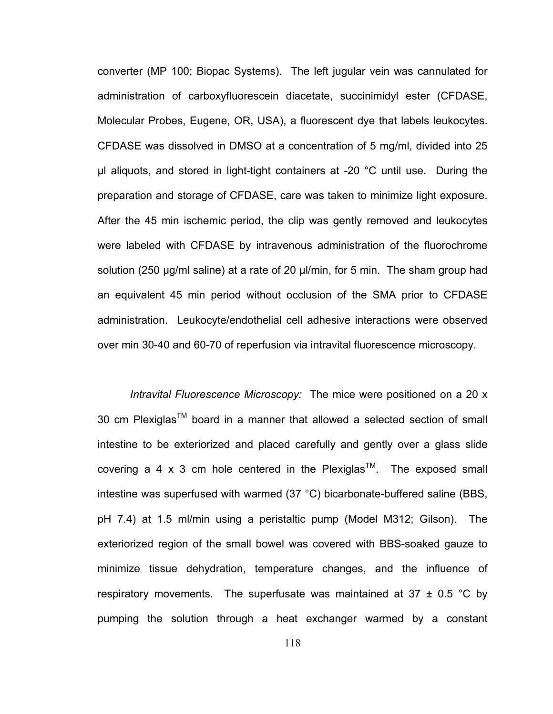converter (MP 100; Biopac Systems). The left jugular vein was cannulated for administration of carboxyfluorescein diacetate, succinimidyl ester (CFDASE, Molecular Probes, Eugene, OR, USA), a fluorescent dye that labels leukocytes. CFDASE was dissolved in DMSO at a concentration of 5 mg/ml, divided into 25 μl aliquots, and stored in light-tight containers at -20 °C until use. During the preparation and storage of CFDASE, care was taken to minimize light exposure. After the 45 min ischemic period, the clip was gently removed and leukocytes were labeled with CFDASE by intravenous administration of the fluorochrome solution (250 μg/ml saline) at a rate of 20 μl/min, for 5 min. The sham group had an equivalent 45 min period without occlusion of the SMA prior to CFDASE administration. Leukocyte/endothelial cell adhesive interactions were observed over min 30-40 and 60-70 of reperfusion via intravital fluorescence microscopy.

*Intravital Fluorescence Microscopy:* The mice were positioned on a 20 x 30 cm Plexiglas<sup>TM</sup> board in a manner that allowed a selected section of small intestine to be exteriorized and placed carefully and gently over a glass slide covering a 4 x 3 cm hole centered in the Plexiglas<sup>TM</sup>. The exposed small intestine was superfused with warmed (37 °C) bicarbonate-buffered saline (BBS, pH 7.4) at 1.5 ml/min using a peristaltic pump (Model M312; Gilson). The exteriorized region of the small bowel was covered with BBS-soaked gauze to minimize tissue dehydration, temperature changes, and the influence of respiratory movements. The superfusate was maintained at 37  $\pm$  0.5 °C by pumping the solution through a heat exchanger warmed by a constant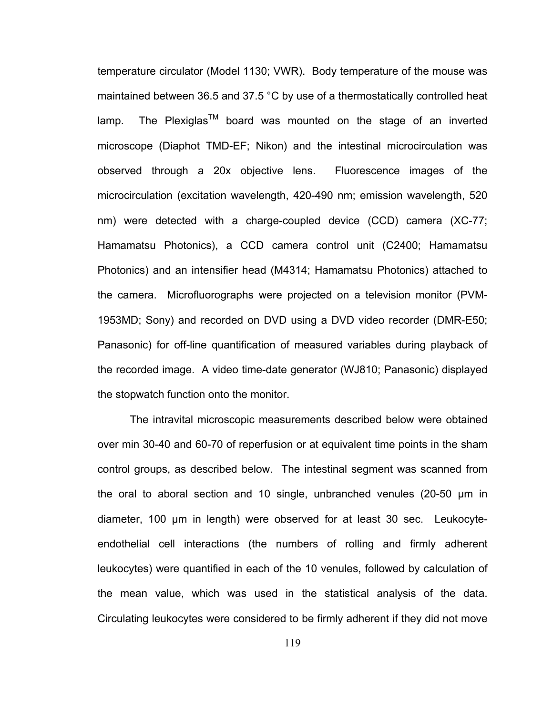temperature circulator (Model 1130; VWR). Body temperature of the mouse was maintained between 36.5 and 37.5 °C by use of a thermostatically controlled heat lamp. The Plexiglas<sup>TM</sup> board was mounted on the stage of an inverted microscope (Diaphot TMD-EF; Nikon) and the intestinal microcirculation was observed through a 20x objective lens. Fluorescence images of the microcirculation (excitation wavelength, 420-490 nm; emission wavelength, 520 nm) were detected with a charge-coupled device (CCD) camera (XC-77; Hamamatsu Photonics), a CCD camera control unit (C2400; Hamamatsu Photonics) and an intensifier head (M4314; Hamamatsu Photonics) attached to the camera. Microfluorographs were projected on a television monitor (PVM-1953MD; Sony) and recorded on DVD using a DVD video recorder (DMR-E50; Panasonic) for off-line quantification of measured variables during playback of the recorded image. A video time-date generator (WJ810; Panasonic) displayed the stopwatch function onto the monitor.

The intravital microscopic measurements described below were obtained over min 30-40 and 60-70 of reperfusion or at equivalent time points in the sham control groups, as described below. The intestinal segment was scanned from the oral to aboral section and 10 single, unbranched venules (20-50 μm in diameter, 100 μm in length) were observed for at least 30 sec. Leukocyteendothelial cell interactions (the numbers of rolling and firmly adherent leukocytes) were quantified in each of the 10 venules, followed by calculation of the mean value, which was used in the statistical analysis of the data. Circulating leukocytes were considered to be firmly adherent if they did not move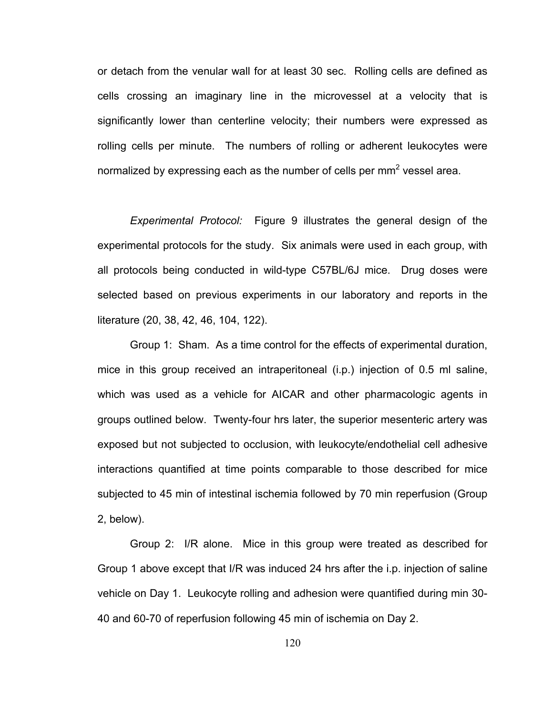or detach from the venular wall for at least 30 sec. Rolling cells are defined as cells crossing an imaginary line in the microvessel at a velocity that is significantly lower than centerline velocity; their numbers were expressed as rolling cells per minute. The numbers of rolling or adherent leukocytes were normalized by expressing each as the number of cells per mm<sup>2</sup> vessel area.

*Experimental Protocol:* Figure 9 illustrates the general design of the experimental protocols for the study. Six animals were used in each group, with all protocols being conducted in wild-type C57BL/6J mice. Drug doses were selected based on previous experiments in our laboratory and reports in the literature (20, 38, 42, 46, 104, 122).

Group 1: Sham. As a time control for the effects of experimental duration, mice in this group received an intraperitoneal (i.p.) injection of 0.5 ml saline, which was used as a vehicle for AICAR and other pharmacologic agents in groups outlined below. Twenty-four hrs later, the superior mesenteric artery was exposed but not subjected to occlusion, with leukocyte/endothelial cell adhesive interactions quantified at time points comparable to those described for mice subjected to 45 min of intestinal ischemia followed by 70 min reperfusion (Group 2, below).

Group 2: I/R alone. Mice in this group were treated as described for Group 1 above except that I/R was induced 24 hrs after the i.p. injection of saline vehicle on Day 1. Leukocyte rolling and adhesion were quantified during min 30- 40 and 60-70 of reperfusion following 45 min of ischemia on Day 2.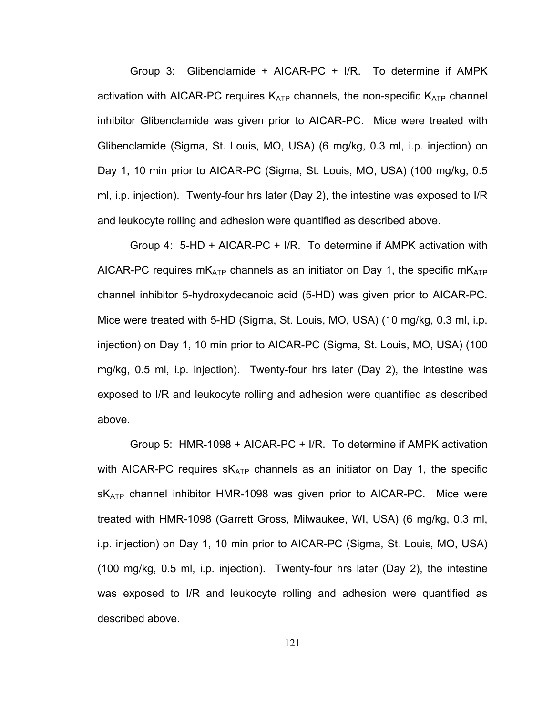Group 3: Glibenclamide + AICAR-PC + I/R. To determine if AMPK activation with AICAR-PC requires  $K_{ATP}$  channels, the non-specific  $K_{ATP}$  channel inhibitor Glibenclamide was given prior to AICAR-PC. Mice were treated with Glibenclamide (Sigma, St. Louis, MO, USA) (6 mg/kg, 0.3 ml, i.p. injection) on Day 1, 10 min prior to AICAR-PC (Sigma, St. Louis, MO, USA) (100 mg/kg, 0.5 ml, i.p. injection). Twenty-four hrs later (Day 2), the intestine was exposed to I/R and leukocyte rolling and adhesion were quantified as described above.

Group 4: 5-HD + AICAR-PC + I/R. To determine if AMPK activation with AICAR-PC requires  $mK_{ATP}$  channels as an initiator on Day 1, the specific  $mK_{ATP}$ channel inhibitor 5-hydroxydecanoic acid (5-HD) was given prior to AICAR-PC. Mice were treated with 5-HD (Sigma, St. Louis, MO, USA) (10 mg/kg, 0.3 ml, i.p. injection) on Day 1, 10 min prior to AICAR-PC (Sigma, St. Louis, MO, USA) (100 mg/kg, 0.5 ml, i.p. injection). Twenty-four hrs later (Day 2), the intestine was exposed to I/R and leukocyte rolling and adhesion were quantified as described above.

Group 5: HMR-1098 + AICAR-PC + I/R. To determine if AMPK activation with AICAR-PC requires  $sK_{ATP}$  channels as an initiator on Day 1, the specific  $sK_{ATP}$  channel inhibitor HMR-1098 was given prior to AICAR-PC. Mice were treated with HMR-1098 (Garrett Gross, Milwaukee, WI, USA) (6 mg/kg, 0.3 ml, i.p. injection) on Day 1, 10 min prior to AICAR-PC (Sigma, St. Louis, MO, USA) (100 mg/kg, 0.5 ml, i.p. injection). Twenty-four hrs later (Day 2), the intestine was exposed to I/R and leukocyte rolling and adhesion were quantified as described above.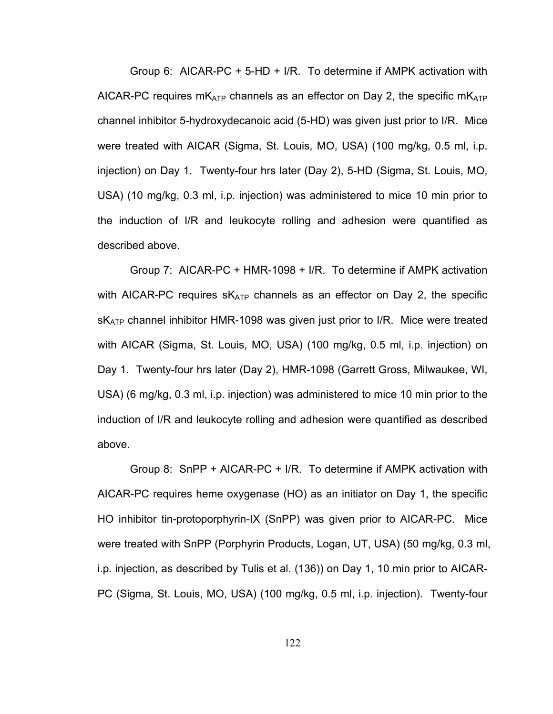Group 6: AICAR-PC + 5-HD + I/R. To determine if AMPK activation with AICAR-PC requires  $mK_{ATP}$  channels as an effector on Day 2, the specific  $mK_{ATP}$ channel inhibitor 5-hydroxydecanoic acid (5-HD) was given just prior to I/R. Mice were treated with AICAR (Sigma, St. Louis, MO, USA) (100 mg/kg, 0.5 ml, i.p. injection) on Day 1. Twenty-four hrs later (Day 2), 5-HD (Sigma, St. Louis, MO, USA) (10 mg/kg, 0.3 ml, i.p. injection) was administered to mice 10 min prior to the induction of I/R and leukocyte rolling and adhesion were quantified as described above.

Group 7: AICAR-PC + HMR-1098 + I/R. To determine if AMPK activation with AICAR-PC requires  $sK_{ATP}$  channels as an effector on Day 2, the specific  $sK<sub>ATP</sub>$  channel inhibitor HMR-1098 was given just prior to I/R. Mice were treated with AICAR (Sigma, St. Louis, MO, USA) (100 mg/kg, 0.5 ml, i.p. injection) on Day 1. Twenty-four hrs later (Day 2), HMR-1098 (Garrett Gross, Milwaukee, WI, USA) (6 mg/kg, 0.3 ml, i.p. injection) was administered to mice 10 min prior to the induction of I/R and leukocyte rolling and adhesion were quantified as described above.

Group 8: SnPP + AICAR-PC + I/R. To determine if AMPK activation with AICAR-PC requires heme oxygenase (HO) as an initiator on Day 1, the specific HO inhibitor tin-protoporphyrin-IX (SnPP) was given prior to AICAR-PC. Mice were treated with SnPP (Porphyrin Products, Logan, UT, USA) (50 mg/kg, 0.3 ml, i.p. injection, as described by Tulis et al. (136)) on Day 1, 10 min prior to AICAR-PC (Sigma, St. Louis, MO, USA) (100 mg/kg, 0.5 ml, i.p. injection). Twenty-four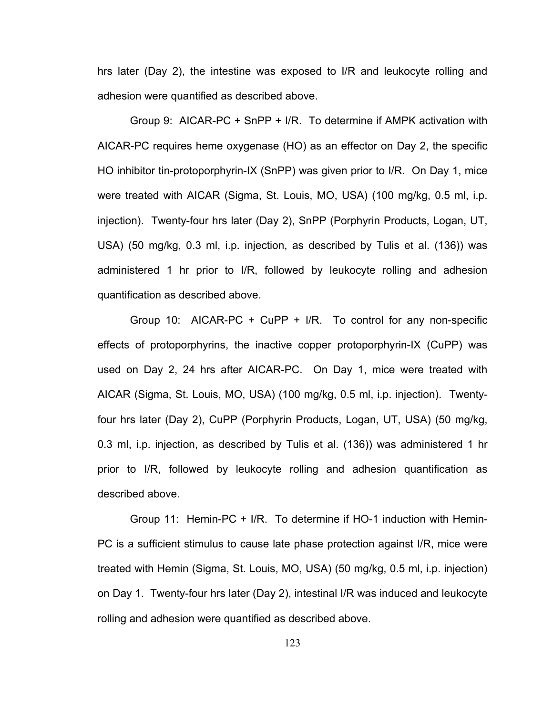hrs later (Day 2), the intestine was exposed to I/R and leukocyte rolling and adhesion were quantified as described above.

Group 9: AICAR-PC + SnPP + I/R. To determine if AMPK activation with AICAR-PC requires heme oxygenase (HO) as an effector on Day 2, the specific HO inhibitor tin-protoporphyrin-IX (SnPP) was given prior to I/R. On Day 1, mice were treated with AICAR (Sigma, St. Louis, MO, USA) (100 mg/kg, 0.5 ml, i.p. injection). Twenty-four hrs later (Day 2), SnPP (Porphyrin Products, Logan, UT, USA) (50 mg/kg, 0.3 ml, i.p. injection, as described by Tulis et al. (136)) was administered 1 hr prior to I/R, followed by leukocyte rolling and adhesion quantification as described above.

Group 10: AICAR-PC + CuPP + I/R. To control for any non-specific effects of protoporphyrins, the inactive copper protoporphyrin-IX (CuPP) was used on Day 2, 24 hrs after AICAR-PC. On Day 1, mice were treated with AICAR (Sigma, St. Louis, MO, USA) (100 mg/kg, 0.5 ml, i.p. injection). Twentyfour hrs later (Day 2), CuPP (Porphyrin Products, Logan, UT, USA) (50 mg/kg, 0.3 ml, i.p. injection, as described by Tulis et al. (136)) was administered 1 hr prior to I/R, followed by leukocyte rolling and adhesion quantification as described above.

Group 11: Hemin-PC + I/R. To determine if HO-1 induction with Hemin-PC is a sufficient stimulus to cause late phase protection against I/R, mice were treated with Hemin (Sigma, St. Louis, MO, USA) (50 mg/kg, 0.5 ml, i.p. injection) on Day 1. Twenty-four hrs later (Day 2), intestinal I/R was induced and leukocyte rolling and adhesion were quantified as described above.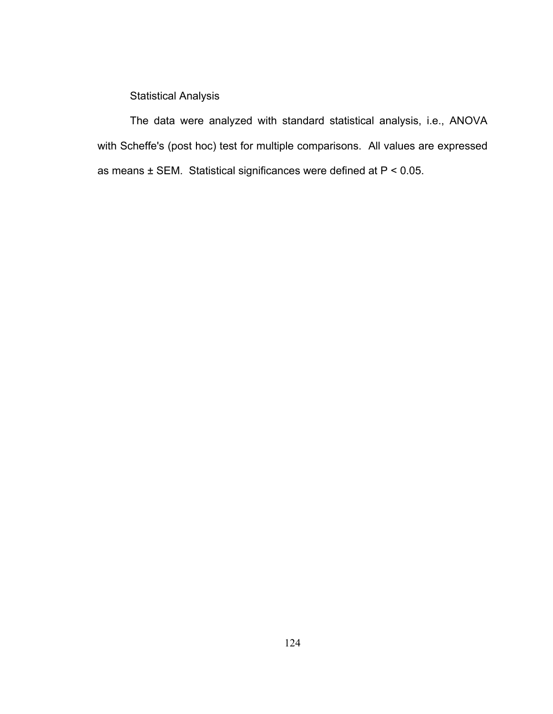Statistical Analysis

The data were analyzed with standard statistical analysis, i.e., ANOVA with Scheffe's (post hoc) test for multiple comparisons. All values are expressed as means ± SEM. Statistical significances were defined at P < 0.05.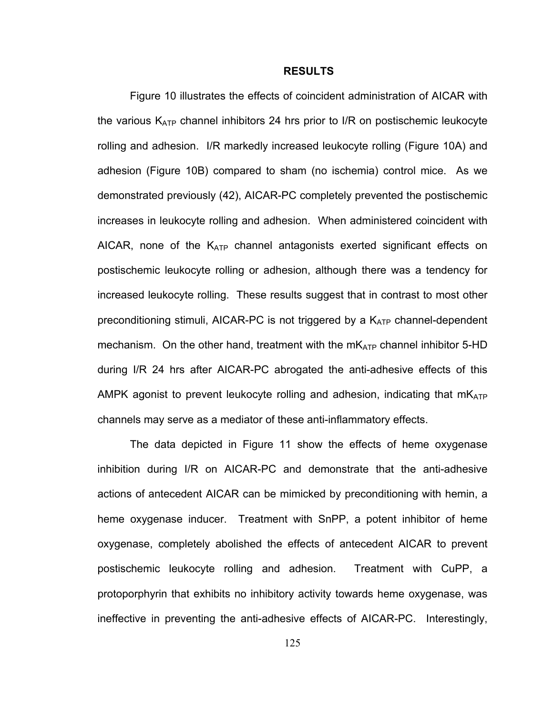#### **RESULTS**

Figure 10 illustrates the effects of coincident administration of AICAR with the various  $K_{ATP}$  channel inhibitors 24 hrs prior to I/R on postischemic leukocyte rolling and adhesion. I/R markedly increased leukocyte rolling (Figure 10A) and adhesion (Figure 10B) compared to sham (no ischemia) control mice. As we demonstrated previously (42), AICAR-PC completely prevented the postischemic increases in leukocyte rolling and adhesion. When administered coincident with AICAR, none of the  $K_{ATP}$  channel antagonists exerted significant effects on postischemic leukocyte rolling or adhesion, although there was a tendency for increased leukocyte rolling. These results suggest that in contrast to most other preconditioning stimuli, AICAR-PC is not triggered by a  $K_{ATP}$  channel-dependent mechanism. On the other hand, treatment with the  $mK_{ATP}$  channel inhibitor 5-HD during I/R 24 hrs after AICAR-PC abrogated the anti-adhesive effects of this AMPK agonist to prevent leukocyte rolling and adhesion, indicating that  $mK_{ATP}$ channels may serve as a mediator of these anti-inflammatory effects.

The data depicted in Figure 11 show the effects of heme oxygenase inhibition during I/R on AICAR-PC and demonstrate that the anti-adhesive actions of antecedent AICAR can be mimicked by preconditioning with hemin, a heme oxygenase inducer. Treatment with SnPP, a potent inhibitor of heme oxygenase, completely abolished the effects of antecedent AICAR to prevent postischemic leukocyte rolling and adhesion. Treatment with CuPP, a protoporphyrin that exhibits no inhibitory activity towards heme oxygenase, was ineffective in preventing the anti-adhesive effects of AICAR-PC. Interestingly,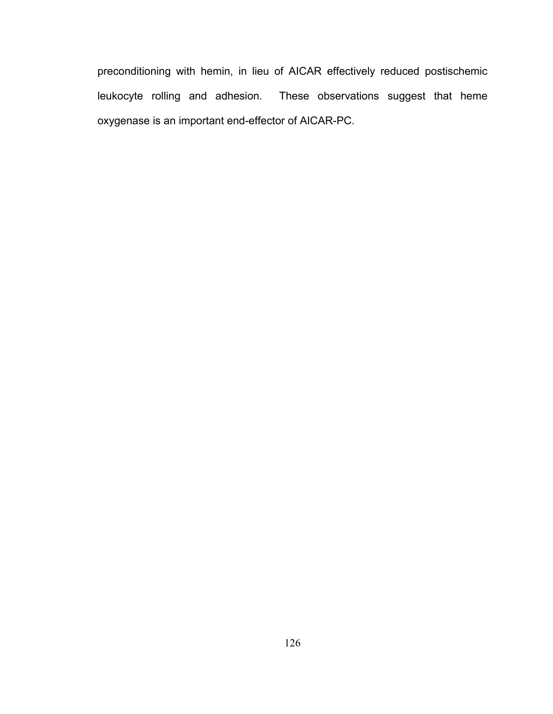preconditioning with hemin, in lieu of AICAR effectively reduced postischemic leukocyte rolling and adhesion. These observations suggest that heme oxygenase is an important end-effector of AICAR-PC.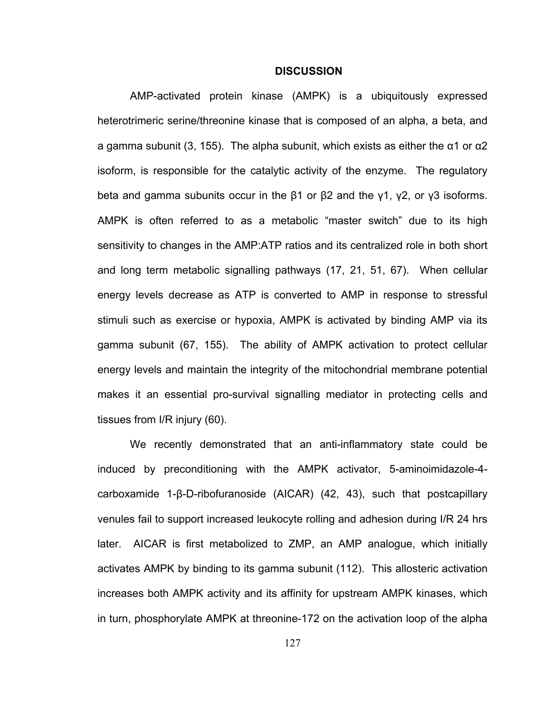#### **DISCUSSION**

AMP-activated protein kinase (AMPK) is a ubiquitously expressed heterotrimeric serine/threonine kinase that is composed of an alpha, a beta, and a gamma subunit (3, 155). The alpha subunit, which exists as either the  $\alpha$ 1 or  $\alpha$ 2 isoform, is responsible for the catalytic activity of the enzyme. The regulatory beta and gamma subunits occur in the β1 or β2 and the γ1, γ2, or γ3 isoforms. AMPK is often referred to as a metabolic "master switch" due to its high sensitivity to changes in the AMP:ATP ratios and its centralized role in both short and long term metabolic signalling pathways (17, 21, 51, 67). When cellular energy levels decrease as ATP is converted to AMP in response to stressful stimuli such as exercise or hypoxia, AMPK is activated by binding AMP via its gamma subunit (67, 155). The ability of AMPK activation to protect cellular energy levels and maintain the integrity of the mitochondrial membrane potential makes it an essential pro-survival signalling mediator in protecting cells and tissues from I/R injury (60).

We recently demonstrated that an anti-inflammatory state could be induced by preconditioning with the AMPK activator, 5-aminoimidazole-4 carboxamide 1-β-D-ribofuranoside (AICAR) (42, 43), such that postcapillary venules fail to support increased leukocyte rolling and adhesion during I/R 24 hrs later. AICAR is first metabolized to ZMP, an AMP analogue, which initially activates AMPK by binding to its gamma subunit (112). This allosteric activation increases both AMPK activity and its affinity for upstream AMPK kinases, which in turn, phosphorylate AMPK at threonine-172 on the activation loop of the alpha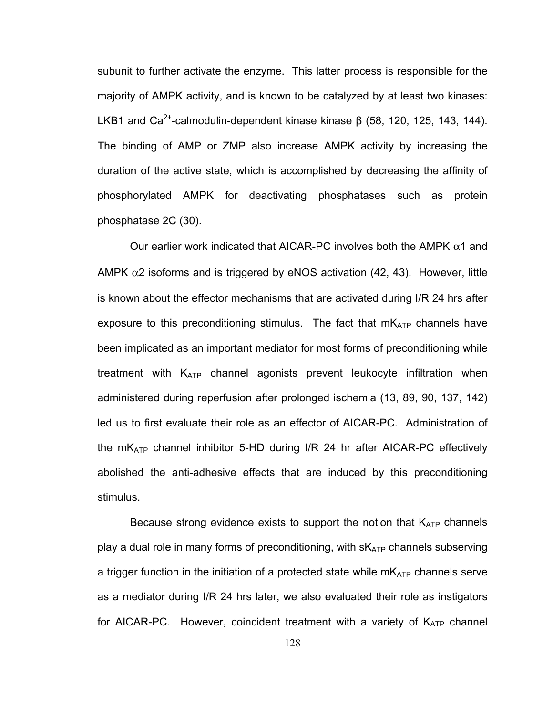subunit to further activate the enzyme. This latter process is responsible for the majority of AMPK activity, and is known to be catalyzed by at least two kinases: LKB1 and Ca<sup>2+</sup>-calmodulin-dependent kinase kinase β (58, 120, 125, 143, 144). The binding of AMP or ZMP also increase AMPK activity by increasing the duration of the active state, which is accomplished by decreasing the affinity of phosphorylated AMPK for deactivating phosphatases such as protein phosphatase 2C (30).

Our earlier work indicated that AICAR-PC involves both the AMPK  $\alpha$ 1 and AMPK  $\alpha$ 2 isoforms and is triggered by eNOS activation (42, 43). However, little is known about the effector mechanisms that are activated during I/R 24 hrs after exposure to this preconditioning stimulus. The fact that  $mK_{ATP}$  channels have been implicated as an important mediator for most forms of preconditioning while treatment with  $K_{ATP}$  channel agonists prevent leukocyte infiltration when administered during reperfusion after prolonged ischemia (13, 89, 90, 137, 142) led us to first evaluate their role as an effector of AICAR-PC. Administration of the  $mK_{ATP}$  channel inhibitor 5-HD during I/R 24 hr after AICAR-PC effectively abolished the anti-adhesive effects that are induced by this preconditioning stimulus.

Because strong evidence exists to support the notion that  $K_{ATP}$  channels play a dual role in many forms of preconditioning, with  $sK_{ATP}$  channels subserving a trigger function in the initiation of a protected state while  $mK_{ATP}$  channels serve as a mediator during I/R 24 hrs later, we also evaluated their role as instigators for AICAR-PC. However, coincident treatment with a variety of  $K_{ATP}$  channel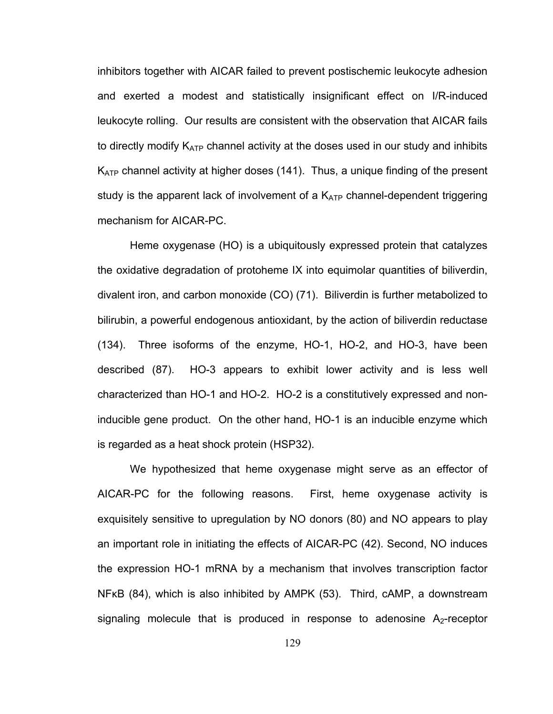inhibitors together with AICAR failed to prevent postischemic leukocyte adhesion and exerted a modest and statistically insignificant effect on I/R-induced leukocyte rolling. Our results are consistent with the observation that AICAR fails to directly modify  $K_{ATP}$  channel activity at the doses used in our study and inhibits  $K_{ATP}$  channel activity at higher doses (141). Thus, a unique finding of the present study is the apparent lack of involvement of a  $K_{ATP}$  channel-dependent triggering mechanism for AICAR-PC.

Heme oxygenase (HO) is a ubiquitously expressed protein that catalyzes the oxidative degradation of protoheme IX into equimolar quantities of biliverdin, divalent iron, and carbon monoxide (CO) (71). Biliverdin is further metabolized to bilirubin, a powerful endogenous antioxidant, by the action of biliverdin reductase (134). Three isoforms of the enzyme, HO-1, HO-2, and HO-3, have been described (87). HO-3 appears to exhibit lower activity and is less well characterized than HO-1 and HO-2. HO-2 is a constitutively expressed and noninducible gene product. On the other hand, HO-1 is an inducible enzyme which is regarded as a heat shock protein (HSP32).

We hypothesized that heme oxygenase might serve as an effector of AICAR-PC for the following reasons. First, heme oxygenase activity is exquisitely sensitive to upregulation by NO donors (80) and NO appears to play an important role in initiating the effects of AICAR-PC (42). Second, NO induces the expression HO-1 mRNA by a mechanism that involves transcription factor NFκB (84), which is also inhibited by AMPK (53). Third, cAMP, a downstream signaling molecule that is produced in response to adenosine  $A_2$ -receptor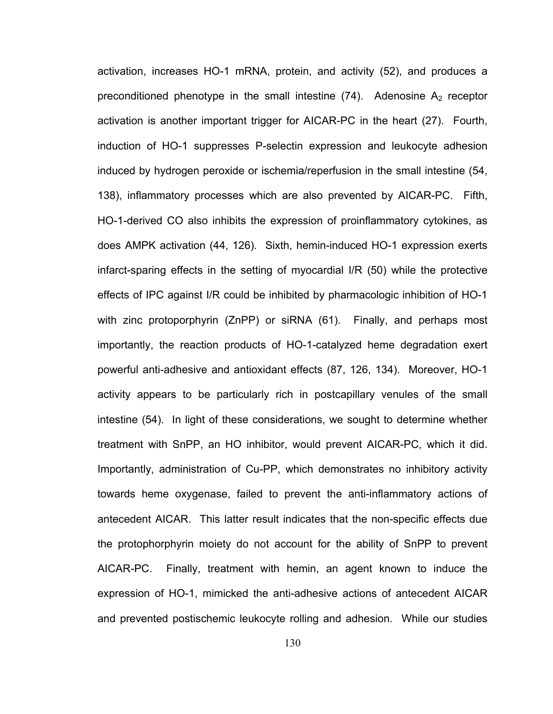activation, increases HO-1 mRNA, protein, and activity (52), and produces a preconditioned phenotype in the small intestine  $(74)$ . Adenosine A<sub>2</sub> receptor activation is another important trigger for AICAR-PC in the heart (27). Fourth, induction of HO-1 suppresses P-selectin expression and leukocyte adhesion induced by hydrogen peroxide or ischemia/reperfusion in the small intestine (54, 138), inflammatory processes which are also prevented by AICAR-PC. Fifth, HO-1-derived CO also inhibits the expression of proinflammatory cytokines, as does AMPK activation (44, 126). Sixth, hemin-induced HO-1 expression exerts infarct-sparing effects in the setting of myocardial I/R (50) while the protective effects of IPC against I/R could be inhibited by pharmacologic inhibition of HO-1 with zinc protoporphyrin (ZnPP) or siRNA (61). Finally, and perhaps most importantly, the reaction products of HO-1-catalyzed heme degradation exert powerful anti-adhesive and antioxidant effects (87, 126, 134). Moreover, HO-1 activity appears to be particularly rich in postcapillary venules of the small intestine (54). In light of these considerations, we sought to determine whether treatment with SnPP, an HO inhibitor, would prevent AICAR-PC, which it did. Importantly, administration of Cu-PP, which demonstrates no inhibitory activity towards heme oxygenase, failed to prevent the anti-inflammatory actions of antecedent AICAR. This latter result indicates that the non-specific effects due the protophorphyrin moiety do not account for the ability of SnPP to prevent AICAR-PC. Finally, treatment with hemin, an agent known to induce the expression of HO-1, mimicked the anti-adhesive actions of antecedent AICAR and prevented postischemic leukocyte rolling and adhesion. While our studies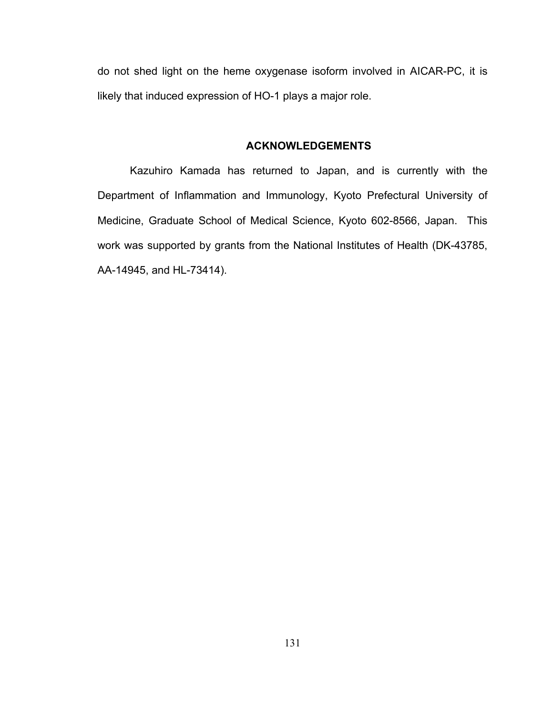do not shed light on the heme oxygenase isoform involved in AICAR-PC, it is likely that induced expression of HO-1 plays a major role.

### **ACKNOWLEDGEMENTS**

Kazuhiro Kamada has returned to Japan, and is currently with the Department of Inflammation and Immunology, Kyoto Prefectural University of Medicine, Graduate School of Medical Science, Kyoto 602-8566, Japan. This work was supported by grants from the National Institutes of Health (DK-43785, AA-14945, and HL-73414).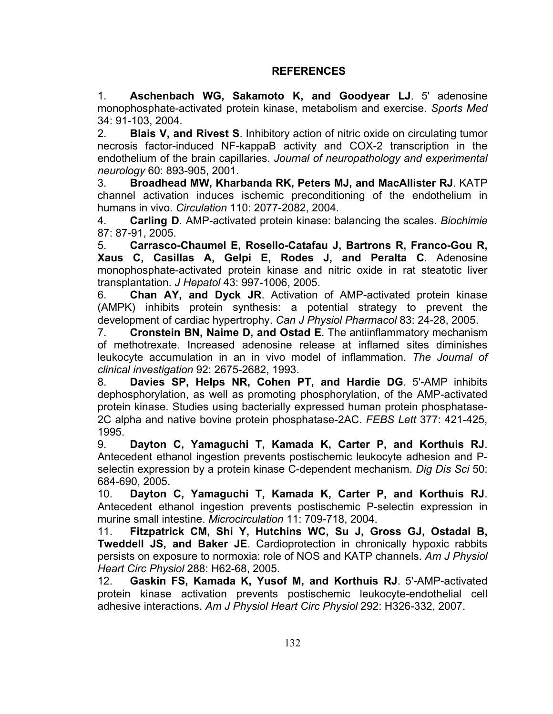## **REFERENCES**

1. **Aschenbach WG, Sakamoto K, and Goodyear LJ**. 5' adenosine monophosphate-activated protein kinase, metabolism and exercise. *Sports Med*  34: 91-103, 2004.

2. **Blais V, and Rivest S**. Inhibitory action of nitric oxide on circulating tumor necrosis factor-induced NF-kappaB activity and COX-2 transcription in the endothelium of the brain capillaries. *Journal of neuropathology and experimental neurology* 60: 893-905, 2001.

3. **Broadhead MW, Kharbanda RK, Peters MJ, and MacAllister RJ**. KATP channel activation induces ischemic preconditioning of the endothelium in humans in vivo. *Circulation* 110: 2077-2082, 2004.

4. **Carling D**. AMP-activated protein kinase: balancing the scales. *Biochimie*  87: 87-91, 2005.

5. **Carrasco-Chaumel E, Rosello-Catafau J, Bartrons R, Franco-Gou R, Xaus C, Casillas A, Gelpi E, Rodes J, and Peralta C**. Adenosine monophosphate-activated protein kinase and nitric oxide in rat steatotic liver transplantation. *J Hepatol* 43: 997-1006, 2005.

6. **Chan AY, and Dyck JR**. Activation of AMP-activated protein kinase (AMPK) inhibits protein synthesis: a potential strategy to prevent the development of cardiac hypertrophy. *Can J Physiol Pharmacol* 83: 24-28, 2005.

7. **Cronstein BN, Naime D, and Ostad E**. The antiinflammatory mechanism of methotrexate. Increased adenosine release at inflamed sites diminishes leukocyte accumulation in an in vivo model of inflammation. *The Journal of clinical investigation* 92: 2675-2682, 1993.

8. **Davies SP, Helps NR, Cohen PT, and Hardie DG**. 5'-AMP inhibits dephosphorylation, as well as promoting phosphorylation, of the AMP-activated protein kinase. Studies using bacterially expressed human protein phosphatase-2C alpha and native bovine protein phosphatase-2AC. *FEBS Lett* 377: 421-425, 1995.

9. **Dayton C, Yamaguchi T, Kamada K, Carter P, and Korthuis RJ**. Antecedent ethanol ingestion prevents postischemic leukocyte adhesion and Pselectin expression by a protein kinase C-dependent mechanism. *Dig Dis Sci* 50: 684-690, 2005.

10. **Dayton C, Yamaguchi T, Kamada K, Carter P, and Korthuis RJ**. Antecedent ethanol ingestion prevents postischemic P-selectin expression in murine small intestine. *Microcirculation* 11: 709-718, 2004.

11. **Fitzpatrick CM, Shi Y, Hutchins WC, Su J, Gross GJ, Ostadal B, Tweddell JS, and Baker JE**. Cardioprotection in chronically hypoxic rabbits persists on exposure to normoxia: role of NOS and KATP channels. *Am J Physiol Heart Circ Physiol* 288: H62-68, 2005.

12. **Gaskin FS, Kamada K, Yusof M, and Korthuis RJ**. 5'-AMP-activated protein kinase activation prevents postischemic leukocyte-endothelial cell adhesive interactions. *Am J Physiol Heart Circ Physiol* 292: H326-332, 2007.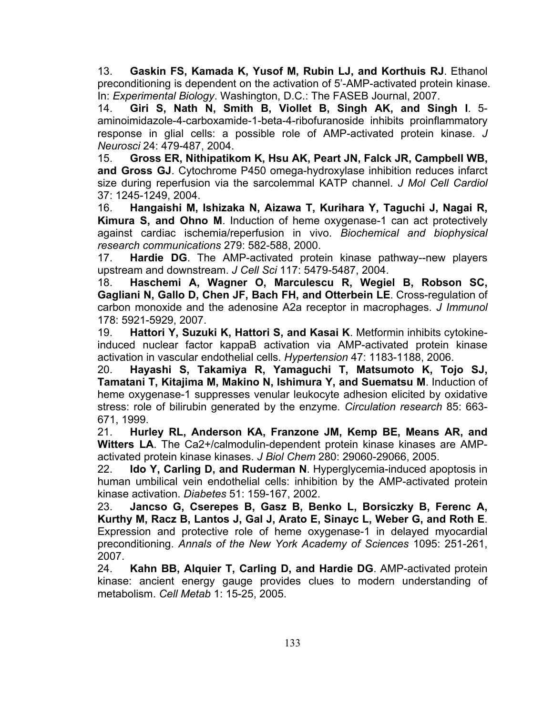13. **Gaskin FS, Kamada K, Yusof M, Rubin LJ, and Korthuis RJ**. Ethanol preconditioning is dependent on the activation of 5'-AMP-activated protein kinase. In: *Experimental Biology*. Washington, D.C.: The FASEB Journal, 2007.

14. **Giri S, Nath N, Smith B, Viollet B, Singh AK, and Singh I**. 5 aminoimidazole-4-carboxamide-1-beta-4-ribofuranoside inhibits proinflammatory response in glial cells: a possible role of AMP-activated protein kinase. *J Neurosci* 24: 479-487, 2004.

15. **Gross ER, Nithipatikom K, Hsu AK, Peart JN, Falck JR, Campbell WB, and Gross GJ**. Cytochrome P450 omega-hydroxylase inhibition reduces infarct size during reperfusion via the sarcolemmal KATP channel. *J Mol Cell Cardiol*  37: 1245-1249, 2004.

16. **Hangaishi M, Ishizaka N, Aizawa T, Kurihara Y, Taguchi J, Nagai R, Kimura S, and Ohno M**. Induction of heme oxygenase-1 can act protectively against cardiac ischemia/reperfusion in vivo. *Biochemical and biophysical research communications* 279: 582-588, 2000.

17. **Hardie DG**. The AMP-activated protein kinase pathway--new players upstream and downstream. *J Cell Sci* 117: 5479-5487, 2004.

18. **Haschemi A, Wagner O, Marculescu R, Wegiel B, Robson SC, Gagliani N, Gallo D, Chen JF, Bach FH, and Otterbein LE**. Cross-regulation of carbon monoxide and the adenosine A2a receptor in macrophages. *J Immunol*  178: 5921-5929, 2007.

19. **Hattori Y, Suzuki K, Hattori S, and Kasai K**. Metformin inhibits cytokineinduced nuclear factor kappaB activation via AMP-activated protein kinase activation in vascular endothelial cells. *Hypertension* 47: 1183-1188, 2006.

20. **Hayashi S, Takamiya R, Yamaguchi T, Matsumoto K, Tojo SJ, Tamatani T, Kitajima M, Makino N, Ishimura Y, and Suematsu M**. Induction of heme oxygenase-1 suppresses venular leukocyte adhesion elicited by oxidative stress: role of bilirubin generated by the enzyme. *Circulation research* 85: 663- 671, 1999.

21. **Hurley RL, Anderson KA, Franzone JM, Kemp BE, Means AR, and Witters LA**. The Ca2+/calmodulin-dependent protein kinase kinases are AMPactivated protein kinase kinases. *J Biol Chem* 280: 29060-29066, 2005.

22. **Ido Y, Carling D, and Ruderman N**. Hyperglycemia-induced apoptosis in human umbilical vein endothelial cells: inhibition by the AMP-activated protein kinase activation. *Diabetes* 51: 159-167, 2002.

23. **Jancso G, Cserepes B, Gasz B, Benko L, Borsiczky B, Ferenc A, Kurthy M, Racz B, Lantos J, Gal J, Arato E, Sinayc L, Weber G, and Roth E**. Expression and protective role of heme oxygenase-1 in delayed myocardial preconditioning. *Annals of the New York Academy of Sciences* 1095: 251-261, 2007.

24. **Kahn BB, Alquier T, Carling D, and Hardie DG**. AMP-activated protein kinase: ancient energy gauge provides clues to modern understanding of metabolism. *Cell Metab* 1: 15-25, 2005.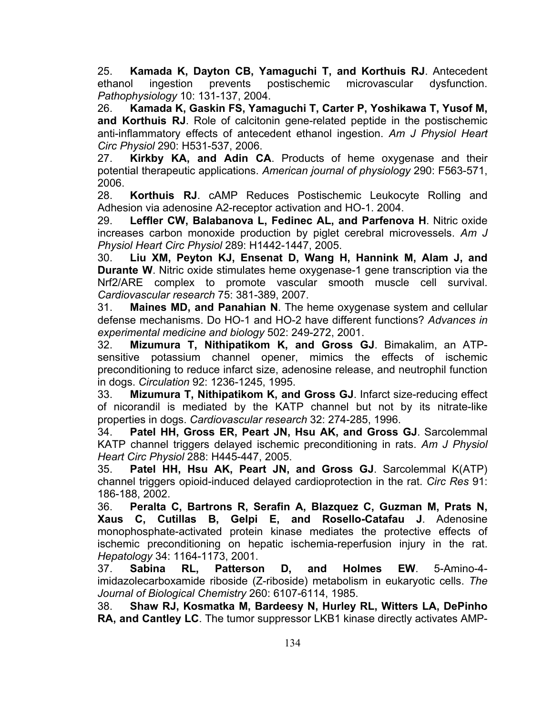25. **Kamada K, Dayton CB, Yamaguchi T, and Korthuis RJ**. Antecedent ethanol ingestion prevents postischemic microvascular dysfunction. *Pathophysiology* 10: 131-137, 2004.

26. **Kamada K, Gaskin FS, Yamaguchi T, Carter P, Yoshikawa T, Yusof M, and Korthuis RJ**. Role of calcitonin gene-related peptide in the postischemic anti-inflammatory effects of antecedent ethanol ingestion. *Am J Physiol Heart Circ Physiol* 290: H531-537, 2006.

27. **Kirkby KA, and Adin CA**. Products of heme oxygenase and their potential therapeutic applications. *American journal of physiology* 290: F563-571, 2006.

28. **Korthuis RJ**. cAMP Reduces Postischemic Leukocyte Rolling and Adhesion via adenosine A2-receptor activation and HO-1. 2004.

29. **Leffler CW, Balabanova L, Fedinec AL, and Parfenova H**. Nitric oxide increases carbon monoxide production by piglet cerebral microvessels. *Am J Physiol Heart Circ Physiol* 289: H1442-1447, 2005.

30. **Liu XM, Peyton KJ, Ensenat D, Wang H, Hannink M, Alam J, and Durante W**. Nitric oxide stimulates heme oxygenase-1 gene transcription via the Nrf2/ARE complex to promote vascular smooth muscle cell survival. *Cardiovascular research* 75: 381-389, 2007.

31. **Maines MD, and Panahian N**. The heme oxygenase system and cellular defense mechanisms. Do HO-1 and HO-2 have different functions? *Advances in experimental medicine and biology* 502: 249-272, 2001.

32. **Mizumura T, Nithipatikom K, and Gross GJ**. Bimakalim, an ATPsensitive potassium channel opener, mimics the effects of ischemic preconditioning to reduce infarct size, adenosine release, and neutrophil function in dogs. *Circulation* 92: 1236-1245, 1995.

33. **Mizumura T, Nithipatikom K, and Gross GJ**. Infarct size-reducing effect of nicorandil is mediated by the KATP channel but not by its nitrate-like properties in dogs. *Cardiovascular research* 32: 274-285, 1996.

34. **Patel HH, Gross ER, Peart JN, Hsu AK, and Gross GJ**. Sarcolemmal KATP channel triggers delayed ischemic preconditioning in rats. *Am J Physiol Heart Circ Physiol* 288: H445-447, 2005.

35. **Patel HH, Hsu AK, Peart JN, and Gross GJ**. Sarcolemmal K(ATP) channel triggers opioid-induced delayed cardioprotection in the rat. *Circ Res* 91: 186-188, 2002.

36. **Peralta C, Bartrons R, Serafin A, Blazquez C, Guzman M, Prats N, Xaus C, Cutillas B, Gelpi E, and Rosello-Catafau J**. Adenosine monophosphate-activated protein kinase mediates the protective effects of ischemic preconditioning on hepatic ischemia-reperfusion injury in the rat. *Hepatology* 34: 1164-1173, 2001.

37. **Sabina RL, Patterson D, and Holmes EW**. 5-Amino-4 imidazolecarboxamide riboside (Z-riboside) metabolism in eukaryotic cells. *The Journal of Biological Chemistry* 260: 6107-6114, 1985.

38. **Shaw RJ, Kosmatka M, Bardeesy N, Hurley RL, Witters LA, DePinho RA, and Cantley LC**. The tumor suppressor LKB1 kinase directly activates AMP-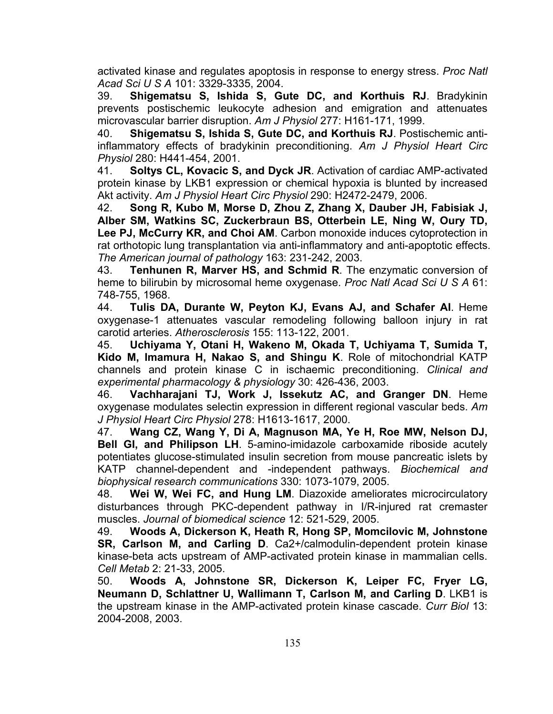activated kinase and regulates apoptosis in response to energy stress. *Proc Natl Acad Sci U S A* 101: 3329-3335, 2004.

39. **Shigematsu S, Ishida S, Gute DC, and Korthuis RJ**. Bradykinin prevents postischemic leukocyte adhesion and emigration and attenuates microvascular barrier disruption. *Am J Physiol* 277: H161-171, 1999.

40. **Shigematsu S, Ishida S, Gute DC, and Korthuis RJ**. Postischemic antiinflammatory effects of bradykinin preconditioning. *Am J Physiol Heart Circ Physiol* 280: H441-454, 2001.

41. **Soltys CL, Kovacic S, and Dyck JR**. Activation of cardiac AMP-activated protein kinase by LKB1 expression or chemical hypoxia is blunted by increased Akt activity. *Am J Physiol Heart Circ Physiol* 290: H2472-2479, 2006.

42. **Song R, Kubo M, Morse D, Zhou Z, Zhang X, Dauber JH, Fabisiak J, Alber SM, Watkins SC, Zuckerbraun BS, Otterbein LE, Ning W, Oury TD, Lee PJ, McCurry KR, and Choi AM**. Carbon monoxide induces cytoprotection in rat orthotopic lung transplantation via anti-inflammatory and anti-apoptotic effects. *The American journal of pathology* 163: 231-242, 2003.

43. **Tenhunen R, Marver HS, and Schmid R**. The enzymatic conversion of heme to bilirubin by microsomal heme oxygenase. *Proc Natl Acad Sci U S A* 61: 748-755, 1968.

44. **Tulis DA, Durante W, Peyton KJ, Evans AJ, and Schafer AI**. Heme oxygenase-1 attenuates vascular remodeling following balloon injury in rat carotid arteries. *Atherosclerosis* 155: 113-122, 2001.

45. **Uchiyama Y, Otani H, Wakeno M, Okada T, Uchiyama T, Sumida T, Kido M, Imamura H, Nakao S, and Shingu K**. Role of mitochondrial KATP channels and protein kinase C in ischaemic preconditioning. *Clinical and experimental pharmacology & physiology* 30: 426-436, 2003.

46. **Vachharajani TJ, Work J, Issekutz AC, and Granger DN**. Heme oxygenase modulates selectin expression in different regional vascular beds. *Am J Physiol Heart Circ Physiol* 278: H1613-1617, 2000.

47. **Wang CZ, Wang Y, Di A, Magnuson MA, Ye H, Roe MW, Nelson DJ, Bell GI, and Philipson LH**. 5-amino-imidazole carboxamide riboside acutely potentiates glucose-stimulated insulin secretion from mouse pancreatic islets by KATP channel-dependent and -independent pathways. *Biochemical and biophysical research communications* 330: 1073-1079, 2005.

48. **Wei W, Wei FC, and Hung LM**. Diazoxide ameliorates microcirculatory disturbances through PKC-dependent pathway in I/R-injured rat cremaster muscles. *Journal of biomedical science* 12: 521-529, 2005.

49. **Woods A, Dickerson K, Heath R, Hong SP, Momcilovic M, Johnstone SR, Carlson M, and Carling D**. Ca2+/calmodulin-dependent protein kinase kinase-beta acts upstream of AMP-activated protein kinase in mammalian cells. *Cell Metab* 2: 21-33, 2005.

50. **Woods A, Johnstone SR, Dickerson K, Leiper FC, Fryer LG, Neumann D, Schlattner U, Wallimann T, Carlson M, and Carling D**. LKB1 is the upstream kinase in the AMP-activated protein kinase cascade. *Curr Biol* 13: 2004-2008, 2003.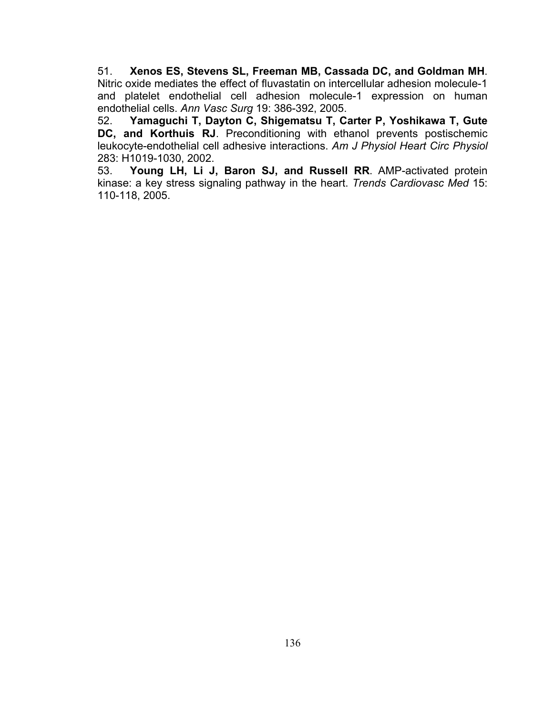51. **Xenos ES, Stevens SL, Freeman MB, Cassada DC, and Goldman MH**. Nitric oxide mediates the effect of fluvastatin on intercellular adhesion molecule-1 and platelet endothelial cell adhesion molecule-1 expression on human endothelial cells. *Ann Vasc Surg* 19: 386-392, 2005.

52. **Yamaguchi T, Dayton C, Shigematsu T, Carter P, Yoshikawa T, Gute DC, and Korthuis RJ**. Preconditioning with ethanol prevents postischemic leukocyte-endothelial cell adhesive interactions. *Am J Physiol Heart Circ Physiol*  283: H1019-1030, 2002.

53. **Young LH, Li J, Baron SJ, and Russell RR**. AMP-activated protein kinase: a key stress signaling pathway in the heart. *Trends Cardiovasc Med* 15: 110-118, 2005.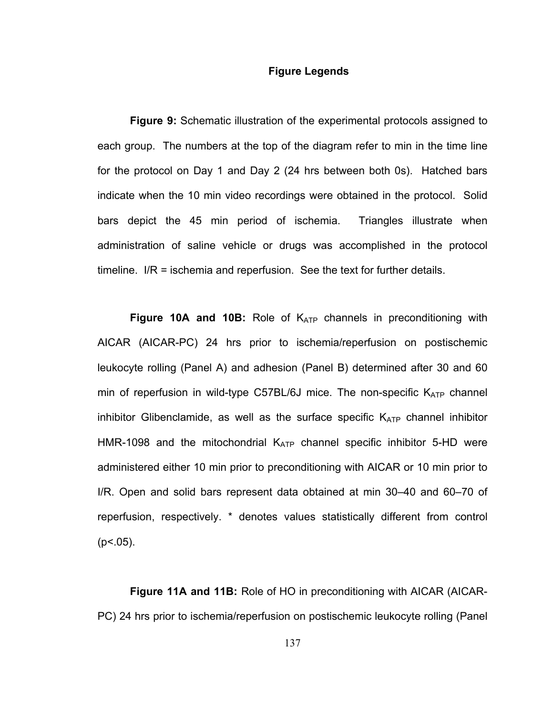## **Figure Legends**

**Figure 9:** Schematic illustration of the experimental protocols assigned to each group. The numbers at the top of the diagram refer to min in the time line for the protocol on Day 1 and Day 2 (24 hrs between both 0s). Hatched bars indicate when the 10 min video recordings were obtained in the protocol. Solid bars depict the 45 min period of ischemia. Triangles illustrate when administration of saline vehicle or drugs was accomplished in the protocol timeline. I/R = ischemia and reperfusion. See the text for further details.

**Figure 10A and 10B:** Role of K<sub>ATP</sub> channels in preconditioning with AICAR (AICAR-PC) 24 hrs prior to ischemia/reperfusion on postischemic leukocyte rolling (Panel A) and adhesion (Panel B) determined after 30 and 60 min of reperfusion in wild-type C57BL/6J mice. The non-specific  $K_{ATP}$  channel inhibitor Glibenclamide, as well as the surface specific  $K_{ATP}$  channel inhibitor HMR-1098 and the mitochondrial  $K_{ATP}$  channel specific inhibitor 5-HD were administered either 10 min prior to preconditioning with AICAR or 10 min prior to I/R. Open and solid bars represent data obtained at min 30–40 and 60–70 of reperfusion, respectively. \* denotes values statistically different from control  $(p<.05)$ .

**Figure 11A and 11B:** Role of HO in preconditioning with AICAR (AICAR-PC) 24 hrs prior to ischemia/reperfusion on postischemic leukocyte rolling (Panel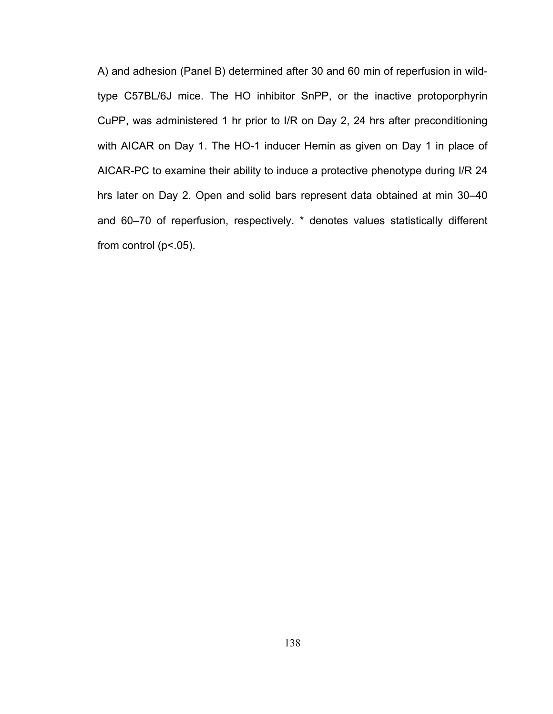A) and adhesion (Panel B) determined after 30 and 60 min of reperfusion in wildtype C57BL/6J mice. The HO inhibitor SnPP, or the inactive protoporphyrin CuPP, was administered 1 hr prior to I/R on Day 2, 24 hrs after preconditioning with AICAR on Day 1. The HO-1 inducer Hemin as given on Day 1 in place of AICAR-PC to examine their ability to induce a protective phenotype during I/R 24 hrs later on Day 2. Open and solid bars represent data obtained at min 30–40 and 60–70 of reperfusion, respectively. \* denotes values statistically different from control ( $p$ <.05).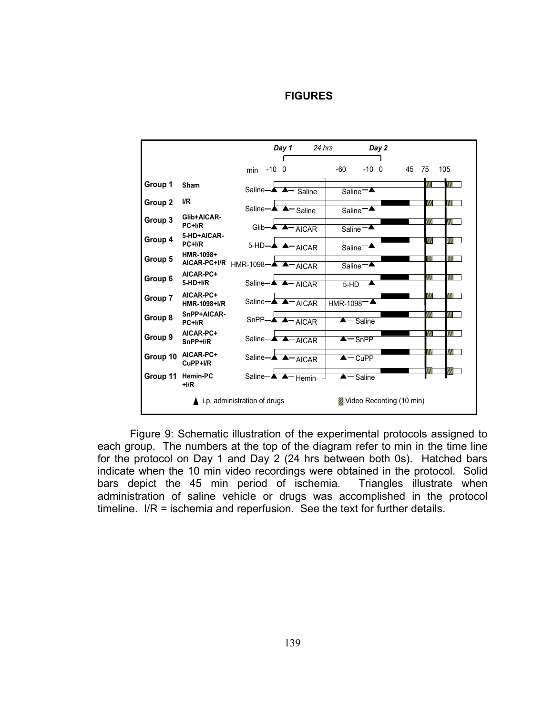## *Day 1 24 hrs Day 2* ٦ -10 0 -60 -10 0 45 75 105 min en de la component de la component de la component de la component de la component de la component de la compo<br>La component de la component de la component de la component de la component de la component de la component d<br> **Group 1** Sham Saline **A** Saline Saline V). **Group 2 I/R** ٦ Saline **A** A Saline Saline ≖ **Group 3 Glib+AICAR-**V). Glib- $\overline{\phantom{a}-\phantom{a}$  AICAR Saline **Group 4 5-HD+AICAR-**5-HD-**A A**-AICAR Saline **HMR-1098+ Group 5** en de la composició de la composició de la composició de la composició de la composició de la composició de la<br>Composició de la composició de la composició de la composició de la composició de la composició de la composic  $\overline{AICAR-PC+1/R}$  HMR-1098- $\overline{A}$   $\overline{A}$   $\overline{A|CAR}$   $\overline{S}$  Saline<sup>-1</sup> AICAR **AICAR-PC+** en de la componenta de la componenta de la componenta de la componenta de la componenta de la compo<br>La componenta de la componenta de la componenta de la componenta de la componenta de la componenta de la compo<br>La componen **Group 6 5-HD+I/R** Saline-<del>A A AI</del>CAR | 5-HD **Group 7 AICAR-PC+** HT. ┑ HMR-1098+I/R Saline<sup>-A</sup>A<sup>-</sup>AICAR HMR-1098<sup>-</sup> **Group 8 SnPP+AICAR-** $\mathbb{Z}$  is a set of  $\mathbb{Z}$  $\text{SnPP}-\blacktriangle$   $\blacktriangle$   $\text{AICAR}$   $\blacktriangleright$   $\blacktriangle$   $\text{Saline}$ **Group 9 AICAR-PC+**  $\mathbb{Z}$ Saline **A A** - AICAR **A** - SnPP **Group 10 AICAR-PC+** Saline  $\overline{\phantom{a}}$   $\overline{\phantom{a}}$   $\overline{\phantom{a}}$   $\overline{\phantom{a}}$   $\overline{\phantom{a}}$   $\overline{\phantom{a}}$   $\overline{\phantom{a}}$   $\overline{\phantom{a}}$   $\overline{\phantom{a}}$   $\overline{\phantom{a}}$   $\overline{\phantom{a}}$   $\overline{\phantom{a}}$   $\overline{\phantom{a}}$   $\overline{\phantom{a}}$   $\overline{\phantom{a}}$   $\overline{\phantom{a}}$   $\overline{\phantom{a}}$   $\overline{\phantom{a}}$ **CuPP+I/R Group 11 Hemin-PC** Saline  $\overline{\phantom{a}}$   $\overline{\phantom{a}}$   $\overline{\phantom{a}}$   $\overline{\phantom{a}}$   $\overline{\phantom{a}}$   $\overline{\phantom{a}}$   $\overline{\phantom{a}}$   $\overline{\phantom{a}}$   $\overline{\phantom{a}}$   $\overline{\phantom{a}}$   $\overline{\phantom{a}}$   $\overline{\phantom{a}}$   $\overline{\phantom{a}}$   $\overline{\phantom{a}}$   $\overline{\phantom{a}}$   $\overline{\phantom{a}}$   $\overline{\phantom{a}}$   $\overline{\phantom{a}}$ **+I/R** ▲ i.p. administration of drugs **Wideo Recording (10 min)**

**FIGURES** 

Figure 9: Schematic illustration of the experimental protocols assigned to each group. The numbers at the top of the diagram refer to min in the time line for the protocol on Day 1 and Day 2 (24 hrs between both 0s). Hatched bars indicate when the 10 min video recordings were obtained in the protocol. Solid bars depict the 45 min period of ischemia. Triangles illustrate when administration of saline vehicle or drugs was accomplished in the protocol timeline. I/R = ischemia and reperfusion. See the text for further details.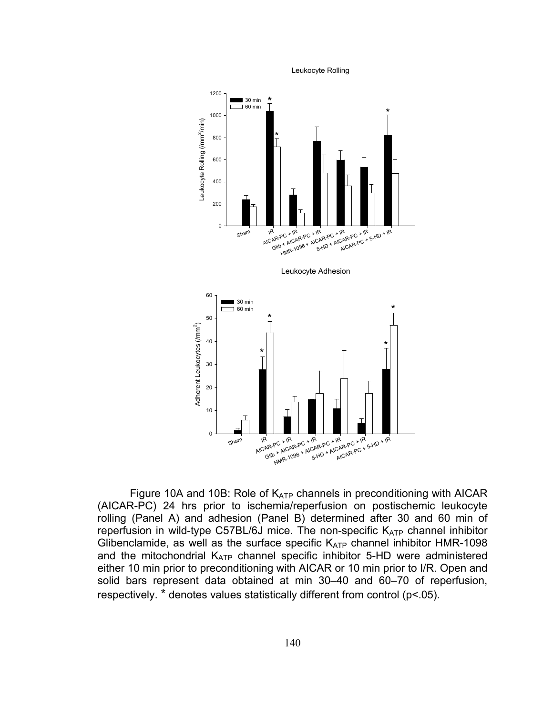Leukocyte Rolling



Figure 10A and 10B: Role of  $K_{ATP}$  channels in preconditioning with AICAR (AICAR-PC) 24 hrs prior to ischemia/reperfusion on postischemic leukocyte rolling (Panel A) and adhesion (Panel B) determined after 30 and 60 min of reperfusion in wild-type C57BL/6J mice. The non-specific  $K_{ATP}$  channel inhibitor Glibenclamide, as well as the surface specific  $K_{ATP}$  channel inhibitor HMR-1098 and the mitochondrial  $K_{ATP}$  channel specific inhibitor 5-HD were administered either 10 min prior to preconditioning with AICAR or 10 min prior to I/R. Open and solid bars represent data obtained at min 30–40 and 60–70 of reperfusion, respectively. \* denotes values statistically different from control (p<.05).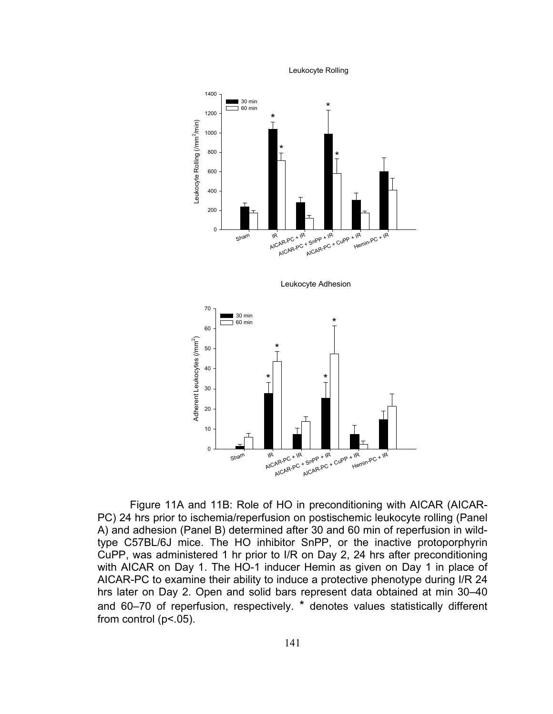Leukocyte Rolling



Figure 11A and 11B: Role of HO in preconditioning with AICAR (AICAR-PC) 24 hrs prior to ischemia/reperfusion on postischemic leukocyte rolling (Panel A) and adhesion (Panel B) determined after 30 and 60 min of reperfusion in wildtype C57BL/6J mice. The HO inhibitor SnPP, or the inactive protoporphyrin CuPP, was administered 1 hr prior to I/R on Day 2, 24 hrs after preconditioning with AICAR on Day 1. The HO-1 inducer Hemin as given on Day 1 in place of AICAR-PC to examine their ability to induce a protective phenotype during I/R 24 hrs later on Day 2. Open and solid bars represent data obtained at min 30–40 and 60–70 of reperfusion, respectively. \* denotes values statistically different from control ( $p$ <.05).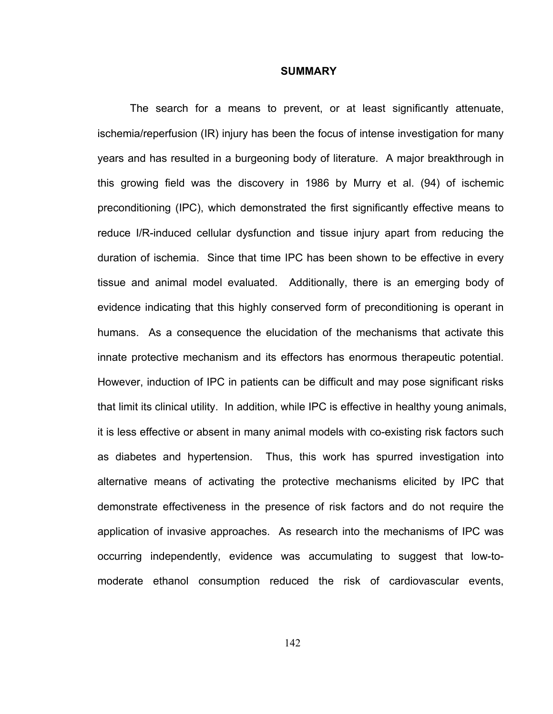## **SUMMARY**

The search for a means to prevent, or at least significantly attenuate, ischemia/reperfusion (IR) injury has been the focus of intense investigation for many years and has resulted in a burgeoning body of literature. A major breakthrough in this growing field was the discovery in 1986 by Murry et al. (94) of ischemic preconditioning (IPC), which demonstrated the first significantly effective means to reduce I/R-induced cellular dysfunction and tissue injury apart from reducing the duration of ischemia. Since that time IPC has been shown to be effective in every tissue and animal model evaluated. Additionally, there is an emerging body of evidence indicating that this highly conserved form of preconditioning is operant in humans. As a consequence the elucidation of the mechanisms that activate this innate protective mechanism and its effectors has enormous therapeutic potential. However, induction of IPC in patients can be difficult and may pose significant risks that limit its clinical utility. In addition, while IPC is effective in healthy young animals, it is less effective or absent in many animal models with co-existing risk factors such as diabetes and hypertension. Thus, this work has spurred investigation into alternative means of activating the protective mechanisms elicited by IPC that demonstrate effectiveness in the presence of risk factors and do not require the application of invasive approaches. As research into the mechanisms of IPC was occurring independently, evidence was accumulating to suggest that low-tomoderate ethanol consumption reduced the risk of cardiovascular events,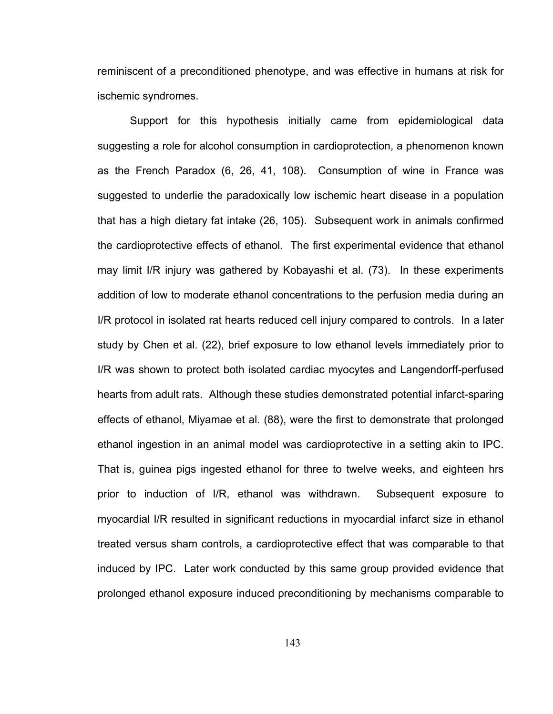reminiscent of a preconditioned phenotype, and was effective in humans at risk for ischemic syndromes.

Support for this hypothesis initially came from epidemiological data suggesting a role for alcohol consumption in cardioprotection, a phenomenon known as the French Paradox (6, 26, 41, 108). Consumption of wine in France was suggested to underlie the paradoxically low ischemic heart disease in a population that has a high dietary fat intake (26, 105). Subsequent work in animals confirmed the cardioprotective effects of ethanol. The first experimental evidence that ethanol may limit I/R injury was gathered by Kobayashi et al. (73). In these experiments addition of low to moderate ethanol concentrations to the perfusion media during an I/R protocol in isolated rat hearts reduced cell injury compared to controls. In a later study by Chen et al. (22), brief exposure to low ethanol levels immediately prior to I/R was shown to protect both isolated cardiac myocytes and Langendorff-perfused hearts from adult rats. Although these studies demonstrated potential infarct-sparing effects of ethanol, Miyamae et al. (88), were the first to demonstrate that prolonged ethanol ingestion in an animal model was cardioprotective in a setting akin to IPC. That is, guinea pigs ingested ethanol for three to twelve weeks, and eighteen hrs prior to induction of I/R, ethanol was withdrawn. Subsequent exposure to myocardial I/R resulted in significant reductions in myocardial infarct size in ethanol treated versus sham controls, a cardioprotective effect that was comparable to that induced by IPC. Later work conducted by this same group provided evidence that prolonged ethanol exposure induced preconditioning by mechanisms comparable to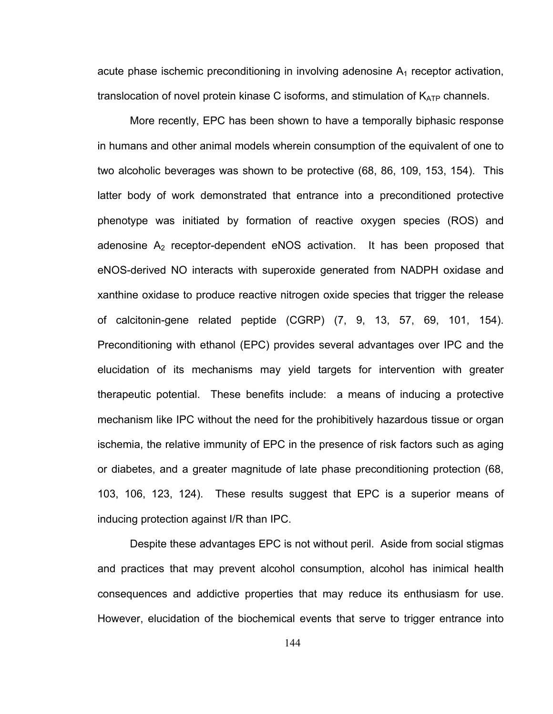acute phase ischemic preconditioning in involving adenosine  $A_1$  receptor activation, translocation of novel protein kinase C isoforms, and stimulation of  $K_{ATP}$  channels.

More recently, EPC has been shown to have a temporally biphasic response in humans and other animal models wherein consumption of the equivalent of one to two alcoholic beverages was shown to be protective (68, 86, 109, 153, 154). This latter body of work demonstrated that entrance into a preconditioned protective phenotype was initiated by formation of reactive oxygen species (ROS) and adenosine  $A_2$  receptor-dependent eNOS activation. It has been proposed that eNOS-derived NO interacts with superoxide generated from NADPH oxidase and xanthine oxidase to produce reactive nitrogen oxide species that trigger the release of calcitonin-gene related peptide (CGRP) (7, 9, 13, 57, 69, 101, 154). Preconditioning with ethanol (EPC) provides several advantages over IPC and the elucidation of its mechanisms may yield targets for intervention with greater therapeutic potential. These benefits include: a means of inducing a protective mechanism like IPC without the need for the prohibitively hazardous tissue or organ ischemia, the relative immunity of EPC in the presence of risk factors such as aging or diabetes, and a greater magnitude of late phase preconditioning protection (68, 103, 106, 123, 124). These results suggest that EPC is a superior means of inducing protection against I/R than IPC.

Despite these advantages EPC is not without peril. Aside from social stigmas and practices that may prevent alcohol consumption, alcohol has inimical health consequences and addictive properties that may reduce its enthusiasm for use. However, elucidation of the biochemical events that serve to trigger entrance into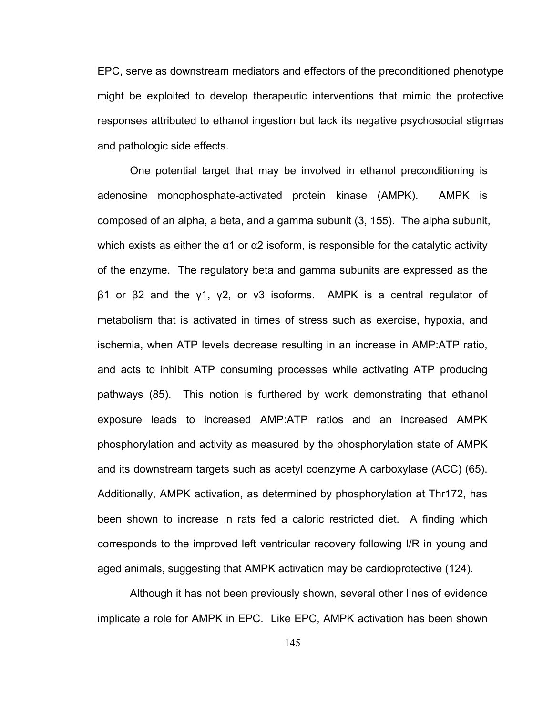EPC, serve as downstream mediators and effectors of the preconditioned phenotype might be exploited to develop therapeutic interventions that mimic the protective responses attributed to ethanol ingestion but lack its negative psychosocial stigmas and pathologic side effects.

One potential target that may be involved in ethanol preconditioning is adenosine monophosphate-activated protein kinase (AMPK). AMPK is composed of an alpha, a beta, and a gamma subunit (3, 155). The alpha subunit, which exists as either the  $\alpha$ 1 or  $\alpha$ 2 isoform, is responsible for the catalytic activity of the enzyme. The regulatory beta and gamma subunits are expressed as the β1 or β2 and the γ1, γ2, or γ3 isoforms. AMPK is a central regulator of metabolism that is activated in times of stress such as exercise, hypoxia, and ischemia, when ATP levels decrease resulting in an increase in AMP:ATP ratio, and acts to inhibit ATP consuming processes while activating ATP producing pathways (85). This notion is furthered by work demonstrating that ethanol exposure leads to increased AMP:ATP ratios and an increased AMPK phosphorylation and activity as measured by the phosphorylation state of AMPK and its downstream targets such as acetyl coenzyme A carboxylase (ACC) (65). Additionally, AMPK activation, as determined by phosphorylation at Thr172, has been shown to increase in rats fed a caloric restricted diet. A finding which corresponds to the improved left ventricular recovery following I/R in young and aged animals, suggesting that AMPK activation may be cardioprotective (124).

Although it has not been previously shown, several other lines of evidence implicate a role for AMPK in EPC. Like EPC, AMPK activation has been shown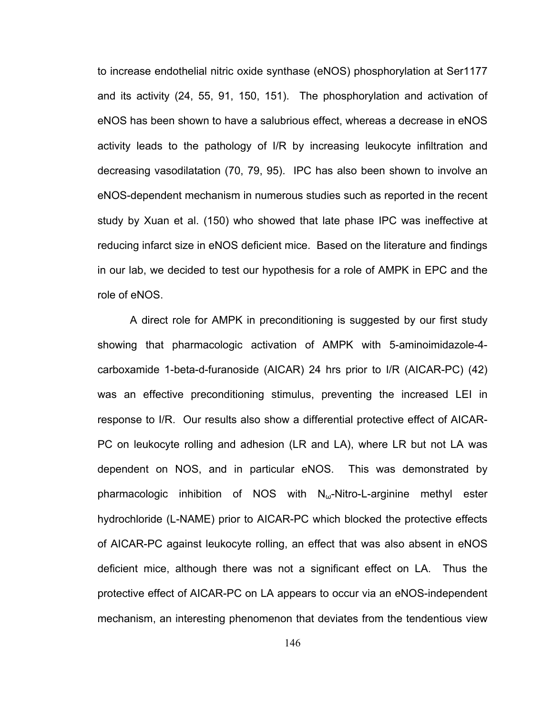to increase endothelial nitric oxide synthase (eNOS) phosphorylation at Ser1177 and its activity (24, 55, 91, 150, 151). The phosphorylation and activation of eNOS has been shown to have a salubrious effect, whereas a decrease in eNOS activity leads to the pathology of I/R by increasing leukocyte infiltration and decreasing vasodilatation (70, 79, 95). IPC has also been shown to involve an eNOS-dependent mechanism in numerous studies such as reported in the recent study by Xuan et al. (150) who showed that late phase IPC was ineffective at reducing infarct size in eNOS deficient mice. Based on the literature and findings in our lab, we decided to test our hypothesis for a role of AMPK in EPC and the role of eNOS.

A direct role for AMPK in preconditioning is suggested by our first study showing that pharmacologic activation of AMPK with 5-aminoimidazole-4 carboxamide 1-beta-d-furanoside (AICAR) 24 hrs prior to I/R (AICAR-PC) (42) was an effective preconditioning stimulus, preventing the increased LEI in response to I/R. Our results also show a differential protective effect of AICAR-PC on leukocyte rolling and adhesion (LR and LA), where LR but not LA was dependent on NOS, and in particular eNOS. This was demonstrated by pharmacologic inhibition of NOS with  $N_{\omega}$ -Nitro-L-arginine methyl ester hydrochloride (L-NAME) prior to AICAR-PC which blocked the protective effects of AICAR-PC against leukocyte rolling, an effect that was also absent in eNOS deficient mice, although there was not a significant effect on LA. Thus the protective effect of AICAR-PC on LA appears to occur via an eNOS-independent mechanism, an interesting phenomenon that deviates from the tendentious view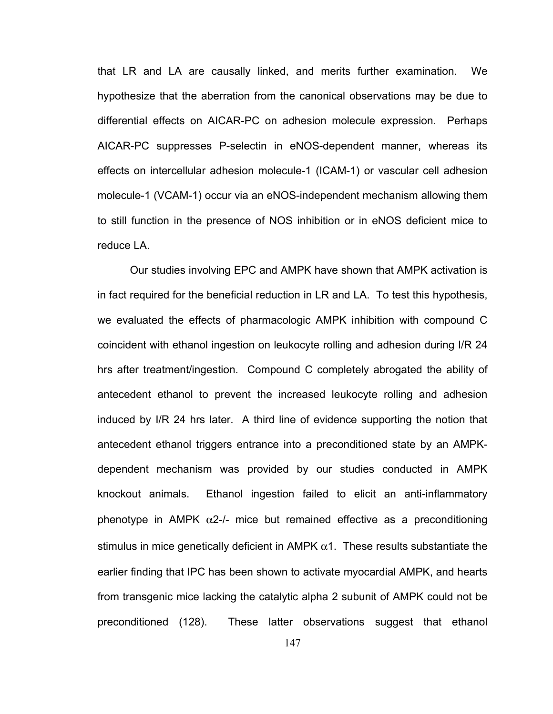that LR and LA are causally linked, and merits further examination. We hypothesize that the aberration from the canonical observations may be due to differential effects on AICAR-PC on adhesion molecule expression. Perhaps AICAR-PC suppresses P-selectin in eNOS-dependent manner, whereas its effects on intercellular adhesion molecule-1 (ICAM-1) or vascular cell adhesion molecule-1 (VCAM-1) occur via an eNOS-independent mechanism allowing them to still function in the presence of NOS inhibition or in eNOS deficient mice to reduce LA.

Our studies involving EPC and AMPK have shown that AMPK activation is in fact required for the beneficial reduction in LR and LA. To test this hypothesis, we evaluated the effects of pharmacologic AMPK inhibition with compound C coincident with ethanol ingestion on leukocyte rolling and adhesion during I/R 24 hrs after treatment/ingestion. Compound C completely abrogated the ability of antecedent ethanol to prevent the increased leukocyte rolling and adhesion induced by I/R 24 hrs later. A third line of evidence supporting the notion that antecedent ethanol triggers entrance into a preconditioned state by an AMPKdependent mechanism was provided by our studies conducted in AMPK knockout animals. Ethanol ingestion failed to elicit an anti-inflammatory phenotype in AMPK  $\alpha$ 2-/- mice but remained effective as a preconditioning stimulus in mice genetically deficient in AMPK  $\alpha$ 1. These results substantiate the earlier finding that IPC has been shown to activate myocardial AMPK, and hearts from transgenic mice lacking the catalytic alpha 2 subunit of AMPK could not be preconditioned (128). These latter observations suggest that ethanol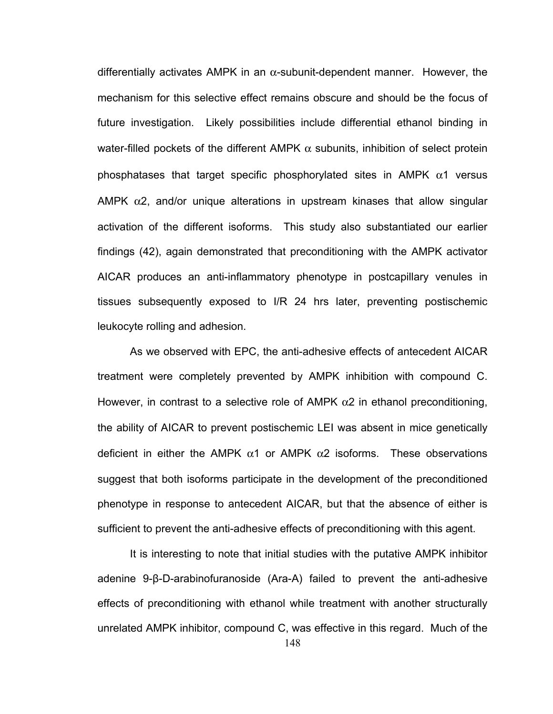differentially activates AMPK in an  $\alpha$ -subunit-dependent manner. However, the mechanism for this selective effect remains obscure and should be the focus of future investigation. Likely possibilities include differential ethanol binding in water-filled pockets of the different AMPK  $\alpha$  subunits, inhibition of select protein phosphatases that target specific phosphorylated sites in AMPK  $\alpha$ 1 versus AMPK  $\alpha$ 2, and/or unique alterations in upstream kinases that allow singular activation of the different isoforms. This study also substantiated our earlier findings (42), again demonstrated that preconditioning with the AMPK activator AICAR produces an anti-inflammatory phenotype in postcapillary venules in tissues subsequently exposed to I/R 24 hrs later, preventing postischemic leukocyte rolling and adhesion.

As we observed with EPC, the anti-adhesive effects of antecedent AICAR treatment were completely prevented by AMPK inhibition with compound C. However, in contrast to a selective role of AMPK  $\alpha$ 2 in ethanol preconditioning, the ability of AICAR to prevent postischemic LEI was absent in mice genetically deficient in either the AMPK  $\alpha$ 1 or AMPK  $\alpha$ 2 isoforms. These observations suggest that both isoforms participate in the development of the preconditioned phenotype in response to antecedent AICAR, but that the absence of either is sufficient to prevent the anti-adhesive effects of preconditioning with this agent.

It is interesting to note that initial studies with the putative AMPK inhibitor adenine 9-β-D-arabinofuranoside (Ara-A) failed to prevent the anti-adhesive effects of preconditioning with ethanol while treatment with another structurally unrelated AMPK inhibitor, compound C, was effective in this regard. Much of the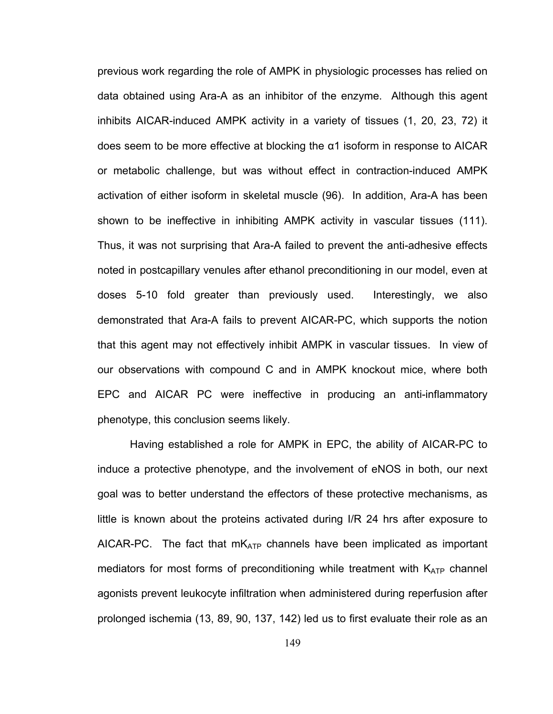previous work regarding the role of AMPK in physiologic processes has relied on data obtained using Ara-A as an inhibitor of the enzyme. Although this agent inhibits AICAR-induced AMPK activity in a variety of tissues (1, 20, 23, 72) it does seem to be more effective at blocking the α1 isoform in response to AICAR or metabolic challenge, but was without effect in contraction-induced AMPK activation of either isoform in skeletal muscle (96). In addition, Ara-A has been shown to be ineffective in inhibiting AMPK activity in vascular tissues (111). Thus, it was not surprising that Ara-A failed to prevent the anti-adhesive effects noted in postcapillary venules after ethanol preconditioning in our model, even at doses 5-10 fold greater than previously used. Interestingly, we also demonstrated that Ara-A fails to prevent AICAR-PC, which supports the notion that this agent may not effectively inhibit AMPK in vascular tissues. In view of our observations with compound C and in AMPK knockout mice, where both EPC and AICAR PC were ineffective in producing an anti-inflammatory phenotype, this conclusion seems likely.

Having established a role for AMPK in EPC, the ability of AICAR-PC to induce a protective phenotype, and the involvement of eNOS in both, our next goal was to better understand the effectors of these protective mechanisms, as little is known about the proteins activated during I/R 24 hrs after exposure to AICAR-PC. The fact that  $mK_{ATP}$  channels have been implicated as important mediators for most forms of preconditioning while treatment with  $K_{ATP}$  channel agonists prevent leukocyte infiltration when administered during reperfusion after prolonged ischemia (13, 89, 90, 137, 142) led us to first evaluate their role as an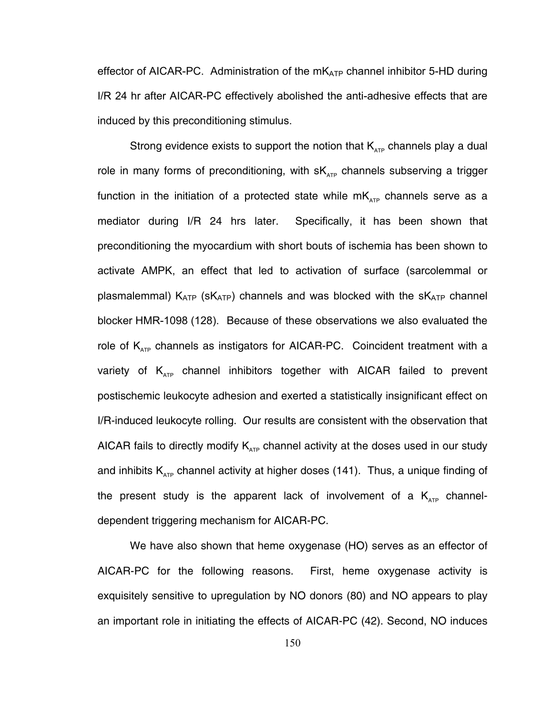effector of AICAR-PC. Administration of the  $mK_{ATP}$  channel inhibitor 5-HD during I/R 24 hr after AICAR-PC effectively abolished the anti-adhesive effects that are induced by this preconditioning stimulus.

Strong evidence exists to support the notion that  $K_{\text{app}}$  channels play a dual role in many forms of preconditioning, with  $sK_{\text{ATP}}$  channels subserving a trigger function in the initiation of a protected state while  $mK_{ATP}$  channels serve as a mediator during I/R 24 hrs later. Specifically, it has been shown that preconditioning the myocardium with short bouts of ischemia has been shown to activate AMPK, an effect that led to activation of surface (sarcolemmal or plasmalemmal)  $K_{ATP}$  (s $K_{ATP}$ ) channels and was blocked with the s $K_{ATP}$  channel blocker HMR-1098 (128). Because of these observations we also evaluated the role of  $K_{ATP}$  channels as instigators for AICAR-PC. Coincident treatment with a variety of  $K_{ATP}$  channel inhibitors together with AICAR failed to prevent postischemic leukocyte adhesion and exerted a statistically insignificant effect on I/R-induced leukocyte rolling. Our results are consistent with the observation that AICAR fails to directly modify  $K_{ATP}$  channel activity at the doses used in our study and inhibits  $K_{ATP}$  channel activity at higher doses (141). Thus, a unique finding of the present study is the apparent lack of involvement of a  $K_{ATP}$  channeldependent triggering mechanism for AICAR-PC.

We have also shown that heme oxygenase (HO) serves as an effector of AICAR-PC for the following reasons. First, heme oxygenase activity is exquisitely sensitive to upregulation by NO donors (80) and NO appears to play an important role in initiating the effects of AICAR-PC (42). Second, NO induces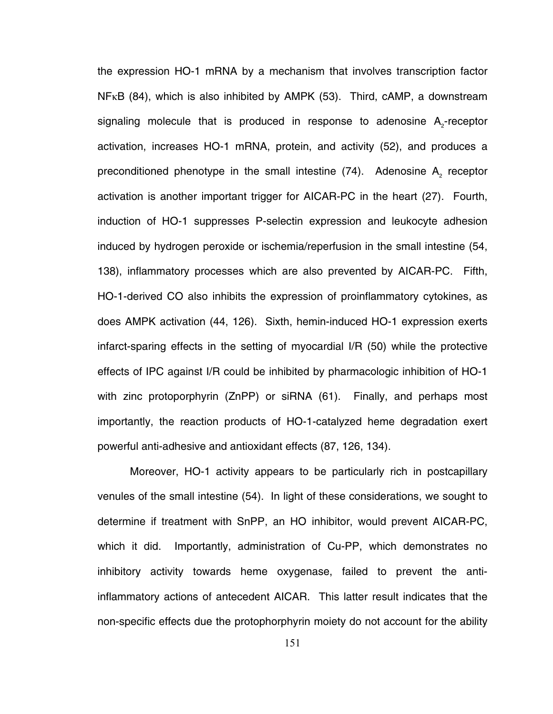the expression HO-1 mRNA by a mechanism that involves transcription factor NFκB (84), which is also inhibited by AMPK (53). Third, cAMP, a downstream signaling molecule that is produced in response to adenosine  $A_2$ -receptor activation, increases HO-1 mRNA, protein, and activity (52), and produces a preconditioned phenotype in the small intestine  $(74)$ . Adenosine A<sub>2</sub> receptor activation is another important trigger for AICAR-PC in the heart (27). Fourth, induction of HO-1 suppresses P-selectin expression and leukocyte adhesion induced by hydrogen peroxide or ischemia/reperfusion in the small intestine (54, 138), inflammatory processes which are also prevented by AICAR-PC. Fifth, HO-1-derived CO also inhibits the expression of proinflammatory cytokines, as does AMPK activation (44, 126). Sixth, hemin-induced HO-1 expression exerts infarct-sparing effects in the setting of myocardial I/R (50) while the protective effects of IPC against I/R could be inhibited by pharmacologic inhibition of HO-1 with zinc protoporphyrin (ZnPP) or siRNA (61). Finally, and perhaps most importantly, the reaction products of HO-1-catalyzed heme degradation exert powerful anti-adhesive and antioxidant effects (87, 126, 134).

Moreover, HO-1 activity appears to be particularly rich in postcapillary venules of the small intestine (54). In light of these considerations, we sought to determine if treatment with SnPP, an HO inhibitor, would prevent AICAR-PC, which it did. Importantly, administration of Cu-PP, which demonstrates no inhibitory activity towards heme oxygenase, failed to prevent the antiinflammatory actions of antecedent AICAR. This latter result indicates that the non-specific effects due the protophorphyrin moiety do not account for the ability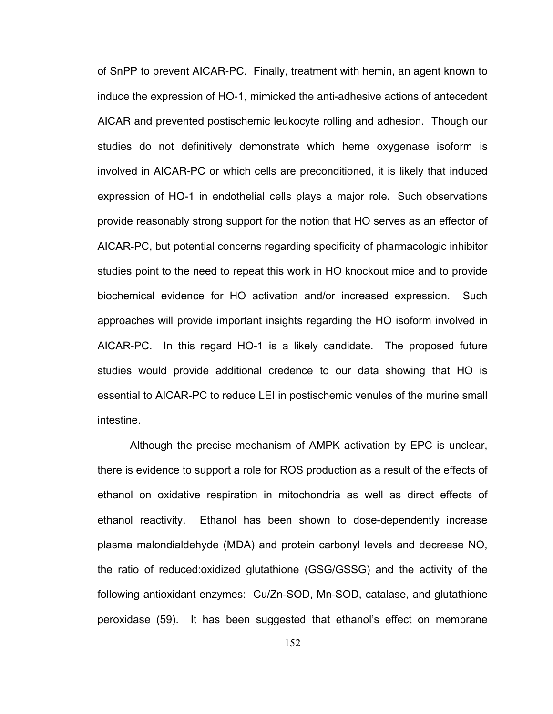of SnPP to prevent AICAR-PC. Finally, treatment with hemin, an agent known to induce the expression of HO-1, mimicked the anti-adhesive actions of antecedent AICAR and prevented postischemic leukocyte rolling and adhesion. Though our studies do not definitively demonstrate which heme oxygenase isoform is involved in AICAR-PC or which cells are preconditioned, it is likely that induced expression of HO-1 in endothelial cells plays a major role. Such observations provide reasonably strong support for the notion that HO serves as an effector of AICAR-PC, but potential concerns regarding specificity of pharmacologic inhibitor studies point to the need to repeat this work in HO knockout mice and to provide biochemical evidence for HO activation and/or increased expression. Such approaches will provide important insights regarding the HO isoform involved in AICAR-PC. In this regard HO-1 is a likely candidate. The proposed future studies would provide additional credence to our data showing that HO is essential to AICAR-PC to reduce LEI in postischemic venules of the murine small intestine.

Although the precise mechanism of AMPK activation by EPC is unclear, there is evidence to support a role for ROS production as a result of the effects of ethanol on oxidative respiration in mitochondria as well as direct effects of ethanol reactivity. Ethanol has been shown to dose-dependently increase plasma malondialdehyde (MDA) and protein carbonyl levels and decrease NO, the ratio of reduced:oxidized glutathione (GSG/GSSG) and the activity of the following antioxidant enzymes: Cu/Zn-SOD, Mn-SOD, catalase, and glutathione peroxidase (59). It has been suggested that ethanol's effect on membrane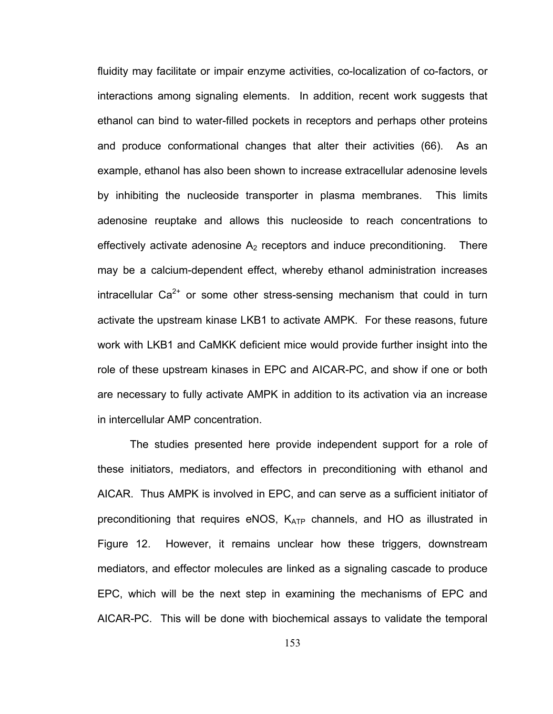fluidity may facilitate or impair enzyme activities, co-localization of co-factors, or interactions among signaling elements. In addition, recent work suggests that ethanol can bind to water-filled pockets in receptors and perhaps other proteins and produce conformational changes that alter their activities (66). As an example, ethanol has also been shown to increase extracellular adenosine levels by inhibiting the nucleoside transporter in plasma membranes. This limits adenosine reuptake and allows this nucleoside to reach concentrations to effectively activate adenosine  $A_2$  receptors and induce preconditioning. There may be a calcium-dependent effect, whereby ethanol administration increases intracellular  $Ca^{2+}$  or some other stress-sensing mechanism that could in turn activate the upstream kinase LKB1 to activate AMPK. For these reasons, future work with LKB1 and CaMKK deficient mice would provide further insight into the role of these upstream kinases in EPC and AICAR-PC, and show if one or both are necessary to fully activate AMPK in addition to its activation via an increase in intercellular AMP concentration.

The studies presented here provide independent support for a role of these initiators, mediators, and effectors in preconditioning with ethanol and AICAR. Thus AMPK is involved in EPC, and can serve as a sufficient initiator of preconditioning that requires eNOS,  $K_{ATP}$  channels, and HO as illustrated in Figure 12. However, it remains unclear how these triggers, downstream mediators, and effector molecules are linked as a signaling cascade to produce EPC, which will be the next step in examining the mechanisms of EPC and AICAR-PC. This will be done with biochemical assays to validate the temporal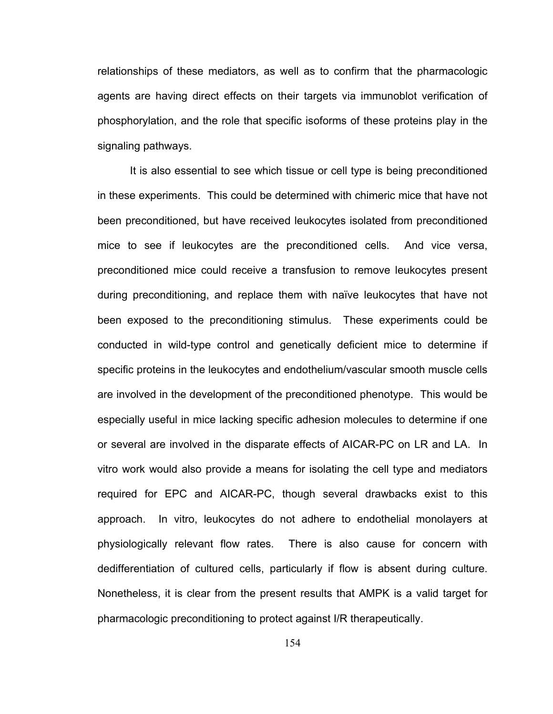relationships of these mediators, as well as to confirm that the pharmacologic agents are having direct effects on their targets via immunoblot verification of phosphorylation, and the role that specific isoforms of these proteins play in the signaling pathways.

It is also essential to see which tissue or cell type is being preconditioned in these experiments. This could be determined with chimeric mice that have not been preconditioned, but have received leukocytes isolated from preconditioned mice to see if leukocytes are the preconditioned cells. And vice versa, preconditioned mice could receive a transfusion to remove leukocytes present during preconditioning, and replace them with naïve leukocytes that have not been exposed to the preconditioning stimulus. These experiments could be conducted in wild-type control and genetically deficient mice to determine if specific proteins in the leukocytes and endothelium/vascular smooth muscle cells are involved in the development of the preconditioned phenotype. This would be especially useful in mice lacking specific adhesion molecules to determine if one or several are involved in the disparate effects of AICAR-PC on LR and LA. In vitro work would also provide a means for isolating the cell type and mediators required for EPC and AICAR-PC, though several drawbacks exist to this approach. In vitro, leukocytes do not adhere to endothelial monolayers at physiologically relevant flow rates. There is also cause for concern with dedifferentiation of cultured cells, particularly if flow is absent during culture. Nonetheless, it is clear from the present results that AMPK is a valid target for pharmacologic preconditioning to protect against I/R therapeutically.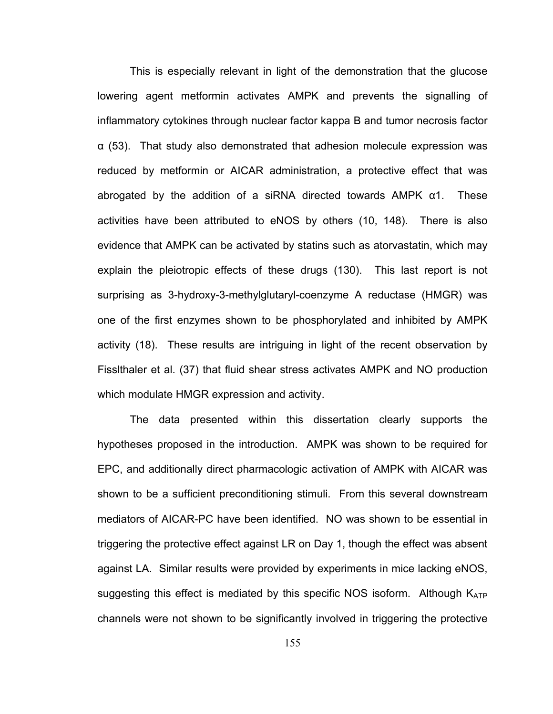This is especially relevant in light of the demonstration that the glucose lowering agent metformin activates AMPK and prevents the signalling of inflammatory cytokines through nuclear factor kappa B and tumor necrosis factor α (53). That study also demonstrated that adhesion molecule expression was reduced by metformin or AICAR administration, a protective effect that was abrogated by the addition of a siRNA directed towards AMPK α1. These activities have been attributed to eNOS by others (10, 148). There is also evidence that AMPK can be activated by statins such as atorvastatin, which may explain the pleiotropic effects of these drugs (130). This last report is not surprising as 3-hydroxy-3-methylglutaryl-coenzyme A reductase (HMGR) was one of the first enzymes shown to be phosphorylated and inhibited by AMPK activity (18). These results are intriguing in light of the recent observation by Fisslthaler et al. (37) that fluid shear stress activates AMPK and NO production which modulate HMGR expression and activity.

The data presented within this dissertation clearly supports the hypotheses proposed in the introduction. AMPK was shown to be required for EPC, and additionally direct pharmacologic activation of AMPK with AICAR was shown to be a sufficient preconditioning stimuli. From this several downstream mediators of AICAR-PC have been identified. NO was shown to be essential in triggering the protective effect against LR on Day 1, though the effect was absent against LA. Similar results were provided by experiments in mice lacking eNOS, suggesting this effect is mediated by this specific NOS isoform. Although KATP channels were not shown to be significantly involved in triggering the protective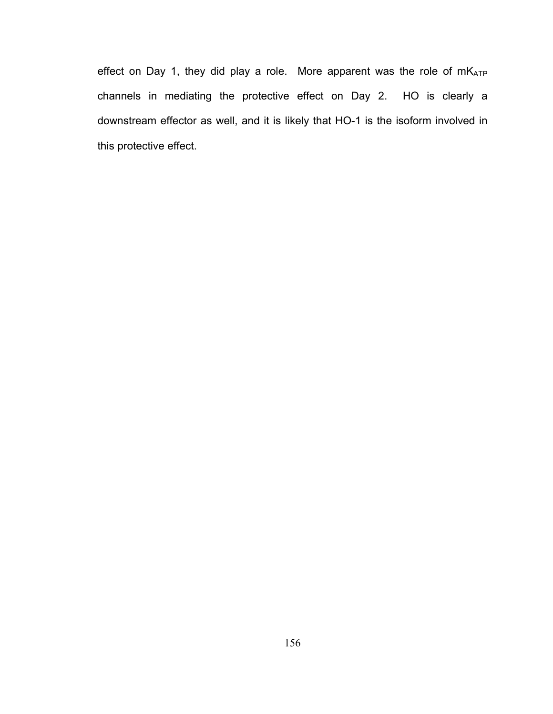effect on Day 1, they did play a role. More apparent was the role of mKATP channels in mediating the protective effect on Day 2. HO is clearly a downstream effector as well, and it is likely that HO-1 is the isoform involved in this protective effect.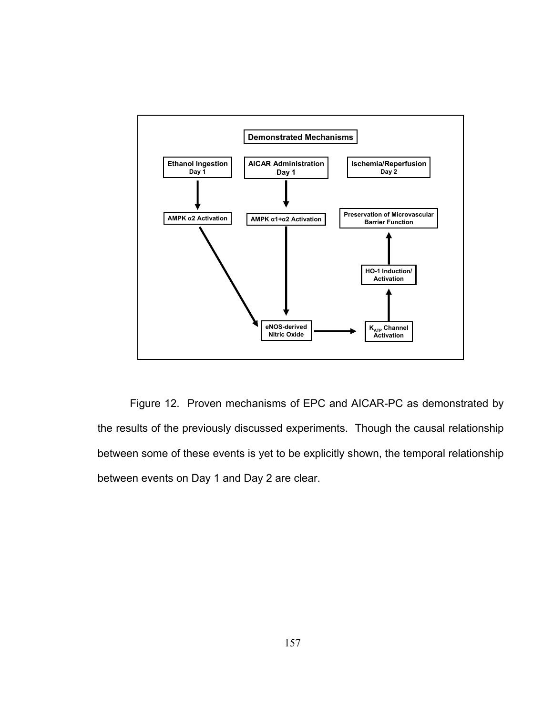

Figure 12. Proven mechanisms of EPC and AICAR-PC as demonstrated by the results of the previously discussed experiments. Though the causal relationship between some of these events is yet to be explicitly shown, the temporal relationship between events on Day 1 and Day 2 are clear.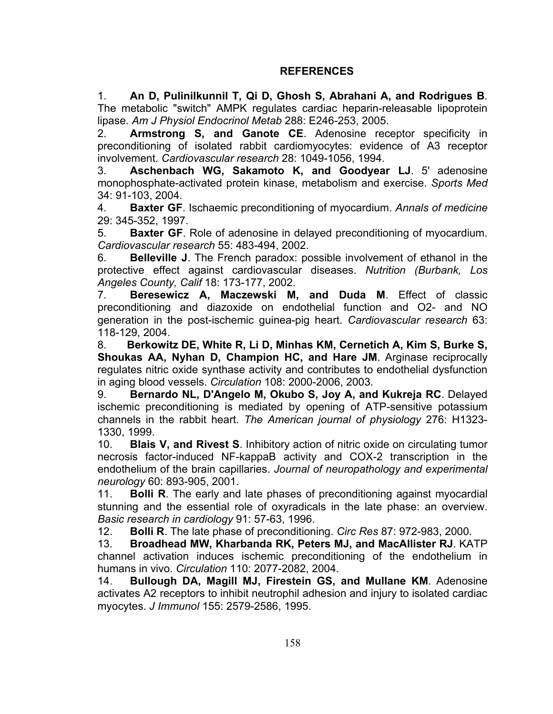## **REFERENCES**

1. **An D, Pulinilkunnil T, Qi D, Ghosh S, Abrahani A, and Rodrigues B**. The metabolic "switch" AMPK regulates cardiac heparin-releasable lipoprotein lipase. *Am J Physiol Endocrinol Metab* 288: E246-253, 2005.

2. **Armstrong S, and Ganote CE**. Adenosine receptor specificity in preconditioning of isolated rabbit cardiomyocytes: evidence of A3 receptor involvement. *Cardiovascular research* 28: 1049-1056, 1994.

3. **Aschenbach WG, Sakamoto K, and Goodyear LJ**. 5' adenosine monophosphate-activated protein kinase, metabolism and exercise. *Sports Med*  34: 91-103, 2004.

4. **Baxter GF**. Ischaemic preconditioning of myocardium. *Annals of medicine*  29: 345-352, 1997.

5. **Baxter GF**. Role of adenosine in delayed preconditioning of myocardium. *Cardiovascular research* 55: 483-494, 2002.

6. **Belleville J**. The French paradox: possible involvement of ethanol in the protective effect against cardiovascular diseases. *Nutrition (Burbank, Los Angeles County, Calif* 18: 173-177, 2002.

7. **Beresewicz A, Maczewski M, and Duda M**. Effect of classic preconditioning and diazoxide on endothelial function and O2- and NO generation in the post-ischemic guinea-pig heart. *Cardiovascular research* 63: 118-129, 2004.

8. **Berkowitz DE, White R, Li D, Minhas KM, Cernetich A, Kim S, Burke S, Shoukas AA, Nyhan D, Champion HC, and Hare JM**. Arginase reciprocally regulates nitric oxide synthase activity and contributes to endothelial dysfunction in aging blood vessels. *Circulation* 108: 2000-2006, 2003.

9. **Bernardo NL, D'Angelo M, Okubo S, Joy A, and Kukreja RC**. Delayed ischemic preconditioning is mediated by opening of ATP-sensitive potassium channels in the rabbit heart. *The American journal of physiology* 276: H1323- 1330, 1999.

10. **Blais V, and Rivest S**. Inhibitory action of nitric oxide on circulating tumor necrosis factor-induced NF-kappaB activity and COX-2 transcription in the endothelium of the brain capillaries. *Journal of neuropathology and experimental neurology* 60: 893-905, 2001.

11. **Bolli R**. The early and late phases of preconditioning against myocardial stunning and the essential role of oxyradicals in the late phase: an overview. *Basic research in cardiology* 91: 57-63, 1996.

12. **Bolli R**. The late phase of preconditioning. *Circ Res* 87: 972-983, 2000.

13. **Broadhead MW, Kharbanda RK, Peters MJ, and MacAllister RJ**. KATP channel activation induces ischemic preconditioning of the endothelium in humans in vivo. *Circulation* 110: 2077-2082, 2004.

14. **Bullough DA, Magill MJ, Firestein GS, and Mullane KM**. Adenosine activates A2 receptors to inhibit neutrophil adhesion and injury to isolated cardiac myocytes. *J Immunol* 155: 2579-2586, 1995.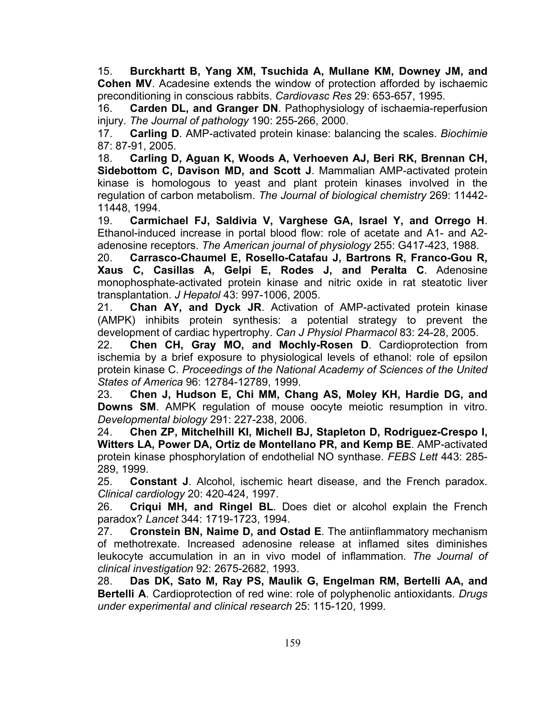15. **Burckhartt B, Yang XM, Tsuchida A, Mullane KM, Downey JM, and Cohen MV**. Acadesine extends the window of protection afforded by ischaemic preconditioning in conscious rabbits. *Cardiovasc Res* 29: 653-657, 1995.

16. **Carden DL, and Granger DN**. Pathophysiology of ischaemia-reperfusion injury. *The Journal of pathology* 190: 255-266, 2000.

17. **Carling D**. AMP-activated protein kinase: balancing the scales. *Biochimie*  87: 87-91, 2005.

18. **Carling D, Aguan K, Woods A, Verhoeven AJ, Beri RK, Brennan CH, Sidebottom C, Davison MD, and Scott J**. Mammalian AMP-activated protein kinase is homologous to yeast and plant protein kinases involved in the regulation of carbon metabolism. *The Journal of biological chemistry* 269: 11442- 11448, 1994.

19. **Carmichael FJ, Saldivia V, Varghese GA, Israel Y, and Orrego H**. Ethanol-induced increase in portal blood flow: role of acetate and A1- and A2 adenosine receptors. *The American journal of physiology* 255: G417-423, 1988.

20. **Carrasco-Chaumel E, Rosello-Catafau J, Bartrons R, Franco-Gou R, Xaus C, Casillas A, Gelpi E, Rodes J, and Peralta C**. Adenosine monophosphate-activated protein kinase and nitric oxide in rat steatotic liver transplantation. *J Hepatol* 43: 997-1006, 2005.

21. **Chan AY, and Dyck JR**. Activation of AMP-activated protein kinase (AMPK) inhibits protein synthesis: a potential strategy to prevent the development of cardiac hypertrophy. *Can J Physiol Pharmacol* 83: 24-28, 2005.

22. **Chen CH, Gray MO, and Mochly-Rosen D**. Cardioprotection from ischemia by a brief exposure to physiological levels of ethanol: role of epsilon protein kinase C. *Proceedings of the National Academy of Sciences of the United States of America* 96: 12784-12789, 1999.

23. **Chen J, Hudson E, Chi MM, Chang AS, Moley KH, Hardie DG, and Downs SM**. AMPK regulation of mouse oocyte meiotic resumption in vitro. *Developmental biology* 291: 227-238, 2006.

24. **Chen ZP, Mitchelhill KI, Michell BJ, Stapleton D, Rodriguez-Crespo I, Witters LA, Power DA, Ortiz de Montellano PR, and Kemp BE**. AMP-activated protein kinase phosphorylation of endothelial NO synthase. *FEBS Lett* 443: 285- 289, 1999.

25. **Constant J**. Alcohol, ischemic heart disease, and the French paradox. *Clinical cardiology* 20: 420-424, 1997.

26. **Criqui MH, and Ringel BL**. Does diet or alcohol explain the French paradox? *Lancet* 344: 1719-1723, 1994.

27. **Cronstein BN, Naime D, and Ostad E**. The antiinflammatory mechanism of methotrexate. Increased adenosine release at inflamed sites diminishes leukocyte accumulation in an in vivo model of inflammation. *The Journal of clinical investigation* 92: 2675-2682, 1993.

28. **Das DK, Sato M, Ray PS, Maulik G, Engelman RM, Bertelli AA, and Bertelli A**. Cardioprotection of red wine: role of polyphenolic antioxidants. *Drugs under experimental and clinical research* 25: 115-120, 1999.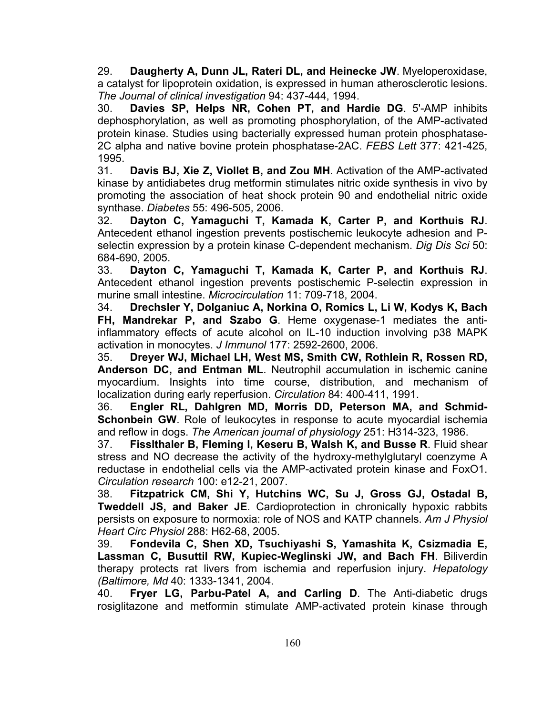29. **Daugherty A, Dunn JL, Rateri DL, and Heinecke JW**. Myeloperoxidase, a catalyst for lipoprotein oxidation, is expressed in human atherosclerotic lesions. *The Journal of clinical investigation* 94: 437-444, 1994.

30. **Davies SP, Helps NR, Cohen PT, and Hardie DG**. 5'-AMP inhibits dephosphorylation, as well as promoting phosphorylation, of the AMP-activated protein kinase. Studies using bacterially expressed human protein phosphatase-2C alpha and native bovine protein phosphatase-2AC. *FEBS Lett* 377: 421-425, 1995.

31. **Davis BJ, Xie Z, Viollet B, and Zou MH**. Activation of the AMP-activated kinase by antidiabetes drug metformin stimulates nitric oxide synthesis in vivo by promoting the association of heat shock protein 90 and endothelial nitric oxide synthase. *Diabetes* 55: 496-505, 2006.

32. **Dayton C, Yamaguchi T, Kamada K, Carter P, and Korthuis RJ**. Antecedent ethanol ingestion prevents postischemic leukocyte adhesion and Pselectin expression by a protein kinase C-dependent mechanism. *Dig Dis Sci* 50: 684-690, 2005.

33. **Dayton C, Yamaguchi T, Kamada K, Carter P, and Korthuis RJ**. Antecedent ethanol ingestion prevents postischemic P-selectin expression in murine small intestine. *Microcirculation* 11: 709-718, 2004.

34. **Drechsler Y, Dolganiuc A, Norkina O, Romics L, Li W, Kodys K, Bach FH, Mandrekar P, and Szabo G**. Heme oxygenase-1 mediates the antiinflammatory effects of acute alcohol on IL-10 induction involving p38 MAPK activation in monocytes. *J Immunol* 177: 2592-2600, 2006.

35. **Dreyer WJ, Michael LH, West MS, Smith CW, Rothlein R, Rossen RD, Anderson DC, and Entman ML**. Neutrophil accumulation in ischemic canine myocardium. Insights into time course, distribution, and mechanism of localization during early reperfusion. *Circulation* 84: 400-411, 1991.

36. **Engler RL, Dahlgren MD, Morris DD, Peterson MA, and Schmid-Schonbein GW**. Role of leukocytes in response to acute myocardial ischemia and reflow in dogs. *The American journal of physiology* 251: H314-323, 1986.

37. **Fisslthaler B, Fleming I, Keseru B, Walsh K, and Busse R**. Fluid shear stress and NO decrease the activity of the hydroxy-methylglutaryl coenzyme A reductase in endothelial cells via the AMP-activated protein kinase and FoxO1. *Circulation research* 100: e12-21, 2007.

38. **Fitzpatrick CM, Shi Y, Hutchins WC, Su J, Gross GJ, Ostadal B, Tweddell JS, and Baker JE**. Cardioprotection in chronically hypoxic rabbits persists on exposure to normoxia: role of NOS and KATP channels. *Am J Physiol Heart Circ Physiol* 288: H62-68, 2005.

39. **Fondevila C, Shen XD, Tsuchiyashi S, Yamashita K, Csizmadia E, Lassman C, Busuttil RW, Kupiec-Weglinski JW, and Bach FH**. Biliverdin therapy protects rat livers from ischemia and reperfusion injury. *Hepatology (Baltimore, Md* 40: 1333-1341, 2004.

40. **Fryer LG, Parbu-Patel A, and Carling D**. The Anti-diabetic drugs rosiglitazone and metformin stimulate AMP-activated protein kinase through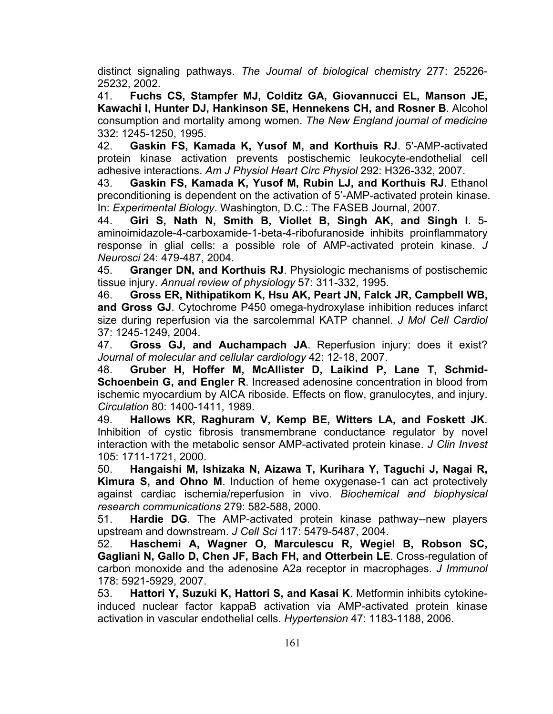distinct signaling pathways. *The Journal of biological chemistry* 277: 25226- 25232, 2002.

41. **Fuchs CS, Stampfer MJ, Colditz GA, Giovannucci EL, Manson JE, Kawachi I, Hunter DJ, Hankinson SE, Hennekens CH, and Rosner B**. Alcohol consumption and mortality among women. *The New England journal of medicine*  332: 1245-1250, 1995.

42. **Gaskin FS, Kamada K, Yusof M, and Korthuis RJ**. 5'-AMP-activated protein kinase activation prevents postischemic leukocyte-endothelial cell adhesive interactions. *Am J Physiol Heart Circ Physiol* 292: H326-332, 2007.

43. **Gaskin FS, Kamada K, Yusof M, Rubin LJ, and Korthuis RJ**. Ethanol preconditioning is dependent on the activation of 5'-AMP-activated protein kinase. In: *Experimental Biology*. Washington, D.C.: The FASEB Journal, 2007.

44. **Giri S, Nath N, Smith B, Viollet B, Singh AK, and Singh I**. 5 aminoimidazole-4-carboxamide-1-beta-4-ribofuranoside inhibits proinflammatory response in glial cells: a possible role of AMP-activated protein kinase. *J Neurosci* 24: 479-487, 2004.

45. **Granger DN, and Korthuis RJ**. Physiologic mechanisms of postischemic tissue injury. *Annual review of physiology* 57: 311-332, 1995.

46. **Gross ER, Nithipatikom K, Hsu AK, Peart JN, Falck JR, Campbell WB, and Gross GJ**. Cytochrome P450 omega-hydroxylase inhibition reduces infarct size during reperfusion via the sarcolemmal KATP channel. *J Mol Cell Cardiol*  37: 1245-1249, 2004.

47. **Gross GJ, and Auchampach JA**. Reperfusion injury: does it exist? *Journal of molecular and cellular cardiology* 42: 12-18, 2007.

48. **Gruber H, Hoffer M, McAllister D, Laikind P, Lane T, Schmid-Schoenbein G, and Engler R**. Increased adenosine concentration in blood from ischemic myocardium by AICA riboside. Effects on flow, granulocytes, and injury. *Circulation* 80: 1400-1411, 1989.

49. **Hallows KR, Raghuram V, Kemp BE, Witters LA, and Foskett JK**. Inhibition of cystic fibrosis transmembrane conductance regulator by novel interaction with the metabolic sensor AMP-activated protein kinase. *J Clin Invest*  105: 1711-1721, 2000.

50. **Hangaishi M, Ishizaka N, Aizawa T, Kurihara Y, Taguchi J, Nagai R, Kimura S, and Ohno M**. Induction of heme oxygenase-1 can act protectively against cardiac ischemia/reperfusion in vivo. *Biochemical and biophysical research communications* 279: 582-588, 2000.

51. **Hardie DG**. The AMP-activated protein kinase pathway--new players upstream and downstream. *J Cell Sci* 117: 5479-5487, 2004.

52. **Haschemi A, Wagner O, Marculescu R, Wegiel B, Robson SC, Gagliani N, Gallo D, Chen JF, Bach FH, and Otterbein LE**. Cross-regulation of carbon monoxide and the adenosine A2a receptor in macrophages. *J Immunol*  178: 5921-5929, 2007.

53. **Hattori Y, Suzuki K, Hattori S, and Kasai K**. Metformin inhibits cytokineinduced nuclear factor kappaB activation via AMP-activated protein kinase activation in vascular endothelial cells. *Hypertension* 47: 1183-1188, 2006.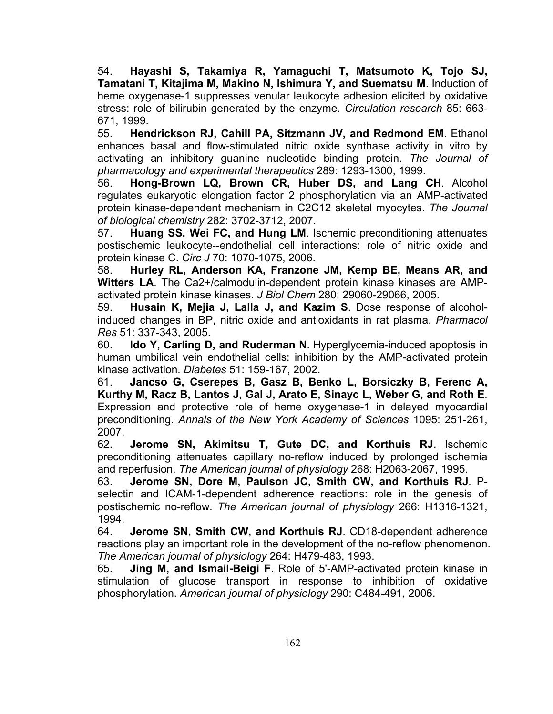54. **Hayashi S, Takamiya R, Yamaguchi T, Matsumoto K, Tojo SJ, Tamatani T, Kitajima M, Makino N, Ishimura Y, and Suematsu M**. Induction of heme oxygenase-1 suppresses venular leukocyte adhesion elicited by oxidative stress: role of bilirubin generated by the enzyme. *Circulation research* 85: 663- 671, 1999.

55. **Hendrickson RJ, Cahill PA, Sitzmann JV, and Redmond EM**. Ethanol enhances basal and flow-stimulated nitric oxide synthase activity in vitro by activating an inhibitory guanine nucleotide binding protein. *The Journal of pharmacology and experimental therapeutics* 289: 1293-1300, 1999.

56. **Hong-Brown LQ, Brown CR, Huber DS, and Lang CH**. Alcohol regulates eukaryotic elongation factor 2 phosphorylation via an AMP-activated protein kinase-dependent mechanism in C2C12 skeletal myocytes. *The Journal of biological chemistry* 282: 3702-3712, 2007.

57. **Huang SS, Wei FC, and Hung LM**. Ischemic preconditioning attenuates postischemic leukocyte--endothelial cell interactions: role of nitric oxide and protein kinase C. *Circ J* 70: 1070-1075, 2006.

58. **Hurley RL, Anderson KA, Franzone JM, Kemp BE, Means AR, and Witters LA**. The Ca2+/calmodulin-dependent protein kinase kinases are AMPactivated protein kinase kinases. *J Biol Chem* 280: 29060-29066, 2005.

59. **Husain K, Mejia J, Lalla J, and Kazim S**. Dose response of alcoholinduced changes in BP, nitric oxide and antioxidants in rat plasma. *Pharmacol Res* 51: 337-343, 2005.

60. **Ido Y, Carling D, and Ruderman N**. Hyperglycemia-induced apoptosis in human umbilical vein endothelial cells: inhibition by the AMP-activated protein kinase activation. *Diabetes* 51: 159-167, 2002.

61. **Jancso G, Cserepes B, Gasz B, Benko L, Borsiczky B, Ferenc A, Kurthy M, Racz B, Lantos J, Gal J, Arato E, Sinayc L, Weber G, and Roth E**. Expression and protective role of heme oxygenase-1 in delayed myocardial preconditioning. *Annals of the New York Academy of Sciences* 1095: 251-261, 2007.

62. **Jerome SN, Akimitsu T, Gute DC, and Korthuis RJ**. Ischemic preconditioning attenuates capillary no-reflow induced by prolonged ischemia and reperfusion. *The American journal of physiology* 268: H2063-2067, 1995.

63. **Jerome SN, Dore M, Paulson JC, Smith CW, and Korthuis RJ**. Pselectin and ICAM-1-dependent adherence reactions: role in the genesis of postischemic no-reflow. *The American journal of physiology* 266: H1316-1321, 1994.

64. **Jerome SN, Smith CW, and Korthuis RJ**. CD18-dependent adherence reactions play an important role in the development of the no-reflow phenomenon. *The American journal of physiology* 264: H479-483, 1993.

65. **Jing M, and Ismail-Beigi F**. Role of 5'-AMP-activated protein kinase in stimulation of glucose transport in response to inhibition of oxidative phosphorylation. *American journal of physiology* 290: C484-491, 2006.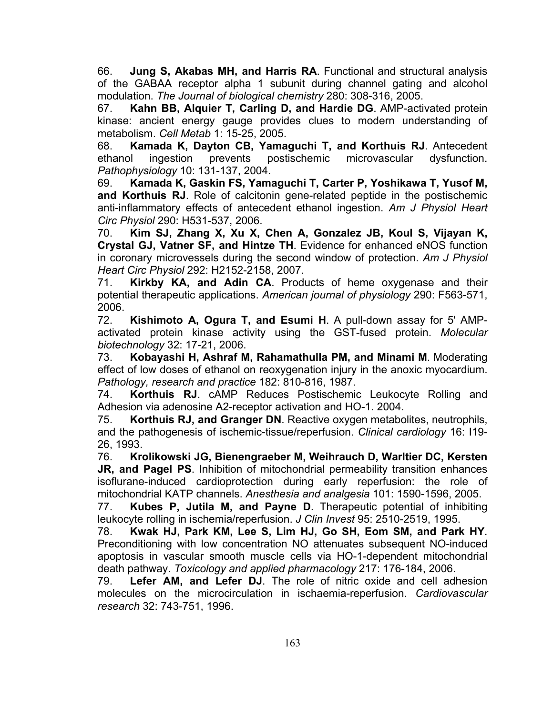66. **Jung S, Akabas MH, and Harris RA**. Functional and structural analysis of the GABAA receptor alpha 1 subunit during channel gating and alcohol modulation. *The Journal of biological chemistry* 280: 308-316, 2005.

67. **Kahn BB, Alquier T, Carling D, and Hardie DG**. AMP-activated protein kinase: ancient energy gauge provides clues to modern understanding of metabolism. *Cell Metab* 1: 15-25, 2005.

68. **Kamada K, Dayton CB, Yamaguchi T, and Korthuis RJ**. Antecedent ethanol ingestion prevents postischemic microvascular dysfunction. *Pathophysiology* 10: 131-137, 2004.

69. **Kamada K, Gaskin FS, Yamaguchi T, Carter P, Yoshikawa T, Yusof M, and Korthuis RJ**. Role of calcitonin gene-related peptide in the postischemic anti-inflammatory effects of antecedent ethanol ingestion. *Am J Physiol Heart Circ Physiol* 290: H531-537, 2006.

70. **Kim SJ, Zhang X, Xu X, Chen A, Gonzalez JB, Koul S, Vijayan K, Crystal GJ, Vatner SF, and Hintze TH**. Evidence for enhanced eNOS function in coronary microvessels during the second window of protection. *Am J Physiol Heart Circ Physiol* 292: H2152-2158, 2007.

71. **Kirkby KA, and Adin CA**. Products of heme oxygenase and their potential therapeutic applications. *American journal of physiology* 290: F563-571, 2006.

72. **Kishimoto A, Ogura T, and Esumi H**. A pull-down assay for 5' AMPactivated protein kinase activity using the GST-fused protein. *Molecular biotechnology* 32: 17-21, 2006.

73. **Kobayashi H, Ashraf M, Rahamathulla PM, and Minami M**. Moderating effect of low doses of ethanol on reoxygenation injury in the anoxic myocardium. *Pathology, research and practice* 182: 810-816, 1987.

74. **Korthuis RJ**. cAMP Reduces Postischemic Leukocyte Rolling and Adhesion via adenosine A2-receptor activation and HO-1. 2004.

75. **Korthuis RJ, and Granger DN**. Reactive oxygen metabolites, neutrophils, and the pathogenesis of ischemic-tissue/reperfusion. *Clinical cardiology* 16: I19- 26, 1993.

76. **Krolikowski JG, Bienengraeber M, Weihrauch D, Warltier DC, Kersten JR, and Pagel PS**. Inhibition of mitochondrial permeability transition enhances isoflurane-induced cardioprotection during early reperfusion: the role of mitochondrial KATP channels. *Anesthesia and analgesia* 101: 1590-1596, 2005.

77. **Kubes P, Jutila M, and Payne D**. Therapeutic potential of inhibiting leukocyte rolling in ischemia/reperfusion. *J Clin Invest* 95: 2510-2519, 1995.

78. **Kwak HJ, Park KM, Lee S, Lim HJ, Go SH, Eom SM, and Park HY**. Preconditioning with low concentration NO attenuates subsequent NO-induced apoptosis in vascular smooth muscle cells via HO-1-dependent mitochondrial death pathway. *Toxicology and applied pharmacology* 217: 176-184, 2006.

79. **Lefer AM, and Lefer DJ**. The role of nitric oxide and cell adhesion molecules on the microcirculation in ischaemia-reperfusion. *Cardiovascular research* 32: 743-751, 1996.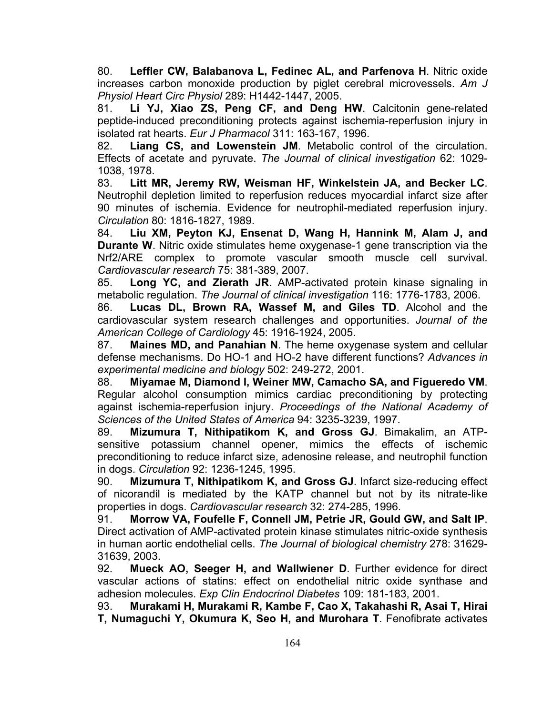80. **Leffler CW, Balabanova L, Fedinec AL, and Parfenova H**. Nitric oxide increases carbon monoxide production by piglet cerebral microvessels. *Am J Physiol Heart Circ Physiol* 289: H1442-1447, 2005.

81. **Li YJ, Xiao ZS, Peng CF, and Deng HW**. Calcitonin gene-related peptide-induced preconditioning protects against ischemia-reperfusion injury in isolated rat hearts. *Eur J Pharmacol* 311: 163-167, 1996.

82. **Liang CS, and Lowenstein JM**. Metabolic control of the circulation. Effects of acetate and pyruvate. *The Journal of clinical investigation* 62: 1029- 1038, 1978.

83. **Litt MR, Jeremy RW, Weisman HF, Winkelstein JA, and Becker LC**. Neutrophil depletion limited to reperfusion reduces myocardial infarct size after 90 minutes of ischemia. Evidence for neutrophil-mediated reperfusion injury. *Circulation* 80: 1816-1827, 1989.

84. **Liu XM, Peyton KJ, Ensenat D, Wang H, Hannink M, Alam J, and Durante W.** Nitric oxide stimulates heme oxygenase-1 gene transcription via the Nrf2/ARE complex to promote vascular smooth muscle cell survival. *Cardiovascular research* 75: 381-389, 2007.

85. **Long YC, and Zierath JR**. AMP-activated protein kinase signaling in metabolic regulation. *The Journal of clinical investigation* 116: 1776-1783, 2006.

86. **Lucas DL, Brown RA, Wassef M, and Giles TD**. Alcohol and the cardiovascular system research challenges and opportunities. *Journal of the American College of Cardiology* 45: 1916-1924, 2005.

87. **Maines MD, and Panahian N**. The heme oxygenase system and cellular defense mechanisms. Do HO-1 and HO-2 have different functions? *Advances in experimental medicine and biology* 502: 249-272, 2001.

88. **Miyamae M, Diamond I, Weiner MW, Camacho SA, and Figueredo VM**. Regular alcohol consumption mimics cardiac preconditioning by protecting against ischemia-reperfusion injury. *Proceedings of the National Academy of Sciences of the United States of America* 94: 3235-3239, 1997.

89. **Mizumura T, Nithipatikom K, and Gross GJ**. Bimakalim, an ATPsensitive potassium channel opener, mimics the effects of ischemic preconditioning to reduce infarct size, adenosine release, and neutrophil function in dogs. *Circulation* 92: 1236-1245, 1995.

90. **Mizumura T, Nithipatikom K, and Gross GJ**. Infarct size-reducing effect of nicorandil is mediated by the KATP channel but not by its nitrate-like properties in dogs. *Cardiovascular research* 32: 274-285, 1996.

91. **Morrow VA, Foufelle F, Connell JM, Petrie JR, Gould GW, and Salt IP**. Direct activation of AMP-activated protein kinase stimulates nitric-oxide synthesis in human aortic endothelial cells. *The Journal of biological chemistry* 278: 31629- 31639, 2003.

92. **Mueck AO, Seeger H, and Wallwiener D**. Further evidence for direct vascular actions of statins: effect on endothelial nitric oxide synthase and adhesion molecules. *Exp Clin Endocrinol Diabetes* 109: 181-183, 2001.

93. **Murakami H, Murakami R, Kambe F, Cao X, Takahashi R, Asai T, Hirai T, Numaguchi Y, Okumura K, Seo H, and Murohara T**. Fenofibrate activates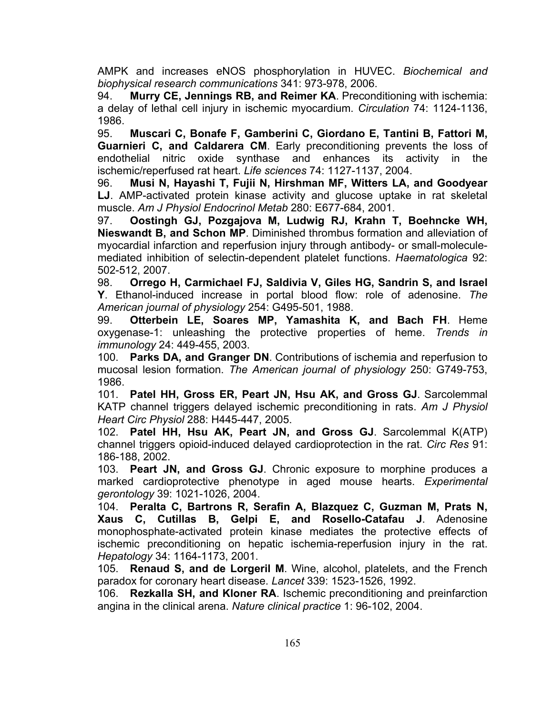AMPK and increases eNOS phosphorylation in HUVEC. *Biochemical and biophysical research communications* 341: 973-978, 2006.

94. **Murry CE, Jennings RB, and Reimer KA**. Preconditioning with ischemia: a delay of lethal cell injury in ischemic myocardium. *Circulation* 74: 1124-1136, 1986.

95. **Muscari C, Bonafe F, Gamberini C, Giordano E, Tantini B, Fattori M, Guarnieri C, and Caldarera CM**. Early preconditioning prevents the loss of endothelial nitric oxide synthase and enhances its activity in the ischemic/reperfused rat heart. *Life sciences* 74: 1127-1137, 2004.

96. **Musi N, Hayashi T, Fujii N, Hirshman MF, Witters LA, and Goodyear LJ**. AMP-activated protein kinase activity and glucose uptake in rat skeletal muscle. *Am J Physiol Endocrinol Metab* 280: E677-684, 2001.

97. **Oostingh GJ, Pozgajova M, Ludwig RJ, Krahn T, Boehncke WH, Nieswandt B, and Schon MP**. Diminished thrombus formation and alleviation of myocardial infarction and reperfusion injury through antibody- or small-moleculemediated inhibition of selectin-dependent platelet functions. *Haematologica* 92: 502-512, 2007.

98. **Orrego H, Carmichael FJ, Saldivia V, Giles HG, Sandrin S, and Israel Y**. Ethanol-induced increase in portal blood flow: role of adenosine. *The American journal of physiology* 254: G495-501, 1988.

99. **Otterbein LE, Soares MP, Yamashita K, and Bach FH**. Heme oxygenase-1: unleashing the protective properties of heme. *Trends in immunology* 24: 449-455, 2003.

100. **Parks DA, and Granger DN**. Contributions of ischemia and reperfusion to mucosal lesion formation. *The American journal of physiology* 250: G749-753, 1986.

101. **Patel HH, Gross ER, Peart JN, Hsu AK, and Gross GJ**. Sarcolemmal KATP channel triggers delayed ischemic preconditioning in rats. *Am J Physiol Heart Circ Physiol* 288: H445-447, 2005.

102. **Patel HH, Hsu AK, Peart JN, and Gross GJ**. Sarcolemmal K(ATP) channel triggers opioid-induced delayed cardioprotection in the rat. *Circ Res* 91: 186-188, 2002.

103. **Peart JN, and Gross GJ**. Chronic exposure to morphine produces a marked cardioprotective phenotype in aged mouse hearts. *Experimental gerontology* 39: 1021-1026, 2004.

104. **Peralta C, Bartrons R, Serafin A, Blazquez C, Guzman M, Prats N, Xaus C, Cutillas B, Gelpi E, and Rosello-Catafau J**. Adenosine monophosphate-activated protein kinase mediates the protective effects of ischemic preconditioning on hepatic ischemia-reperfusion injury in the rat. *Hepatology* 34: 1164-1173, 2001.

105. **Renaud S, and de Lorgeril M**. Wine, alcohol, platelets, and the French paradox for coronary heart disease. *Lancet* 339: 1523-1526, 1992.

106. **Rezkalla SH, and Kloner RA**. Ischemic preconditioning and preinfarction angina in the clinical arena. *Nature clinical practice* 1: 96-102, 2004.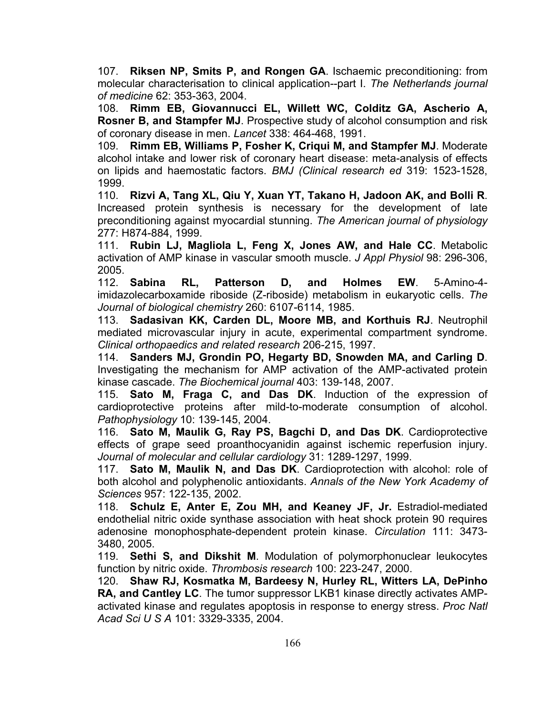107. **Riksen NP, Smits P, and Rongen GA**. Ischaemic preconditioning: from molecular characterisation to clinical application--part I. *The Netherlands journal of medicine* 62: 353-363, 2004.

108. **Rimm EB, Giovannucci EL, Willett WC, Colditz GA, Ascherio A, Rosner B, and Stampfer MJ**. Prospective study of alcohol consumption and risk of coronary disease in men. *Lancet* 338: 464-468, 1991.

109. **Rimm EB, Williams P, Fosher K, Criqui M, and Stampfer MJ**. Moderate alcohol intake and lower risk of coronary heart disease: meta-analysis of effects on lipids and haemostatic factors. *BMJ (Clinical research ed* 319: 1523-1528, 1999.

110. **Rizvi A, Tang XL, Qiu Y, Xuan YT, Takano H, Jadoon AK, and Bolli R**. Increased protein synthesis is necessary for the development of late preconditioning against myocardial stunning. *The American journal of physiology*  277: H874-884, 1999.

111. **Rubin LJ, Magliola L, Feng X, Jones AW, and Hale CC**. Metabolic activation of AMP kinase in vascular smooth muscle. *J Appl Physiol* 98: 296-306, 2005.

112. **Sabina RL, Patterson D, and Holmes EW**. 5-Amino-4 imidazolecarboxamide riboside (Z-riboside) metabolism in eukaryotic cells. *The Journal of biological chemistry* 260: 6107-6114, 1985.

113. **Sadasivan KK, Carden DL, Moore MB, and Korthuis RJ**. Neutrophil mediated microvascular injury in acute, experimental compartment syndrome. *Clinical orthopaedics and related research* 206-215, 1997.

114. **Sanders MJ, Grondin PO, Hegarty BD, Snowden MA, and Carling D**. Investigating the mechanism for AMP activation of the AMP-activated protein kinase cascade. *The Biochemical journal* 403: 139-148, 2007.

115. **Sato M, Fraga C, and Das DK**. Induction of the expression of cardioprotective proteins after mild-to-moderate consumption of alcohol. *Pathophysiology* 10: 139-145, 2004.

116. **Sato M, Maulik G, Ray PS, Bagchi D, and Das DK**. Cardioprotective effects of grape seed proanthocyanidin against ischemic reperfusion injury. *Journal of molecular and cellular cardiology* 31: 1289-1297, 1999.

117. **Sato M, Maulik N, and Das DK**. Cardioprotection with alcohol: role of both alcohol and polyphenolic antioxidants. *Annals of the New York Academy of Sciences* 957: 122-135, 2002.

118. **Schulz E, Anter E, Zou MH, and Keaney JF, Jr.** Estradiol-mediated endothelial nitric oxide synthase association with heat shock protein 90 requires adenosine monophosphate-dependent protein kinase. *Circulation* 111: 3473- 3480, 2005.

119. **Sethi S, and Dikshit M**. Modulation of polymorphonuclear leukocytes function by nitric oxide. *Thrombosis research* 100: 223-247, 2000.

120. **Shaw RJ, Kosmatka M, Bardeesy N, Hurley RL, Witters LA, DePinho RA, and Cantley LC**. The tumor suppressor LKB1 kinase directly activates AMPactivated kinase and regulates apoptosis in response to energy stress. *Proc Natl Acad Sci U S A* 101: 3329-3335, 2004.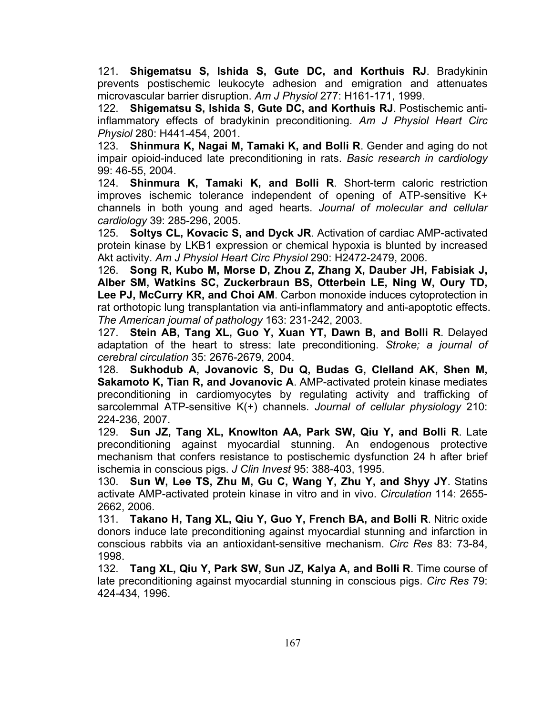121. **Shigematsu S, Ishida S, Gute DC, and Korthuis RJ**. Bradykinin prevents postischemic leukocyte adhesion and emigration and attenuates microvascular barrier disruption. *Am J Physiol* 277: H161-171, 1999.

122. **Shigematsu S, Ishida S, Gute DC, and Korthuis RJ**. Postischemic antiinflammatory effects of bradykinin preconditioning. *Am J Physiol Heart Circ Physiol* 280: H441-454, 2001.

123. **Shinmura K, Nagai M, Tamaki K, and Bolli R**. Gender and aging do not impair opioid-induced late preconditioning in rats. *Basic research in cardiology*  99: 46-55, 2004.

124. **Shinmura K, Tamaki K, and Bolli R**. Short-term caloric restriction improves ischemic tolerance independent of opening of ATP-sensitive K+ channels in both young and aged hearts. *Journal of molecular and cellular cardiology* 39: 285-296, 2005.

125. **Soltys CL, Kovacic S, and Dyck JR**. Activation of cardiac AMP-activated protein kinase by LKB1 expression or chemical hypoxia is blunted by increased Akt activity. *Am J Physiol Heart Circ Physiol* 290: H2472-2479, 2006.

126. **Song R, Kubo M, Morse D, Zhou Z, Zhang X, Dauber JH, Fabisiak J, Alber SM, Watkins SC, Zuckerbraun BS, Otterbein LE, Ning W, Oury TD, Lee PJ, McCurry KR, and Choi AM**. Carbon monoxide induces cytoprotection in rat orthotopic lung transplantation via anti-inflammatory and anti-apoptotic effects. *The American journal of pathology* 163: 231-242, 2003.

127. **Stein AB, Tang XL, Guo Y, Xuan YT, Dawn B, and Bolli R**. Delayed adaptation of the heart to stress: late preconditioning. *Stroke; a journal of cerebral circulation* 35: 2676-2679, 2004.

128. **Sukhodub A, Jovanovic S, Du Q, Budas G, Clelland AK, Shen M, Sakamoto K, Tian R, and Jovanovic A**. AMP-activated protein kinase mediates preconditioning in cardiomyocytes by regulating activity and trafficking of sarcolemmal ATP-sensitive K(+) channels. *Journal of cellular physiology* 210: 224-236, 2007.

129. **Sun JZ, Tang XL, Knowlton AA, Park SW, Qiu Y, and Bolli R**. Late preconditioning against myocardial stunning. An endogenous protective mechanism that confers resistance to postischemic dysfunction 24 h after brief ischemia in conscious pigs. *J Clin Invest* 95: 388-403, 1995.

130. **Sun W, Lee TS, Zhu M, Gu C, Wang Y, Zhu Y, and Shyy JY**. Statins activate AMP-activated protein kinase in vitro and in vivo. *Circulation* 114: 2655- 2662, 2006.

131. **Takano H, Tang XL, Qiu Y, Guo Y, French BA, and Bolli R**. Nitric oxide donors induce late preconditioning against myocardial stunning and infarction in conscious rabbits via an antioxidant-sensitive mechanism. *Circ Res* 83: 73-84, 1998.

132. **Tang XL, Qiu Y, Park SW, Sun JZ, Kalya A, and Bolli R**. Time course of late preconditioning against myocardial stunning in conscious pigs. *Circ Res* 79: 424-434, 1996.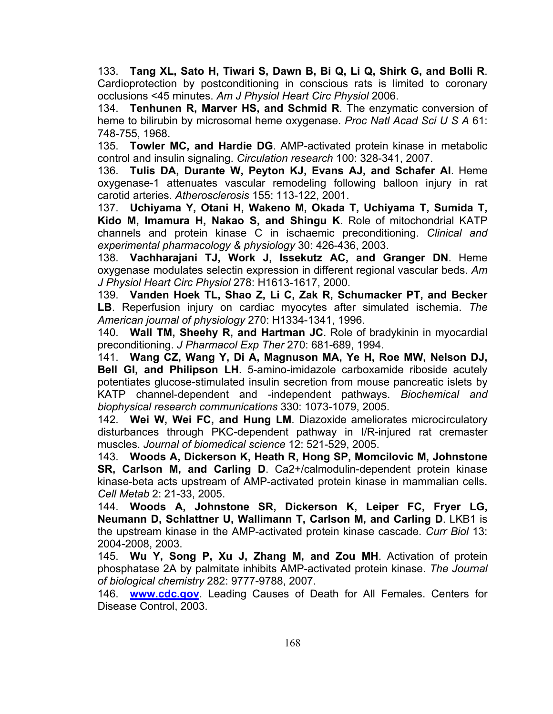133. **Tang XL, Sato H, Tiwari S, Dawn B, Bi Q, Li Q, Shirk G, and Bolli R**. Cardioprotection by postconditioning in conscious rats is limited to coronary occlusions <45 minutes. *Am J Physiol Heart Circ Physiol* 2006.

134. **Tenhunen R, Marver HS, and Schmid R**. The enzymatic conversion of heme to bilirubin by microsomal heme oxygenase. *Proc Natl Acad Sci U S A* 61: 748-755, 1968.

135. **Towler MC, and Hardie DG**. AMP-activated protein kinase in metabolic control and insulin signaling. *Circulation research* 100: 328-341, 2007.

136. **Tulis DA, Durante W, Peyton KJ, Evans AJ, and Schafer AI**. Heme oxygenase-1 attenuates vascular remodeling following balloon injury in rat carotid arteries. *Atherosclerosis* 155: 113-122, 2001.

137. **Uchiyama Y, Otani H, Wakeno M, Okada T, Uchiyama T, Sumida T, Kido M, Imamura H, Nakao S, and Shingu K**. Role of mitochondrial KATP channels and protein kinase C in ischaemic preconditioning. *Clinical and experimental pharmacology & physiology* 30: 426-436, 2003.

138. **Vachharajani TJ, Work J, Issekutz AC, and Granger DN**. Heme oxygenase modulates selectin expression in different regional vascular beds. *Am J Physiol Heart Circ Physiol* 278: H1613-1617, 2000.

139. **Vanden Hoek TL, Shao Z, Li C, Zak R, Schumacker PT, and Becker LB**. Reperfusion injury on cardiac myocytes after simulated ischemia. *The American journal of physiology* 270: H1334-1341, 1996.

140. **Wall TM, Sheehy R, and Hartman JC**. Role of bradykinin in myocardial preconditioning. *J Pharmacol Exp Ther* 270: 681-689, 1994.

141. **Wang CZ, Wang Y, Di A, Magnuson MA, Ye H, Roe MW, Nelson DJ, Bell GI, and Philipson LH**. 5-amino-imidazole carboxamide riboside acutely potentiates glucose-stimulated insulin secretion from mouse pancreatic islets by KATP channel-dependent and -independent pathways. *Biochemical and biophysical research communications* 330: 1073-1079, 2005.

142. **Wei W, Wei FC, and Hung LM**. Diazoxide ameliorates microcirculatory disturbances through PKC-dependent pathway in I/R-injured rat cremaster muscles. *Journal of biomedical science* 12: 521-529, 2005.

143. **Woods A, Dickerson K, Heath R, Hong SP, Momcilovic M, Johnstone SR, Carlson M, and Carling D**. Ca2+/calmodulin-dependent protein kinase kinase-beta acts upstream of AMP-activated protein kinase in mammalian cells. *Cell Metab* 2: 21-33, 2005.

144. **Woods A, Johnstone SR, Dickerson K, Leiper FC, Fryer LG, Neumann D, Schlattner U, Wallimann T, Carlson M, and Carling D**. LKB1 is the upstream kinase in the AMP-activated protein kinase cascade. *Curr Biol* 13: 2004-2008, 2003.

145. **Wu Y, Song P, Xu J, Zhang M, and Zou MH**. Activation of protein phosphatase 2A by palmitate inhibits AMP-activated protein kinase. *The Journal of biological chemistry* 282: 9777-9788, 2007.

146. **www.cdc.gov**. Leading Causes of Death for All Females. Centers for Disease Control, 2003.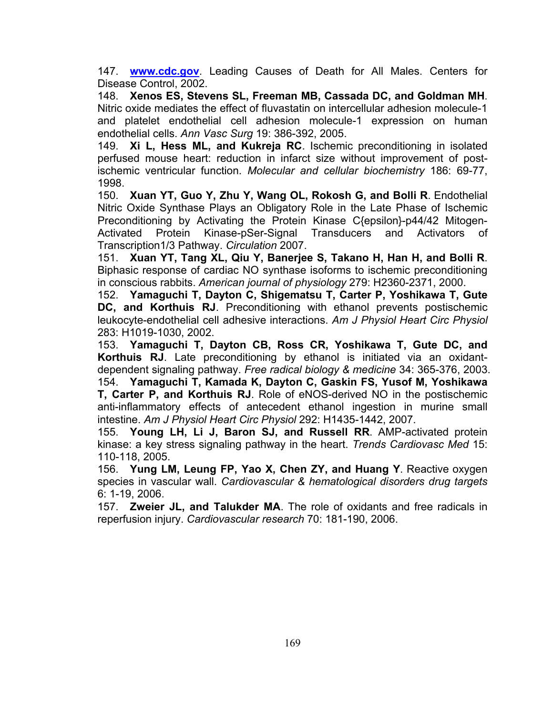147. **www.cdc.gov**. Leading Causes of Death for All Males. Centers for Disease Control, 2002.

148. **Xenos ES, Stevens SL, Freeman MB, Cassada DC, and Goldman MH**. Nitric oxide mediates the effect of fluvastatin on intercellular adhesion molecule-1 and platelet endothelial cell adhesion molecule-1 expression on human endothelial cells. *Ann Vasc Surg* 19: 386-392, 2005.

149. **Xi L, Hess ML, and Kukreja RC**. Ischemic preconditioning in isolated perfused mouse heart: reduction in infarct size without improvement of postischemic ventricular function. *Molecular and cellular biochemistry* 186: 69-77, 1998.

150. **Xuan YT, Guo Y, Zhu Y, Wang OL, Rokosh G, and Bolli R**. Endothelial Nitric Oxide Synthase Plays an Obligatory Role in the Late Phase of Ischemic Preconditioning by Activating the Protein Kinase C{epsilon}-p44/42 Mitogen-Activated Protein Kinase-pSer-Signal Transducers and Activators of Transcription1/3 Pathway. *Circulation* 2007.

151. **Xuan YT, Tang XL, Qiu Y, Banerjee S, Takano H, Han H, and Bolli R**. Biphasic response of cardiac NO synthase isoforms to ischemic preconditioning in conscious rabbits. *American journal of physiology* 279: H2360-2371, 2000.

152. **Yamaguchi T, Dayton C, Shigematsu T, Carter P, Yoshikawa T, Gute DC, and Korthuis RJ**. Preconditioning with ethanol prevents postischemic leukocyte-endothelial cell adhesive interactions. *Am J Physiol Heart Circ Physiol*  283: H1019-1030, 2002.

153. **Yamaguchi T, Dayton CB, Ross CR, Yoshikawa T, Gute DC, and Korthuis RJ**. Late preconditioning by ethanol is initiated via an oxidantdependent signaling pathway. *Free radical biology & medicine* 34: 365-376, 2003. 154. **Yamaguchi T, Kamada K, Dayton C, Gaskin FS, Yusof M, Yoshikawa** 

**T, Carter P, and Korthuis RJ**. Role of eNOS-derived NO in the postischemic anti-inflammatory effects of antecedent ethanol ingestion in murine small intestine. *Am J Physiol Heart Circ Physiol* 292: H1435-1442, 2007.

155. **Young LH, Li J, Baron SJ, and Russell RR**. AMP-activated protein kinase: a key stress signaling pathway in the heart. *Trends Cardiovasc Med* 15: 110-118, 2005.

156. **Yung LM, Leung FP, Yao X, Chen ZY, and Huang Y**. Reactive oxygen species in vascular wall. *Cardiovascular & hematological disorders drug targets*  6: 1-19, 2006.

157. **Zweier JL, and Talukder MA**. The role of oxidants and free radicals in reperfusion injury. *Cardiovascular research* 70: 181-190, 2006.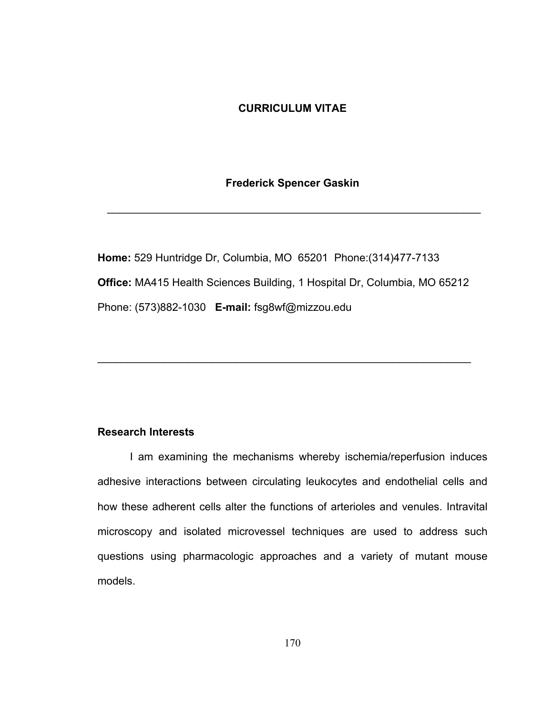## **CURRICULUM VITAE**

### **Frederick Spencer Gaskin**

\_\_\_\_\_\_\_\_\_\_\_\_\_\_\_\_\_\_\_\_\_\_\_\_\_\_\_\_\_\_\_\_\_\_\_\_\_\_\_\_\_\_\_\_\_\_\_\_\_\_\_\_\_\_\_\_\_\_\_\_\_\_

**Home:** 529 Huntridge Dr, Columbia, MO 65201 Phone:(314)477-7133 **Office:** MA415 Health Sciences Building, 1 Hospital Dr, Columbia, MO 65212 Phone: (573)882-1030 **E-mail:** fsg8wf@mizzou.edu

\_\_\_\_\_\_\_\_\_\_\_\_\_\_\_\_\_\_\_\_\_\_\_\_\_\_\_\_\_\_\_\_\_\_\_\_\_\_\_\_\_\_\_\_\_\_\_\_\_\_\_\_\_\_\_\_\_\_\_\_\_\_

## **Research Interests**

I am examining the mechanisms whereby ischemia/reperfusion induces adhesive interactions between circulating leukocytes and endothelial cells and how these adherent cells alter the functions of arterioles and venules. Intravital microscopy and isolated microvessel techniques are used to address such questions using pharmacologic approaches and a variety of mutant mouse models.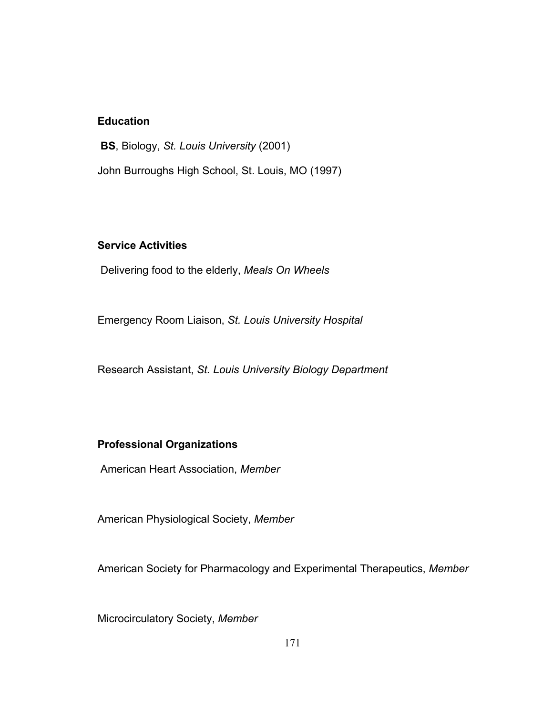# **Education**

**BS**, Biology, *St. Louis University* (2001) John Burroughs High School, St. Louis, MO (1997)

## **Service Activities**

Delivering food to the elderly, *Meals On Wheels*

Emergency Room Liaison, *St. Louis University Hospital*

Research Assistant, *St. Louis University Biology Department*

## **Professional Organizations**

American Heart Association, *Member*

American Physiological Society, *Member*

American Society for Pharmacology and Experimental Therapeutics, *Member*

Microcirculatory Society, *Member*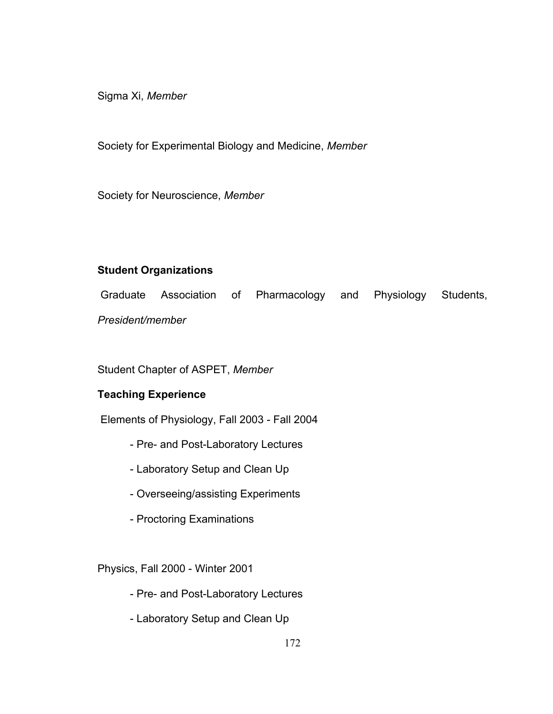Sigma Xi, *Member*

Society for Experimental Biology and Medicine, *Member*

Society for Neuroscience, *Member*

# **Student Organizations**

 Graduate Association of Pharmacology and Physiology Students, *President/member*

Student Chapter of ASPET, *Member*

# **Teaching Experience**

Elements of Physiology, Fall 2003 - Fall 2004

- Pre- and Post-Laboratory Lectures
- Laboratory Setup and Clean Up
- Overseeing/assisting Experiments
- Proctoring Examinations

Physics, Fall 2000 - Winter 2001

- Pre- and Post-Laboratory Lectures
- Laboratory Setup and Clean Up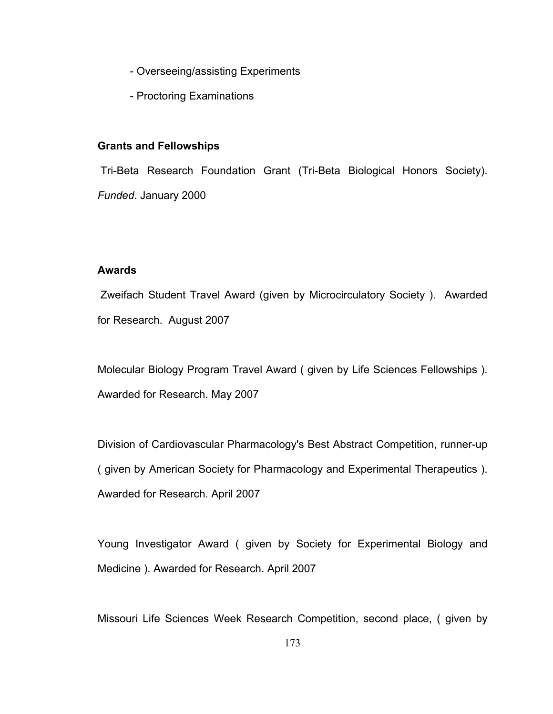- Overseeing/assisting Experiments
- Proctoring Examinations

### **Grants and Fellowships**

 Tri-Beta Research Foundation Grant (Tri-Beta Biological Honors Society). *Funded*. January 2000

## **Awards**

Zweifach Student Travel Award (given by Microcirculatory Society ). Awarded for Research. August 2007

Molecular Biology Program Travel Award ( given by Life Sciences Fellowships ). Awarded for Research. May 2007

Division of Cardiovascular Pharmacology's Best Abstract Competition, runner-up ( given by American Society for Pharmacology and Experimental Therapeutics ). Awarded for Research. April 2007

Young Investigator Award ( given by Society for Experimental Biology and Medicine ). Awarded for Research. April 2007

Missouri Life Sciences Week Research Competition, second place, ( given by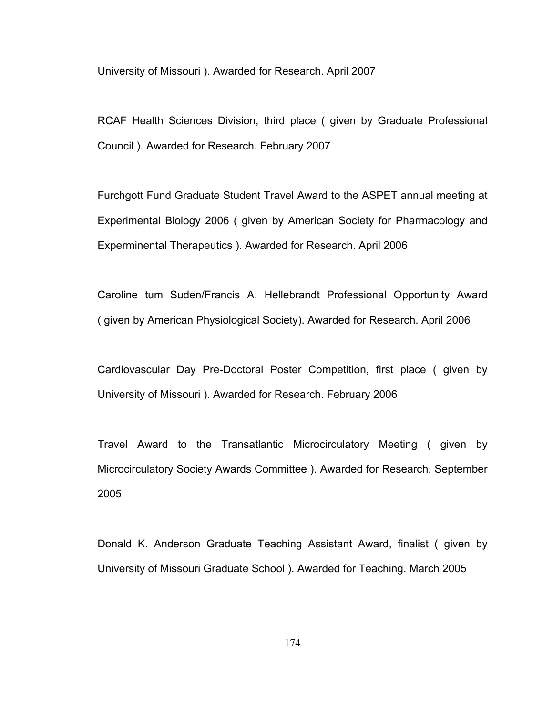University of Missouri ). Awarded for Research. April 2007

RCAF Health Sciences Division, third place ( given by Graduate Professional Council ). Awarded for Research. February 2007

Furchgott Fund Graduate Student Travel Award to the ASPET annual meeting at Experimental Biology 2006 ( given by American Society for Pharmacology and Experminental Therapeutics ). Awarded for Research. April 2006

Caroline tum Suden/Francis A. Hellebrandt Professional Opportunity Award ( given by American Physiological Society). Awarded for Research. April 2006

Cardiovascular Day Pre-Doctoral Poster Competition, first place ( given by University of Missouri ). Awarded for Research. February 2006

Travel Award to the Transatlantic Microcirculatory Meeting ( given by Microcirculatory Society Awards Committee ). Awarded for Research. September 2005

Donald K. Anderson Graduate Teaching Assistant Award, finalist ( given by University of Missouri Graduate School ). Awarded for Teaching. March 2005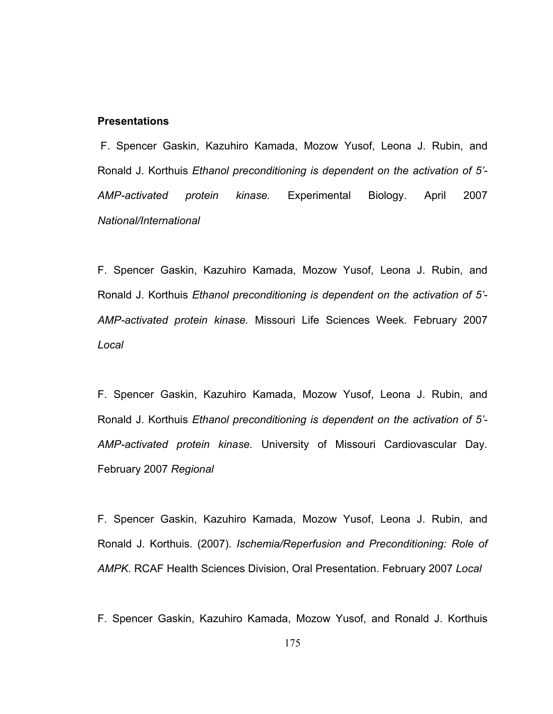### **Presentations**

 F. Spencer Gaskin, Kazuhiro Kamada, Mozow Yusof, Leona J. Rubin, and Ronald J. Korthuis *Ethanol preconditioning is dependent on the activation of 5'- AMP-activated protein kinase.* Experimental Biology. April 2007 *National/International*

F. Spencer Gaskin, Kazuhiro Kamada, Mozow Yusof, Leona J. Rubin, and Ronald J. Korthuis *Ethanol preconditioning is dependent on the activation of 5'- AMP-activated protein kinase.* Missouri Life Sciences Week. February 2007 *Local* 

F. Spencer Gaskin, Kazuhiro Kamada, Mozow Yusof, Leona J. Rubin, and Ronald J. Korthuis *Ethanol preconditioning is dependent on the activation of 5'- AMP-activated protein kinase.* University of Missouri Cardiovascular Day. February 2007 *Regional* 

F. Spencer Gaskin, Kazuhiro Kamada, Mozow Yusof, Leona J. Rubin, and Ronald J. Korthuis. (2007). *Ischemia/Reperfusion and Preconditioning: Role of AMPK*. RCAF Health Sciences Division, Oral Presentation. February 2007 *Local*

F. Spencer Gaskin, Kazuhiro Kamada, Mozow Yusof, and Ronald J. Korthuis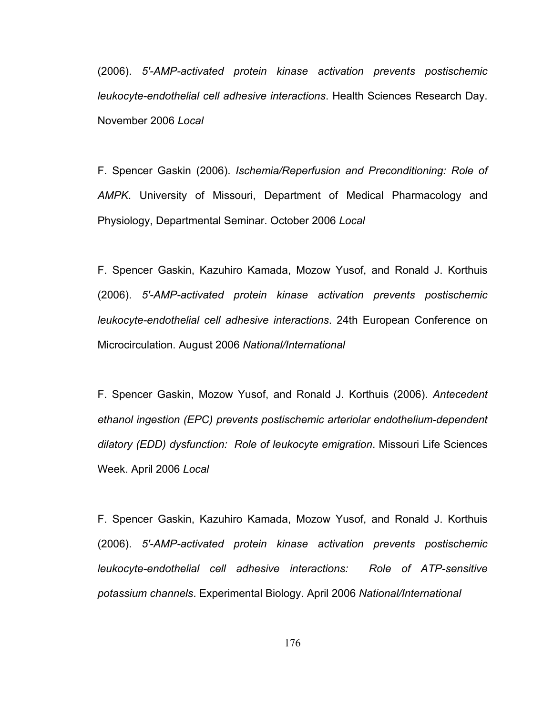(2006). *5'-AMP-activated protein kinase activation prevents postischemic leukocyte-endothelial cell adhesive interactions*. Health Sciences Research Day. November 2006 *Local*

F. Spencer Gaskin (2006). *Ischemia/Reperfusion and Preconditioning: Role of AMPK*. University of Missouri, Department of Medical Pharmacology and Physiology, Departmental Seminar. October 2006 *Local* 

F. Spencer Gaskin, Kazuhiro Kamada, Mozow Yusof, and Ronald J. Korthuis (2006). *5'-AMP-activated protein kinase activation prevents postischemic leukocyte-endothelial cell adhesive interactions*. 24th European Conference on Microcirculation. August 2006 *National/International*

F. Spencer Gaskin, Mozow Yusof, and Ronald J. Korthuis (2006). *Antecedent ethanol ingestion (EPC) prevents postischemic arteriolar endothelium-dependent dilatory (EDD) dysfunction: Role of leukocyte emigration*. Missouri Life Sciences Week. April 2006 *Local*

F. Spencer Gaskin, Kazuhiro Kamada, Mozow Yusof, and Ronald J. Korthuis (2006). *5'-AMP-activated protein kinase activation prevents postischemic leukocyte-endothelial cell adhesive interactions: Role of ATP-sensitive potassium channels*. Experimental Biology. April 2006 *National/International*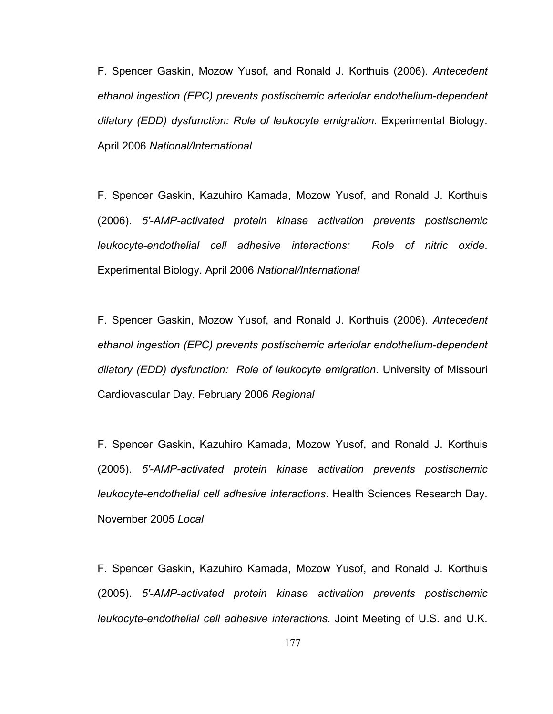F. Spencer Gaskin, Mozow Yusof, and Ronald J. Korthuis (2006). *Antecedent ethanol ingestion (EPC) prevents postischemic arteriolar endothelium-dependent dilatory (EDD) dysfunction: Role of leukocyte emigration*. Experimental Biology. April 2006 *National/International*

F. Spencer Gaskin, Kazuhiro Kamada, Mozow Yusof, and Ronald J. Korthuis (2006). *5'-AMP-activated protein kinase activation prevents postischemic leukocyte-endothelial cell adhesive interactions: Role of nitric oxide*. Experimental Biology. April 2006 *National/International*

F. Spencer Gaskin, Mozow Yusof, and Ronald J. Korthuis (2006). *Antecedent ethanol ingestion (EPC) prevents postischemic arteriolar endothelium-dependent dilatory (EDD) dysfunction: Role of leukocyte emigration*. University of Missouri Cardiovascular Day. February 2006 *Regional*

F. Spencer Gaskin, Kazuhiro Kamada, Mozow Yusof, and Ronald J. Korthuis (2005). *5'-AMP-activated protein kinase activation prevents postischemic leukocyte-endothelial cell adhesive interactions*. Health Sciences Research Day. November 2005 *Local*

F. Spencer Gaskin, Kazuhiro Kamada, Mozow Yusof, and Ronald J. Korthuis (2005). *5'-AMP-activated protein kinase activation prevents postischemic leukocyte-endothelial cell adhesive interactions*. Joint Meeting of U.S. and U.K.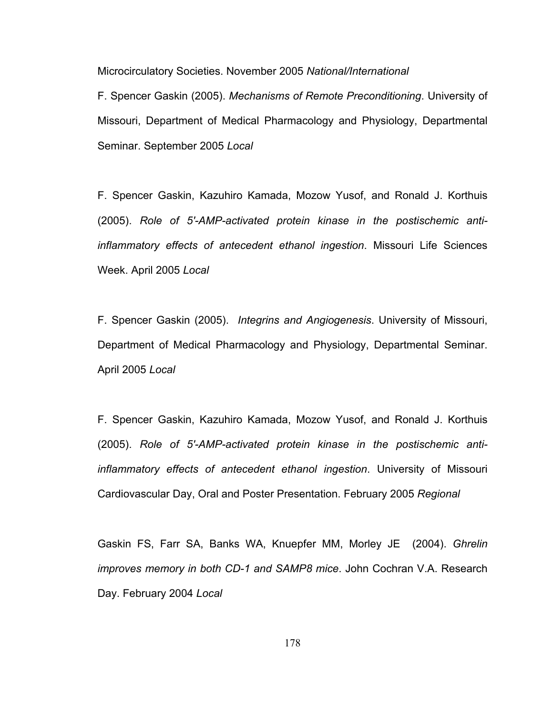Microcirculatory Societies. November 2005 *National/International*

F. Spencer Gaskin (2005). *Mechanisms of Remote Preconditioning*. University of Missouri, Department of Medical Pharmacology and Physiology, Departmental Seminar. September 2005 *Local* 

F. Spencer Gaskin, Kazuhiro Kamada, Mozow Yusof, and Ronald J. Korthuis (2005). *Role of 5'-AMP-activated protein kinase in the postischemic antiinflammatory effects of antecedent ethanol ingestion*. Missouri Life Sciences Week. April 2005 *Local* 

F. Spencer Gaskin (2005). *Integrins and Angiogenesis*. University of Missouri, Department of Medical Pharmacology and Physiology, Departmental Seminar. April 2005 *Local* 

F. Spencer Gaskin, Kazuhiro Kamada, Mozow Yusof, and Ronald J. Korthuis (2005). *Role of 5'-AMP-activated protein kinase in the postischemic antiinflammatory effects of antecedent ethanol ingestion*. University of Missouri Cardiovascular Day, Oral and Poster Presentation. February 2005 *Regional*

Gaskin FS, Farr SA, Banks WA, Knuepfer MM, Morley JE (2004). *Ghrelin improves memory in both CD-1 and SAMP8 mice*. John Cochran V.A. Research Day. February 2004 *Local*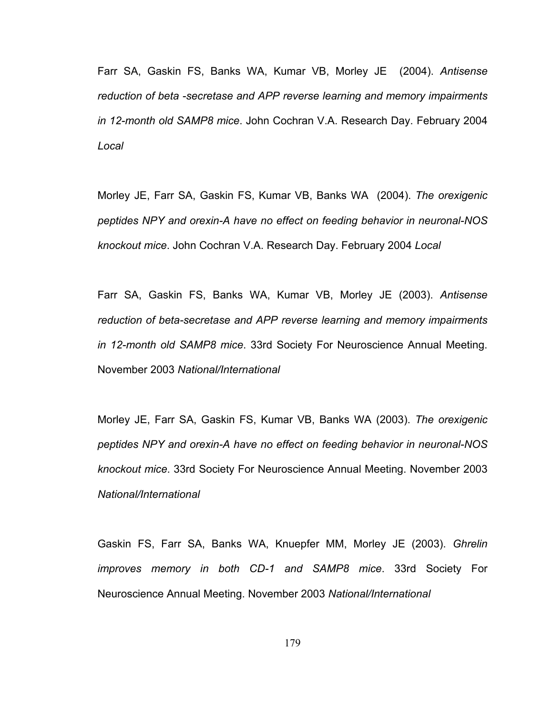Farr SA, Gaskin FS, Banks WA, Kumar VB, Morley JE (2004). *Antisense reduction of beta -secretase and APP reverse learning and memory impairments in 12-month old SAMP8 mice*. John Cochran V.A. Research Day. February 2004 *Local*

Morley JE, Farr SA, Gaskin FS, Kumar VB, Banks WA (2004). *The orexigenic peptides NPY and orexin-A have no effect on feeding behavior in neuronal-NOS knockout mice*. John Cochran V.A. Research Day. February 2004 *Local*

Farr SA, Gaskin FS, Banks WA, Kumar VB, Morley JE (2003). *Antisense reduction of beta-secretase and APP reverse learning and memory impairments in 12-month old SAMP8 mice*. 33rd Society For Neuroscience Annual Meeting. November 2003 *National/International*

Morley JE, Farr SA, Gaskin FS, Kumar VB, Banks WA (2003). *The orexigenic peptides NPY and orexin-A have no effect on feeding behavior in neuronal-NOS knockout mice*. 33rd Society For Neuroscience Annual Meeting. November 2003 *National/International*

Gaskin FS, Farr SA, Banks WA, Knuepfer MM, Morley JE (2003). *Ghrelin improves memory in both CD-1 and SAMP8 mice*. 33rd Society For Neuroscience Annual Meeting. November 2003 *National/International*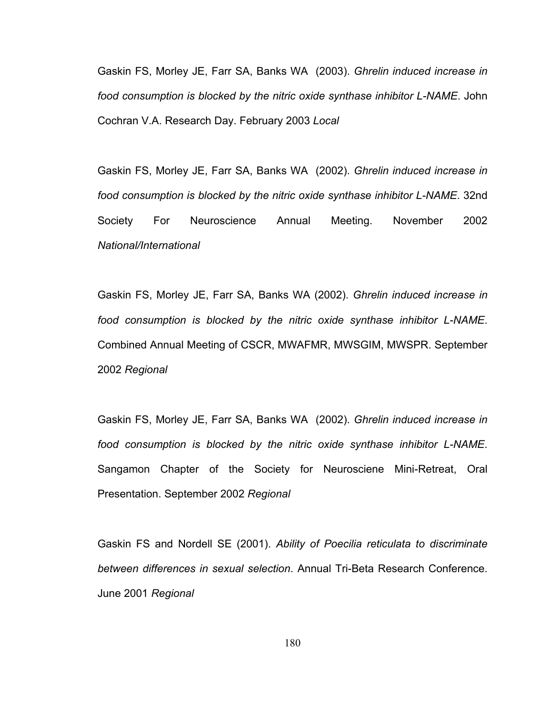Gaskin FS, Morley JE, Farr SA, Banks WA (2003). *Ghrelin induced increase in food consumption is blocked by the nitric oxide synthase inhibitor L-NAME*. John Cochran V.A. Research Day. February 2003 *Local*

Gaskin FS, Morley JE, Farr SA, Banks WA (2002). *Ghrelin induced increase in food consumption is blocked by the nitric oxide synthase inhibitor L-NAME*. 32nd Society For Neuroscience Annual Meeting. November 2002 *National/International*

Gaskin FS, Morley JE, Farr SA, Banks WA (2002). *Ghrelin induced increase in food consumption is blocked by the nitric oxide synthase inhibitor L-NAME*. Combined Annual Meeting of CSCR, MWAFMR, MWSGIM, MWSPR. September 2002 *Regional*

Gaskin FS, Morley JE, Farr SA, Banks WA (2002). *Ghrelin induced increase in food consumption is blocked by the nitric oxide synthase inhibitor L-NAME*. Sangamon Chapter of the Society for Neurosciene Mini-Retreat, Oral Presentation. September 2002 *Regional*

Gaskin FS and Nordell SE (2001). *Ability of Poecilia reticulata to discriminate between differences in sexual selection*. Annual Tri-Beta Research Conference. June 2001 *Regional*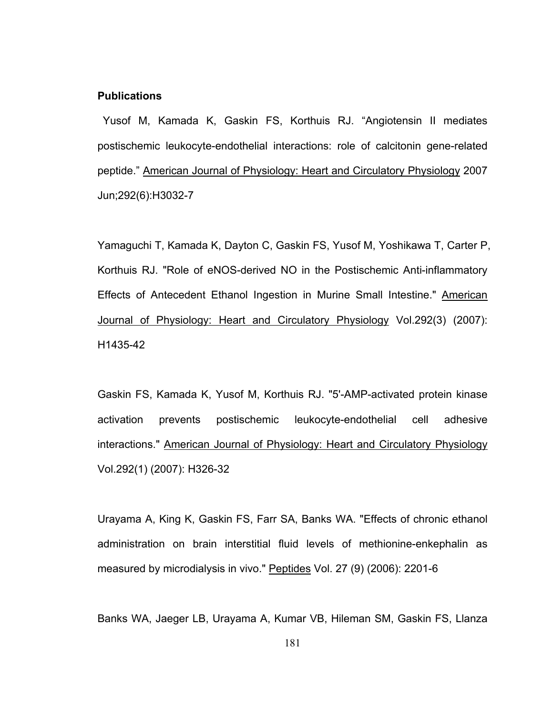## **Publications**

Yusof M, Kamada K, Gaskin FS, Korthuis RJ. "Angiotensin II mediates postischemic leukocyte-endothelial interactions: role of calcitonin gene-related peptide." American Journal of Physiology: Heart and Circulatory Physiology 2007 Jun;292(6):H3032-7

Yamaguchi T, Kamada K, Dayton C, Gaskin FS, Yusof M, Yoshikawa T, Carter P, Korthuis RJ. "Role of eNOS-derived NO in the Postischemic Anti-inflammatory Effects of Antecedent Ethanol Ingestion in Murine Small Intestine." American Journal of Physiology: Heart and Circulatory Physiology Vol.292(3) (2007): H1435-42

Gaskin FS, Kamada K, Yusof M, Korthuis RJ. "5'-AMP-activated protein kinase activation prevents postischemic leukocyte-endothelial cell adhesive interactions." American Journal of Physiology: Heart and Circulatory Physiology Vol.292(1) (2007): H326-32

Urayama A, King K, Gaskin FS, Farr SA, Banks WA. "Effects of chronic ethanol administration on brain interstitial fluid levels of methionine-enkephalin as measured by microdialysis in vivo." Peptides Vol. 27 (9) (2006): 2201-6

Banks WA, Jaeger LB, Urayama A, Kumar VB, Hileman SM, Gaskin FS, Llanza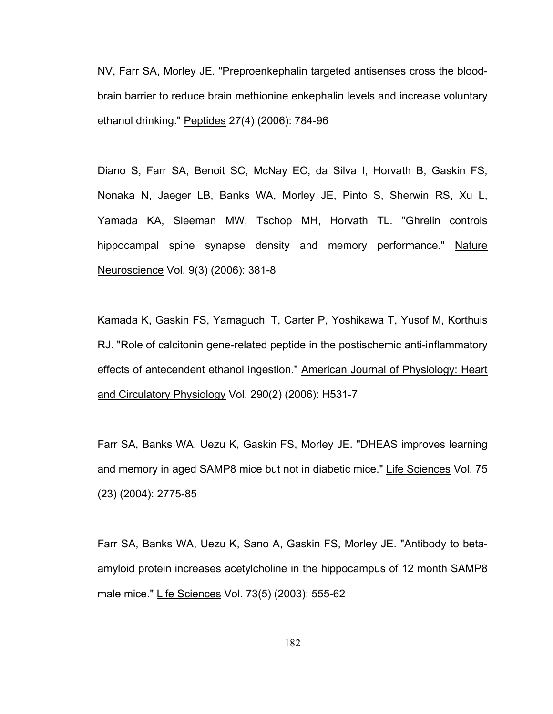NV, Farr SA, Morley JE. "Preproenkephalin targeted antisenses cross the bloodbrain barrier to reduce brain methionine enkephalin levels and increase voluntary ethanol drinking." Peptides 27(4) (2006): 784-96

Diano S, Farr SA, Benoit SC, McNay EC, da Silva I, Horvath B, Gaskin FS, Nonaka N, Jaeger LB, Banks WA, Morley JE, Pinto S, Sherwin RS, Xu L, Yamada KA, Sleeman MW, Tschop MH, Horvath TL. "Ghrelin controls hippocampal spine synapse density and memory performance." Nature Neuroscience Vol. 9(3) (2006): 381-8

Kamada K, Gaskin FS, Yamaguchi T, Carter P, Yoshikawa T, Yusof M, Korthuis RJ. "Role of calcitonin gene-related peptide in the postischemic anti-inflammatory effects of antecendent ethanol ingestion." American Journal of Physiology: Heart and Circulatory Physiology Vol. 290(2) (2006): H531-7

Farr SA, Banks WA, Uezu K, Gaskin FS, Morley JE. "DHEAS improves learning and memory in aged SAMP8 mice but not in diabetic mice." Life Sciences Vol. 75 (23) (2004): 2775-85

Farr SA, Banks WA, Uezu K, Sano A, Gaskin FS, Morley JE. "Antibody to betaamyloid protein increases acetylcholine in the hippocampus of 12 month SAMP8 male mice." Life Sciences Vol. 73(5) (2003): 555-62